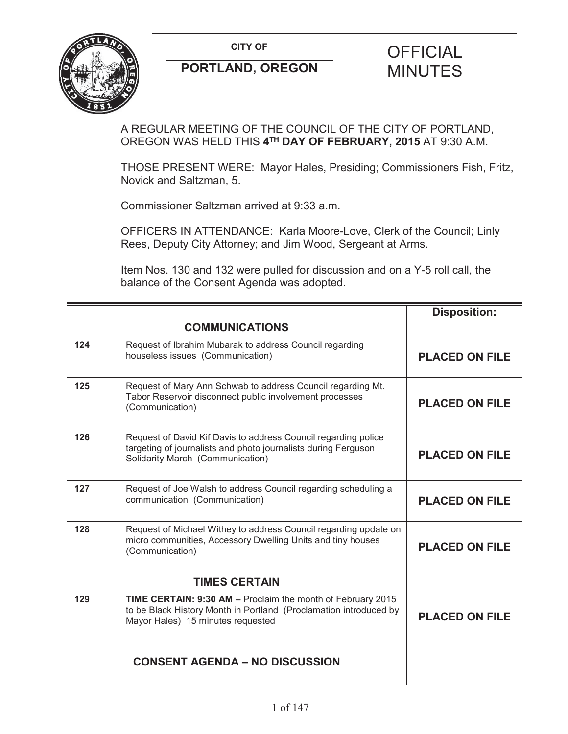

A REGULAR MEETING OF THE COUNCIL OF THE CITY OF PORTLAND, OREGON WAS HELD THIS **4TH DAY OF FEBRUARY, 2015** AT 9:30 A.M.

THOSE PRESENT WERE: Mayor Hales, Presiding; Commissioners Fish, Fritz, Novick and Saltzman, 5.

Commissioner Saltzman arrived at 9:33 a.m.

OFFICERS IN ATTENDANCE: Karla Moore-Love, Clerk of the Council; Linly Rees, Deputy City Attorney; and Jim Wood, Sergeant at Arms.

Item Nos. 130 and 132 were pulled for discussion and on a Y-5 roll call, the balance of the Consent Agenda was adopted.

|     |                                                                                                                                                                       | <b>Disposition:</b>   |
|-----|-----------------------------------------------------------------------------------------------------------------------------------------------------------------------|-----------------------|
|     | <b>COMMUNICATIONS</b>                                                                                                                                                 |                       |
| 124 | Request of Ibrahim Mubarak to address Council regarding<br>houseless issues (Communication)                                                                           | <b>PLACED ON FILE</b> |
| 125 | Request of Mary Ann Schwab to address Council regarding Mt.<br>Tabor Reservoir disconnect public involvement processes<br>(Communication)                             | <b>PLACED ON FILE</b> |
| 126 | Request of David Kif Davis to address Council regarding police<br>targeting of journalists and photo journalists during Ferguson<br>Solidarity March (Communication)  | <b>PLACED ON FILE</b> |
| 127 | Request of Joe Walsh to address Council regarding scheduling a<br>communication (Communication)                                                                       | <b>PLACED ON FILE</b> |
| 128 | Request of Michael Withey to address Council regarding update on<br>micro communities, Accessory Dwelling Units and tiny houses<br>(Communication)                    | <b>PLACED ON FILE</b> |
|     | <b>TIMES CERTAIN</b>                                                                                                                                                  |                       |
| 129 | TIME CERTAIN: 9:30 AM - Proclaim the month of February 2015<br>to be Black History Month in Portland (Proclamation introduced by<br>Mayor Hales) 15 minutes requested | <b>PLACED ON FILE</b> |
|     | <b>CONSENT AGENDA - NO DISCUSSION</b>                                                                                                                                 |                       |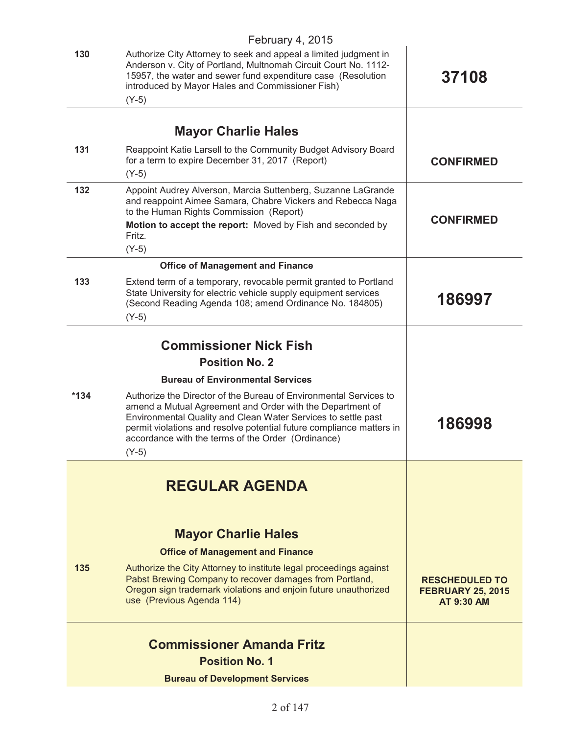|        | February 4, 2015                                                                                                                                                                                                                                                                                                                         |                                                                        |
|--------|------------------------------------------------------------------------------------------------------------------------------------------------------------------------------------------------------------------------------------------------------------------------------------------------------------------------------------------|------------------------------------------------------------------------|
| 130    | Authorize City Attorney to seek and appeal a limited judgment in<br>Anderson v. City of Portland, Multnomah Circuit Court No. 1112-<br>15957, the water and sewer fund expenditure case (Resolution<br>introduced by Mayor Hales and Commissioner Fish)<br>$(Y-5)$                                                                       | 37108                                                                  |
|        |                                                                                                                                                                                                                                                                                                                                          |                                                                        |
|        | <b>Mayor Charlie Hales</b>                                                                                                                                                                                                                                                                                                               |                                                                        |
| 131    | Reappoint Katie Larsell to the Community Budget Advisory Board<br>for a term to expire December 31, 2017 (Report)<br>$(Y-5)$                                                                                                                                                                                                             | <b>CONFIRMED</b>                                                       |
| 132    | Appoint Audrey Alverson, Marcia Suttenberg, Suzanne LaGrande<br>and reappoint Aimee Samara, Chabre Vickers and Rebecca Naga<br>to the Human Rights Commission (Report)<br>Motion to accept the report: Moved by Fish and seconded by<br>Fritz.<br>$(Y-5)$                                                                                | <b>CONFIRMED</b>                                                       |
|        | <b>Office of Management and Finance</b>                                                                                                                                                                                                                                                                                                  |                                                                        |
| 133    | Extend term of a temporary, revocable permit granted to Portland<br>State University for electric vehicle supply equipment services<br>(Second Reading Agenda 108; amend Ordinance No. 184805)<br>$(Y-5)$                                                                                                                                | 186997                                                                 |
|        | <b>Commissioner Nick Fish</b>                                                                                                                                                                                                                                                                                                            |                                                                        |
|        | <b>Position No. 2</b>                                                                                                                                                                                                                                                                                                                    |                                                                        |
|        | <b>Bureau of Environmental Services</b>                                                                                                                                                                                                                                                                                                  |                                                                        |
| $*134$ | Authorize the Director of the Bureau of Environmental Services to<br>amend a Mutual Agreement and Order with the Department of<br>Environmental Quality and Clean Water Services to settle past<br>permit violations and resolve potential future compliance matters in<br>accordance with the terms of the Order (Ordinance)<br>$(Y-5)$ | 186998                                                                 |
|        |                                                                                                                                                                                                                                                                                                                                          |                                                                        |
|        | <b>REGULAR AGENDA</b>                                                                                                                                                                                                                                                                                                                    |                                                                        |
|        | <b>Mayor Charlie Hales</b>                                                                                                                                                                                                                                                                                                               |                                                                        |
|        | <b>Office of Management and Finance</b>                                                                                                                                                                                                                                                                                                  |                                                                        |
| 135    | Authorize the City Attorney to institute legal proceedings against<br>Pabst Brewing Company to recover damages from Portland,<br>Oregon sign trademark violations and enjoin future unauthorized<br>use (Previous Agenda 114)                                                                                                            | <b>RESCHEDULED TO</b><br><b>FEBRUARY 25, 2015</b><br><b>AT 9:30 AM</b> |
|        | <b>Commissioner Amanda Fritz</b><br><b>Position No. 1</b>                                                                                                                                                                                                                                                                                |                                                                        |
|        | <b>Bureau of Development Services</b>                                                                                                                                                                                                                                                                                                    |                                                                        |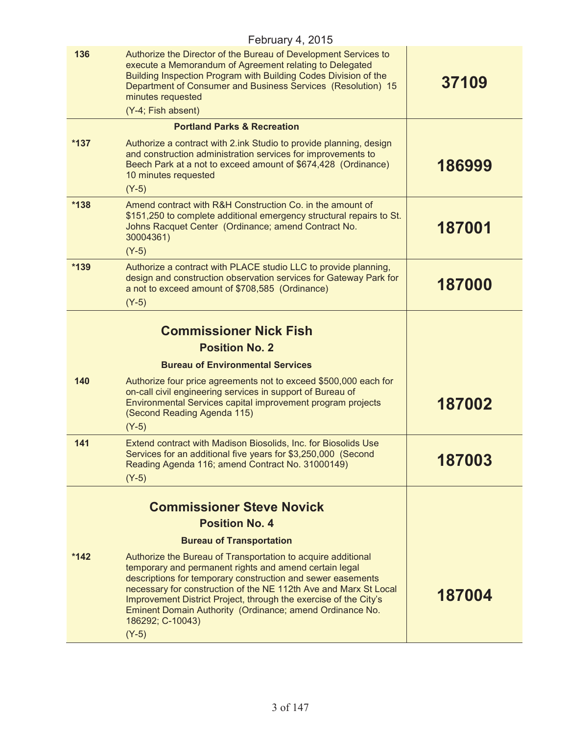|        | February 4, 2015                                                                                                                                                                                                                                                                                                                                                                                                         |        |
|--------|--------------------------------------------------------------------------------------------------------------------------------------------------------------------------------------------------------------------------------------------------------------------------------------------------------------------------------------------------------------------------------------------------------------------------|--------|
| 136    | Authorize the Director of the Bureau of Development Services to<br>execute a Memorandum of Agreement relating to Delegated<br>Building Inspection Program with Building Codes Division of the<br>Department of Consumer and Business Services (Resolution) 15<br>minutes requested<br>(Y-4; Fish absent)                                                                                                                 | 37109  |
|        | <b>Portland Parks &amp; Recreation</b>                                                                                                                                                                                                                                                                                                                                                                                   |        |
| $*137$ | Authorize a contract with 2.ink Studio to provide planning, design<br>and construction administration services for improvements to<br>Beech Park at a not to exceed amount of \$674,428 (Ordinance)<br>10 minutes requested<br>$(Y-5)$                                                                                                                                                                                   | 186999 |
| $*138$ | Amend contract with R&H Construction Co. in the amount of<br>\$151,250 to complete additional emergency structural repairs to St.<br>Johns Racquet Center (Ordinance; amend Contract No.<br>30004361)<br>$(Y-5)$                                                                                                                                                                                                         | 187001 |
| *139   | Authorize a contract with PLACE studio LLC to provide planning,<br>design and construction observation services for Gateway Park for<br>a not to exceed amount of \$708,585 (Ordinance)<br>$(Y-5)$                                                                                                                                                                                                                       | 187000 |
|        | <b>Commissioner Nick Fish</b><br><b>Position No. 2</b>                                                                                                                                                                                                                                                                                                                                                                   |        |
|        | <b>Bureau of Environmental Services</b>                                                                                                                                                                                                                                                                                                                                                                                  |        |
| 140    | Authorize four price agreements not to exceed \$500,000 each for<br>on-call civil engineering services in support of Bureau of<br>Environmental Services capital improvement program projects<br>(Second Reading Agenda 115)<br>$(Y-5)$                                                                                                                                                                                  | 187002 |
| 141    | Extend contract with Madison Biosolids, Inc. for Biosolids Use<br>Services for an additional five years for \$3,250,000 (Second<br>Reading Agenda 116; amend Contract No. 31000149)<br>$(Y-5)$                                                                                                                                                                                                                           | 187003 |
|        | <b>Commissioner Steve Novick</b><br><b>Position No. 4</b>                                                                                                                                                                                                                                                                                                                                                                |        |
|        | <b>Bureau of Transportation</b>                                                                                                                                                                                                                                                                                                                                                                                          |        |
| $*142$ | Authorize the Bureau of Transportation to acquire additional<br>temporary and permanent rights and amend certain legal<br>descriptions for temporary construction and sewer easements<br>necessary for construction of the NE 112th Ave and Marx St Local<br>Improvement District Project, through the exercise of the City's<br>Eminent Domain Authority (Ordinance; amend Ordinance No.<br>186292; C-10043)<br>$(Y-5)$ | 187004 |
|        |                                                                                                                                                                                                                                                                                                                                                                                                                          |        |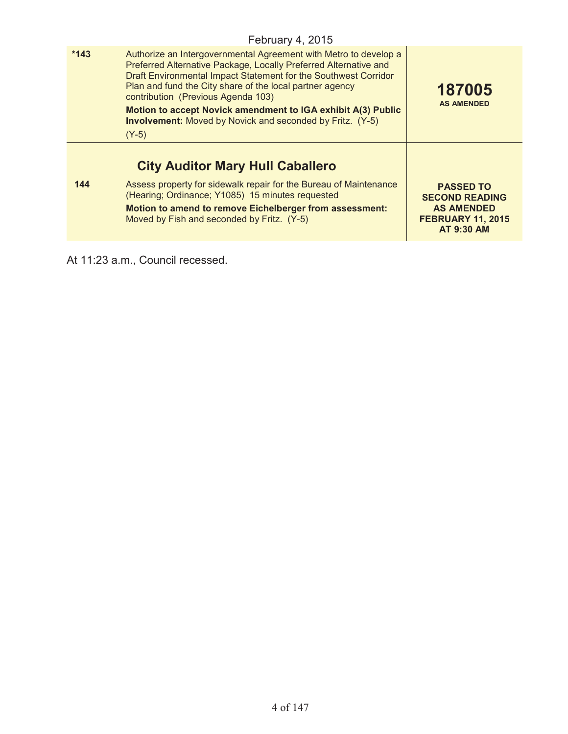|        | February 4, 2015                                                                                                                                                                                                                                                                                                                                                                                                                                         |                                                                                             |
|--------|----------------------------------------------------------------------------------------------------------------------------------------------------------------------------------------------------------------------------------------------------------------------------------------------------------------------------------------------------------------------------------------------------------------------------------------------------------|---------------------------------------------------------------------------------------------|
| $*143$ | Authorize an Intergovernmental Agreement with Metro to develop a<br>Preferred Alternative Package, Locally Preferred Alternative and<br>Draft Environmental Impact Statement for the Southwest Corridor<br>Plan and fund the City share of the local partner agency<br>contribution (Previous Agenda 103)<br>Motion to accept Novick amendment to IGA exhibit A(3) Public<br><b>Involvement:</b> Moved by Novick and seconded by Fritz. (Y-5)<br>$(Y-5)$ | 187005<br><b>AS AMENDED</b>                                                                 |
| 144    | <b>City Auditor Mary Hull Caballero</b><br>Assess property for sidewalk repair for the Bureau of Maintenance                                                                                                                                                                                                                                                                                                                                             | <b>PASSED TO</b>                                                                            |
|        | (Hearing; Ordinance; Y1085) 15 minutes requested<br>Motion to amend to remove Eichelberger from assessment:<br>Moved by Fish and seconded by Fritz. (Y-5)                                                                                                                                                                                                                                                                                                | <b>SECOND READING</b><br><b>AS AMENDED</b><br><b>FEBRUARY 11, 2015</b><br><b>AT 9:30 AM</b> |

At 11:23 a.m., Council recessed.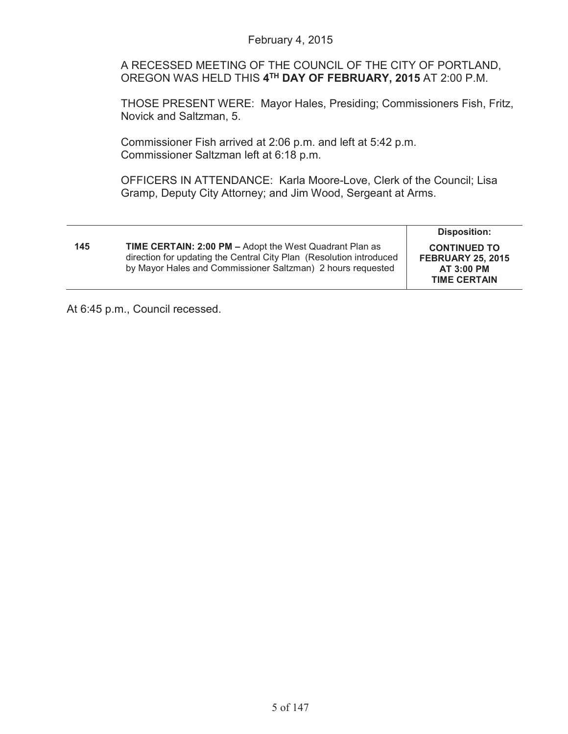A RECESSED MEETING OF THE COUNCIL OF THE CITY OF PORTLAND, OREGON WAS HELD THIS **4TH DAY OF FEBRUARY, 2015** AT 2:00 P.M.

THOSE PRESENT WERE: Mayor Hales, Presiding; Commissioners Fish, Fritz, Novick and Saltzman, 5.

Commissioner Fish arrived at 2:06 p.m. and left at 5:42 p.m. Commissioner Saltzman left at 6:18 p.m.

OFFICERS IN ATTENDANCE: Karla Moore-Love, Clerk of the Council; Lisa Gramp, Deputy City Attorney; and Jim Wood, Sergeant at Arms.

|     |                                                                                                                                                                                               | <b>Disposition:</b>                                                                         |
|-----|-----------------------------------------------------------------------------------------------------------------------------------------------------------------------------------------------|---------------------------------------------------------------------------------------------|
| 145 | TIME CERTAIN: 2:00 PM - Adopt the West Quadrant Plan as<br>direction for updating the Central City Plan (Resolution introduced<br>by Mayor Hales and Commissioner Saltzman) 2 hours requested | <b>CONTINUED TO</b><br><b>FEBRUARY 25, 2015</b><br><b>AT 3:00 PM</b><br><b>TIME CERTAIN</b> |

At 6:45 p.m., Council recessed.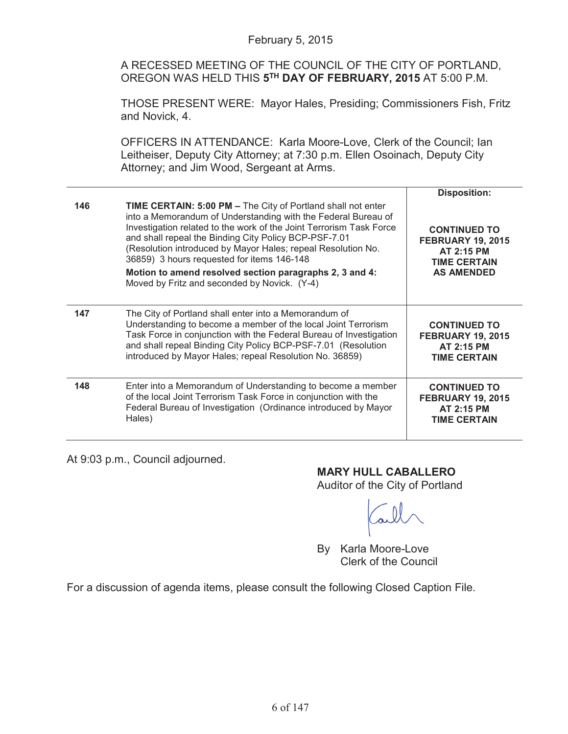A RECESSED MEETING OF THE COUNCIL OF THE CITY OF PORTLAND, OREGON WAS HELD THIS **5TH DAY OF FEBRUARY, 2015** AT 5:00 P.M.

THOSE PRESENT WERE: Mayor Hales, Presiding; Commissioners Fish, Fritz and Novick, 4.

OFFICERS IN ATTENDANCE: Karla Moore-Love, Clerk of the Council; Ian Leitheiser, Deputy City Attorney; at 7:30 p.m. Ellen Osoinach, Deputy City Attorney; and Jim Wood, Sergeant at Arms.

|     |                                                                                                                                                                                                                                                                                                                                                                                                                                                                                               | <b>Disposition:</b>                                                                                       |
|-----|-----------------------------------------------------------------------------------------------------------------------------------------------------------------------------------------------------------------------------------------------------------------------------------------------------------------------------------------------------------------------------------------------------------------------------------------------------------------------------------------------|-----------------------------------------------------------------------------------------------------------|
| 146 | <b>TIME CERTAIN: 5:00 PM - The City of Portland shall not enter</b><br>into a Memorandum of Understanding with the Federal Bureau of<br>Investigation related to the work of the Joint Terrorism Task Force<br>and shall repeal the Binding City Policy BCP-PSF-7.01<br>(Resolution introduced by Mayor Hales; repeal Resolution No.<br>36859) 3 hours requested for items 146-148<br>Motion to amend resolved section paragraphs 2, 3 and 4:<br>Moved by Fritz and seconded by Novick. (Y-4) | <b>CONTINUED TO</b><br><b>FEBRUARY 19, 2015</b><br>AT 2:15 PM<br><b>TIME CERTAIN</b><br><b>AS AMENDED</b> |
| 147 | The City of Portland shall enter into a Memorandum of<br>Understanding to become a member of the local Joint Terrorism<br>Task Force in conjunction with the Federal Bureau of Investigation<br>and shall repeal Binding City Policy BCP-PSF-7.01 (Resolution<br>introduced by Mayor Hales; repeal Resolution No. 36859)                                                                                                                                                                      | <b>CONTINUED TO</b><br><b>FEBRUARY 19, 2015</b><br><b>AT 2:15 PM</b><br><b>TIME CERTAIN</b>               |
| 148 | Enter into a Memorandum of Understanding to become a member<br>of the local Joint Terrorism Task Force in conjunction with the<br>Federal Bureau of Investigation (Ordinance introduced by Mayor<br>Hales)                                                                                                                                                                                                                                                                                    | <b>CONTINUED TO</b><br><b>FEBRUARY 19, 2015</b><br><b>AT 2:15 PM</b><br><b>TIME CERTAIN</b>               |

At 9:03 p.m., Council adjourned.

# **MARY HULL CABALLERO**

Auditor of the City of Portland

By Karla Moore-Love Clerk of the Council

For a discussion of agenda items, please consult the following Closed Caption File.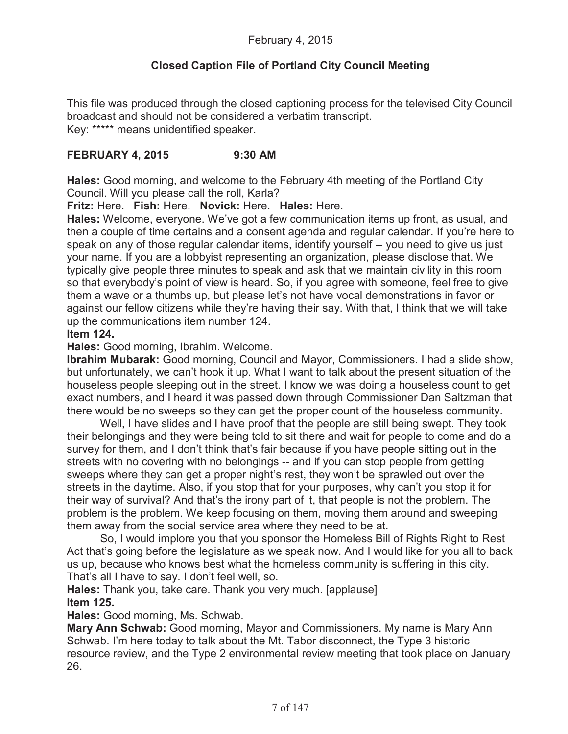# **Closed Caption File of Portland City Council Meeting**

This file was produced through the closed captioning process for the televised City Council broadcast and should not be considered a verbatim transcript. Key: \*\*\*\*\* means unidentified speaker.

# **FEBRUARY 4, 2015 9:30 AM**

**Hales:** Good morning, and welcome to the February 4th meeting of the Portland City Council. Will you please call the roll, Karla?

**Fritz:** Here. **Fish:** Here. **Novick:** Here. **Hales:** Here.

**Hales:** Welcome, everyone. We've got a few communication items up front, as usual, and then a couple of time certains and a consent agenda and regular calendar. If you're here to speak on any of those regular calendar items, identify yourself -- you need to give us just your name. If you are a lobbyist representing an organization, please disclose that. We typically give people three minutes to speak and ask that we maintain civility in this room so that everybody's point of view is heard. So, if you agree with someone, feel free to give them a wave or a thumbs up, but please let's not have vocal demonstrations in favor or against our fellow citizens while they're having their say. With that, I think that we will take up the communications item number 124.

# **Item 124.**

**Hales:** Good morning, Ibrahim. Welcome.

**Ibrahim Mubarak:** Good morning, Council and Mayor, Commissioners. I had a slide show, but unfortunately, we can't hook it up. What I want to talk about the present situation of the houseless people sleeping out in the street. I know we was doing a houseless count to get exact numbers, and I heard it was passed down through Commissioner Dan Saltzman that there would be no sweeps so they can get the proper count of the houseless community.

Well, I have slides and I have proof that the people are still being swept. They took their belongings and they were being told to sit there and wait for people to come and do a survey for them, and I don't think that's fair because if you have people sitting out in the streets with no covering with no belongings -- and if you can stop people from getting sweeps where they can get a proper night's rest, they won't be sprawled out over the streets in the daytime. Also, if you stop that for your purposes, why can't you stop it for their way of survival? And that's the irony part of it, that people is not the problem. The problem is the problem. We keep focusing on them, moving them around and sweeping them away from the social service area where they need to be at.

So, I would implore you that you sponsor the Homeless Bill of Rights Right to Rest Act that's going before the legislature as we speak now. And I would like for you all to back us up, because who knows best what the homeless community is suffering in this city. That's all I have to say. I don't feel well, so.

**Hales:** Thank you, take care. Thank you very much. [applause] **Item 125.**

**Hales:** Good morning, Ms. Schwab.

**Mary Ann Schwab:** Good morning, Mayor and Commissioners. My name is Mary Ann Schwab. I'm here today to talk about the Mt. Tabor disconnect, the Type 3 historic resource review, and the Type 2 environmental review meeting that took place on January 26.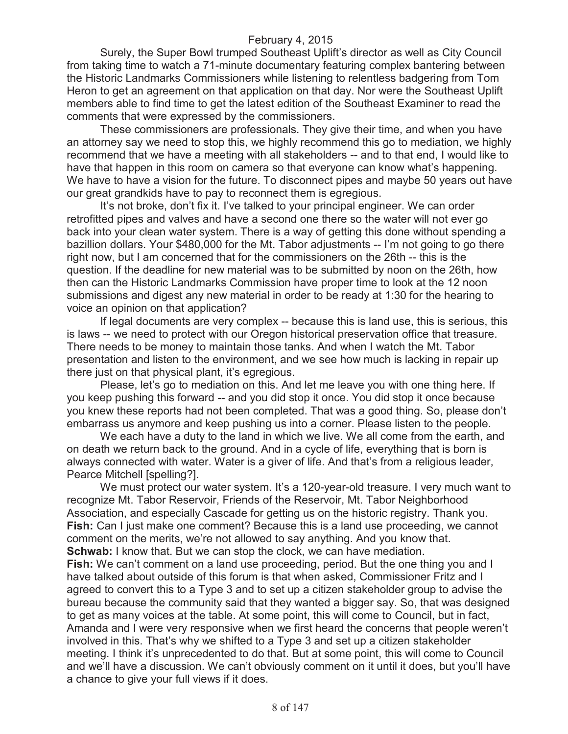Surely, the Super Bowl trumped Southeast Uplift's director as well as City Council from taking time to watch a 71-minute documentary featuring complex bantering between the Historic Landmarks Commissioners while listening to relentless badgering from Tom Heron to get an agreement on that application on that day. Nor were the Southeast Uplift members able to find time to get the latest edition of the Southeast Examiner to read the comments that were expressed by the commissioners.

These commissioners are professionals. They give their time, and when you have an attorney say we need to stop this, we highly recommend this go to mediation, we highly recommend that we have a meeting with all stakeholders -- and to that end, I would like to have that happen in this room on camera so that everyone can know what's happening. We have to have a vision for the future. To disconnect pipes and maybe 50 years out have our great grandkids have to pay to reconnect them is egregious.

It's not broke, don't fix it. I've talked to your principal engineer. We can order retrofitted pipes and valves and have a second one there so the water will not ever go back into your clean water system. There is a way of getting this done without spending a bazillion dollars. Your \$480,000 for the Mt. Tabor adjustments -- I'm not going to go there right now, but I am concerned that for the commissioners on the 26th -- this is the question. If the deadline for new material was to be submitted by noon on the 26th, how then can the Historic Landmarks Commission have proper time to look at the 12 noon submissions and digest any new material in order to be ready at 1:30 for the hearing to voice an opinion on that application?

If legal documents are very complex -- because this is land use, this is serious, this is laws -- we need to protect with our Oregon historical preservation office that treasure. There needs to be money to maintain those tanks. And when I watch the Mt. Tabor presentation and listen to the environment, and we see how much is lacking in repair up there just on that physical plant, it's egregious.

Please, let's go to mediation on this. And let me leave you with one thing here. If you keep pushing this forward -- and you did stop it once. You did stop it once because you knew these reports had not been completed. That was a good thing. So, please don't embarrass us anymore and keep pushing us into a corner. Please listen to the people.

We each have a duty to the land in which we live. We all come from the earth, and on death we return back to the ground. And in a cycle of life, everything that is born is always connected with water. Water is a giver of life. And that's from a religious leader, Pearce Mitchell [spelling?].

We must protect our water system. It's a 120-year-old treasure. I very much want to recognize Mt. Tabor Reservoir, Friends of the Reservoir, Mt. Tabor Neighborhood Association, and especially Cascade for getting us on the historic registry. Thank you. **Fish:** Can I just make one comment? Because this is a land use proceeding, we cannot comment on the merits, we're not allowed to say anything. And you know that. **Schwab:** I know that. But we can stop the clock, we can have mediation.

**Fish:** We can't comment on a land use proceeding, period. But the one thing you and I have talked about outside of this forum is that when asked, Commissioner Fritz and I agreed to convert this to a Type 3 and to set up a citizen stakeholder group to advise the bureau because the community said that they wanted a bigger say. So, that was designed to get as many voices at the table. At some point, this will come to Council, but in fact, Amanda and I were very responsive when we first heard the concerns that people weren't involved in this. That's why we shifted to a Type 3 and set up a citizen stakeholder meeting. I think it's unprecedented to do that. But at some point, this will come to Council and we'll have a discussion. We can't obviously comment on it until it does, but you'll have a chance to give your full views if it does.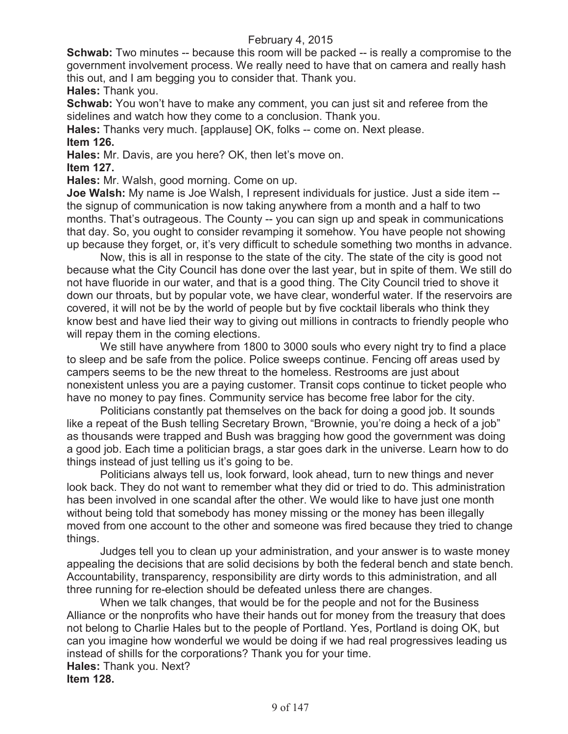**Schwab:** Two minutes -- because this room will be packed -- is really a compromise to the government involvement process. We really need to have that on camera and really hash this out, and I am begging you to consider that. Thank you.

**Hales:** Thank you.

**Schwab:** You won't have to make any comment, you can just sit and referee from the sidelines and watch how they come to a conclusion. Thank you.

**Hales:** Thanks very much. [applause] OK, folks -- come on. Next please. **Item 126.**

**Hales:** Mr. Davis, are you here? OK, then let's move on.

**Item 127.**

**Hales:** Mr. Walsh, good morning. Come on up.

**Joe Walsh:** My name is Joe Walsh, I represent individuals for justice. Just a side item - the signup of communication is now taking anywhere from a month and a half to two months. That's outrageous. The County -- you can sign up and speak in communications that day. So, you ought to consider revamping it somehow. You have people not showing up because they forget, or, it's very difficult to schedule something two months in advance.

Now, this is all in response to the state of the city. The state of the city is good not because what the City Council has done over the last year, but in spite of them. We still do not have fluoride in our water, and that is a good thing. The City Council tried to shove it down our throats, but by popular vote, we have clear, wonderful water. If the reservoirs are covered, it will not be by the world of people but by five cocktail liberals who think they know best and have lied their way to giving out millions in contracts to friendly people who will repay them in the coming elections.

We still have anywhere from 1800 to 3000 souls who every night try to find a place to sleep and be safe from the police. Police sweeps continue. Fencing off areas used by campers seems to be the new threat to the homeless. Restrooms are just about nonexistent unless you are a paying customer. Transit cops continue to ticket people who have no money to pay fines. Community service has become free labor for the city.

Politicians constantly pat themselves on the back for doing a good job. It sounds like a repeat of the Bush telling Secretary Brown, "Brownie, you're doing a heck of a job" as thousands were trapped and Bush was bragging how good the government was doing a good job. Each time a politician brags, a star goes dark in the universe. Learn how to do things instead of just telling us it's going to be.

Politicians always tell us, look forward, look ahead, turn to new things and never look back. They do not want to remember what they did or tried to do. This administration has been involved in one scandal after the other. We would like to have just one month without being told that somebody has money missing or the money has been illegally moved from one account to the other and someone was fired because they tried to change things.

Judges tell you to clean up your administration, and your answer is to waste money appealing the decisions that are solid decisions by both the federal bench and state bench. Accountability, transparency, responsibility are dirty words to this administration, and all three running for re-election should be defeated unless there are changes.

When we talk changes, that would be for the people and not for the Business Alliance or the nonprofits who have their hands out for money from the treasury that does not belong to Charlie Hales but to the people of Portland. Yes, Portland is doing OK, but can you imagine how wonderful we would be doing if we had real progressives leading us instead of shills for the corporations? Thank you for your time. **Hales:** Thank you. Next?

**Item 128.**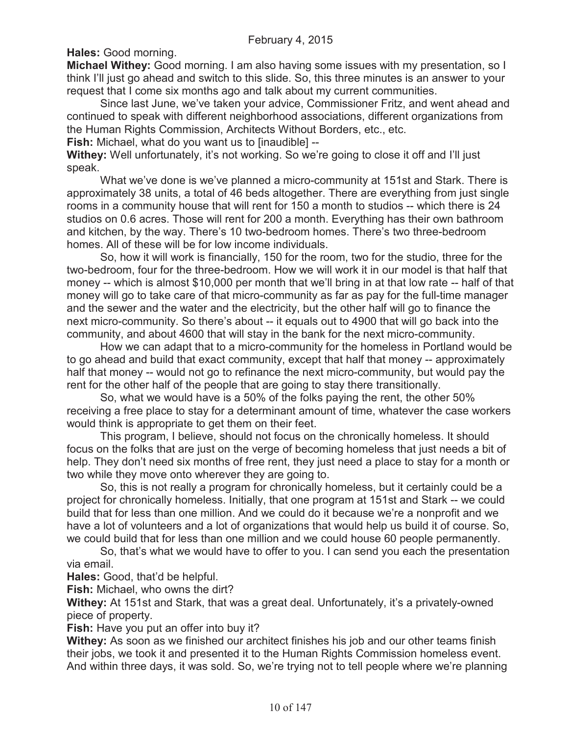**Hales:** Good morning.

**Michael Withey:** Good morning. I am also having some issues with my presentation, so I think I'll just go ahead and switch to this slide. So, this three minutes is an answer to your request that I come six months ago and talk about my current communities.

Since last June, we've taken your advice, Commissioner Fritz, and went ahead and continued to speak with different neighborhood associations, different organizations from the Human Rights Commission, Architects Without Borders, etc., etc.

**Fish:** Michael, what do you want us to [inaudible] --

**Withey:** Well unfortunately, it's not working. So we're going to close it off and I'll just speak.

What we've done is we've planned a micro-community at 151st and Stark. There is approximately 38 units, a total of 46 beds altogether. There are everything from just single rooms in a community house that will rent for 150 a month to studios -- which there is 24 studios on 0.6 acres. Those will rent for 200 a month. Everything has their own bathroom and kitchen, by the way. There's 10 two-bedroom homes. There's two three-bedroom homes. All of these will be for low income individuals.

So, how it will work is financially, 150 for the room, two for the studio, three for the two-bedroom, four for the three-bedroom. How we will work it in our model is that half that money -- which is almost \$10,000 per month that we'll bring in at that low rate -- half of that money will go to take care of that micro-community as far as pay for the full-time manager and the sewer and the water and the electricity, but the other half will go to finance the next micro-community. So there's about -- it equals out to 4900 that will go back into the community, and about 4600 that will stay in the bank for the next micro-community.

How we can adapt that to a micro-community for the homeless in Portland would be to go ahead and build that exact community, except that half that money -- approximately half that money -- would not go to refinance the next micro-community, but would pay the rent for the other half of the people that are going to stay there transitionally.

So, what we would have is a 50% of the folks paying the rent, the other 50% receiving a free place to stay for a determinant amount of time, whatever the case workers would think is appropriate to get them on their feet.

This program, I believe, should not focus on the chronically homeless. It should focus on the folks that are just on the verge of becoming homeless that just needs a bit of help. They don't need six months of free rent, they just need a place to stay for a month or two while they move onto wherever they are going to.

So, this is not really a program for chronically homeless, but it certainly could be a project for chronically homeless. Initially, that one program at 151st and Stark -- we could build that for less than one million. And we could do it because we're a nonprofit and we have a lot of volunteers and a lot of organizations that would help us build it of course. So, we could build that for less than one million and we could house 60 people permanently.

So, that's what we would have to offer to you. I can send you each the presentation via email.

**Hales:** Good, that'd be helpful.

**Fish:** Michael, who owns the dirt?

**Withey:** At 151st and Stark, that was a great deal. Unfortunately, it's a privately-owned piece of property.

**Fish:** Have you put an offer into buy it?

**Withey:** As soon as we finished our architect finishes his job and our other teams finish their jobs, we took it and presented it to the Human Rights Commission homeless event. And within three days, it was sold. So, we're trying not to tell people where we're planning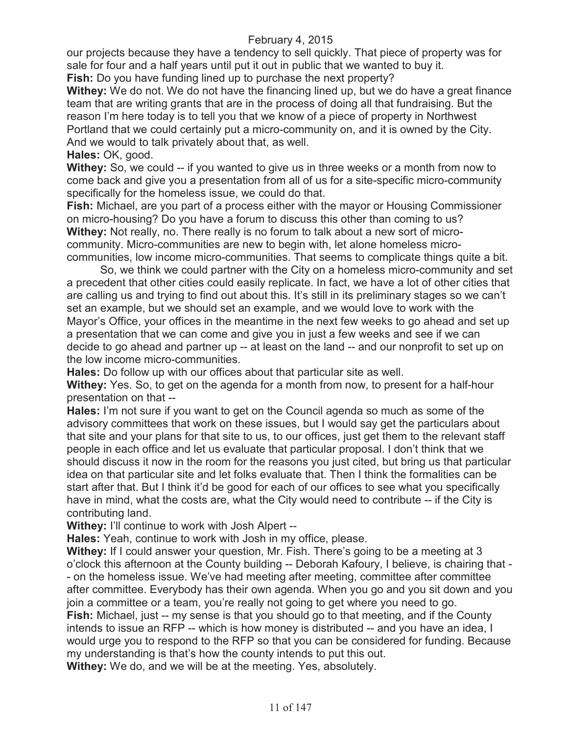our projects because they have a tendency to sell quickly. That piece of property was for sale for four and a half years until put it out in public that we wanted to buy it.

**Fish:** Do you have funding lined up to purchase the next property?

**Withey:** We do not. We do not have the financing lined up, but we do have a great finance team that are writing grants that are in the process of doing all that fundraising. But the reason I'm here today is to tell you that we know of a piece of property in Northwest Portland that we could certainly put a micro-community on, and it is owned by the City. And we would to talk privately about that, as well.

**Hales:** OK, good.

**Withey:** So, we could -- if you wanted to give us in three weeks or a month from now to come back and give you a presentation from all of us for a site-specific micro-community specifically for the homeless issue, we could do that.

**Fish:** Michael, are you part of a process either with the mayor or Housing Commissioner on micro-housing? Do you have a forum to discuss this other than coming to us? **Withey:** Not really, no. There really is no forum to talk about a new sort of microcommunity. Micro-communities are new to begin with, let alone homeless microcommunities, low income micro-communities. That seems to complicate things quite a bit.

So, we think we could partner with the City on a homeless micro-community and set a precedent that other cities could easily replicate. In fact, we have a lot of other cities that are calling us and trying to find out about this. It's still in its preliminary stages so we can't set an example, but we should set an example, and we would love to work with the Mayor's Office, your offices in the meantime in the next few weeks to go ahead and set up a presentation that we can come and give you in just a few weeks and see if we can decide to go ahead and partner up -- at least on the land -- and our nonprofit to set up on the low income micro-communities.

**Hales:** Do follow up with our offices about that particular site as well.

**Withey:** Yes. So, to get on the agenda for a month from now, to present for a half-hour presentation on that --

**Hales:** I'm not sure if you want to get on the Council agenda so much as some of the advisory committees that work on these issues, but I would say get the particulars about that site and your plans for that site to us, to our offices, just get them to the relevant staff people in each office and let us evaluate that particular proposal. I don't think that we should discuss it now in the room for the reasons you just cited, but bring us that particular idea on that particular site and let folks evaluate that. Then I think the formalities can be start after that. But I think it'd be good for each of our offices to see what you specifically have in mind, what the costs are, what the City would need to contribute -- if the City is contributing land.

**Withey:** I'll continue to work with Josh Alpert --

**Hales:** Yeah, continue to work with Josh in my office, please.

**Withey:** If I could answer your question, Mr. Fish. There's going to be a meeting at 3 o'clock this afternoon at the County building -- Deborah Kafoury, I believe, is chairing that - - on the homeless issue. We've had meeting after meeting, committee after committee after committee. Everybody has their own agenda. When you go and you sit down and you join a committee or a team, you're really not going to get where you need to go.

**Fish:** Michael, just -- my sense is that you should go to that meeting, and if the County intends to issue an RFP -- which is how money is distributed -- and you have an idea, I would urge you to respond to the RFP so that you can be considered for funding. Because my understanding is that's how the county intends to put this out.

**Withey:** We do, and we will be at the meeting. Yes, absolutely.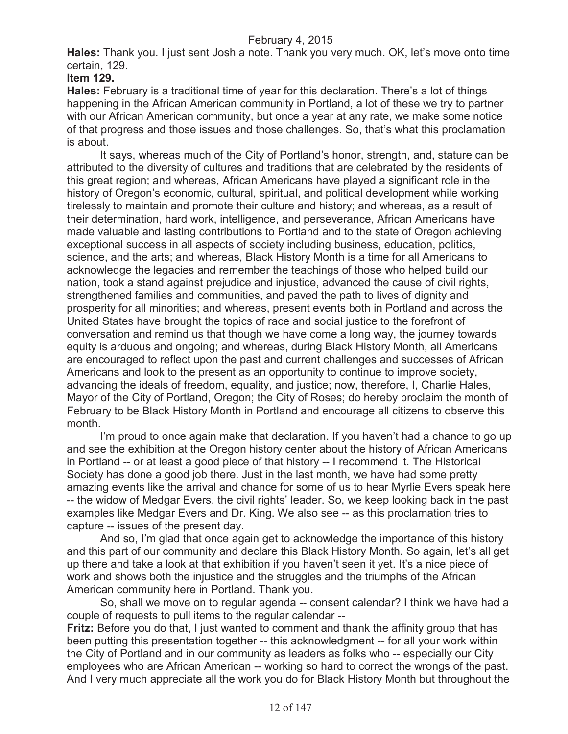**Hales:** Thank you. I just sent Josh a note. Thank you very much. OK, let's move onto time certain, 129.

#### **Item 129.**

**Hales:** February is a traditional time of year for this declaration. There's a lot of things happening in the African American community in Portland, a lot of these we try to partner with our African American community, but once a year at any rate, we make some notice of that progress and those issues and those challenges. So, that's what this proclamation is about.

It says, whereas much of the City of Portland's honor, strength, and, stature can be attributed to the diversity of cultures and traditions that are celebrated by the residents of this great region; and whereas, African Americans have played a significant role in the history of Oregon's economic, cultural, spiritual, and political development while working tirelessly to maintain and promote their culture and history; and whereas, as a result of their determination, hard work, intelligence, and perseverance, African Americans have made valuable and lasting contributions to Portland and to the state of Oregon achieving exceptional success in all aspects of society including business, education, politics, science, and the arts; and whereas, Black History Month is a time for all Americans to acknowledge the legacies and remember the teachings of those who helped build our nation, took a stand against prejudice and injustice, advanced the cause of civil rights, strengthened families and communities, and paved the path to lives of dignity and prosperity for all minorities; and whereas, present events both in Portland and across the United States have brought the topics of race and social justice to the forefront of conversation and remind us that though we have come a long way, the journey towards equity is arduous and ongoing; and whereas, during Black History Month, all Americans are encouraged to reflect upon the past and current challenges and successes of African Americans and look to the present as an opportunity to continue to improve society, advancing the ideals of freedom, equality, and justice; now, therefore, I, Charlie Hales, Mayor of the City of Portland, Oregon; the City of Roses; do hereby proclaim the month of February to be Black History Month in Portland and encourage all citizens to observe this month.

I'm proud to once again make that declaration. If you haven't had a chance to go up and see the exhibition at the Oregon history center about the history of African Americans in Portland -- or at least a good piece of that history -- I recommend it. The Historical Society has done a good job there. Just in the last month, we have had some pretty amazing events like the arrival and chance for some of us to hear Myrlie Evers speak here -- the widow of Medgar Evers, the civil rights' leader. So, we keep looking back in the past examples like Medgar Evers and Dr. King. We also see -- as this proclamation tries to capture -- issues of the present day.

And so, I'm glad that once again get to acknowledge the importance of this history and this part of our community and declare this Black History Month. So again, let's all get up there and take a look at that exhibition if you haven't seen it yet. It's a nice piece of work and shows both the injustice and the struggles and the triumphs of the African American community here in Portland. Thank you.

So, shall we move on to regular agenda -- consent calendar? I think we have had a couple of requests to pull items to the regular calendar --

**Fritz:** Before you do that, I just wanted to comment and thank the affinity group that has been putting this presentation together -- this acknowledgment -- for all your work within the City of Portland and in our community as leaders as folks who -- especially our City employees who are African American -- working so hard to correct the wrongs of the past. And I very much appreciate all the work you do for Black History Month but throughout the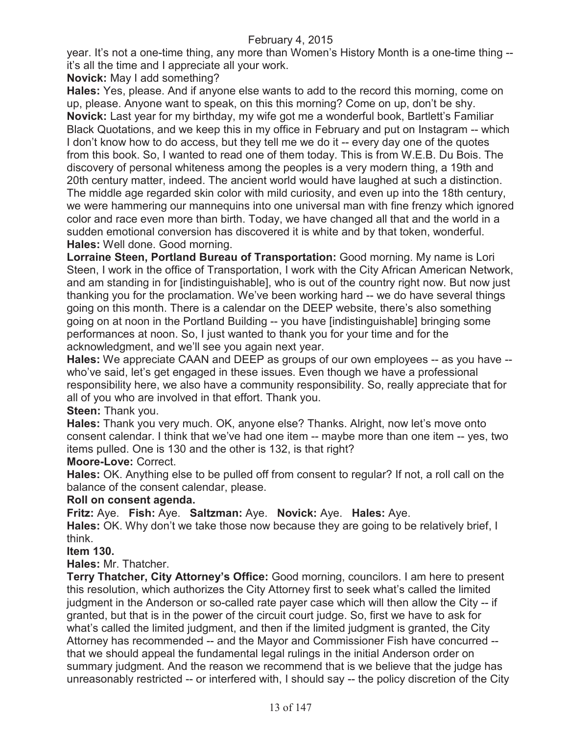year. It's not a one-time thing, any more than Women's History Month is a one-time thing - it's all the time and I appreciate all your work.

**Novick:** May I add something?

**Hales:** Yes, please. And if anyone else wants to add to the record this morning, come on up, please. Anyone want to speak, on this this morning? Come on up, don't be shy. **Novick:** Last year for my birthday, my wife got me a wonderful book, Bartlett's Familiar Black Quotations, and we keep this in my office in February and put on Instagram -- which I don't know how to do access, but they tell me we do it -- every day one of the quotes from this book. So, I wanted to read one of them today. This is from W.E.B. Du Bois. The discovery of personal whiteness among the peoples is a very modern thing, a 19th and 20th century matter, indeed. The ancient world would have laughed at such a distinction. The middle age regarded skin color with mild curiosity, and even up into the 18th century, we were hammering our mannequins into one universal man with fine frenzy which ignored color and race even more than birth. Today, we have changed all that and the world in a sudden emotional conversion has discovered it is white and by that token, wonderful. **Hales:** Well done. Good morning.

**Lorraine Steen, Portland Bureau of Transportation:** Good morning. My name is Lori Steen, I work in the office of Transportation, I work with the City African American Network, and am standing in for [indistinguishable], who is out of the country right now. But now just thanking you for the proclamation. We've been working hard -- we do have several things going on this month. There is a calendar on the DEEP website, there's also something going on at noon in the Portland Building -- you have [indistinguishable] bringing some performances at noon. So, I just wanted to thank you for your time and for the acknowledgment, and we'll see you again next year.

**Hales:** We appreciate CAAN and DEEP as groups of our own employees -- as you have - who've said, let's get engaged in these issues. Even though we have a professional responsibility here, we also have a community responsibility. So, really appreciate that for all of you who are involved in that effort. Thank you.

# **Steen:** Thank you.

**Hales:** Thank you very much. OK, anyone else? Thanks. Alright, now let's move onto consent calendar. I think that we've had one item -- maybe more than one item -- yes, two items pulled. One is 130 and the other is 132, is that right?

# **Moore-Love:** Correct.

**Hales:** OK. Anything else to be pulled off from consent to regular? If not, a roll call on the balance of the consent calendar, please.

# **Roll on consent agenda.**

**Fritz:** Aye. **Fish:** Aye. **Saltzman:** Aye. **Novick:** Aye. **Hales:** Aye.

**Hales:** OK. Why don't we take those now because they are going to be relatively brief, I think.

# **Item 130.**

**Hales:** Mr. Thatcher.

**Terry Thatcher, City Attorney's Office:** Good morning, councilors. I am here to present this resolution, which authorizes the City Attorney first to seek what's called the limited judgment in the Anderson or so-called rate payer case which will then allow the City -- if granted, but that is in the power of the circuit court judge. So, first we have to ask for what's called the limited judgment, and then if the limited judgment is granted, the City Attorney has recommended -- and the Mayor and Commissioner Fish have concurred - that we should appeal the fundamental legal rulings in the initial Anderson order on summary judgment. And the reason we recommend that is we believe that the judge has unreasonably restricted -- or interfered with, I should say -- the policy discretion of the City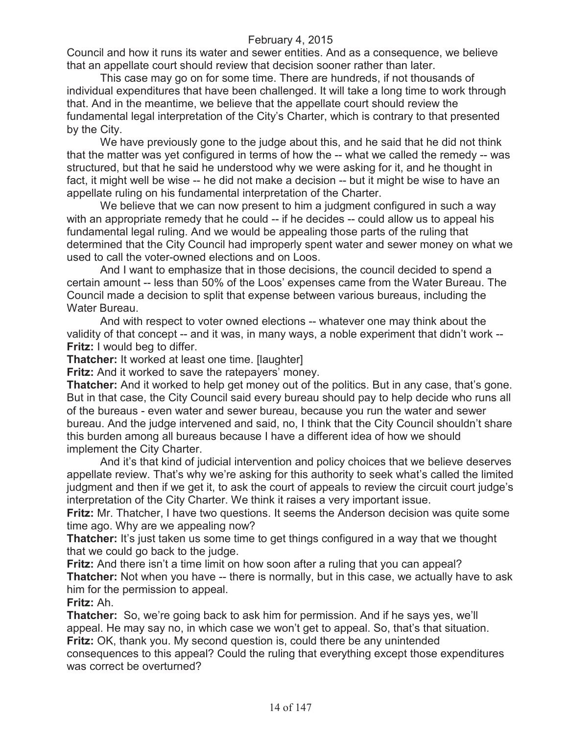Council and how it runs its water and sewer entities. And as a consequence, we believe that an appellate court should review that decision sooner rather than later.

This case may go on for some time. There are hundreds, if not thousands of individual expenditures that have been challenged. It will take a long time to work through that. And in the meantime, we believe that the appellate court should review the fundamental legal interpretation of the City's Charter, which is contrary to that presented by the City.

We have previously gone to the judge about this, and he said that he did not think that the matter was yet configured in terms of how the -- what we called the remedy -- was structured, but that he said he understood why we were asking for it, and he thought in fact, it might well be wise -- he did not make a decision -- but it might be wise to have an appellate ruling on his fundamental interpretation of the Charter.

We believe that we can now present to him a judgment configured in such a way with an appropriate remedy that he could -- if he decides -- could allow us to appeal his fundamental legal ruling. And we would be appealing those parts of the ruling that determined that the City Council had improperly spent water and sewer money on what we used to call the voter-owned elections and on Loos.

And I want to emphasize that in those decisions, the council decided to spend a certain amount -- less than 50% of the Loos' expenses came from the Water Bureau. The Council made a decision to split that expense between various bureaus, including the Water Bureau.

And with respect to voter owned elections -- whatever one may think about the validity of that concept -- and it was, in many ways, a noble experiment that didn't work -- **Fritz:** I would beg to differ.

**Thatcher:** It worked at least one time. [laughter]

**Fritz:** And it worked to save the ratepayers' money.

**Thatcher:** And it worked to help get money out of the politics. But in any case, that's gone. But in that case, the City Council said every bureau should pay to help decide who runs all of the bureaus - even water and sewer bureau, because you run the water and sewer bureau. And the judge intervened and said, no, I think that the City Council shouldn't share this burden among all bureaus because I have a different idea of how we should implement the City Charter.

And it's that kind of judicial intervention and policy choices that we believe deserves appellate review. That's why we're asking for this authority to seek what's called the limited judgment and then if we get it, to ask the court of appeals to review the circuit court judge's interpretation of the City Charter. We think it raises a very important issue.

**Fritz:** Mr. Thatcher, I have two questions. It seems the Anderson decision was quite some time ago. Why are we appealing now?

**Thatcher:** It's just taken us some time to get things configured in a way that we thought that we could go back to the judge.

**Fritz:** And there isn't a time limit on how soon after a ruling that you can appeal? **Thatcher:** Not when you have -- there is normally, but in this case, we actually have to ask him for the permission to appeal.

**Fritz:** Ah.

**Thatcher:** So, we're going back to ask him for permission. And if he says yes, we'll appeal. He may say no, in which case we won't get to appeal. So, that's that situation. **Fritz:** OK, thank you. My second question is, could there be any unintended consequences to this appeal? Could the ruling that everything except those expenditures was correct be overturned?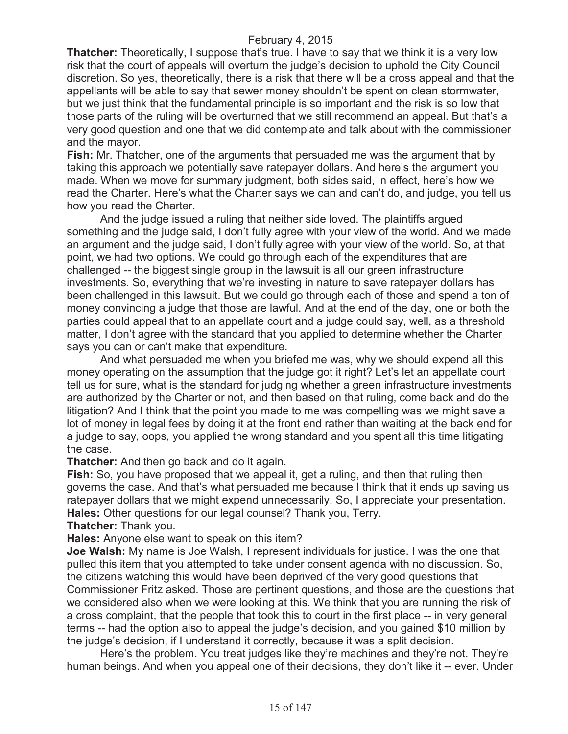**Thatcher:** Theoretically, I suppose that's true. I have to say that we think it is a very low risk that the court of appeals will overturn the judge's decision to uphold the City Council discretion. So yes, theoretically, there is a risk that there will be a cross appeal and that the appellants will be able to say that sewer money shouldn't be spent on clean stormwater, but we just think that the fundamental principle is so important and the risk is so low that those parts of the ruling will be overturned that we still recommend an appeal. But that's a very good question and one that we did contemplate and talk about with the commissioner and the mayor.

**Fish:** Mr. Thatcher, one of the arguments that persuaded me was the argument that by taking this approach we potentially save ratepayer dollars. And here's the argument you made. When we move for summary judgment, both sides said, in effect, here's how we read the Charter. Here's what the Charter says we can and can't do, and judge, you tell us how you read the Charter.

And the judge issued a ruling that neither side loved. The plaintiffs argued something and the judge said, I don't fully agree with your view of the world. And we made an argument and the judge said, I don't fully agree with your view of the world. So, at that point, we had two options. We could go through each of the expenditures that are challenged -- the biggest single group in the lawsuit is all our green infrastructure investments. So, everything that we're investing in nature to save ratepayer dollars has been challenged in this lawsuit. But we could go through each of those and spend a ton of money convincing a judge that those are lawful. And at the end of the day, one or both the parties could appeal that to an appellate court and a judge could say, well, as a threshold matter, I don't agree with the standard that you applied to determine whether the Charter says you can or can't make that expenditure.

And what persuaded me when you briefed me was, why we should expend all this money operating on the assumption that the judge got it right? Let's let an appellate court tell us for sure, what is the standard for judging whether a green infrastructure investments are authorized by the Charter or not, and then based on that ruling, come back and do the litigation? And I think that the point you made to me was compelling was we might save a lot of money in legal fees by doing it at the front end rather than waiting at the back end for a judge to say, oops, you applied the wrong standard and you spent all this time litigating the case.

**Thatcher:** And then go back and do it again.

**Fish:** So, you have proposed that we appeal it, get a ruling, and then that ruling then governs the case. And that's what persuaded me because I think that it ends up saving us ratepayer dollars that we might expend unnecessarily. So, I appreciate your presentation. **Hales:** Other questions for our legal counsel? Thank you, Terry.

**Thatcher:** Thank you.

**Hales:** Anyone else want to speak on this item?

**Joe Walsh:** My name is Joe Walsh, I represent individuals for justice. I was the one that pulled this item that you attempted to take under consent agenda with no discussion. So, the citizens watching this would have been deprived of the very good questions that Commissioner Fritz asked. Those are pertinent questions, and those are the questions that we considered also when we were looking at this. We think that you are running the risk of a cross complaint, that the people that took this to court in the first place -- in very general terms -- had the option also to appeal the judge's decision, and you gained \$10 million by the judge's decision, if I understand it correctly, because it was a split decision.

Here's the problem. You treat judges like they're machines and they're not. They're human beings. And when you appeal one of their decisions, they don't like it -- ever. Under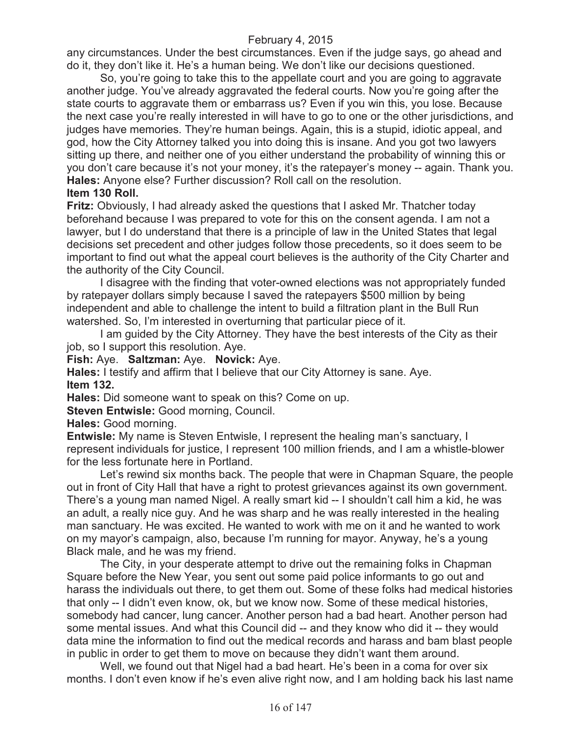any circumstances. Under the best circumstances. Even if the judge says, go ahead and do it, they don't like it. He's a human being. We don't like our decisions questioned.

So, you're going to take this to the appellate court and you are going to aggravate another judge. You've already aggravated the federal courts. Now you're going after the state courts to aggravate them or embarrass us? Even if you win this, you lose. Because the next case you're really interested in will have to go to one or the other jurisdictions, and judges have memories. They're human beings. Again, this is a stupid, idiotic appeal, and god, how the City Attorney talked you into doing this is insane. And you got two lawyers sitting up there, and neither one of you either understand the probability of winning this or you don't care because it's not your money, it's the ratepayer's money -- again. Thank you. **Hales:** Anyone else? Further discussion? Roll call on the resolution.

# **Item 130 Roll.**

**Fritz:** Obviously, I had already asked the questions that I asked Mr. Thatcher today beforehand because I was prepared to vote for this on the consent agenda. I am not a lawyer, but I do understand that there is a principle of law in the United States that legal decisions set precedent and other judges follow those precedents, so it does seem to be important to find out what the appeal court believes is the authority of the City Charter and the authority of the City Council.

I disagree with the finding that voter-owned elections was not appropriately funded by ratepayer dollars simply because I saved the ratepayers \$500 million by being independent and able to challenge the intent to build a filtration plant in the Bull Run watershed. So, I'm interested in overturning that particular piece of it.

I am guided by the City Attorney. They have the best interests of the City as their job, so I support this resolution. Aye.

**Fish:** Aye. **Saltzman:** Aye. **Novick:** Aye.

**Hales:** I testify and affirm that I believe that our City Attorney is sane. Aye. **Item 132.**

**Hales:** Did someone want to speak on this? Come on up.

**Steven Entwisle:** Good morning, Council.

**Hales:** Good morning.

**Entwisle:** My name is Steven Entwisle, I represent the healing man's sanctuary, I represent individuals for justice, I represent 100 million friends, and I am a whistle-blower for the less fortunate here in Portland.

Let's rewind six months back. The people that were in Chapman Square, the people out in front of City Hall that have a right to protest grievances against its own government. There's a young man named Nigel. A really smart kid -- I shouldn't call him a kid, he was an adult, a really nice guy. And he was sharp and he was really interested in the healing man sanctuary. He was excited. He wanted to work with me on it and he wanted to work on my mayor's campaign, also, because I'm running for mayor. Anyway, he's a young Black male, and he was my friend.

The City, in your desperate attempt to drive out the remaining folks in Chapman Square before the New Year, you sent out some paid police informants to go out and harass the individuals out there, to get them out. Some of these folks had medical histories that only -- I didn't even know, ok, but we know now. Some of these medical histories, somebody had cancer, lung cancer. Another person had a bad heart. Another person had some mental issues. And what this Council did -- and they know who did it -- they would data mine the information to find out the medical records and harass and bam blast people in public in order to get them to move on because they didn't want them around.

Well, we found out that Nigel had a bad heart. He's been in a coma for over six months. I don't even know if he's even alive right now, and I am holding back his last name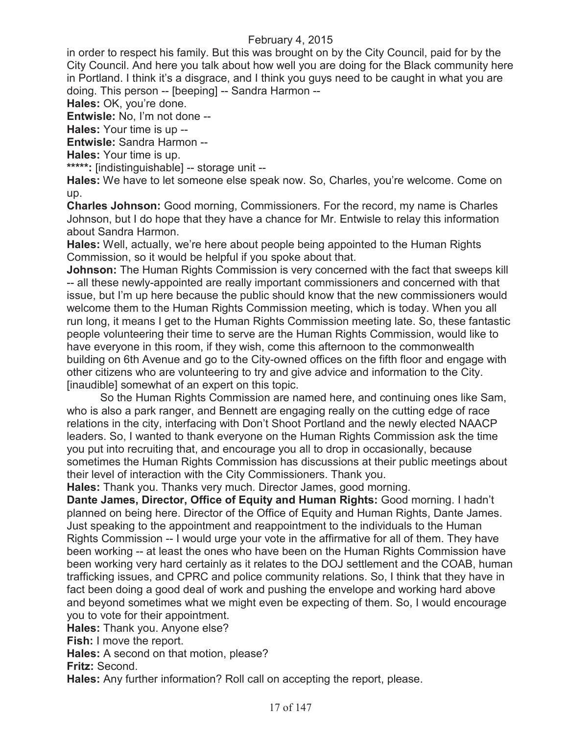in order to respect his family. But this was brought on by the City Council, paid for by the City Council. And here you talk about how well you are doing for the Black community here in Portland. I think it's a disgrace, and I think you guys need to be caught in what you are doing. This person -- [beeping] -- Sandra Harmon --

**Hales:** OK, you're done.

**Entwisle:** No, I'm not done --

**Hales:** Your time is up --

**Entwisle:** Sandra Harmon --

**Hales:** Your time is up.

**\*\*\*\*\*:** [indistinguishable] -- storage unit --

**Hales:** We have to let someone else speak now. So, Charles, you're welcome. Come on up.

**Charles Johnson:** Good morning, Commissioners. For the record, my name is Charles Johnson, but I do hope that they have a chance for Mr. Entwisle to relay this information about Sandra Harmon.

**Hales:** Well, actually, we're here about people being appointed to the Human Rights Commission, so it would be helpful if you spoke about that.

**Johnson:** The Human Rights Commission is very concerned with the fact that sweeps kill -- all these newly-appointed are really important commissioners and concerned with that issue, but I'm up here because the public should know that the new commissioners would welcome them to the Human Rights Commission meeting, which is today. When you all run long, it means I get to the Human Rights Commission meeting late. So, these fantastic people volunteering their time to serve are the Human Rights Commission, would like to have everyone in this room, if they wish, come this afternoon to the commonwealth building on 6th Avenue and go to the City-owned offices on the fifth floor and engage with other citizens who are volunteering to try and give advice and information to the City. [inaudible] somewhat of an expert on this topic.

So the Human Rights Commission are named here, and continuing ones like Sam, who is also a park ranger, and Bennett are engaging really on the cutting edge of race relations in the city, interfacing with Don't Shoot Portland and the newly elected NAACP leaders. So, I wanted to thank everyone on the Human Rights Commission ask the time you put into recruiting that, and encourage you all to drop in occasionally, because sometimes the Human Rights Commission has discussions at their public meetings about their level of interaction with the City Commissioners. Thank you.

**Hales:** Thank you. Thanks very much. Director James, good morning.

**Dante James, Director, Office of Equity and Human Rights:** Good morning. I hadn't planned on being here. Director of the Office of Equity and Human Rights, Dante James. Just speaking to the appointment and reappointment to the individuals to the Human Rights Commission -- I would urge your vote in the affirmative for all of them. They have been working -- at least the ones who have been on the Human Rights Commission have been working very hard certainly as it relates to the DOJ settlement and the COAB, human trafficking issues, and CPRC and police community relations. So, I think that they have in fact been doing a good deal of work and pushing the envelope and working hard above and beyond sometimes what we might even be expecting of them. So, I would encourage you to vote for their appointment.

**Hales:** Thank you. Anyone else?

**Fish:** I move the report.

**Hales:** A second on that motion, please?

**Fritz:** Second.

**Hales:** Any further information? Roll call on accepting the report, please.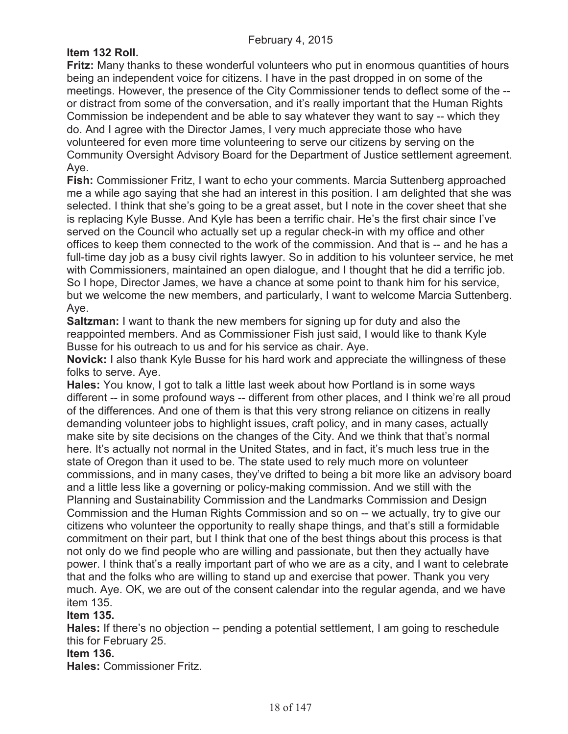# **Item 132 Roll.**

**Fritz:** Many thanks to these wonderful volunteers who put in enormous quantities of hours being an independent voice for citizens. I have in the past dropped in on some of the meetings. However, the presence of the City Commissioner tends to deflect some of the - or distract from some of the conversation, and it's really important that the Human Rights Commission be independent and be able to say whatever they want to say -- which they do. And I agree with the Director James, I very much appreciate those who have volunteered for even more time volunteering to serve our citizens by serving on the Community Oversight Advisory Board for the Department of Justice settlement agreement. Aye.

**Fish:** Commissioner Fritz, I want to echo your comments. Marcia Suttenberg approached me a while ago saying that she had an interest in this position. I am delighted that she was selected. I think that she's going to be a great asset, but I note in the cover sheet that she is replacing Kyle Busse. And Kyle has been a terrific chair. He's the first chair since I've served on the Council who actually set up a regular check-in with my office and other offices to keep them connected to the work of the commission. And that is -- and he has a full-time day job as a busy civil rights lawyer. So in addition to his volunteer service, he met with Commissioners, maintained an open dialogue, and I thought that he did a terrific job. So I hope, Director James, we have a chance at some point to thank him for his service, but we welcome the new members, and particularly, I want to welcome Marcia Suttenberg. Aye.

**Saltzman:** I want to thank the new members for signing up for duty and also the reappointed members. And as Commissioner Fish just said, I would like to thank Kyle Busse for his outreach to us and for his service as chair. Aye.

**Novick:** I also thank Kyle Busse for his hard work and appreciate the willingness of these folks to serve. Aye.

**Hales:** You know, I got to talk a little last week about how Portland is in some ways different -- in some profound ways -- different from other places, and I think we're all proud of the differences. And one of them is that this very strong reliance on citizens in really demanding volunteer jobs to highlight issues, craft policy, and in many cases, actually make site by site decisions on the changes of the City. And we think that that's normal here. It's actually not normal in the United States, and in fact, it's much less true in the state of Oregon than it used to be. The state used to rely much more on volunteer commissions, and in many cases, they've drifted to being a bit more like an advisory board and a little less like a governing or policy-making commission. And we still with the Planning and Sustainability Commission and the Landmarks Commission and Design Commission and the Human Rights Commission and so on -- we actually, try to give our citizens who volunteer the opportunity to really shape things, and that's still a formidable commitment on their part, but I think that one of the best things about this process is that not only do we find people who are willing and passionate, but then they actually have power. I think that's a really important part of who we are as a city, and I want to celebrate that and the folks who are willing to stand up and exercise that power. Thank you very much. Aye. OK, we are out of the consent calendar into the regular agenda, and we have item 135.

# **Item 135.**

**Hales:** If there's no objection -- pending a potential settlement, I am going to reschedule this for February 25.

# **Item 136.**

**Hales:** Commissioner Fritz.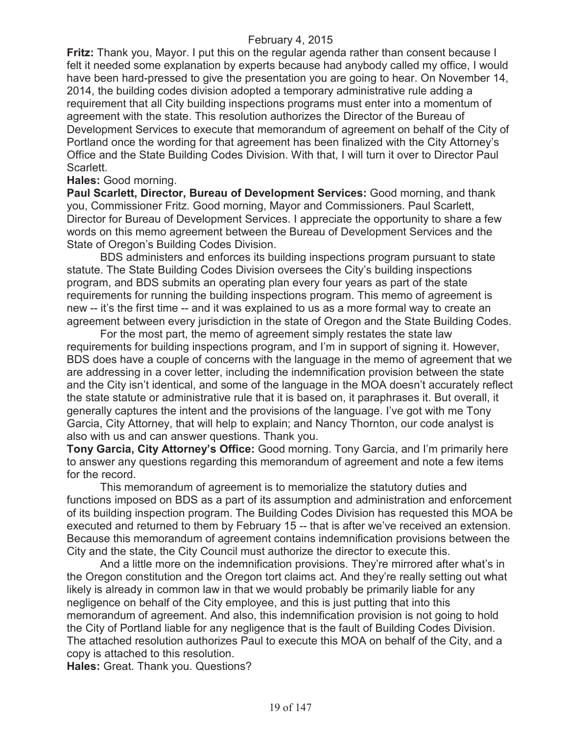**Fritz:** Thank you, Mayor. I put this on the regular agenda rather than consent because I felt it needed some explanation by experts because had anybody called my office, I would have been hard-pressed to give the presentation you are going to hear. On November 14, 2014, the building codes division adopted a temporary administrative rule adding a requirement that all City building inspections programs must enter into a momentum of agreement with the state. This resolution authorizes the Director of the Bureau of Development Services to execute that memorandum of agreement on behalf of the City of Portland once the wording for that agreement has been finalized with the City Attorney's Office and the State Building Codes Division. With that, I will turn it over to Director Paul Scarlett.

# **Hales:** Good morning.

**Paul Scarlett, Director, Bureau of Development Services:** Good morning, and thank you, Commissioner Fritz. Good morning, Mayor and Commissioners. Paul Scarlett, Director for Bureau of Development Services. I appreciate the opportunity to share a few words on this memo agreement between the Bureau of Development Services and the State of Oregon's Building Codes Division.

BDS administers and enforces its building inspections program pursuant to state statute. The State Building Codes Division oversees the City's building inspections program, and BDS submits an operating plan every four years as part of the state requirements for running the building inspections program. This memo of agreement is new -- it's the first time -- and it was explained to us as a more formal way to create an agreement between every jurisdiction in the state of Oregon and the State Building Codes.

For the most part, the memo of agreement simply restates the state law requirements for building inspections program, and I'm in support of signing it. However, BDS does have a couple of concerns with the language in the memo of agreement that we are addressing in a cover letter, including the indemnification provision between the state and the City isn't identical, and some of the language in the MOA doesn't accurately reflect the state statute or administrative rule that it is based on, it paraphrases it. But overall, it generally captures the intent and the provisions of the language. I've got with me Tony Garcia, City Attorney, that will help to explain; and Nancy Thornton, our code analyst is also with us and can answer questions. Thank you.

**Tony Garcia, City Attorney's Office:** Good morning. Tony Garcia, and I'm primarily here to answer any questions regarding this memorandum of agreement and note a few items for the record.

This memorandum of agreement is to memorialize the statutory duties and functions imposed on BDS as a part of its assumption and administration and enforcement of its building inspection program. The Building Codes Division has requested this MOA be executed and returned to them by February 15 -- that is after we've received an extension. Because this memorandum of agreement contains indemnification provisions between the City and the state, the City Council must authorize the director to execute this.

And a little more on the indemnification provisions. They're mirrored after what's in the Oregon constitution and the Oregon tort claims act. And they're really setting out what likely is already in common law in that we would probably be primarily liable for any negligence on behalf of the City employee, and this is just putting that into this memorandum of agreement. And also, this indemnification provision is not going to hold the City of Portland liable for any negligence that is the fault of Building Codes Division. The attached resolution authorizes Paul to execute this MOA on behalf of the City, and a copy is attached to this resolution.

**Hales:** Great. Thank you. Questions?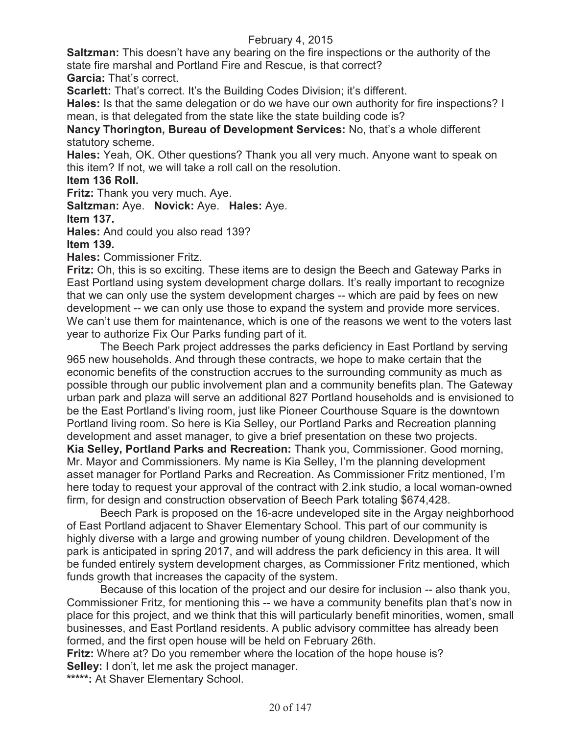**Saltzman:** This doesn't have any bearing on the fire inspections or the authority of the state fire marshal and Portland Fire and Rescue, is that correct?

**Garcia:** That's correct.

**Scarlett:** That's correct. It's the Building Codes Division; it's different.

**Hales:** Is that the same delegation or do we have our own authority for fire inspections? I mean, is that delegated from the state like the state building code is?

**Nancy Thorington, Bureau of Development Services:** No, that's a whole different statutory scheme.

**Hales:** Yeah, OK. Other questions? Thank you all very much. Anyone want to speak on this item? If not, we will take a roll call on the resolution.

**Item 136 Roll.**

**Fritz:** Thank you very much. Aye.

**Saltzman:** Aye. **Novick:** Aye. **Hales:** Aye.

**Item 137.**

**Hales:** And could you also read 139?

**Item 139.** 

**Hales:** Commissioner Fritz.

**Fritz:** Oh, this is so exciting. These items are to design the Beech and Gateway Parks in East Portland using system development charge dollars. It's really important to recognize that we can only use the system development charges -- which are paid by fees on new development -- we can only use those to expand the system and provide more services. We can't use them for maintenance, which is one of the reasons we went to the voters last year to authorize Fix Our Parks funding part of it.

The Beech Park project addresses the parks deficiency in East Portland by serving 965 new households. And through these contracts, we hope to make certain that the economic benefits of the construction accrues to the surrounding community as much as possible through our public involvement plan and a community benefits plan. The Gateway urban park and plaza will serve an additional 827 Portland households and is envisioned to be the East Portland's living room, just like Pioneer Courthouse Square is the downtown Portland living room. So here is Kia Selley, our Portland Parks and Recreation planning development and asset manager, to give a brief presentation on these two projects. **Kia Selley, Portland Parks and Recreation:** Thank you, Commissioner. Good morning, Mr. Mayor and Commissioners. My name is Kia Selley, I'm the planning development asset manager for Portland Parks and Recreation. As Commissioner Fritz mentioned, I'm here today to request your approval of the contract with 2.ink studio, a local woman-owned

firm, for design and construction observation of Beech Park totaling \$674,428. Beech Park is proposed on the 16-acre undeveloped site in the Argay neighborhood of East Portland adjacent to Shaver Elementary School. This part of our community is

highly diverse with a large and growing number of young children. Development of the park is anticipated in spring 2017, and will address the park deficiency in this area. It will be funded entirely system development charges, as Commissioner Fritz mentioned, which funds growth that increases the capacity of the system.

Because of this location of the project and our desire for inclusion -- also thank you, Commissioner Fritz, for mentioning this -- we have a community benefits plan that's now in place for this project, and we think that this will particularly benefit minorities, women, small businesses, and East Portland residents. A public advisory committee has already been formed, and the first open house will be held on February 26th.

**Fritz:** Where at? Do you remember where the location of the hope house is? **Selley:** I don't, let me ask the project manager.

**\*\*\*\*\*:** At Shaver Elementary School.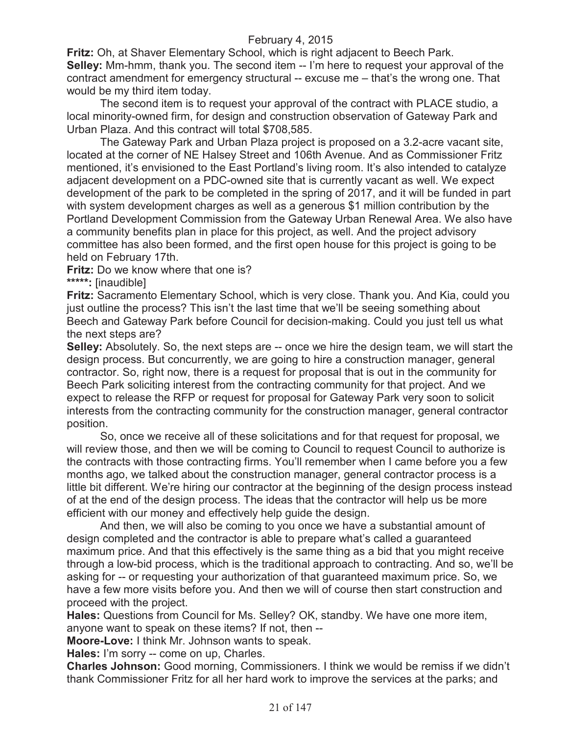**Fritz:** Oh, at Shaver Elementary School, which is right adjacent to Beech Park. **Selley:** Mm-hmm, thank you. The second item -- I'm here to request your approval of the contract amendment for emergency structural -- excuse me – that's the wrong one. That would be my third item today.

The second item is to request your approval of the contract with PLACE studio, a local minority-owned firm, for design and construction observation of Gateway Park and Urban Plaza. And this contract will total \$708,585.

The Gateway Park and Urban Plaza project is proposed on a 3.2-acre vacant site, located at the corner of NE Halsey Street and 106th Avenue. And as Commissioner Fritz mentioned, it's envisioned to the East Portland's living room. It's also intended to catalyze adjacent development on a PDC-owned site that is currently vacant as well. We expect development of the park to be completed in the spring of 2017, and it will be funded in part with system development charges as well as a generous \$1 million contribution by the Portland Development Commission from the Gateway Urban Renewal Area. We also have a community benefits plan in place for this project, as well. And the project advisory committee has also been formed, and the first open house for this project is going to be held on February 17th.

**Fritz:** Do we know where that one is?

**\*\*\*\*\*:** [inaudible]

**Fritz:** Sacramento Elementary School, which is very close. Thank you. And Kia, could you just outline the process? This isn't the last time that we'll be seeing something about Beech and Gateway Park before Council for decision-making. Could you just tell us what the next steps are?

**Selley:** Absolutely. So, the next steps are -- once we hire the design team, we will start the design process. But concurrently, we are going to hire a construction manager, general contractor. So, right now, there is a request for proposal that is out in the community for Beech Park soliciting interest from the contracting community for that project. And we expect to release the RFP or request for proposal for Gateway Park very soon to solicit interests from the contracting community for the construction manager, general contractor position.

So, once we receive all of these solicitations and for that request for proposal, we will review those, and then we will be coming to Council to request Council to authorize is the contracts with those contracting firms. You'll remember when I came before you a few months ago, we talked about the construction manager, general contractor process is a little bit different. We're hiring our contractor at the beginning of the design process instead of at the end of the design process. The ideas that the contractor will help us be more efficient with our money and effectively help guide the design.

And then, we will also be coming to you once we have a substantial amount of design completed and the contractor is able to prepare what's called a guaranteed maximum price. And that this effectively is the same thing as a bid that you might receive through a low-bid process, which is the traditional approach to contracting. And so, we'll be asking for -- or requesting your authorization of that guaranteed maximum price. So, we have a few more visits before you. And then we will of course then start construction and proceed with the project.

**Hales:** Questions from Council for Ms. Selley? OK, standby. We have one more item, anyone want to speak on these items? If not, then --

**Moore-Love:** I think Mr. Johnson wants to speak.

**Hales:** I'm sorry -- come on up, Charles.

**Charles Johnson:** Good morning, Commissioners. I think we would be remiss if we didn't thank Commissioner Fritz for all her hard work to improve the services at the parks; and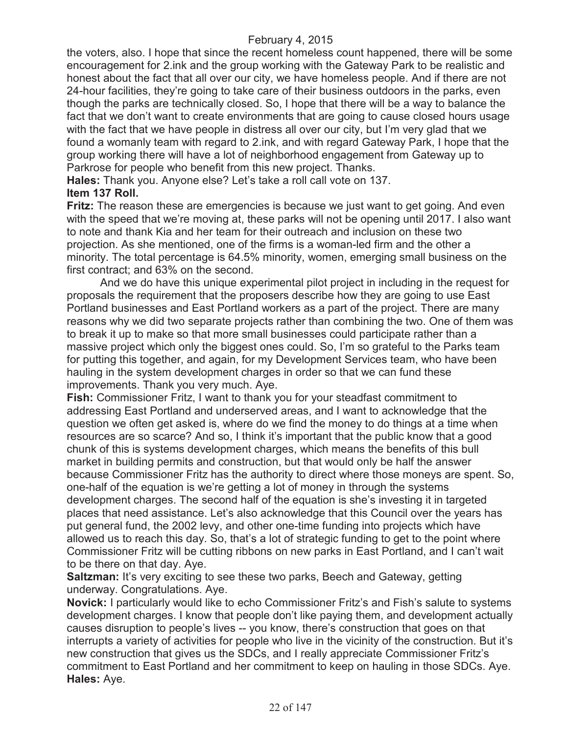the voters, also. I hope that since the recent homeless count happened, there will be some encouragement for 2.ink and the group working with the Gateway Park to be realistic and honest about the fact that all over our city, we have homeless people. And if there are not 24-hour facilities, they're going to take care of their business outdoors in the parks, even though the parks are technically closed. So, I hope that there will be a way to balance the fact that we don't want to create environments that are going to cause closed hours usage with the fact that we have people in distress all over our city, but I'm very glad that we found a womanly team with regard to 2.ink, and with regard Gateway Park, I hope that the group working there will have a lot of neighborhood engagement from Gateway up to Parkrose for people who benefit from this new project. Thanks.

**Hales:** Thank you. Anyone else? Let's take a roll call vote on 137.

# **Item 137 Roll.**

**Fritz:** The reason these are emergencies is because we just want to get going. And even with the speed that we're moving at, these parks will not be opening until 2017. I also want to note and thank Kia and her team for their outreach and inclusion on these two projection. As she mentioned, one of the firms is a woman-led firm and the other a minority. The total percentage is 64.5% minority, women, emerging small business on the first contract; and 63% on the second.

And we do have this unique experimental pilot project in including in the request for proposals the requirement that the proposers describe how they are going to use East Portland businesses and East Portland workers as a part of the project. There are many reasons why we did two separate projects rather than combining the two. One of them was to break it up to make so that more small businesses could participate rather than a massive project which only the biggest ones could. So, I'm so grateful to the Parks team for putting this together, and again, for my Development Services team, who have been hauling in the system development charges in order so that we can fund these improvements. Thank you very much. Aye.

**Fish:** Commissioner Fritz, I want to thank you for your steadfast commitment to addressing East Portland and underserved areas, and I want to acknowledge that the question we often get asked is, where do we find the money to do things at a time when resources are so scarce? And so, I think it's important that the public know that a good chunk of this is systems development charges, which means the benefits of this bull market in building permits and construction, but that would only be half the answer because Commissioner Fritz has the authority to direct where those moneys are spent. So, one-half of the equation is we're getting a lot of money in through the systems development charges. The second half of the equation is she's investing it in targeted places that need assistance. Let's also acknowledge that this Council over the years has put general fund, the 2002 levy, and other one-time funding into projects which have allowed us to reach this day. So, that's a lot of strategic funding to get to the point where Commissioner Fritz will be cutting ribbons on new parks in East Portland, and I can't wait to be there on that day. Aye.

**Saltzman:** It's very exciting to see these two parks, Beech and Gateway, getting underway. Congratulations. Aye.

**Novick:** I particularly would like to echo Commissioner Fritz's and Fish's salute to systems development charges. I know that people don't like paying them, and development actually causes disruption to people's lives -- you know, there's construction that goes on that interrupts a variety of activities for people who live in the vicinity of the construction. But it's new construction that gives us the SDCs, and I really appreciate Commissioner Fritz's commitment to East Portland and her commitment to keep on hauling in those SDCs. Aye. **Hales:** Aye.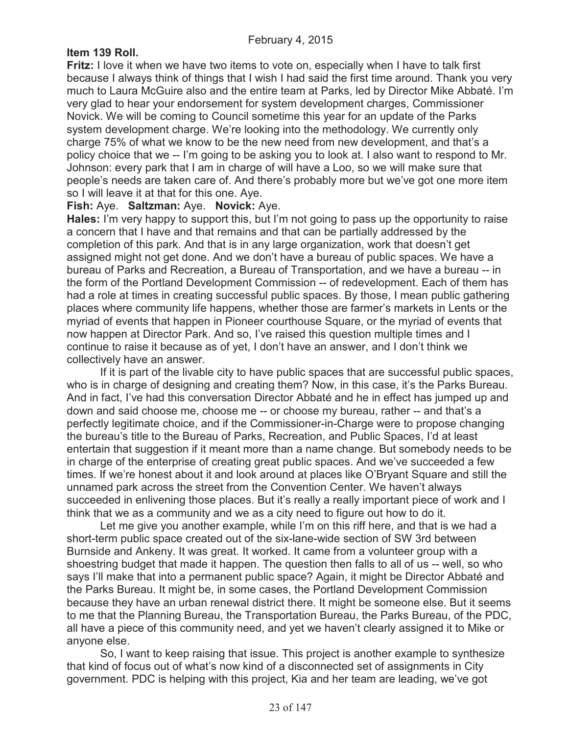# **Item 139 Roll.**

**Fritz:** I love it when we have two items to vote on, especially when I have to talk first because I always think of things that I wish I had said the first time around. Thank you very much to Laura McGuire also and the entire team at Parks, led by Director Mike Abbaté. I'm very glad to hear your endorsement for system development charges, Commissioner Novick. We will be coming to Council sometime this year for an update of the Parks system development charge. We're looking into the methodology. We currently only charge 75% of what we know to be the new need from new development, and that's a policy choice that we -- I'm going to be asking you to look at. I also want to respond to Mr. Johnson: every park that I am in charge of will have a Loo, so we will make sure that people's needs are taken care of. And there's probably more but we've got one more item so I will leave it at that for this one. Aye.

#### **Fish:** Aye. **Saltzman:** Aye. **Novick:** Aye.

**Hales:** I'm very happy to support this, but I'm not going to pass up the opportunity to raise a concern that I have and that remains and that can be partially addressed by the completion of this park. And that is in any large organization, work that doesn't get assigned might not get done. And we don't have a bureau of public spaces. We have a bureau of Parks and Recreation, a Bureau of Transportation, and we have a bureau -- in the form of the Portland Development Commission -- of redevelopment. Each of them has had a role at times in creating successful public spaces. By those, I mean public gathering places where community life happens, whether those are farmer's markets in Lents or the myriad of events that happen in Pioneer courthouse Square, or the myriad of events that now happen at Director Park. And so, I've raised this question multiple times and I continue to raise it because as of yet, I don't have an answer, and I don't think we collectively have an answer.

If it is part of the livable city to have public spaces that are successful public spaces, who is in charge of designing and creating them? Now, in this case, it's the Parks Bureau. And in fact, I've had this conversation Director Abbaté and he in effect has jumped up and down and said choose me, choose me -- or choose my bureau, rather -- and that's a perfectly legitimate choice, and if the Commissioner-in-Charge were to propose changing the bureau's title to the Bureau of Parks, Recreation, and Public Spaces, I'd at least entertain that suggestion if it meant more than a name change. But somebody needs to be in charge of the enterprise of creating great public spaces. And we've succeeded a few times. If we're honest about it and look around at places like O'Bryant Square and still the unnamed park across the street from the Convention Center. We haven't always succeeded in enlivening those places. But it's really a really important piece of work and I think that we as a community and we as a city need to figure out how to do it.

Let me give you another example, while I'm on this riff here, and that is we had a short-term public space created out of the six-lane-wide section of SW 3rd between Burnside and Ankeny. It was great. It worked. It came from a volunteer group with a shoestring budget that made it happen. The question then falls to all of us -- well, so who says I'll make that into a permanent public space? Again, it might be Director Abbaté and the Parks Bureau. It might be, in some cases, the Portland Development Commission because they have an urban renewal district there. It might be someone else. But it seems to me that the Planning Bureau, the Transportation Bureau, the Parks Bureau, of the PDC, all have a piece of this community need, and yet we haven't clearly assigned it to Mike or anyone else.

So, I want to keep raising that issue. This project is another example to synthesize that kind of focus out of what's now kind of a disconnected set of assignments in City government. PDC is helping with this project, Kia and her team are leading, we've got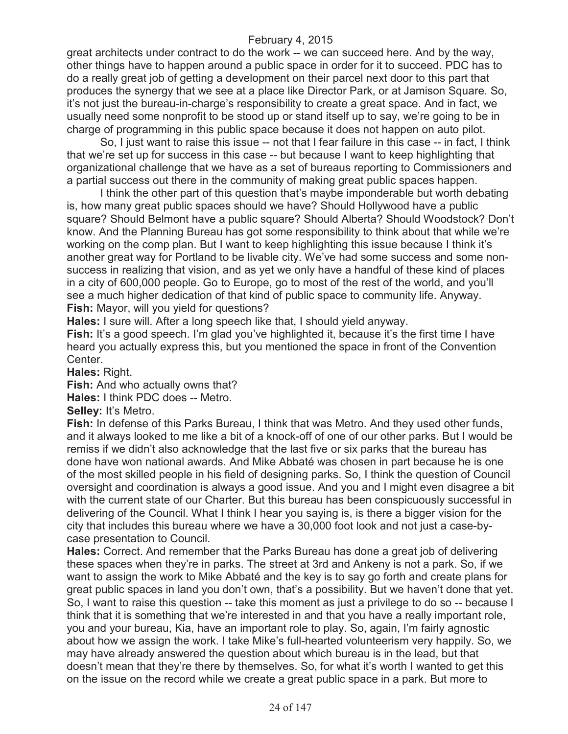great architects under contract to do the work -- we can succeed here. And by the way, other things have to happen around a public space in order for it to succeed. PDC has to do a really great job of getting a development on their parcel next door to this part that produces the synergy that we see at a place like Director Park, or at Jamison Square. So, it's not just the bureau-in-charge's responsibility to create a great space. And in fact, we usually need some nonprofit to be stood up or stand itself up to say, we're going to be in charge of programming in this public space because it does not happen on auto pilot.

So, I just want to raise this issue -- not that I fear failure in this case -- in fact, I think that we're set up for success in this case -- but because I want to keep highlighting that organizational challenge that we have as a set of bureaus reporting to Commissioners and a partial success out there in the community of making great public spaces happen.

I think the other part of this question that's maybe imponderable but worth debating is, how many great public spaces should we have? Should Hollywood have a public square? Should Belmont have a public square? Should Alberta? Should Woodstock? Don't know. And the Planning Bureau has got some responsibility to think about that while we're working on the comp plan. But I want to keep highlighting this issue because I think it's another great way for Portland to be livable city. We've had some success and some nonsuccess in realizing that vision, and as yet we only have a handful of these kind of places in a city of 600,000 people. Go to Europe, go to most of the rest of the world, and you'll see a much higher dedication of that kind of public space to community life. Anyway. **Fish:** Mayor, will you yield for questions?

**Hales:** I sure will. After a long speech like that, I should yield anyway.

**Fish:** It's a good speech. I'm glad you've highlighted it, because it's the first time I have heard you actually express this, but you mentioned the space in front of the Convention Center.

**Hales:** Right.

**Fish:** And who actually owns that?

**Hales:** I think PDC does -- Metro.

**Selley:** It's Metro.

**Fish:** In defense of this Parks Bureau, I think that was Metro. And they used other funds, and it always looked to me like a bit of a knock-off of one of our other parks. But I would be remiss if we didn't also acknowledge that the last five or six parks that the bureau has done have won national awards. And Mike Abbaté was chosen in part because he is one of the most skilled people in his field of designing parks. So, I think the question of Council oversight and coordination is always a good issue. And you and I might even disagree a bit with the current state of our Charter. But this bureau has been conspicuously successful in delivering of the Council. What I think I hear you saying is, is there a bigger vision for the city that includes this bureau where we have a 30,000 foot look and not just a case-bycase presentation to Council.

**Hales:** Correct. And remember that the Parks Bureau has done a great job of delivering these spaces when they're in parks. The street at 3rd and Ankeny is not a park. So, if we want to assign the work to Mike Abbaté and the key is to say go forth and create plans for great public spaces in land you don't own, that's a possibility. But we haven't done that yet. So, I want to raise this question -- take this moment as just a privilege to do so -- because I think that it is something that we're interested in and that you have a really important role, you and your bureau, Kia, have an important role to play. So, again, I'm fairly agnostic about how we assign the work. I take Mike's full-hearted volunteerism very happily. So, we may have already answered the question about which bureau is in the lead, but that doesn't mean that they're there by themselves. So, for what it's worth I wanted to get this on the issue on the record while we create a great public space in a park. But more to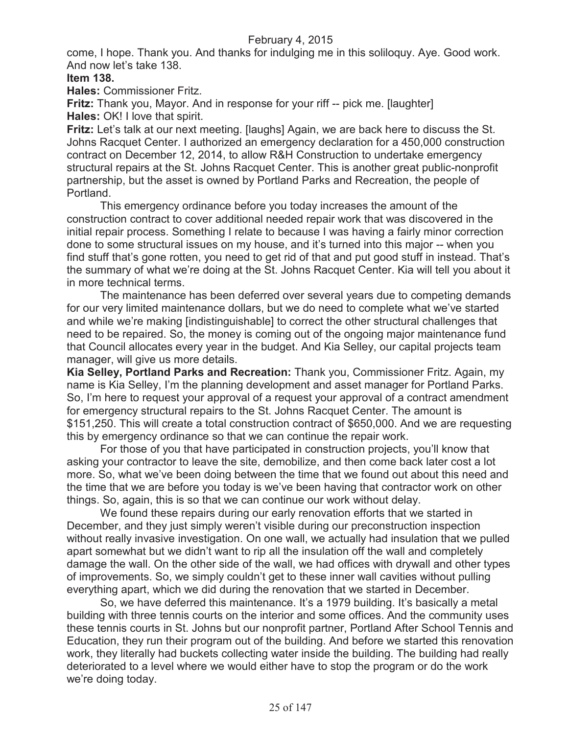come, I hope. Thank you. And thanks for indulging me in this soliloquy. Aye. Good work. And now let's take 138.

**Item 138.**

**Hales:** Commissioner Fritz.

**Fritz:** Thank you, Mayor. And in response for your riff -- pick me. [laughter] **Hales:** OK! I love that spirit.

**Fritz:** Let's talk at our next meeting. [laughs] Again, we are back here to discuss the St. Johns Racquet Center. I authorized an emergency declaration for a 450,000 construction contract on December 12, 2014, to allow R&H Construction to undertake emergency structural repairs at the St. Johns Racquet Center. This is another great public-nonprofit partnership, but the asset is owned by Portland Parks and Recreation, the people of Portland.

This emergency ordinance before you today increases the amount of the construction contract to cover additional needed repair work that was discovered in the initial repair process. Something I relate to because I was having a fairly minor correction done to some structural issues on my house, and it's turned into this major -- when you find stuff that's gone rotten, you need to get rid of that and put good stuff in instead. That's the summary of what we're doing at the St. Johns Racquet Center. Kia will tell you about it in more technical terms.

The maintenance has been deferred over several years due to competing demands for our very limited maintenance dollars, but we do need to complete what we've started and while we're making [indistinguishable] to correct the other structural challenges that need to be repaired. So, the money is coming out of the ongoing major maintenance fund that Council allocates every year in the budget. And Kia Selley, our capital projects team manager, will give us more details.

**Kia Selley, Portland Parks and Recreation:** Thank you, Commissioner Fritz. Again, my name is Kia Selley, I'm the planning development and asset manager for Portland Parks. So, I'm here to request your approval of a request your approval of a contract amendment for emergency structural repairs to the St. Johns Racquet Center. The amount is \$151,250. This will create a total construction contract of \$650,000. And we are requesting this by emergency ordinance so that we can continue the repair work.

For those of you that have participated in construction projects, you'll know that asking your contractor to leave the site, demobilize, and then come back later cost a lot more. So, what we've been doing between the time that we found out about this need and the time that we are before you today is we've been having that contractor work on other things. So, again, this is so that we can continue our work without delay.

We found these repairs during our early renovation efforts that we started in December, and they just simply weren't visible during our preconstruction inspection without really invasive investigation. On one wall, we actually had insulation that we pulled apart somewhat but we didn't want to rip all the insulation off the wall and completely damage the wall. On the other side of the wall, we had offices with drywall and other types of improvements. So, we simply couldn't get to these inner wall cavities without pulling everything apart, which we did during the renovation that we started in December.

So, we have deferred this maintenance. It's a 1979 building. It's basically a metal building with three tennis courts on the interior and some offices. And the community uses these tennis courts in St. Johns but our nonprofit partner, Portland After School Tennis and Education, they run their program out of the building. And before we started this renovation work, they literally had buckets collecting water inside the building. The building had really deteriorated to a level where we would either have to stop the program or do the work we're doing today.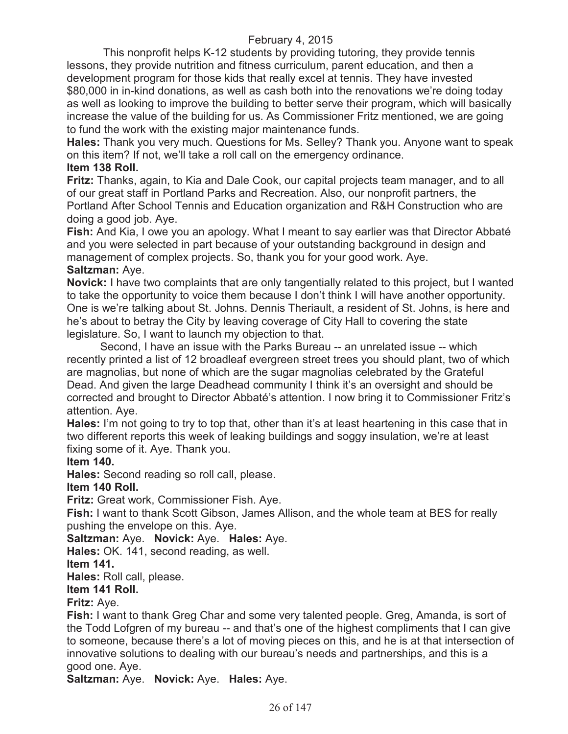This nonprofit helps K-12 students by providing tutoring, they provide tennis lessons, they provide nutrition and fitness curriculum, parent education, and then a development program for those kids that really excel at tennis. They have invested \$80,000 in in-kind donations, as well as cash both into the renovations we're doing today as well as looking to improve the building to better serve their program, which will basically increase the value of the building for us. As Commissioner Fritz mentioned, we are going to fund the work with the existing major maintenance funds.

**Hales:** Thank you very much. Questions for Ms. Selley? Thank you. Anyone want to speak on this item? If not, we'll take a roll call on the emergency ordinance.

# **Item 138 Roll.**

**Fritz:** Thanks, again, to Kia and Dale Cook, our capital projects team manager, and to all of our great staff in Portland Parks and Recreation. Also, our nonprofit partners, the Portland After School Tennis and Education organization and R&H Construction who are doing a good job. Aye.

**Fish:** And Kia, I owe you an apology. What I meant to say earlier was that Director Abbaté and you were selected in part because of your outstanding background in design and management of complex projects. So, thank you for your good work. Aye. **Saltzman:** Aye.

**Novick:** I have two complaints that are only tangentially related to this project, but I wanted to take the opportunity to voice them because I don't think I will have another opportunity. One is we're talking about St. Johns. Dennis Theriault, a resident of St. Johns, is here and he's about to betray the City by leaving coverage of City Hall to covering the state legislature. So, I want to launch my objection to that.

Second, I have an issue with the Parks Bureau -- an unrelated issue -- which recently printed a list of 12 broadleaf evergreen street trees you should plant, two of which are magnolias, but none of which are the sugar magnolias celebrated by the Grateful Dead. And given the large Deadhead community I think it's an oversight and should be corrected and brought to Director Abbaté's attention. I now bring it to Commissioner Fritz's attention. Aye.

**Hales:** I'm not going to try to top that, other than it's at least heartening in this case that in two different reports this week of leaking buildings and soggy insulation, we're at least fixing some of it. Aye. Thank you.

# **Item 140.**

**Hales:** Second reading so roll call, please.

# **Item 140 Roll.**

**Fritz:** Great work, Commissioner Fish. Aye.

**Fish:** I want to thank Scott Gibson, James Allison, and the whole team at BES for really pushing the envelope on this. Aye.

**Saltzman:** Aye. **Novick:** Aye. **Hales:** Aye.

**Hales:** OK. 141, second reading, as well.

**Item 141.**

**Hales:** Roll call, please.

# **Item 141 Roll.**

**Fritz:** Aye.

**Fish:** I want to thank Greg Char and some very talented people. Greg, Amanda, is sort of the Todd Lofgren of my bureau -- and that's one of the highest compliments that I can give to someone, because there's a lot of moving pieces on this, and he is at that intersection of innovative solutions to dealing with our bureau's needs and partnerships, and this is a good one. Aye.

**Saltzman:** Aye. **Novick:** Aye. **Hales:** Aye.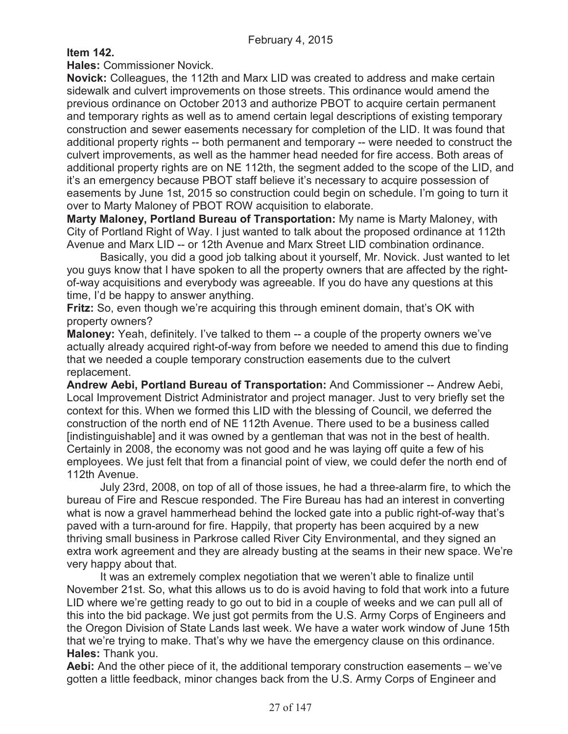**Item 142.**

**Hales:** Commissioner Novick.

**Novick:** Colleagues, the 112th and Marx LID was created to address and make certain sidewalk and culvert improvements on those streets. This ordinance would amend the previous ordinance on October 2013 and authorize PBOT to acquire certain permanent and temporary rights as well as to amend certain legal descriptions of existing temporary construction and sewer easements necessary for completion of the LID. It was found that additional property rights -- both permanent and temporary -- were needed to construct the culvert improvements, as well as the hammer head needed for fire access. Both areas of additional property rights are on NE 112th, the segment added to the scope of the LID, and it's an emergency because PBOT staff believe it's necessary to acquire possession of easements by June 1st, 2015 so construction could begin on schedule. I'm going to turn it over to Marty Maloney of PBOT ROW acquisition to elaborate.

**Marty Maloney, Portland Bureau of Transportation:** My name is Marty Maloney, with City of Portland Right of Way. I just wanted to talk about the proposed ordinance at 112th Avenue and Marx LID -- or 12th Avenue and Marx Street LID combination ordinance.

Basically, you did a good job talking about it yourself, Mr. Novick. Just wanted to let you guys know that I have spoken to all the property owners that are affected by the rightof-way acquisitions and everybody was agreeable. If you do have any questions at this time, I'd be happy to answer anything.

**Fritz:** So, even though we're acquiring this through eminent domain, that's OK with property owners?

**Maloney:** Yeah, definitely. I've talked to them -- a couple of the property owners we've actually already acquired right-of-way from before we needed to amend this due to finding that we needed a couple temporary construction easements due to the culvert replacement.

**Andrew Aebi, Portland Bureau of Transportation:** And Commissioner -- Andrew Aebi, Local Improvement District Administrator and project manager. Just to very briefly set the context for this. When we formed this LID with the blessing of Council, we deferred the construction of the north end of NE 112th Avenue. There used to be a business called [indistinguishable] and it was owned by a gentleman that was not in the best of health. Certainly in 2008, the economy was not good and he was laying off quite a few of his employees. We just felt that from a financial point of view, we could defer the north end of 112th Avenue.

July 23rd, 2008, on top of all of those issues, he had a three-alarm fire, to which the bureau of Fire and Rescue responded. The Fire Bureau has had an interest in converting what is now a gravel hammerhead behind the locked gate into a public right-of-way that's paved with a turn-around for fire. Happily, that property has been acquired by a new thriving small business in Parkrose called River City Environmental, and they signed an extra work agreement and they are already busting at the seams in their new space. We're very happy about that.

It was an extremely complex negotiation that we weren't able to finalize until November 21st. So, what this allows us to do is avoid having to fold that work into a future LID where we're getting ready to go out to bid in a couple of weeks and we can pull all of this into the bid package. We just got permits from the U.S. Army Corps of Engineers and the Oregon Division of State Lands last week. We have a water work window of June 15th that we're trying to make. That's why we have the emergency clause on this ordinance. **Hales:** Thank you.

**Aebi:** And the other piece of it, the additional temporary construction easements – we've gotten a little feedback, minor changes back from the U.S. Army Corps of Engineer and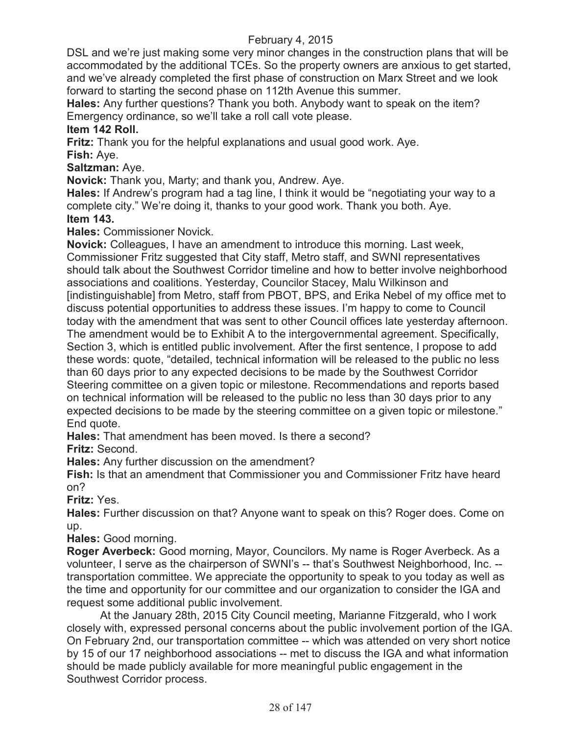DSL and we're just making some very minor changes in the construction plans that will be accommodated by the additional TCEs. So the property owners are anxious to get started, and we've already completed the first phase of construction on Marx Street and we look forward to starting the second phase on 112th Avenue this summer.

**Hales:** Any further questions? Thank you both. Anybody want to speak on the item? Emergency ordinance, so we'll take a roll call vote please.

# **Item 142 Roll.**

**Fritz:** Thank you for the helpful explanations and usual good work. Aye.

**Fish:** Aye.

**Saltzman:** Aye.

**Novick:** Thank you, Marty; and thank you, Andrew. Aye.

**Hales:** If Andrew's program had a tag line, I think it would be "negotiating your way to a complete city." We're doing it, thanks to your good work. Thank you both. Aye. **Item 143.**

**Hales:** Commissioner Novick.

**Novick:** Colleagues, I have an amendment to introduce this morning. Last week, Commissioner Fritz suggested that City staff, Metro staff, and SWNI representatives should talk about the Southwest Corridor timeline and how to better involve neighborhood associations and coalitions. Yesterday, Councilor Stacey, Malu Wilkinson and [indistinguishable] from Metro, staff from PBOT, BPS, and Erika Nebel of my office met to discuss potential opportunities to address these issues. I'm happy to come to Council today with the amendment that was sent to other Council offices late yesterday afternoon. The amendment would be to Exhibit A to the intergovernmental agreement. Specifically, Section 3, which is entitled public involvement. After the first sentence, I propose to add these words: quote, "detailed, technical information will be released to the public no less than 60 days prior to any expected decisions to be made by the Southwest Corridor Steering committee on a given topic or milestone. Recommendations and reports based on technical information will be released to the public no less than 30 days prior to any expected decisions to be made by the steering committee on a given topic or milestone." End quote.

**Hales:** That amendment has been moved. Is there a second?

**Fritz:** Second.

**Hales:** Any further discussion on the amendment?

**Fish:** Is that an amendment that Commissioner you and Commissioner Fritz have heard on?

**Fritz:** Yes.

**Hales:** Further discussion on that? Anyone want to speak on this? Roger does. Come on up.

**Hales:** Good morning.

**Roger Averbeck:** Good morning, Mayor, Councilors. My name is Roger Averbeck. As a volunteer, I serve as the chairperson of SWNI's -- that's Southwest Neighborhood, Inc. - transportation committee. We appreciate the opportunity to speak to you today as well as the time and opportunity for our committee and our organization to consider the IGA and request some additional public involvement.

At the January 28th, 2015 City Council meeting, Marianne Fitzgerald, who I work closely with, expressed personal concerns about the public involvement portion of the IGA. On February 2nd, our transportation committee -- which was attended on very short notice by 15 of our 17 neighborhood associations -- met to discuss the IGA and what information should be made publicly available for more meaningful public engagement in the Southwest Corridor process.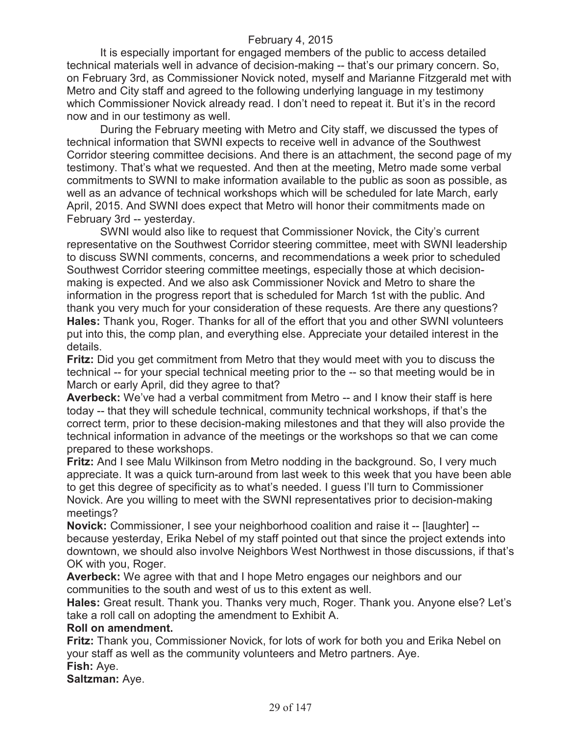It is especially important for engaged members of the public to access detailed technical materials well in advance of decision-making -- that's our primary concern. So, on February 3rd, as Commissioner Novick noted, myself and Marianne Fitzgerald met with Metro and City staff and agreed to the following underlying language in my testimony which Commissioner Novick already read. I don't need to repeat it. But it's in the record now and in our testimony as well.

During the February meeting with Metro and City staff, we discussed the types of technical information that SWNI expects to receive well in advance of the Southwest Corridor steering committee decisions. And there is an attachment, the second page of my testimony. That's what we requested. And then at the meeting, Metro made some verbal commitments to SWNI to make information available to the public as soon as possible, as well as an advance of technical workshops which will be scheduled for late March, early April, 2015. And SWNI does expect that Metro will honor their commitments made on February 3rd -- yesterday.

SWNI would also like to request that Commissioner Novick, the City's current representative on the Southwest Corridor steering committee, meet with SWNI leadership to discuss SWNI comments, concerns, and recommendations a week prior to scheduled Southwest Corridor steering committee meetings, especially those at which decisionmaking is expected. And we also ask Commissioner Novick and Metro to share the information in the progress report that is scheduled for March 1st with the public. And thank you very much for your consideration of these requests. Are there any questions? **Hales:** Thank you, Roger. Thanks for all of the effort that you and other SWNI volunteers put into this, the comp plan, and everything else. Appreciate your detailed interest in the details.

**Fritz:** Did you get commitment from Metro that they would meet with you to discuss the technical -- for your special technical meeting prior to the -- so that meeting would be in March or early April, did they agree to that?

**Averbeck:** We've had a verbal commitment from Metro -- and I know their staff is here today -- that they will schedule technical, community technical workshops, if that's the correct term, prior to these decision-making milestones and that they will also provide the technical information in advance of the meetings or the workshops so that we can come prepared to these workshops.

**Fritz:** And I see Malu Wilkinson from Metro nodding in the background. So, I very much appreciate. It was a quick turn-around from last week to this week that you have been able to get this degree of specificity as to what's needed. I guess I'll turn to Commissioner Novick. Are you willing to meet with the SWNI representatives prior to decision-making meetings?

**Novick:** Commissioner, I see your neighborhood coalition and raise it -- [laughter] - because yesterday, Erika Nebel of my staff pointed out that since the project extends into downtown, we should also involve Neighbors West Northwest in those discussions, if that's OK with you, Roger.

**Averbeck:** We agree with that and I hope Metro engages our neighbors and our communities to the south and west of us to this extent as well.

**Hales:** Great result. Thank you. Thanks very much, Roger. Thank you. Anyone else? Let's take a roll call on adopting the amendment to Exhibit A.

#### **Roll on amendment.**

**Fritz:** Thank you, Commissioner Novick, for lots of work for both you and Erika Nebel on your staff as well as the community volunteers and Metro partners. Aye. **Fish:** Aye.

**Saltzman:** Aye.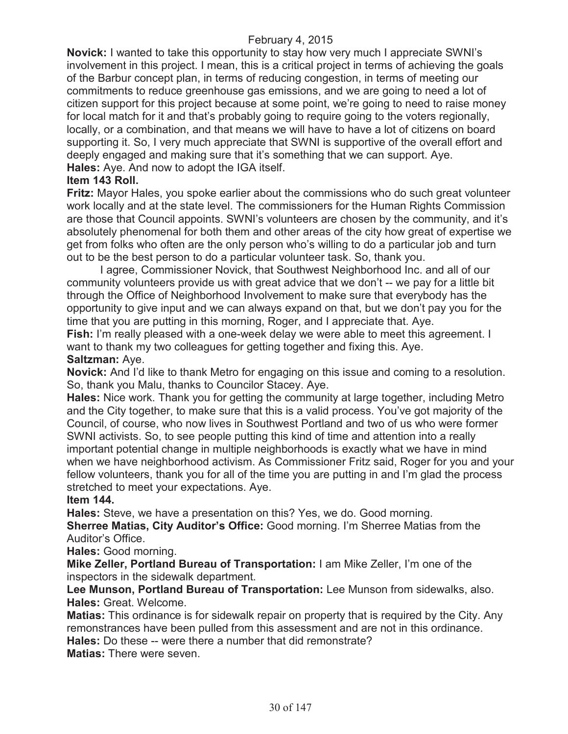**Novick:** I wanted to take this opportunity to stay how very much I appreciate SWNI's involvement in this project. I mean, this is a critical project in terms of achieving the goals of the Barbur concept plan, in terms of reducing congestion, in terms of meeting our commitments to reduce greenhouse gas emissions, and we are going to need a lot of citizen support for this project because at some point, we're going to need to raise money for local match for it and that's probably going to require going to the voters regionally, locally, or a combination, and that means we will have to have a lot of citizens on board supporting it. So, I very much appreciate that SWNI is supportive of the overall effort and deeply engaged and making sure that it's something that we can support. Aye. **Hales:** Aye. And now to adopt the IGA itself.

# **Item 143 Roll.**

**Fritz:** Mayor Hales, you spoke earlier about the commissions who do such great volunteer work locally and at the state level. The commissioners for the Human Rights Commission are those that Council appoints. SWNI's volunteers are chosen by the community, and it's absolutely phenomenal for both them and other areas of the city how great of expertise we get from folks who often are the only person who's willing to do a particular job and turn out to be the best person to do a particular volunteer task. So, thank you.

I agree, Commissioner Novick, that Southwest Neighborhood Inc. and all of our community volunteers provide us with great advice that we don't -- we pay for a little bit through the Office of Neighborhood Involvement to make sure that everybody has the opportunity to give input and we can always expand on that, but we don't pay you for the time that you are putting in this morning, Roger, and I appreciate that. Aye.

**Fish:** I'm really pleased with a one-week delay we were able to meet this agreement. I want to thank my two colleagues for getting together and fixing this. Aye. **Saltzman:** Aye.

**Novick:** And I'd like to thank Metro for engaging on this issue and coming to a resolution. So, thank you Malu, thanks to Councilor Stacey. Aye.

**Hales:** Nice work. Thank you for getting the community at large together, including Metro and the City together, to make sure that this is a valid process. You've got majority of the Council, of course, who now lives in Southwest Portland and two of us who were former SWNI activists. So, to see people putting this kind of time and attention into a really important potential change in multiple neighborhoods is exactly what we have in mind when we have neighborhood activism. As Commissioner Fritz said, Roger for you and your fellow volunteers, thank you for all of the time you are putting in and I'm glad the process stretched to meet your expectations. Aye.

# **Item 144.**

**Hales:** Steve, we have a presentation on this? Yes, we do. Good morning.

**Sherree Matias, City Auditor's Office:** Good morning. I'm Sherree Matias from the Auditor's Office.

#### **Hales:** Good morning.

**Mike Zeller, Portland Bureau of Transportation:** I am Mike Zeller, I'm one of the inspectors in the sidewalk department.

**Lee Munson, Portland Bureau of Transportation:** Lee Munson from sidewalks, also. **Hales:** Great. Welcome.

**Matias:** This ordinance is for sidewalk repair on property that is required by the City. Any remonstrances have been pulled from this assessment and are not in this ordinance.

**Hales:** Do these -- were there a number that did remonstrate?

**Matias:** There were seven.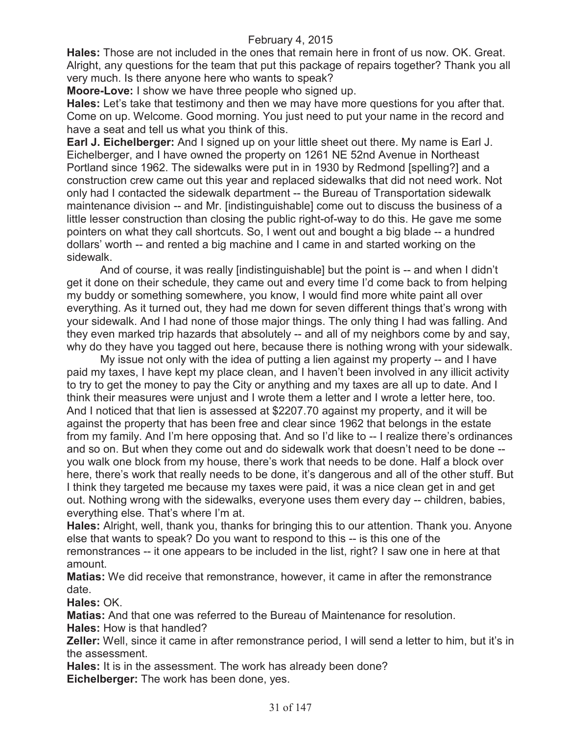**Hales:** Those are not included in the ones that remain here in front of us now. OK. Great. Alright, any questions for the team that put this package of repairs together? Thank you all very much. Is there anyone here who wants to speak?

**Moore-Love:** I show we have three people who signed up.

**Hales:** Let's take that testimony and then we may have more questions for you after that. Come on up. Welcome. Good morning. You just need to put your name in the record and have a seat and tell us what you think of this.

**Earl J. Eichelberger:** And I signed up on your little sheet out there. My name is Earl J. Eichelberger, and I have owned the property on 1261 NE 52nd Avenue in Northeast Portland since 1962. The sidewalks were put in in 1930 by Redmond [spelling?] and a construction crew came out this year and replaced sidewalks that did not need work. Not only had I contacted the sidewalk department -- the Bureau of Transportation sidewalk maintenance division -- and Mr. [indistinguishable] come out to discuss the business of a little lesser construction than closing the public right-of-way to do this. He gave me some pointers on what they call shortcuts. So, I went out and bought a big blade -- a hundred dollars' worth -- and rented a big machine and I came in and started working on the sidewalk.

And of course, it was really [indistinguishable] but the point is -- and when I didn't get it done on their schedule, they came out and every time I'd come back to from helping my buddy or something somewhere, you know, I would find more white paint all over everything. As it turned out, they had me down for seven different things that's wrong with your sidewalk. And I had none of those major things. The only thing I had was falling. And they even marked trip hazards that absolutely -- and all of my neighbors come by and say, why do they have you tagged out here, because there is nothing wrong with your sidewalk.

My issue not only with the idea of putting a lien against my property -- and I have paid my taxes, I have kept my place clean, and I haven't been involved in any illicit activity to try to get the money to pay the City or anything and my taxes are all up to date. And I think their measures were unjust and I wrote them a letter and I wrote a letter here, too. And I noticed that that lien is assessed at \$2207.70 against my property, and it will be against the property that has been free and clear since 1962 that belongs in the estate from my family. And I'm here opposing that. And so I'd like to -- I realize there's ordinances and so on. But when they come out and do sidewalk work that doesn't need to be done - you walk one block from my house, there's work that needs to be done. Half a block over here, there's work that really needs to be done, it's dangerous and all of the other stuff. But I think they targeted me because my taxes were paid, it was a nice clean get in and get out. Nothing wrong with the sidewalks, everyone uses them every day -- children, babies, everything else. That's where I'm at.

**Hales:** Alright, well, thank you, thanks for bringing this to our attention. Thank you. Anyone else that wants to speak? Do you want to respond to this -- is this one of the remonstrances -- it one appears to be included in the list, right? I saw one in here at that amount.

**Matias:** We did receive that remonstrance, however, it came in after the remonstrance date.

**Hales:** OK.

**Matias:** And that one was referred to the Bureau of Maintenance for resolution.

**Hales:** How is that handled?

**Zeller:** Well, since it came in after remonstrance period, I will send a letter to him, but it's in the assessment.

**Hales:** It is in the assessment. The work has already been done?

**Eichelberger:** The work has been done, yes.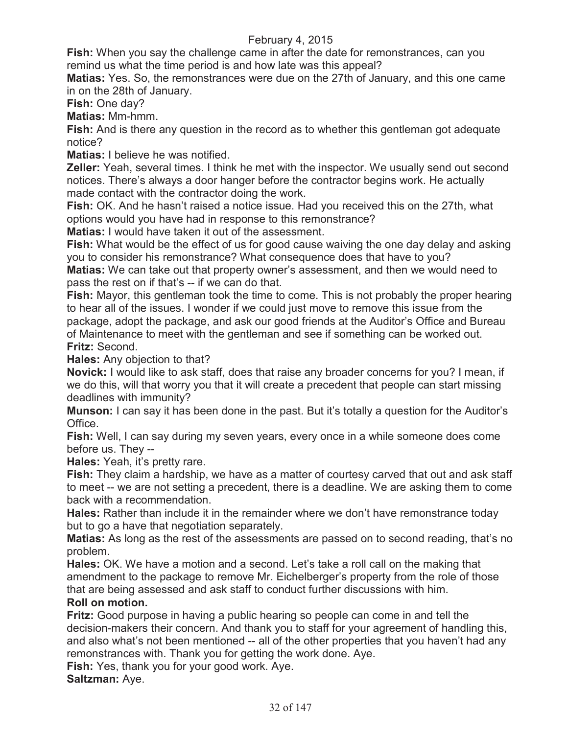**Fish:** When you say the challenge came in after the date for remonstrances, can you remind us what the time period is and how late was this appeal?

**Matias:** Yes. So, the remonstrances were due on the 27th of January, and this one came in on the 28th of January.

**Fish:** One day?

**Matias:** Mm-hmm.

**Fish:** And is there any question in the record as to whether this gentleman got adequate notice?

**Matias:** I believe he was notified.

**Zeller:** Yeah, several times. I think he met with the inspector. We usually send out second notices. There's always a door hanger before the contractor begins work. He actually made contact with the contractor doing the work.

**Fish:** OK. And he hasn't raised a notice issue. Had you received this on the 27th, what options would you have had in response to this remonstrance?

**Matias:** I would have taken it out of the assessment.

**Fish:** What would be the effect of us for good cause waiving the one day delay and asking you to consider his remonstrance? What consequence does that have to you? **Matias:** We can take out that property owner's assessment, and then we would need to pass the rest on if that's -- if we can do that.

**Fish:** Mayor, this gentleman took the time to come. This is not probably the proper hearing to hear all of the issues. I wonder if we could just move to remove this issue from the package, adopt the package, and ask our good friends at the Auditor's Office and Bureau of Maintenance to meet with the gentleman and see if something can be worked out. **Fritz:** Second.

**Hales:** Any objection to that?

**Novick:** I would like to ask staff, does that raise any broader concerns for you? I mean, if we do this, will that worry you that it will create a precedent that people can start missing deadlines with immunity?

**Munson:** I can say it has been done in the past. But it's totally a question for the Auditor's Office.

**Fish:** Well, I can say during my seven years, every once in a while someone does come before us. They --

**Hales:** Yeah, it's pretty rare.

**Fish:** They claim a hardship, we have as a matter of courtesy carved that out and ask staff to meet -- we are not setting a precedent, there is a deadline. We are asking them to come back with a recommendation.

**Hales:** Rather than include it in the remainder where we don't have remonstrance today but to go a have that negotiation separately.

**Matias:** As long as the rest of the assessments are passed on to second reading, that's no problem.

**Hales:** OK. We have a motion and a second. Let's take a roll call on the making that amendment to the package to remove Mr. Eichelberger's property from the role of those that are being assessed and ask staff to conduct further discussions with him.

# **Roll on motion.**

**Fritz:** Good purpose in having a public hearing so people can come in and tell the decision-makers their concern. And thank you to staff for your agreement of handling this, and also what's not been mentioned -- all of the other properties that you haven't had any remonstrances with. Thank you for getting the work done. Aye.

**Fish:** Yes, thank you for your good work. Aye.

**Saltzman:** Aye.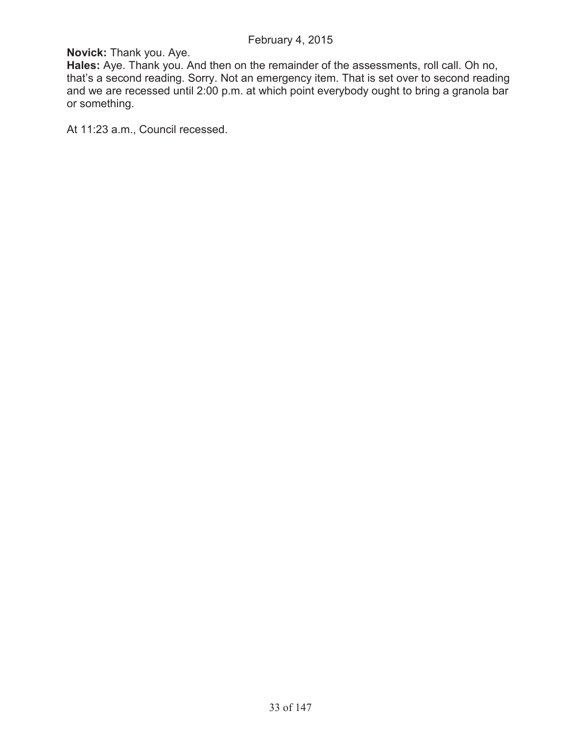**Novick:** Thank you. Aye.

**Hales:** Aye. Thank you. And then on the remainder of the assessments, roll call. Oh no, that's a second reading. Sorry. Not an emergency item. That is set over to second reading and we are recessed until 2:00 p.m. at which point everybody ought to bring a granola bar or something.

At 11:23 a.m., Council recessed.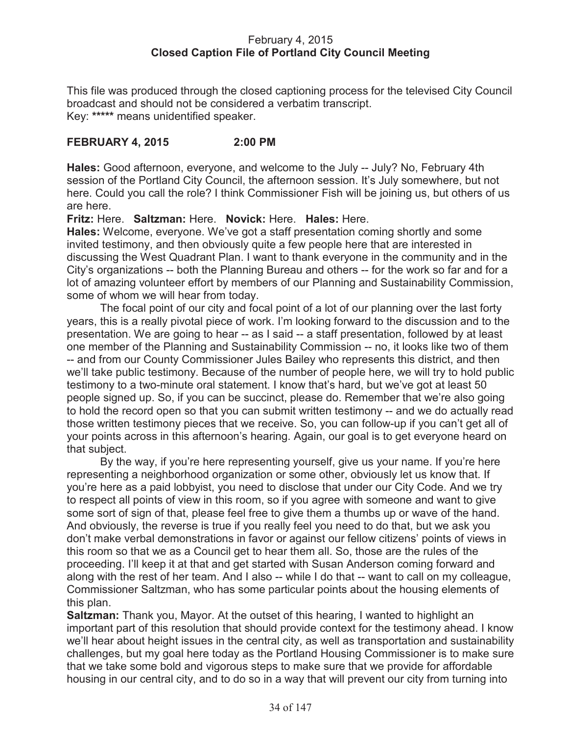### February 4, 2015 **Closed Caption File of Portland City Council Meeting**

This file was produced through the closed captioning process for the televised City Council broadcast and should not be considered a verbatim transcript. Key: **\*\*\*\*\*** means unidentified speaker.

# **FEBRUARY 4, 2015 2:00 PM**

**Hales:** Good afternoon, everyone, and welcome to the July -- July? No, February 4th session of the Portland City Council, the afternoon session. It's July somewhere, but not here. Could you call the role? I think Commissioner Fish will be joining us, but others of us are here.

**Fritz:** Here. **Saltzman:** Here. **Novick:** Here. **Hales:** Here.

**Hales:** Welcome, everyone. We've got a staff presentation coming shortly and some invited testimony, and then obviously quite a few people here that are interested in discussing the West Quadrant Plan. I want to thank everyone in the community and in the City's organizations -- both the Planning Bureau and others -- for the work so far and for a lot of amazing volunteer effort by members of our Planning and Sustainability Commission, some of whom we will hear from today.

The focal point of our city and focal point of a lot of our planning over the last forty years, this is a really pivotal piece of work. I'm looking forward to the discussion and to the presentation. We are going to hear -- as I said -- a staff presentation, followed by at least one member of the Planning and Sustainability Commission -- no, it looks like two of them -- and from our County Commissioner Jules Bailey who represents this district, and then we'll take public testimony. Because of the number of people here, we will try to hold public testimony to a two-minute oral statement. I know that's hard, but we've got at least 50 people signed up. So, if you can be succinct, please do. Remember that we're also going to hold the record open so that you can submit written testimony -- and we do actually read those written testimony pieces that we receive. So, you can follow-up if you can't get all of your points across in this afternoon's hearing. Again, our goal is to get everyone heard on that subject.

By the way, if you're here representing yourself, give us your name. If you're here representing a neighborhood organization or some other, obviously let us know that. If you're here as a paid lobbyist, you need to disclose that under our City Code. And we try to respect all points of view in this room, so if you agree with someone and want to give some sort of sign of that, please feel free to give them a thumbs up or wave of the hand. And obviously, the reverse is true if you really feel you need to do that, but we ask you don't make verbal demonstrations in favor or against our fellow citizens' points of views in this room so that we as a Council get to hear them all. So, those are the rules of the proceeding. I'll keep it at that and get started with Susan Anderson coming forward and along with the rest of her team. And I also -- while I do that -- want to call on my colleague, Commissioner Saltzman, who has some particular points about the housing elements of this plan.

**Saltzman:** Thank you, Mayor. At the outset of this hearing, I wanted to highlight an important part of this resolution that should provide context for the testimony ahead. I know we'll hear about height issues in the central city, as well as transportation and sustainability challenges, but my goal here today as the Portland Housing Commissioner is to make sure that we take some bold and vigorous steps to make sure that we provide for affordable housing in our central city, and to do so in a way that will prevent our city from turning into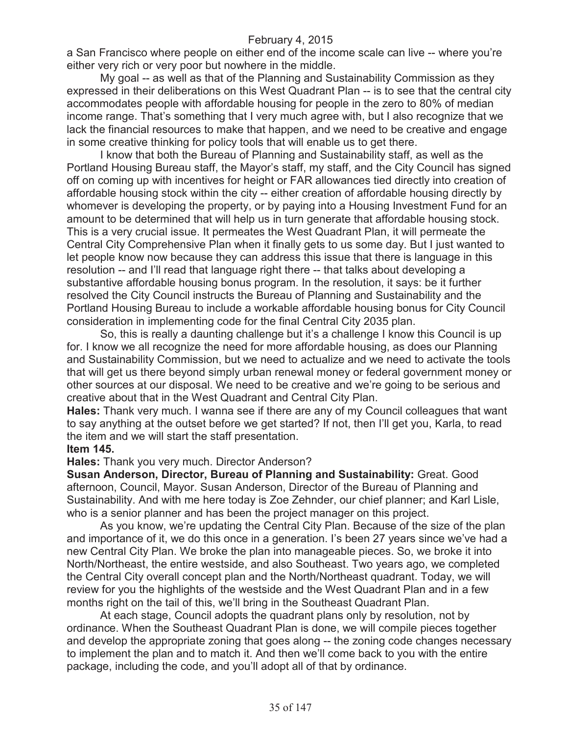a San Francisco where people on either end of the income scale can live -- where you're either very rich or very poor but nowhere in the middle.

My goal -- as well as that of the Planning and Sustainability Commission as they expressed in their deliberations on this West Quadrant Plan -- is to see that the central city accommodates people with affordable housing for people in the zero to 80% of median income range. That's something that I very much agree with, but I also recognize that we lack the financial resources to make that happen, and we need to be creative and engage in some creative thinking for policy tools that will enable us to get there.

I know that both the Bureau of Planning and Sustainability staff, as well as the Portland Housing Bureau staff, the Mayor's staff, my staff, and the City Council has signed off on coming up with incentives for height or FAR allowances tied directly into creation of affordable housing stock within the city -- either creation of affordable housing directly by whomever is developing the property, or by paying into a Housing Investment Fund for an amount to be determined that will help us in turn generate that affordable housing stock. This is a very crucial issue. It permeates the West Quadrant Plan, it will permeate the Central City Comprehensive Plan when it finally gets to us some day. But I just wanted to let people know now because they can address this issue that there is language in this resolution -- and I'll read that language right there -- that talks about developing a substantive affordable housing bonus program. In the resolution, it says: be it further resolved the City Council instructs the Bureau of Planning and Sustainability and the Portland Housing Bureau to include a workable affordable housing bonus for City Council consideration in implementing code for the final Central City 2035 plan.

So, this is really a daunting challenge but it's a challenge I know this Council is up for. I know we all recognize the need for more affordable housing, as does our Planning and Sustainability Commission, but we need to actualize and we need to activate the tools that will get us there beyond simply urban renewal money or federal government money or other sources at our disposal. We need to be creative and we're going to be serious and creative about that in the West Quadrant and Central City Plan.

**Hales:** Thank very much. I wanna see if there are any of my Council colleagues that want to say anything at the outset before we get started? If not, then I'll get you, Karla, to read the item and we will start the staff presentation.

#### **Item 145.**

**Hales:** Thank you very much. Director Anderson?

**Susan Anderson, Director, Bureau of Planning and Sustainability:** Great. Good afternoon, Council, Mayor. Susan Anderson, Director of the Bureau of Planning and Sustainability. And with me here today is Zoe Zehnder, our chief planner; and Karl Lisle, who is a senior planner and has been the project manager on this project.

As you know, we're updating the Central City Plan. Because of the size of the plan and importance of it, we do this once in a generation. I's been 27 years since we've had a new Central City Plan. We broke the plan into manageable pieces. So, we broke it into North/Northeast, the entire westside, and also Southeast. Two years ago, we completed the Central City overall concept plan and the North/Northeast quadrant. Today, we will review for you the highlights of the westside and the West Quadrant Plan and in a few months right on the tail of this, we'll bring in the Southeast Quadrant Plan.

At each stage, Council adopts the quadrant plans only by resolution, not by ordinance. When the Southeast Quadrant Plan is done, we will compile pieces together and develop the appropriate zoning that goes along -- the zoning code changes necessary to implement the plan and to match it. And then we'll come back to you with the entire package, including the code, and you'll adopt all of that by ordinance.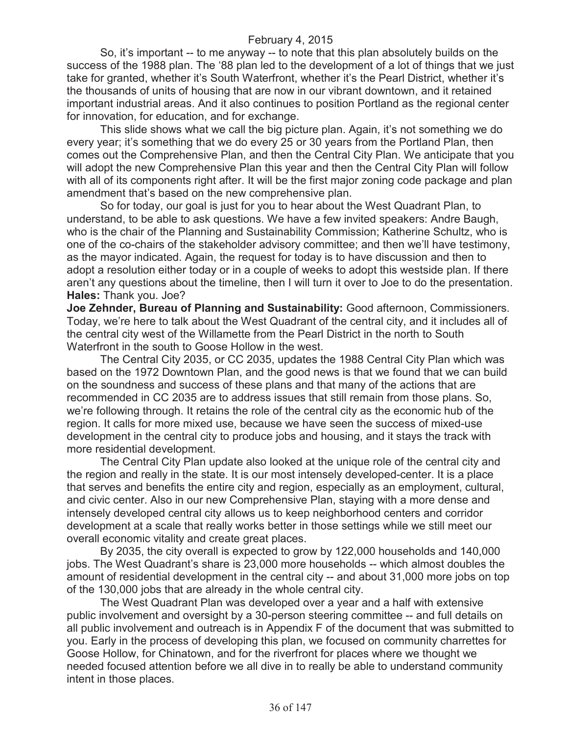So, it's important -- to me anyway -- to note that this plan absolutely builds on the success of the 1988 plan. The '88 plan led to the development of a lot of things that we just take for granted, whether it's South Waterfront, whether it's the Pearl District, whether it's the thousands of units of housing that are now in our vibrant downtown, and it retained important industrial areas. And it also continues to position Portland as the regional center for innovation, for education, and for exchange.

This slide shows what we call the big picture plan. Again, it's not something we do every year; it's something that we do every 25 or 30 years from the Portland Plan, then comes out the Comprehensive Plan, and then the Central City Plan. We anticipate that you will adopt the new Comprehensive Plan this year and then the Central City Plan will follow with all of its components right after. It will be the first major zoning code package and plan amendment that's based on the new comprehensive plan.

So for today, our goal is just for you to hear about the West Quadrant Plan, to understand, to be able to ask questions. We have a few invited speakers: Andre Baugh, who is the chair of the Planning and Sustainability Commission; Katherine Schultz, who is one of the co-chairs of the stakeholder advisory committee; and then we'll have testimony, as the mayor indicated. Again, the request for today is to have discussion and then to adopt a resolution either today or in a couple of weeks to adopt this westside plan. If there aren't any questions about the timeline, then I will turn it over to Joe to do the presentation. **Hales:** Thank you. Joe?

**Joe Zehnder, Bureau of Planning and Sustainability:** Good afternoon, Commissioners. Today, we're here to talk about the West Quadrant of the central city, and it includes all of the central city west of the Willamette from the Pearl District in the north to South Waterfront in the south to Goose Hollow in the west.

The Central City 2035, or CC 2035, updates the 1988 Central City Plan which was based on the 1972 Downtown Plan, and the good news is that we found that we can build on the soundness and success of these plans and that many of the actions that are recommended in CC 2035 are to address issues that still remain from those plans. So, we're following through. It retains the role of the central city as the economic hub of the region. It calls for more mixed use, because we have seen the success of mixed-use development in the central city to produce jobs and housing, and it stays the track with more residential development.

The Central City Plan update also looked at the unique role of the central city and the region and really in the state. It is our most intensely developed-center. It is a place that serves and benefits the entire city and region, especially as an employment, cultural, and civic center. Also in our new Comprehensive Plan, staying with a more dense and intensely developed central city allows us to keep neighborhood centers and corridor development at a scale that really works better in those settings while we still meet our overall economic vitality and create great places.

By 2035, the city overall is expected to grow by 122,000 households and 140,000 jobs. The West Quadrant's share is 23,000 more households -- which almost doubles the amount of residential development in the central city -- and about 31,000 more jobs on top of the 130,000 jobs that are already in the whole central city.

The West Quadrant Plan was developed over a year and a half with extensive public involvement and oversight by a 30-person steering committee -- and full details on all public involvement and outreach is in Appendix F of the document that was submitted to you. Early in the process of developing this plan, we focused on community charrettes for Goose Hollow, for Chinatown, and for the riverfront for places where we thought we needed focused attention before we all dive in to really be able to understand community intent in those places.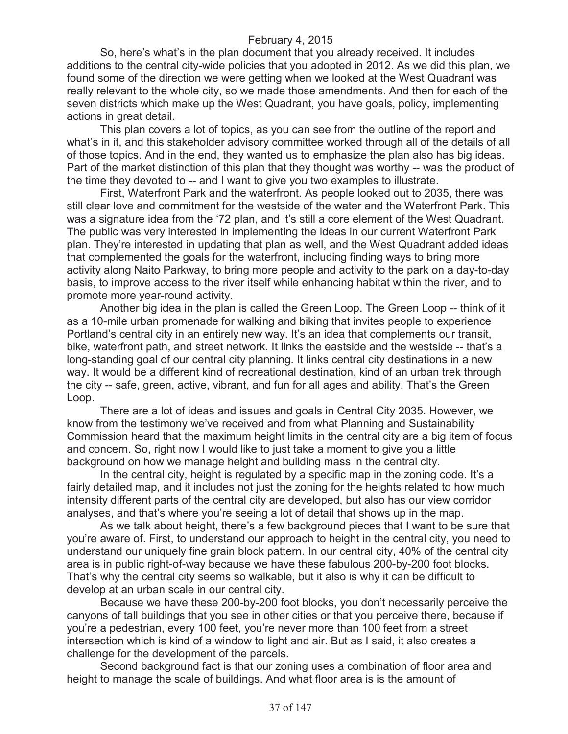So, here's what's in the plan document that you already received. It includes additions to the central city-wide policies that you adopted in 2012. As we did this plan, we found some of the direction we were getting when we looked at the West Quadrant was really relevant to the whole city, so we made those amendments. And then for each of the seven districts which make up the West Quadrant, you have goals, policy, implementing actions in great detail.

This plan covers a lot of topics, as you can see from the outline of the report and what's in it, and this stakeholder advisory committee worked through all of the details of all of those topics. And in the end, they wanted us to emphasize the plan also has big ideas. Part of the market distinction of this plan that they thought was worthy -- was the product of the time they devoted to -- and I want to give you two examples to illustrate.

First, Waterfront Park and the waterfront. As people looked out to 2035, there was still clear love and commitment for the westside of the water and the Waterfront Park. This was a signature idea from the '72 plan, and it's still a core element of the West Quadrant. The public was very interested in implementing the ideas in our current Waterfront Park plan. They're interested in updating that plan as well, and the West Quadrant added ideas that complemented the goals for the waterfront, including finding ways to bring more activity along Naito Parkway, to bring more people and activity to the park on a day-to-day basis, to improve access to the river itself while enhancing habitat within the river, and to promote more year-round activity.

Another big idea in the plan is called the Green Loop. The Green Loop -- think of it as a 10-mile urban promenade for walking and biking that invites people to experience Portland's central city in an entirely new way. It's an idea that complements our transit, bike, waterfront path, and street network. It links the eastside and the westside -- that's a long-standing goal of our central city planning. It links central city destinations in a new way. It would be a different kind of recreational destination, kind of an urban trek through the city -- safe, green, active, vibrant, and fun for all ages and ability. That's the Green Loop.

There are a lot of ideas and issues and goals in Central City 2035. However, we know from the testimony we've received and from what Planning and Sustainability Commission heard that the maximum height limits in the central city are a big item of focus and concern. So, right now I would like to just take a moment to give you a little background on how we manage height and building mass in the central city.

In the central city, height is regulated by a specific map in the zoning code. It's a fairly detailed map, and it includes not just the zoning for the heights related to how much intensity different parts of the central city are developed, but also has our view corridor analyses, and that's where you're seeing a lot of detail that shows up in the map.

As we talk about height, there's a few background pieces that I want to be sure that you're aware of. First, to understand our approach to height in the central city, you need to understand our uniquely fine grain block pattern. In our central city, 40% of the central city area is in public right-of-way because we have these fabulous 200-by-200 foot blocks. That's why the central city seems so walkable, but it also is why it can be difficult to develop at an urban scale in our central city.

Because we have these 200-by-200 foot blocks, you don't necessarily perceive the canyons of tall buildings that you see in other cities or that you perceive there, because if you're a pedestrian, every 100 feet, you're never more than 100 feet from a street intersection which is kind of a window to light and air. But as I said, it also creates a challenge for the development of the parcels.

Second background fact is that our zoning uses a combination of floor area and height to manage the scale of buildings. And what floor area is is the amount of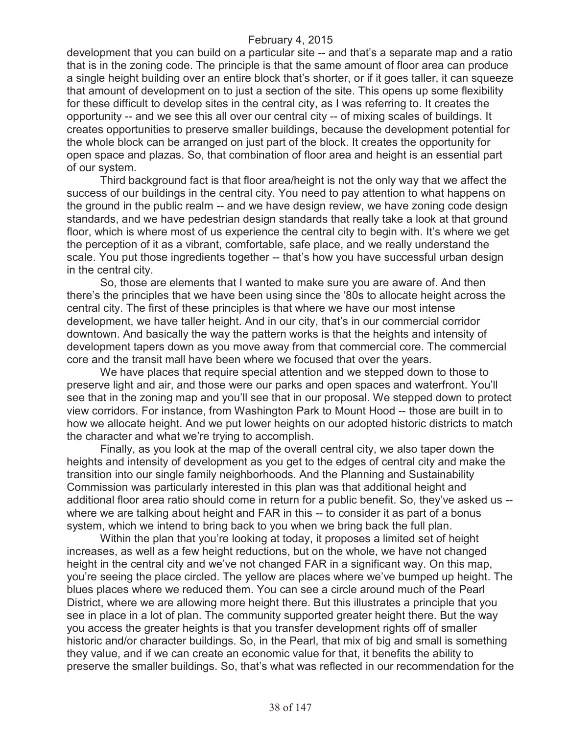development that you can build on a particular site -- and that's a separate map and a ratio that is in the zoning code. The principle is that the same amount of floor area can produce a single height building over an entire block that's shorter, or if it goes taller, it can squeeze that amount of development on to just a section of the site. This opens up some flexibility for these difficult to develop sites in the central city, as I was referring to. It creates the opportunity -- and we see this all over our central city -- of mixing scales of buildings. It creates opportunities to preserve smaller buildings, because the development potential for the whole block can be arranged on just part of the block. It creates the opportunity for open space and plazas. So, that combination of floor area and height is an essential part of our system.

Third background fact is that floor area/height is not the only way that we affect the success of our buildings in the central city. You need to pay attention to what happens on the ground in the public realm -- and we have design review, we have zoning code design standards, and we have pedestrian design standards that really take a look at that ground floor, which is where most of us experience the central city to begin with. It's where we get the perception of it as a vibrant, comfortable, safe place, and we really understand the scale. You put those ingredients together -- that's how you have successful urban design in the central city.

So, those are elements that I wanted to make sure you are aware of. And then there's the principles that we have been using since the '80s to allocate height across the central city. The first of these principles is that where we have our most intense development, we have taller height. And in our city, that's in our commercial corridor downtown. And basically the way the pattern works is that the heights and intensity of development tapers down as you move away from that commercial core. The commercial core and the transit mall have been where we focused that over the years.

We have places that require special attention and we stepped down to those to preserve light and air, and those were our parks and open spaces and waterfront. You'll see that in the zoning map and you'll see that in our proposal. We stepped down to protect view corridors. For instance, from Washington Park to Mount Hood -- those are built in to how we allocate height. And we put lower heights on our adopted historic districts to match the character and what we're trying to accomplish.

Finally, as you look at the map of the overall central city, we also taper down the heights and intensity of development as you get to the edges of central city and make the transition into our single family neighborhoods. And the Planning and Sustainability Commission was particularly interested in this plan was that additional height and additional floor area ratio should come in return for a public benefit. So, they've asked us - where we are talking about height and FAR in this -- to consider it as part of a bonus system, which we intend to bring back to you when we bring back the full plan.

Within the plan that you're looking at today, it proposes a limited set of height increases, as well as a few height reductions, but on the whole, we have not changed height in the central city and we've not changed FAR in a significant way. On this map, you're seeing the place circled. The yellow are places where we've bumped up height. The blues places where we reduced them. You can see a circle around much of the Pearl District, where we are allowing more height there. But this illustrates a principle that you see in place in a lot of plan. The community supported greater height there. But the way you access the greater heights is that you transfer development rights off of smaller historic and/or character buildings. So, in the Pearl, that mix of big and small is something they value, and if we can create an economic value for that, it benefits the ability to preserve the smaller buildings. So, that's what was reflected in our recommendation for the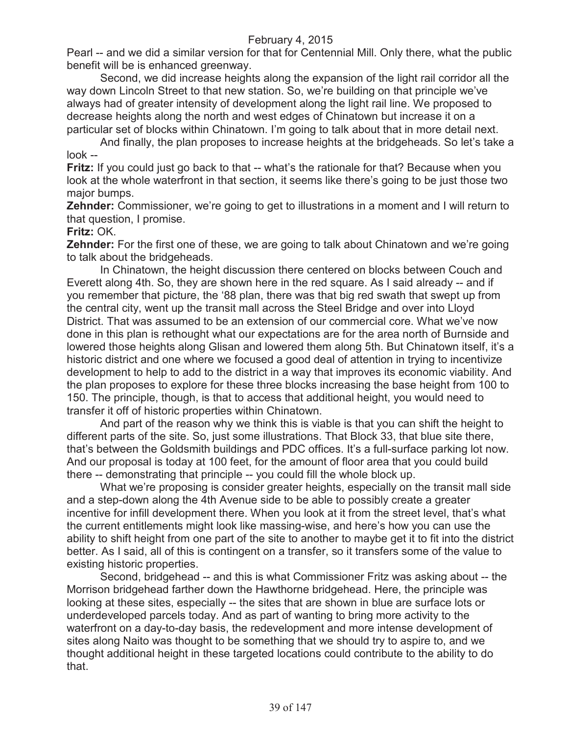Pearl -- and we did a similar version for that for Centennial Mill. Only there, what the public benefit will be is enhanced greenway.

Second, we did increase heights along the expansion of the light rail corridor all the way down Lincoln Street to that new station. So, we're building on that principle we've always had of greater intensity of development along the light rail line. We proposed to decrease heights along the north and west edges of Chinatown but increase it on a particular set of blocks within Chinatown. I'm going to talk about that in more detail next.

And finally, the plan proposes to increase heights at the bridgeheads. So let's take a look --

**Fritz:** If you could just go back to that -- what's the rationale for that? Because when you look at the whole waterfront in that section, it seems like there's going to be just those two major bumps.

**Zehnder:** Commissioner, we're going to get to illustrations in a moment and I will return to that question, I promise.

## **Fritz:** OK.

**Zehnder:** For the first one of these, we are going to talk about Chinatown and we're going to talk about the bridgeheads.

In Chinatown, the height discussion there centered on blocks between Couch and Everett along 4th. So, they are shown here in the red square. As I said already -- and if you remember that picture, the '88 plan, there was that big red swath that swept up from the central city, went up the transit mall across the Steel Bridge and over into Lloyd District. That was assumed to be an extension of our commercial core. What we've now done in this plan is rethought what our expectations are for the area north of Burnside and lowered those heights along Glisan and lowered them along 5th. But Chinatown itself, it's a historic district and one where we focused a good deal of attention in trying to incentivize development to help to add to the district in a way that improves its economic viability. And the plan proposes to explore for these three blocks increasing the base height from 100 to 150. The principle, though, is that to access that additional height, you would need to transfer it off of historic properties within Chinatown.

And part of the reason why we think this is viable is that you can shift the height to different parts of the site. So, just some illustrations. That Block 33, that blue site there, that's between the Goldsmith buildings and PDC offices. It's a full-surface parking lot now. And our proposal is today at 100 feet, for the amount of floor area that you could build there -- demonstrating that principle -- you could fill the whole block up.

What we're proposing is consider greater heights, especially on the transit mall side and a step-down along the 4th Avenue side to be able to possibly create a greater incentive for infill development there. When you look at it from the street level, that's what the current entitlements might look like massing-wise, and here's how you can use the ability to shift height from one part of the site to another to maybe get it to fit into the district better. As I said, all of this is contingent on a transfer, so it transfers some of the value to existing historic properties.

Second, bridgehead -- and this is what Commissioner Fritz was asking about -- the Morrison bridgehead farther down the Hawthorne bridgehead. Here, the principle was looking at these sites, especially -- the sites that are shown in blue are surface lots or underdeveloped parcels today. And as part of wanting to bring more activity to the waterfront on a day-to-day basis, the redevelopment and more intense development of sites along Naito was thought to be something that we should try to aspire to, and we thought additional height in these targeted locations could contribute to the ability to do that.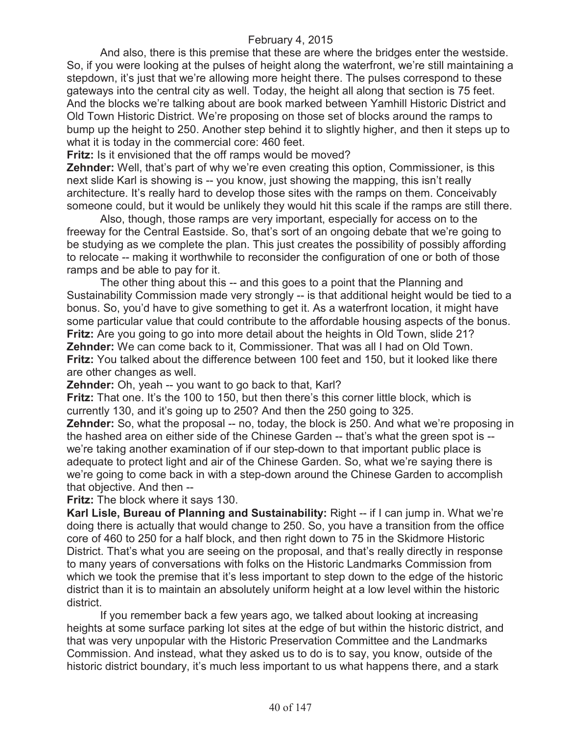And also, there is this premise that these are where the bridges enter the westside. So, if you were looking at the pulses of height along the waterfront, we're still maintaining a stepdown, it's just that we're allowing more height there. The pulses correspond to these gateways into the central city as well. Today, the height all along that section is 75 feet. And the blocks we're talking about are book marked between Yamhill Historic District and Old Town Historic District. We're proposing on those set of blocks around the ramps to bump up the height to 250. Another step behind it to slightly higher, and then it steps up to what it is today in the commercial core: 460 feet.

**Fritz:** Is it envisioned that the off ramps would be moved?

**Zehnder:** Well, that's part of why we're even creating this option, Commissioner, is this next slide Karl is showing is -- you know, just showing the mapping, this isn't really architecture. It's really hard to develop those sites with the ramps on them. Conceivably someone could, but it would be unlikely they would hit this scale if the ramps are still there.

Also, though, those ramps are very important, especially for access on to the freeway for the Central Eastside. So, that's sort of an ongoing debate that we're going to be studying as we complete the plan. This just creates the possibility of possibly affording to relocate -- making it worthwhile to reconsider the configuration of one or both of those ramps and be able to pay for it.

The other thing about this -- and this goes to a point that the Planning and Sustainability Commission made very strongly -- is that additional height would be tied to a bonus. So, you'd have to give something to get it. As a waterfront location, it might have some particular value that could contribute to the affordable housing aspects of the bonus. **Fritz:** Are you going to go into more detail about the heights in Old Town, slide 21? **Zehnder:** We can come back to it, Commissioner. That was all I had on Old Town. **Fritz:** You talked about the difference between 100 feet and 150, but it looked like there are other changes as well.

**Zehnder:** Oh, yeah -- you want to go back to that, Karl?

**Fritz:** That one. It's the 100 to 150, but then there's this corner little block, which is currently 130, and it's going up to 250? And then the 250 going to 325.

**Zehnder:** So, what the proposal -- no, today, the block is 250. And what we're proposing in the hashed area on either side of the Chinese Garden -- that's what the green spot is - we're taking another examination of if our step-down to that important public place is adequate to protect light and air of the Chinese Garden. So, what we're saying there is we're going to come back in with a step-down around the Chinese Garden to accomplish that objective. And then --

**Fritz:** The block where it says 130.

**Karl Lisle, Bureau of Planning and Sustainability:** Right -- if I can jump in. What we're doing there is actually that would change to 250. So, you have a transition from the office core of 460 to 250 for a half block, and then right down to 75 in the Skidmore Historic District. That's what you are seeing on the proposal, and that's really directly in response to many years of conversations with folks on the Historic Landmarks Commission from which we took the premise that it's less important to step down to the edge of the historic district than it is to maintain an absolutely uniform height at a low level within the historic district.

If you remember back a few years ago, we talked about looking at increasing heights at some surface parking lot sites at the edge of but within the historic district, and that was very unpopular with the Historic Preservation Committee and the Landmarks Commission. And instead, what they asked us to do is to say, you know, outside of the historic district boundary, it's much less important to us what happens there, and a stark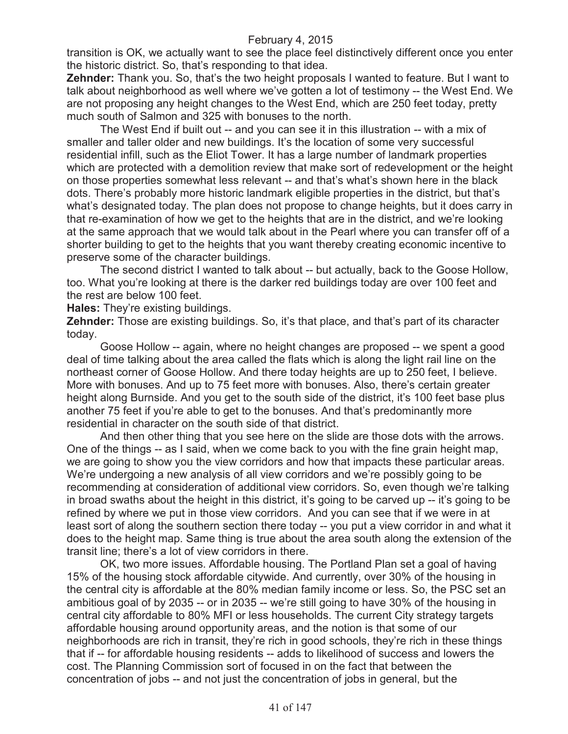transition is OK, we actually want to see the place feel distinctively different once you enter the historic district. So, that's responding to that idea.

**Zehnder:** Thank you. So, that's the two height proposals I wanted to feature. But I want to talk about neighborhood as well where we've gotten a lot of testimony -- the West End. We are not proposing any height changes to the West End, which are 250 feet today, pretty much south of Salmon and 325 with bonuses to the north.

The West End if built out -- and you can see it in this illustration -- with a mix of smaller and taller older and new buildings. It's the location of some very successful residential infill, such as the Eliot Tower. It has a large number of landmark properties which are protected with a demolition review that make sort of redevelopment or the height on those properties somewhat less relevant -- and that's what's shown here in the black dots. There's probably more historic landmark eligible properties in the district, but that's what's designated today. The plan does not propose to change heights, but it does carry in that re-examination of how we get to the heights that are in the district, and we're looking at the same approach that we would talk about in the Pearl where you can transfer off of a shorter building to get to the heights that you want thereby creating economic incentive to preserve some of the character buildings.

The second district I wanted to talk about -- but actually, back to the Goose Hollow, too. What you're looking at there is the darker red buildings today are over 100 feet and the rest are below 100 feet.

**Hales:** They're existing buildings.

**Zehnder:** Those are existing buildings. So, it's that place, and that's part of its character today.

Goose Hollow -- again, where no height changes are proposed -- we spent a good deal of time talking about the area called the flats which is along the light rail line on the northeast corner of Goose Hollow. And there today heights are up to 250 feet, I believe. More with bonuses. And up to 75 feet more with bonuses. Also, there's certain greater height along Burnside. And you get to the south side of the district, it's 100 feet base plus another 75 feet if you're able to get to the bonuses. And that's predominantly more residential in character on the south side of that district.

And then other thing that you see here on the slide are those dots with the arrows. One of the things -- as I said, when we come back to you with the fine grain height map, we are going to show you the view corridors and how that impacts these particular areas. We're undergoing a new analysis of all view corridors and we're possibly going to be recommending at consideration of additional view corridors. So, even though we're talking in broad swaths about the height in this district, it's going to be carved up -- it's going to be refined by where we put in those view corridors. And you can see that if we were in at least sort of along the southern section there today -- you put a view corridor in and what it does to the height map. Same thing is true about the area south along the extension of the transit line; there's a lot of view corridors in there.

OK, two more issues. Affordable housing. The Portland Plan set a goal of having 15% of the housing stock affordable citywide. And currently, over 30% of the housing in the central city is affordable at the 80% median family income or less. So, the PSC set an ambitious goal of by 2035 -- or in 2035 -- we're still going to have 30% of the housing in central city affordable to 80% MFI or less households. The current City strategy targets affordable housing around opportunity areas, and the notion is that some of our neighborhoods are rich in transit, they're rich in good schools, they're rich in these things that if -- for affordable housing residents -- adds to likelihood of success and lowers the cost. The Planning Commission sort of focused in on the fact that between the concentration of jobs -- and not just the concentration of jobs in general, but the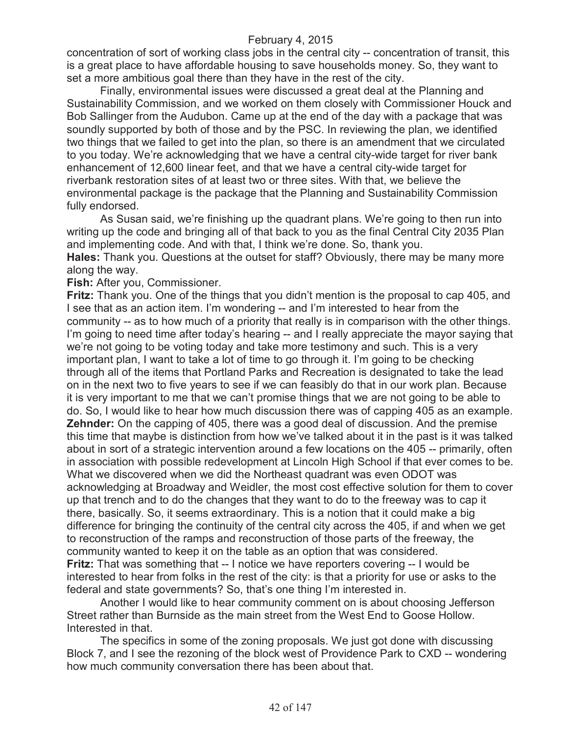concentration of sort of working class jobs in the central city -- concentration of transit, this is a great place to have affordable housing to save households money. So, they want to set a more ambitious goal there than they have in the rest of the city.

Finally, environmental issues were discussed a great deal at the Planning and Sustainability Commission, and we worked on them closely with Commissioner Houck and Bob Sallinger from the Audubon. Came up at the end of the day with a package that was soundly supported by both of those and by the PSC. In reviewing the plan, we identified two things that we failed to get into the plan, so there is an amendment that we circulated to you today. We're acknowledging that we have a central city-wide target for river bank enhancement of 12,600 linear feet, and that we have a central city-wide target for riverbank restoration sites of at least two or three sites. With that, we believe the environmental package is the package that the Planning and Sustainability Commission fully endorsed.

As Susan said, we're finishing up the quadrant plans. We're going to then run into writing up the code and bringing all of that back to you as the final Central City 2035 Plan and implementing code. And with that, I think we're done. So, thank you. **Hales:** Thank you. Questions at the outset for staff? Obviously, there may be many more along the way.

**Fish:** After you, Commissioner.

**Fritz:** Thank you. One of the things that you didn't mention is the proposal to cap 405, and I see that as an action item. I'm wondering -- and I'm interested to hear from the community -- as to how much of a priority that really is in comparison with the other things. I'm going to need time after today's hearing -- and I really appreciate the mayor saying that we're not going to be voting today and take more testimony and such. This is a very important plan, I want to take a lot of time to go through it. I'm going to be checking through all of the items that Portland Parks and Recreation is designated to take the lead on in the next two to five years to see if we can feasibly do that in our work plan. Because it is very important to me that we can't promise things that we are not going to be able to do. So, I would like to hear how much discussion there was of capping 405 as an example. **Zehnder:** On the capping of 405, there was a good deal of discussion. And the premise this time that maybe is distinction from how we've talked about it in the past is it was talked about in sort of a strategic intervention around a few locations on the 405 -- primarily, often in association with possible redevelopment at Lincoln High School if that ever comes to be. What we discovered when we did the Northeast quadrant was even ODOT was acknowledging at Broadway and Weidler, the most cost effective solution for them to cover up that trench and to do the changes that they want to do to the freeway was to cap it there, basically. So, it seems extraordinary. This is a notion that it could make a big difference for bringing the continuity of the central city across the 405, if and when we get to reconstruction of the ramps and reconstruction of those parts of the freeway, the community wanted to keep it on the table as an option that was considered. **Fritz:** That was something that -- I notice we have reporters covering -- I would be interested to hear from folks in the rest of the city: is that a priority for use or asks to the federal and state governments? So, that's one thing I'm interested in.

Another I would like to hear community comment on is about choosing Jefferson Street rather than Burnside as the main street from the West End to Goose Hollow. Interested in that.

The specifics in some of the zoning proposals. We just got done with discussing Block 7, and I see the rezoning of the block west of Providence Park to CXD -- wondering how much community conversation there has been about that.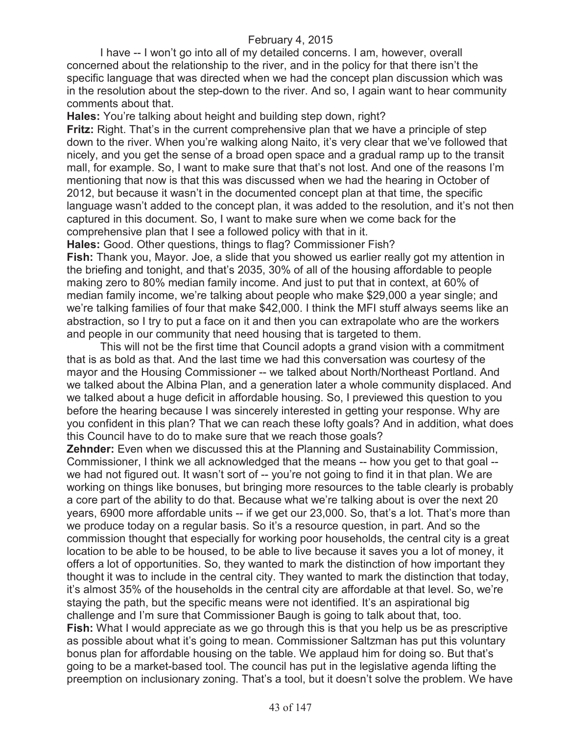I have -- I won't go into all of my detailed concerns. I am, however, overall concerned about the relationship to the river, and in the policy for that there isn't the specific language that was directed when we had the concept plan discussion which was in the resolution about the step-down to the river. And so, I again want to hear community comments about that.

**Hales:** You're talking about height and building step down, right?

**Fritz:** Right. That's in the current comprehensive plan that we have a principle of step down to the river. When you're walking along Naito, it's very clear that we've followed that nicely, and you get the sense of a broad open space and a gradual ramp up to the transit mall, for example. So, I want to make sure that that's not lost. And one of the reasons I'm mentioning that now is that this was discussed when we had the hearing in October of 2012, but because it wasn't in the documented concept plan at that time, the specific language wasn't added to the concept plan, it was added to the resolution, and it's not then captured in this document. So, I want to make sure when we come back for the comprehensive plan that I see a followed policy with that in it.

**Hales:** Good. Other questions, things to flag? Commissioner Fish?

**Fish:** Thank you, Mayor. Joe, a slide that you showed us earlier really got my attention in the briefing and tonight, and that's 2035, 30% of all of the housing affordable to people making zero to 80% median family income. And just to put that in context, at 60% of median family income, we're talking about people who make \$29,000 a year single; and we're talking families of four that make \$42,000. I think the MFI stuff always seems like an abstraction, so I try to put a face on it and then you can extrapolate who are the workers and people in our community that need housing that is targeted to them.

This will not be the first time that Council adopts a grand vision with a commitment that is as bold as that. And the last time we had this conversation was courtesy of the mayor and the Housing Commissioner -- we talked about North/Northeast Portland. And we talked about the Albina Plan, and a generation later a whole community displaced. And we talked about a huge deficit in affordable housing. So, I previewed this question to you before the hearing because I was sincerely interested in getting your response. Why are you confident in this plan? That we can reach these lofty goals? And in addition, what does this Council have to do to make sure that we reach those goals?

**Zehnder:** Even when we discussed this at the Planning and Sustainability Commission, Commissioner, I think we all acknowledged that the means -- how you get to that goal - we had not figured out. It wasn't sort of -- you're not going to find it in that plan. We are working on things like bonuses, but bringing more resources to the table clearly is probably a core part of the ability to do that. Because what we're talking about is over the next 20 years, 6900 more affordable units -- if we get our 23,000. So, that's a lot. That's more than we produce today on a regular basis. So it's a resource question, in part. And so the commission thought that especially for working poor households, the central city is a great location to be able to be housed, to be able to live because it saves you a lot of money, it offers a lot of opportunities. So, they wanted to mark the distinction of how important they thought it was to include in the central city. They wanted to mark the distinction that today, it's almost 35% of the households in the central city are affordable at that level. So, we're staying the path, but the specific means were not identified. It's an aspirational big challenge and I'm sure that Commissioner Baugh is going to talk about that, too. **Fish:** What I would appreciate as we go through this is that you help us be as prescriptive as possible about what it's going to mean. Commissioner Saltzman has put this voluntary bonus plan for affordable housing on the table. We applaud him for doing so. But that's going to be a market-based tool. The council has put in the legislative agenda lifting the preemption on inclusionary zoning. That's a tool, but it doesn't solve the problem. We have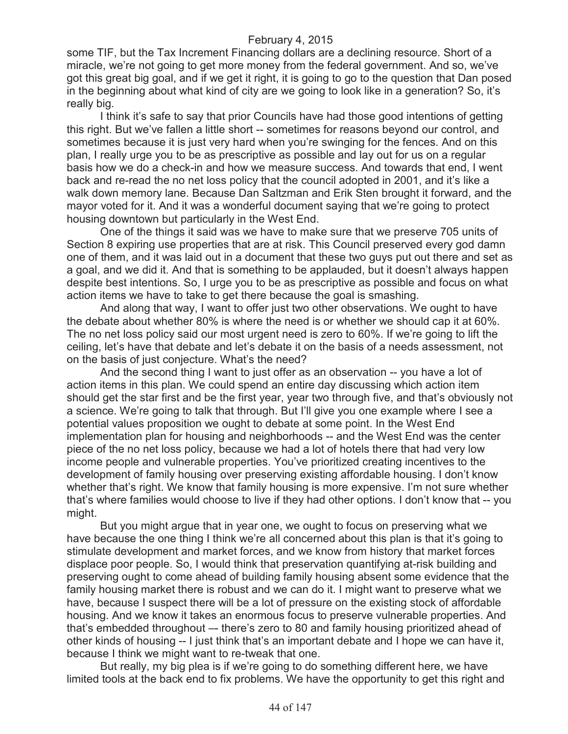some TIF, but the Tax Increment Financing dollars are a declining resource. Short of a miracle, we're not going to get more money from the federal government. And so, we've got this great big goal, and if we get it right, it is going to go to the question that Dan posed in the beginning about what kind of city are we going to look like in a generation? So, it's really big.

I think it's safe to say that prior Councils have had those good intentions of getting this right. But we've fallen a little short -- sometimes for reasons beyond our control, and sometimes because it is just very hard when you're swinging for the fences. And on this plan, I really urge you to be as prescriptive as possible and lay out for us on a regular basis how we do a check-in and how we measure success. And towards that end, I went back and re-read the no net loss policy that the council adopted in 2001, and it's like a walk down memory lane. Because Dan Saltzman and Erik Sten brought it forward, and the mayor voted for it. And it was a wonderful document saying that we're going to protect housing downtown but particularly in the West End.

One of the things it said was we have to make sure that we preserve 705 units of Section 8 expiring use properties that are at risk. This Council preserved every god damn one of them, and it was laid out in a document that these two guys put out there and set as a goal, and we did it. And that is something to be applauded, but it doesn't always happen despite best intentions. So, I urge you to be as prescriptive as possible and focus on what action items we have to take to get there because the goal is smashing.

And along that way, I want to offer just two other observations. We ought to have the debate about whether 80% is where the need is or whether we should cap it at 60%. The no net loss policy said our most urgent need is zero to 60%. If we're going to lift the ceiling, let's have that debate and let's debate it on the basis of a needs assessment, not on the basis of just conjecture. What's the need?

And the second thing I want to just offer as an observation -- you have a lot of action items in this plan. We could spend an entire day discussing which action item should get the star first and be the first year, year two through five, and that's obviously not a science. We're going to talk that through. But I'll give you one example where I see a potential values proposition we ought to debate at some point. In the West End implementation plan for housing and neighborhoods -- and the West End was the center piece of the no net loss policy, because we had a lot of hotels there that had very low income people and vulnerable properties. You've prioritized creating incentives to the development of family housing over preserving existing affordable housing. I don't know whether that's right. We know that family housing is more expensive. I'm not sure whether that's where families would choose to live if they had other options. I don't know that -- you might.

But you might argue that in year one, we ought to focus on preserving what we have because the one thing I think we're all concerned about this plan is that it's going to stimulate development and market forces, and we know from history that market forces displace poor people. So, I would think that preservation quantifying at-risk building and preserving ought to come ahead of building family housing absent some evidence that the family housing market there is robust and we can do it. I might want to preserve what we have, because I suspect there will be a lot of pressure on the existing stock of affordable housing. And we know it takes an enormous focus to preserve vulnerable properties. And that's embedded throughout –- there's zero to 80 and family housing prioritized ahead of other kinds of housing -- I just think that's an important debate and I hope we can have it, because I think we might want to re-tweak that one.

But really, my big plea is if we're going to do something different here, we have limited tools at the back end to fix problems. We have the opportunity to get this right and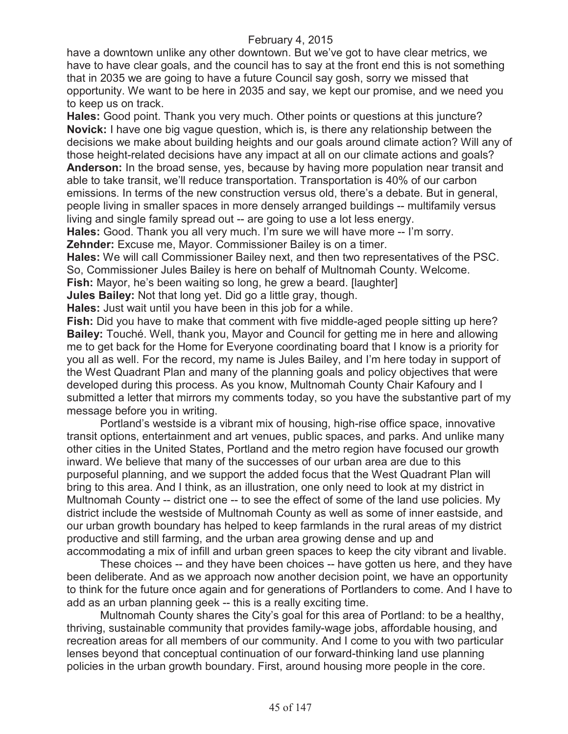have a downtown unlike any other downtown. But we've got to have clear metrics, we have to have clear goals, and the council has to say at the front end this is not something that in 2035 we are going to have a future Council say gosh, sorry we missed that opportunity. We want to be here in 2035 and say, we kept our promise, and we need you to keep us on track.

**Hales:** Good point. Thank you very much. Other points or questions at this juncture? **Novick:** I have one big vague question, which is, is there any relationship between the decisions we make about building heights and our goals around climate action? Will any of those height-related decisions have any impact at all on our climate actions and goals? **Anderson:** In the broad sense, yes, because by having more population near transit and able to take transit, we'll reduce transportation. Transportation is 40% of our carbon emissions. In terms of the new construction versus old, there's a debate. But in general, people living in smaller spaces in more densely arranged buildings -- multifamily versus living and single family spread out -- are going to use a lot less energy.

**Hales:** Good. Thank you all very much. I'm sure we will have more -- I'm sorry. **Zehnder:** Excuse me, Mayor. Commissioner Bailey is on a timer.

**Hales:** We will call Commissioner Bailey next, and then two representatives of the PSC. So, Commissioner Jules Bailey is here on behalf of Multnomah County. Welcome.

**Fish:** Mayor, he's been waiting so long, he grew a beard. [laughter]

**Jules Bailey:** Not that long yet. Did go a little gray, though.

**Hales:** Just wait until you have been in this job for a while.

**Fish:** Did you have to make that comment with five middle-aged people sitting up here? **Bailey:** Touché. Well, thank you, Mayor and Council for getting me in here and allowing me to get back for the Home for Everyone coordinating board that I know is a priority for you all as well. For the record, my name is Jules Bailey, and I'm here today in support of the West Quadrant Plan and many of the planning goals and policy objectives that were developed during this process. As you know, Multnomah County Chair Kafoury and I submitted a letter that mirrors my comments today, so you have the substantive part of my message before you in writing.

Portland's westside is a vibrant mix of housing, high-rise office space, innovative transit options, entertainment and art venues, public spaces, and parks. And unlike many other cities in the United States, Portland and the metro region have focused our growth inward. We believe that many of the successes of our urban area are due to this purposeful planning, and we support the added focus that the West Quadrant Plan will bring to this area. And I think, as an illustration, one only need to look at my district in Multnomah County -- district one -- to see the effect of some of the land use policies. My district include the westside of Multnomah County as well as some of inner eastside, and our urban growth boundary has helped to keep farmlands in the rural areas of my district productive and still farming, and the urban area growing dense and up and accommodating a mix of infill and urban green spaces to keep the city vibrant and livable.

These choices -- and they have been choices -- have gotten us here, and they have been deliberate. And as we approach now another decision point, we have an opportunity to think for the future once again and for generations of Portlanders to come. And I have to add as an urban planning geek -- this is a really exciting time.

Multnomah County shares the City's goal for this area of Portland: to be a healthy, thriving, sustainable community that provides family-wage jobs, affordable housing, and recreation areas for all members of our community. And I come to you with two particular lenses beyond that conceptual continuation of our forward-thinking land use planning policies in the urban growth boundary. First, around housing more people in the core.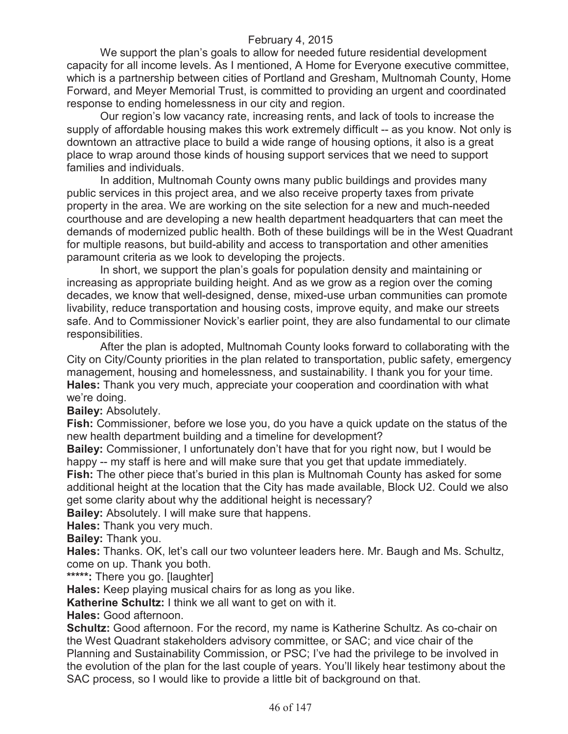We support the plan's goals to allow for needed future residential development capacity for all income levels. As I mentioned, A Home for Everyone executive committee, which is a partnership between cities of Portland and Gresham, Multnomah County, Home Forward, and Meyer Memorial Trust, is committed to providing an urgent and coordinated response to ending homelessness in our city and region.

Our region's low vacancy rate, increasing rents, and lack of tools to increase the supply of affordable housing makes this work extremely difficult -- as you know. Not only is downtown an attractive place to build a wide range of housing options, it also is a great place to wrap around those kinds of housing support services that we need to support families and individuals.

In addition, Multnomah County owns many public buildings and provides many public services in this project area, and we also receive property taxes from private property in the area. We are working on the site selection for a new and much-needed courthouse and are developing a new health department headquarters that can meet the demands of modernized public health. Both of these buildings will be in the West Quadrant for multiple reasons, but build-ability and access to transportation and other amenities paramount criteria as we look to developing the projects.

In short, we support the plan's goals for population density and maintaining or increasing as appropriate building height. And as we grow as a region over the coming decades, we know that well-designed, dense, mixed-use urban communities can promote livability, reduce transportation and housing costs, improve equity, and make our streets safe. And to Commissioner Novick's earlier point, they are also fundamental to our climate responsibilities.

After the plan is adopted, Multnomah County looks forward to collaborating with the City on City/County priorities in the plan related to transportation, public safety, emergency management, housing and homelessness, and sustainability. I thank you for your time. **Hales:** Thank you very much, appreciate your cooperation and coordination with what we're doing.

**Bailey:** Absolutely.

**Fish:** Commissioner, before we lose you, do you have a quick update on the status of the new health department building and a timeline for development?

**Bailey:** Commissioner, I unfortunately don't have that for you right now, but I would be happy -- my staff is here and will make sure that you get that update immediately.

**Fish:** The other piece that's buried in this plan is Multnomah County has asked for some additional height at the location that the City has made available, Block U2. Could we also get some clarity about why the additional height is necessary?

**Bailey:** Absolutely. I will make sure that happens.

**Hales:** Thank you very much.

**Bailey:** Thank you.

**Hales:** Thanks. OK, let's call our two volunteer leaders here. Mr. Baugh and Ms. Schultz, come on up. Thank you both.

**\*\*\*\*\*:** There you go. [laughter]

**Hales:** Keep playing musical chairs for as long as you like.

**Katherine Schultz:** I think we all want to get on with it.

**Hales:** Good afternoon.

**Schultz:** Good afternoon. For the record, my name is Katherine Schultz. As co-chair on the West Quadrant stakeholders advisory committee, or SAC; and vice chair of the Planning and Sustainability Commission, or PSC; I've had the privilege to be involved in the evolution of the plan for the last couple of years. You'll likely hear testimony about the SAC process, so I would like to provide a little bit of background on that.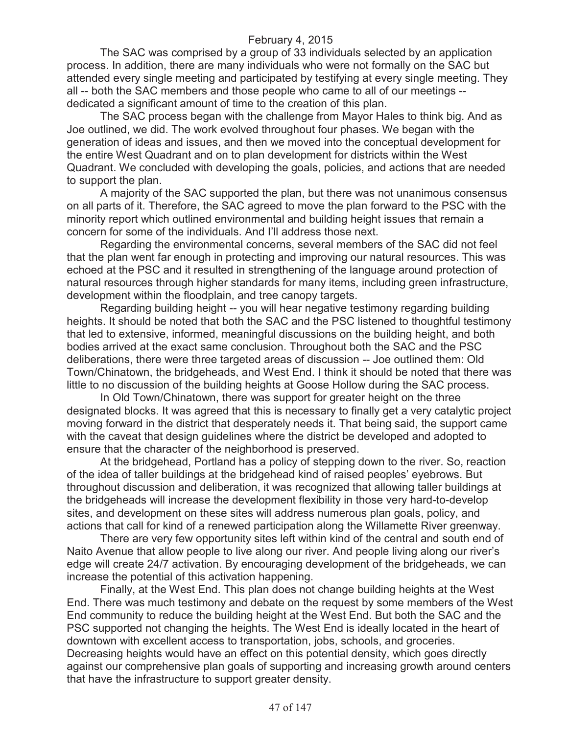The SAC was comprised by a group of 33 individuals selected by an application process. In addition, there are many individuals who were not formally on the SAC but attended every single meeting and participated by testifying at every single meeting. They all -- both the SAC members and those people who came to all of our meetings - dedicated a significant amount of time to the creation of this plan.

The SAC process began with the challenge from Mayor Hales to think big. And as Joe outlined, we did. The work evolved throughout four phases. We began with the generation of ideas and issues, and then we moved into the conceptual development for the entire West Quadrant and on to plan development for districts within the West Quadrant. We concluded with developing the goals, policies, and actions that are needed to support the plan.

A majority of the SAC supported the plan, but there was not unanimous consensus on all parts of it. Therefore, the SAC agreed to move the plan forward to the PSC with the minority report which outlined environmental and building height issues that remain a concern for some of the individuals. And I'll address those next.

Regarding the environmental concerns, several members of the SAC did not feel that the plan went far enough in protecting and improving our natural resources. This was echoed at the PSC and it resulted in strengthening of the language around protection of natural resources through higher standards for many items, including green infrastructure, development within the floodplain, and tree canopy targets.

Regarding building height -- you will hear negative testimony regarding building heights. It should be noted that both the SAC and the PSC listened to thoughtful testimony that led to extensive, informed, meaningful discussions on the building height, and both bodies arrived at the exact same conclusion. Throughout both the SAC and the PSC deliberations, there were three targeted areas of discussion -- Joe outlined them: Old Town/Chinatown, the bridgeheads, and West End. I think it should be noted that there was little to no discussion of the building heights at Goose Hollow during the SAC process.

In Old Town/Chinatown, there was support for greater height on the three designated blocks. It was agreed that this is necessary to finally get a very catalytic project moving forward in the district that desperately needs it. That being said, the support came with the caveat that design guidelines where the district be developed and adopted to ensure that the character of the neighborhood is preserved.

At the bridgehead, Portland has a policy of stepping down to the river. So, reaction of the idea of taller buildings at the bridgehead kind of raised peoples' eyebrows. But throughout discussion and deliberation, it was recognized that allowing taller buildings at the bridgeheads will increase the development flexibility in those very hard-to-develop sites, and development on these sites will address numerous plan goals, policy, and actions that call for kind of a renewed participation along the Willamette River greenway.

There are very few opportunity sites left within kind of the central and south end of Naito Avenue that allow people to live along our river. And people living along our river's edge will create 24/7 activation. By encouraging development of the bridgeheads, we can increase the potential of this activation happening.

Finally, at the West End. This plan does not change building heights at the West End. There was much testimony and debate on the request by some members of the West End community to reduce the building height at the West End. But both the SAC and the PSC supported not changing the heights. The West End is ideally located in the heart of downtown with excellent access to transportation, jobs, schools, and groceries. Decreasing heights would have an effect on this potential density, which goes directly against our comprehensive plan goals of supporting and increasing growth around centers that have the infrastructure to support greater density.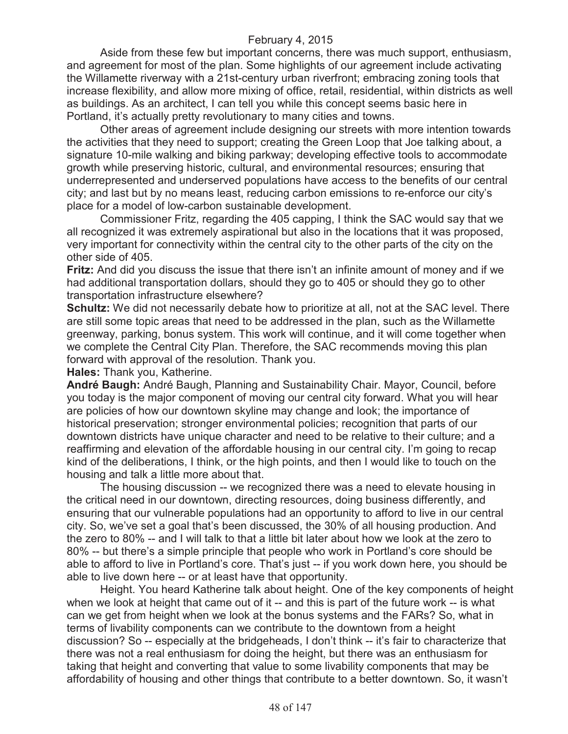Aside from these few but important concerns, there was much support, enthusiasm, and agreement for most of the plan. Some highlights of our agreement include activating the Willamette riverway with a 21st-century urban riverfront; embracing zoning tools that increase flexibility, and allow more mixing of office, retail, residential, within districts as well as buildings. As an architect, I can tell you while this concept seems basic here in Portland, it's actually pretty revolutionary to many cities and towns.

Other areas of agreement include designing our streets with more intention towards the activities that they need to support; creating the Green Loop that Joe talking about, a signature 10-mile walking and biking parkway; developing effective tools to accommodate growth while preserving historic, cultural, and environmental resources; ensuring that underrepresented and underserved populations have access to the benefits of our central city; and last but by no means least, reducing carbon emissions to re-enforce our city's place for a model of low-carbon sustainable development.

Commissioner Fritz, regarding the 405 capping, I think the SAC would say that we all recognized it was extremely aspirational but also in the locations that it was proposed, very important for connectivity within the central city to the other parts of the city on the other side of 405.

**Fritz:** And did you discuss the issue that there isn't an infinite amount of money and if we had additional transportation dollars, should they go to 405 or should they go to other transportation infrastructure elsewhere?

**Schultz:** We did not necessarily debate how to prioritize at all, not at the SAC level. There are still some topic areas that need to be addressed in the plan, such as the Willamette greenway, parking, bonus system. This work will continue, and it will come together when we complete the Central City Plan. Therefore, the SAC recommends moving this plan forward with approval of the resolution. Thank you.

**Hales:** Thank you, Katherine.

**André Baugh:** André Baugh, Planning and Sustainability Chair. Mayor, Council, before you today is the major component of moving our central city forward. What you will hear are policies of how our downtown skyline may change and look; the importance of historical preservation; stronger environmental policies; recognition that parts of our downtown districts have unique character and need to be relative to their culture; and a reaffirming and elevation of the affordable housing in our central city. I'm going to recap kind of the deliberations, I think, or the high points, and then I would like to touch on the housing and talk a little more about that.

The housing discussion -- we recognized there was a need to elevate housing in the critical need in our downtown, directing resources, doing business differently, and ensuring that our vulnerable populations had an opportunity to afford to live in our central city. So, we've set a goal that's been discussed, the 30% of all housing production. And the zero to 80% -- and I will talk to that a little bit later about how we look at the zero to 80% -- but there's a simple principle that people who work in Portland's core should be able to afford to live in Portland's core. That's just -- if you work down here, you should be able to live down here -- or at least have that opportunity.

Height. You heard Katherine talk about height. One of the key components of height when we look at height that came out of it -- and this is part of the future work -- is what can we get from height when we look at the bonus systems and the FARs? So, what in terms of livability components can we contribute to the downtown from a height discussion? So -- especially at the bridgeheads, I don't think -- it's fair to characterize that there was not a real enthusiasm for doing the height, but there was an enthusiasm for taking that height and converting that value to some livability components that may be affordability of housing and other things that contribute to a better downtown. So, it wasn't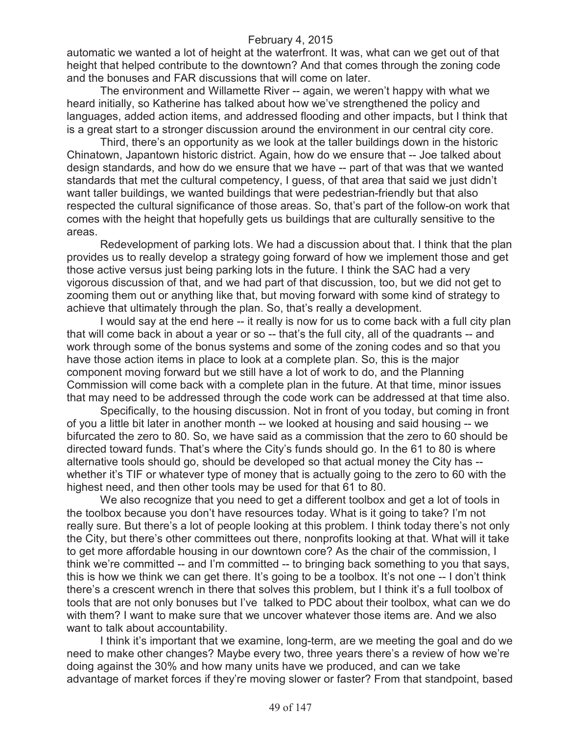automatic we wanted a lot of height at the waterfront. It was, what can we get out of that height that helped contribute to the downtown? And that comes through the zoning code and the bonuses and FAR discussions that will come on later.

The environment and Willamette River -- again, we weren't happy with what we heard initially, so Katherine has talked about how we've strengthened the policy and languages, added action items, and addressed flooding and other impacts, but I think that is a great start to a stronger discussion around the environment in our central city core.

Third, there's an opportunity as we look at the taller buildings down in the historic Chinatown, Japantown historic district. Again, how do we ensure that -- Joe talked about design standards, and how do we ensure that we have -- part of that was that we wanted standards that met the cultural competency, I guess, of that area that said we just didn't want taller buildings, we wanted buildings that were pedestrian-friendly but that also respected the cultural significance of those areas. So, that's part of the follow-on work that comes with the height that hopefully gets us buildings that are culturally sensitive to the areas.

Redevelopment of parking lots. We had a discussion about that. I think that the plan provides us to really develop a strategy going forward of how we implement those and get those active versus just being parking lots in the future. I think the SAC had a very vigorous discussion of that, and we had part of that discussion, too, but we did not get to zooming them out or anything like that, but moving forward with some kind of strategy to achieve that ultimately through the plan. So, that's really a development.

I would say at the end here -- it really is now for us to come back with a full city plan that will come back in about a year or so -- that's the full city, all of the quadrants -- and work through some of the bonus systems and some of the zoning codes and so that you have those action items in place to look at a complete plan. So, this is the major component moving forward but we still have a lot of work to do, and the Planning Commission will come back with a complete plan in the future. At that time, minor issues that may need to be addressed through the code work can be addressed at that time also.

Specifically, to the housing discussion. Not in front of you today, but coming in front of you a little bit later in another month -- we looked at housing and said housing -- we bifurcated the zero to 80. So, we have said as a commission that the zero to 60 should be directed toward funds. That's where the City's funds should go. In the 61 to 80 is where alternative tools should go, should be developed so that actual money the City has - whether it's TIF or whatever type of money that is actually going to the zero to 60 with the highest need, and then other tools may be used for that 61 to 80.

We also recognize that you need to get a different toolbox and get a lot of tools in the toolbox because you don't have resources today. What is it going to take? I'm not really sure. But there's a lot of people looking at this problem. I think today there's not only the City, but there's other committees out there, nonprofits looking at that. What will it take to get more affordable housing in our downtown core? As the chair of the commission, I think we're committed -- and I'm committed -- to bringing back something to you that says, this is how we think we can get there. It's going to be a toolbox. It's not one -- I don't think there's a crescent wrench in there that solves this problem, but I think it's a full toolbox of tools that are not only bonuses but I've talked to PDC about their toolbox, what can we do with them? I want to make sure that we uncover whatever those items are. And we also want to talk about accountability.

I think it's important that we examine, long-term, are we meeting the goal and do we need to make other changes? Maybe every two, three years there's a review of how we're doing against the 30% and how many units have we produced, and can we take advantage of market forces if they're moving slower or faster? From that standpoint, based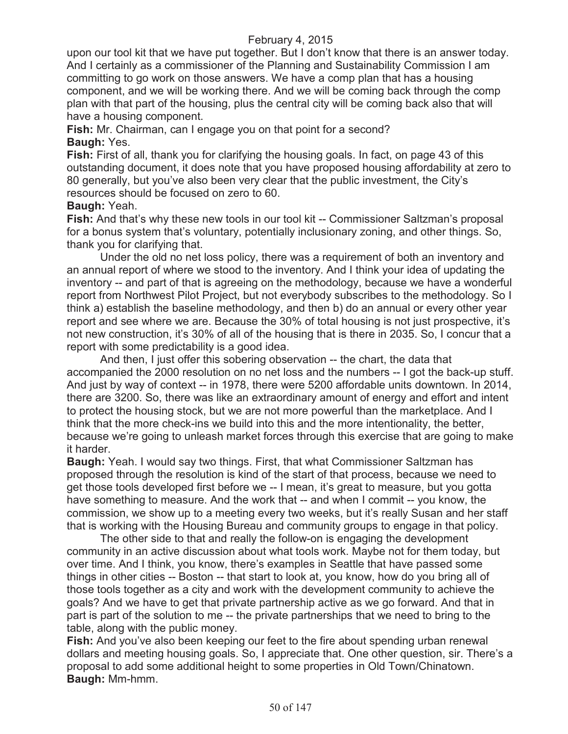upon our tool kit that we have put together. But I don't know that there is an answer today. And I certainly as a commissioner of the Planning and Sustainability Commission I am committing to go work on those answers. We have a comp plan that has a housing component, and we will be working there. And we will be coming back through the comp plan with that part of the housing, plus the central city will be coming back also that will have a housing component.

**Fish:** Mr. Chairman, can I engage you on that point for a second? **Baugh:** Yes.

**Fish:** First of all, thank you for clarifying the housing goals. In fact, on page 43 of this outstanding document, it does note that you have proposed housing affordability at zero to 80 generally, but you've also been very clear that the public investment, the City's resources should be focused on zero to 60.

## **Baugh:** Yeah.

**Fish:** And that's why these new tools in our tool kit -- Commissioner Saltzman's proposal for a bonus system that's voluntary, potentially inclusionary zoning, and other things. So, thank you for clarifying that.

Under the old no net loss policy, there was a requirement of both an inventory and an annual report of where we stood to the inventory. And I think your idea of updating the inventory -- and part of that is agreeing on the methodology, because we have a wonderful report from Northwest Pilot Project, but not everybody subscribes to the methodology. So I think a) establish the baseline methodology, and then b) do an annual or every other year report and see where we are. Because the 30% of total housing is not just prospective, it's not new construction, it's 30% of all of the housing that is there in 2035. So, I concur that a report with some predictability is a good idea.

And then, I just offer this sobering observation -- the chart, the data that accompanied the 2000 resolution on no net loss and the numbers -- I got the back-up stuff. And just by way of context -- in 1978, there were 5200 affordable units downtown. In 2014, there are 3200. So, there was like an extraordinary amount of energy and effort and intent to protect the housing stock, but we are not more powerful than the marketplace. And I think that the more check-ins we build into this and the more intentionality, the better, because we're going to unleash market forces through this exercise that are going to make it harder.

**Baugh:** Yeah. I would say two things. First, that what Commissioner Saltzman has proposed through the resolution is kind of the start of that process, because we need to get those tools developed first before we -- I mean, it's great to measure, but you gotta have something to measure. And the work that -- and when I commit -- you know, the commission, we show up to a meeting every two weeks, but it's really Susan and her staff that is working with the Housing Bureau and community groups to engage in that policy.

The other side to that and really the follow-on is engaging the development community in an active discussion about what tools work. Maybe not for them today, but over time. And I think, you know, there's examples in Seattle that have passed some things in other cities -- Boston -- that start to look at, you know, how do you bring all of those tools together as a city and work with the development community to achieve the goals? And we have to get that private partnership active as we go forward. And that in part is part of the solution to me -- the private partnerships that we need to bring to the table, along with the public money.

**Fish:** And you've also been keeping our feet to the fire about spending urban renewal dollars and meeting housing goals. So, I appreciate that. One other question, sir. There's a proposal to add some additional height to some properties in Old Town/Chinatown. **Baugh:** Mm-hmm.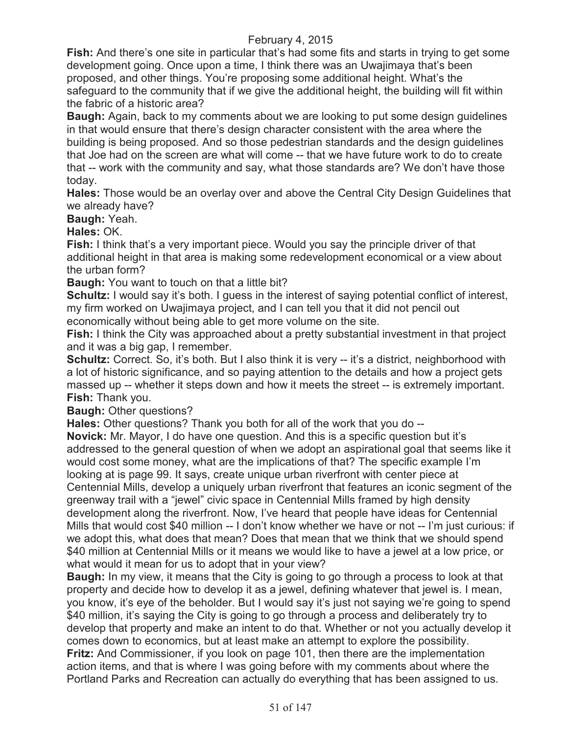**Fish:** And there's one site in particular that's had some fits and starts in trying to get some development going. Once upon a time, I think there was an Uwajimaya that's been proposed, and other things. You're proposing some additional height. What's the safeguard to the community that if we give the additional height, the building will fit within the fabric of a historic area?

**Baugh:** Again, back to my comments about we are looking to put some design guidelines in that would ensure that there's design character consistent with the area where the building is being proposed. And so those pedestrian standards and the design guidelines that Joe had on the screen are what will come -- that we have future work to do to create that -- work with the community and say, what those standards are? We don't have those today.

**Hales:** Those would be an overlay over and above the Central City Design Guidelines that we already have?

**Baugh:** Yeah.

**Hales:** OK.

**Fish:** I think that's a very important piece. Would you say the principle driver of that additional height in that area is making some redevelopment economical or a view about the urban form?

**Baugh:** You want to touch on that a little bit?

**Schultz:** I would say it's both. I guess in the interest of saying potential conflict of interest, my firm worked on Uwajimaya project, and I can tell you that it did not pencil out economically without being able to get more volume on the site.

**Fish:** I think the City was approached about a pretty substantial investment in that project and it was a big gap, I remember.

**Schultz:** Correct. So, it's both. But I also think it is very -- it's a district, neighborhood with a lot of historic significance, and so paying attention to the details and how a project gets massed up -- whether it steps down and how it meets the street -- is extremely important. **Fish:** Thank you.

**Baugh:** Other questions?

**Hales:** Other questions? Thank you both for all of the work that you do --

**Novick:** Mr. Mayor, I do have one question. And this is a specific question but it's addressed to the general question of when we adopt an aspirational goal that seems like it would cost some money, what are the implications of that? The specific example I'm looking at is page 99. It says, create unique urban riverfront with center piece at Centennial Mills, develop a uniquely urban riverfront that features an iconic segment of the greenway trail with a "jewel" civic space in Centennial Mills framed by high density development along the riverfront. Now, I've heard that people have ideas for Centennial Mills that would cost \$40 million -- I don't know whether we have or not -- I'm just curious: if we adopt this, what does that mean? Does that mean that we think that we should spend \$40 million at Centennial Mills or it means we would like to have a jewel at a low price, or what would it mean for us to adopt that in your view?

**Baugh:** In my view, it means that the City is going to go through a process to look at that property and decide how to develop it as a jewel, defining whatever that jewel is. I mean, you know, it's eye of the beholder. But I would say it's just not saying we're going to spend \$40 million, it's saying the City is going to go through a process and deliberately try to develop that property and make an intent to do that. Whether or not you actually develop it comes down to economics, but at least make an attempt to explore the possibility. **Fritz:** And Commissioner, if you look on page 101, then there are the implementation action items, and that is where I was going before with my comments about where the Portland Parks and Recreation can actually do everything that has been assigned to us.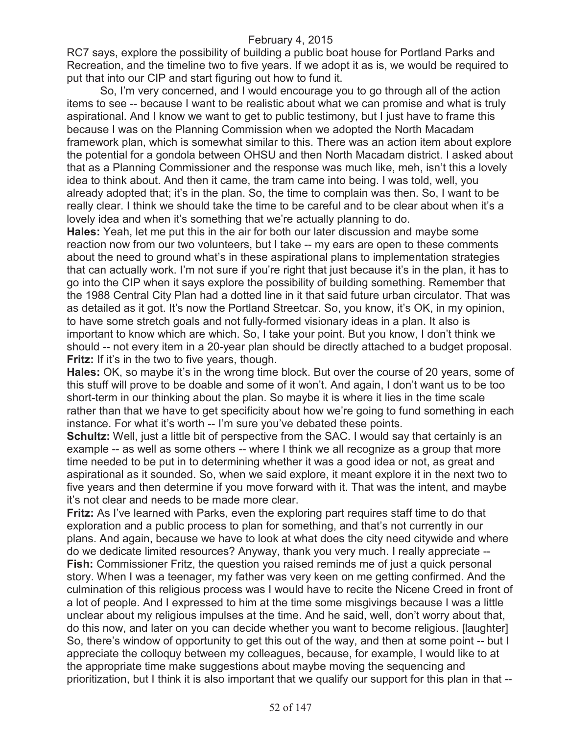RC7 says, explore the possibility of building a public boat house for Portland Parks and Recreation, and the timeline two to five years. If we adopt it as is, we would be required to put that into our CIP and start figuring out how to fund it.

So, I'm very concerned, and I would encourage you to go through all of the action items to see -- because I want to be realistic about what we can promise and what is truly aspirational. And I know we want to get to public testimony, but I just have to frame this because I was on the Planning Commission when we adopted the North Macadam framework plan, which is somewhat similar to this. There was an action item about explore the potential for a gondola between OHSU and then North Macadam district. I asked about that as a Planning Commissioner and the response was much like, meh, isn't this a lovely idea to think about. And then it came, the tram came into being. I was told, well, you already adopted that; it's in the plan. So, the time to complain was then. So, I want to be really clear. I think we should take the time to be careful and to be clear about when it's a lovely idea and when it's something that we're actually planning to do.

**Hales:** Yeah, let me put this in the air for both our later discussion and maybe some reaction now from our two volunteers, but I take -- my ears are open to these comments about the need to ground what's in these aspirational plans to implementation strategies that can actually work. I'm not sure if you're right that just because it's in the plan, it has to go into the CIP when it says explore the possibility of building something. Remember that the 1988 Central City Plan had a dotted line in it that said future urban circulator. That was as detailed as it got. It's now the Portland Streetcar. So, you know, it's OK, in my opinion, to have some stretch goals and not fully-formed visionary ideas in a plan. It also is important to know which are which. So, I take your point. But you know, I don't think we should -- not every item in a 20-year plan should be directly attached to a budget proposal. Fritz: If it's in the two to five years, though.

**Hales:** OK, so maybe it's in the wrong time block. But over the course of 20 years, some of this stuff will prove to be doable and some of it won't. And again, I don't want us to be too short-term in our thinking about the plan. So maybe it is where it lies in the time scale rather than that we have to get specificity about how we're going to fund something in each instance. For what it's worth -- I'm sure you've debated these points.

**Schultz:** Well, just a little bit of perspective from the SAC. I would say that certainly is an example -- as well as some others -- where I think we all recognize as a group that more time needed to be put in to determining whether it was a good idea or not, as great and aspirational as it sounded. So, when we said explore, it meant explore it in the next two to five years and then determine if you move forward with it. That was the intent, and maybe it's not clear and needs to be made more clear.

**Fritz:** As I've learned with Parks, even the exploring part requires staff time to do that exploration and a public process to plan for something, and that's not currently in our plans. And again, because we have to look at what does the city need citywide and where do we dedicate limited resources? Anyway, thank you very much. I really appreciate -- **Fish:** Commissioner Fritz, the question you raised reminds me of just a quick personal story. When I was a teenager, my father was very keen on me getting confirmed. And the culmination of this religious process was I would have to recite the Nicene Creed in front of a lot of people. And I expressed to him at the time some misgivings because I was a little unclear about my religious impulses at the time. And he said, well, don't worry about that, do this now, and later on you can decide whether you want to become religious. [laughter] So, there's window of opportunity to get this out of the way, and then at some point -- but I appreciate the colloquy between my colleagues, because, for example, I would like to at the appropriate time make suggestions about maybe moving the sequencing and prioritization, but I think it is also important that we qualify our support for this plan in that --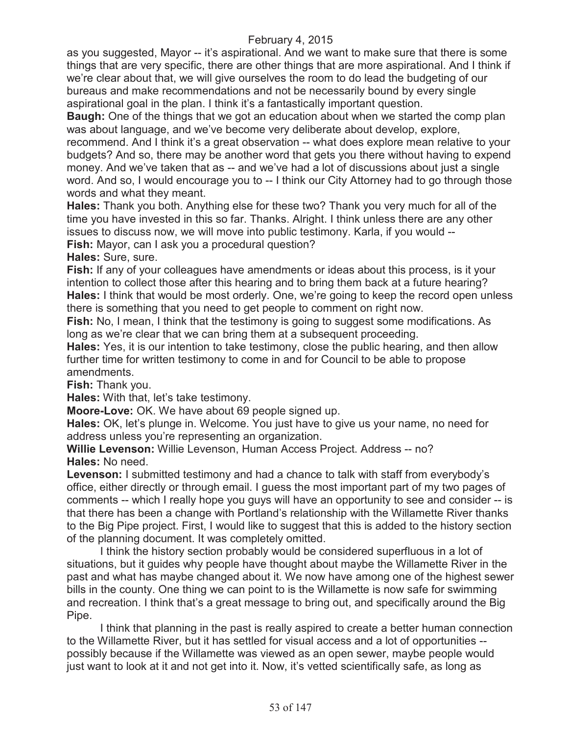as you suggested, Mayor -- it's aspirational. And we want to make sure that there is some things that are very specific, there are other things that are more aspirational. And I think if we're clear about that, we will give ourselves the room to do lead the budgeting of our bureaus and make recommendations and not be necessarily bound by every single aspirational goal in the plan. I think it's a fantastically important question.

**Baugh:** One of the things that we got an education about when we started the comp plan was about language, and we've become very deliberate about develop, explore,

recommend. And I think it's a great observation -- what does explore mean relative to your budgets? And so, there may be another word that gets you there without having to expend money. And we've taken that as -- and we've had a lot of discussions about just a single word. And so, I would encourage you to -- I think our City Attorney had to go through those words and what they meant.

**Hales:** Thank you both. Anything else for these two? Thank you very much for all of the time you have invested in this so far. Thanks. Alright. I think unless there are any other issues to discuss now, we will move into public testimony. Karla, if you would -- **Fish:** Mayor, can I ask you a procedural question?

**Hales:** Sure, sure.

**Fish:** If any of your colleagues have amendments or ideas about this process, is it your intention to collect those after this hearing and to bring them back at a future hearing? **Hales:** I think that would be most orderly. One, we're going to keep the record open unless there is something that you need to get people to comment on right now.

**Fish:** No, I mean, I think that the testimony is going to suggest some modifications. As long as we're clear that we can bring them at a subsequent proceeding.

**Hales:** Yes, it is our intention to take testimony, close the public hearing, and then allow further time for written testimony to come in and for Council to be able to propose amendments.

**Fish:** Thank you.

**Hales:** With that, let's take testimony.

**Moore-Love:** OK. We have about 69 people signed up.

**Hales:** OK, let's plunge in. Welcome. You just have to give us your name, no need for address unless you're representing an organization.

**Willie Levenson:** Willie Levenson, Human Access Project. Address -- no? **Hales:** No need.

**Levenson:** I submitted testimony and had a chance to talk with staff from everybody's office, either directly or through email. I guess the most important part of my two pages of comments -- which I really hope you guys will have an opportunity to see and consider -- is that there has been a change with Portland's relationship with the Willamette River thanks to the Big Pipe project. First, I would like to suggest that this is added to the history section of the planning document. It was completely omitted.

I think the history section probably would be considered superfluous in a lot of situations, but it guides why people have thought about maybe the Willamette River in the past and what has maybe changed about it. We now have among one of the highest sewer bills in the county. One thing we can point to is the Willamette is now safe for swimming and recreation. I think that's a great message to bring out, and specifically around the Big Pipe.

I think that planning in the past is really aspired to create a better human connection to the Willamette River, but it has settled for visual access and a lot of opportunities - possibly because if the Willamette was viewed as an open sewer, maybe people would just want to look at it and not get into it. Now, it's vetted scientifically safe, as long as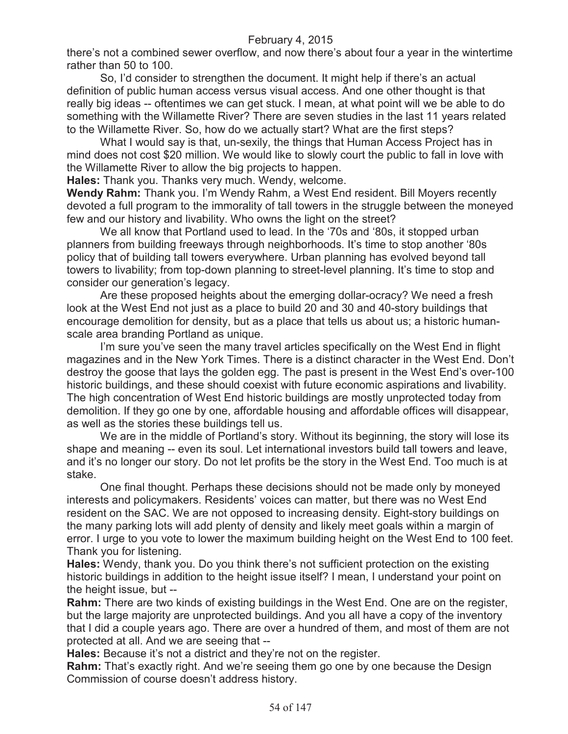there's not a combined sewer overflow, and now there's about four a year in the wintertime rather than 50 to 100.

So, I'd consider to strengthen the document. It might help if there's an actual definition of public human access versus visual access. And one other thought is that really big ideas -- oftentimes we can get stuck. I mean, at what point will we be able to do something with the Willamette River? There are seven studies in the last 11 years related to the Willamette River. So, how do we actually start? What are the first steps?

What I would say is that, un-sexily, the things that Human Access Project has in mind does not cost \$20 million. We would like to slowly court the public to fall in love with the Willamette River to allow the big projects to happen.

**Hales:** Thank you. Thanks very much. Wendy, welcome.

**Wendy Rahm:** Thank you. I'm Wendy Rahm, a West End resident. Bill Moyers recently devoted a full program to the immorality of tall towers in the struggle between the moneyed few and our history and livability. Who owns the light on the street?

We all know that Portland used to lead. In the '70s and '80s, it stopped urban planners from building freeways through neighborhoods. It's time to stop another '80s policy that of building tall towers everywhere. Urban planning has evolved beyond tall towers to livability; from top-down planning to street-level planning. It's time to stop and consider our generation's legacy.

Are these proposed heights about the emerging dollar-ocracy? We need a fresh look at the West End not just as a place to build 20 and 30 and 40-story buildings that encourage demolition for density, but as a place that tells us about us; a historic humanscale area branding Portland as unique.

I'm sure you've seen the many travel articles specifically on the West End in flight magazines and in the New York Times. There is a distinct character in the West End. Don't destroy the goose that lays the golden egg. The past is present in the West End's over-100 historic buildings, and these should coexist with future economic aspirations and livability. The high concentration of West End historic buildings are mostly unprotected today from demolition. If they go one by one, affordable housing and affordable offices will disappear, as well as the stories these buildings tell us.

We are in the middle of Portland's story. Without its beginning, the story will lose its shape and meaning -- even its soul. Let international investors build tall towers and leave, and it's no longer our story. Do not let profits be the story in the West End. Too much is at stake.

One final thought. Perhaps these decisions should not be made only by moneyed interests and policymakers. Residents' voices can matter, but there was no West End resident on the SAC. We are not opposed to increasing density. Eight-story buildings on the many parking lots will add plenty of density and likely meet goals within a margin of error. I urge to you vote to lower the maximum building height on the West End to 100 feet. Thank you for listening.

**Hales:** Wendy, thank you. Do you think there's not sufficient protection on the existing historic buildings in addition to the height issue itself? I mean, I understand your point on the height issue, but --

**Rahm:** There are two kinds of existing buildings in the West End. One are on the register, but the large majority are unprotected buildings. And you all have a copy of the inventory that I did a couple years ago. There are over a hundred of them, and most of them are not protected at all. And we are seeing that --

**Hales:** Because it's not a district and they're not on the register.

**Rahm:** That's exactly right. And we're seeing them go one by one because the Design Commission of course doesn't address history.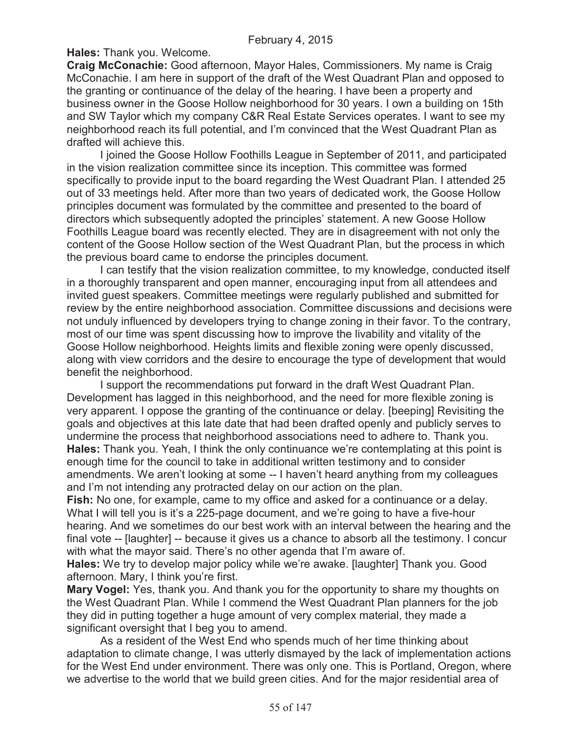**Hales:** Thank you. Welcome.

**Craig McConachie:** Good afternoon, Mayor Hales, Commissioners. My name is Craig McConachie. I am here in support of the draft of the West Quadrant Plan and opposed to the granting or continuance of the delay of the hearing. I have been a property and business owner in the Goose Hollow neighborhood for 30 years. I own a building on 15th and SW Taylor which my company C&R Real Estate Services operates. I want to see my neighborhood reach its full potential, and I'm convinced that the West Quadrant Plan as drafted will achieve this.

I joined the Goose Hollow Foothills League in September of 2011, and participated in the vision realization committee since its inception. This committee was formed specifically to provide input to the board regarding the West Quadrant Plan. I attended 25 out of 33 meetings held. After more than two years of dedicated work, the Goose Hollow principles document was formulated by the committee and presented to the board of directors which subsequently adopted the principles' statement. A new Goose Hollow Foothills League board was recently elected. They are in disagreement with not only the content of the Goose Hollow section of the West Quadrant Plan, but the process in which the previous board came to endorse the principles document.

I can testify that the vision realization committee, to my knowledge, conducted itself in a thoroughly transparent and open manner, encouraging input from all attendees and invited guest speakers. Committee meetings were regularly published and submitted for review by the entire neighborhood association. Committee discussions and decisions were not unduly influenced by developers trying to change zoning in their favor. To the contrary, most of our time was spent discussing how to improve the livability and vitality of the Goose Hollow neighborhood. Heights limits and flexible zoning were openly discussed, along with view corridors and the desire to encourage the type of development that would benefit the neighborhood.

I support the recommendations put forward in the draft West Quadrant Plan. Development has lagged in this neighborhood, and the need for more flexible zoning is very apparent. I oppose the granting of the continuance or delay. [beeping] Revisiting the goals and objectives at this late date that had been drafted openly and publicly serves to undermine the process that neighborhood associations need to adhere to. Thank you. **Hales:** Thank you. Yeah, I think the only continuance we're contemplating at this point is enough time for the council to take in additional written testimony and to consider amendments. We aren't looking at some -- I haven't heard anything from my colleagues and I'm not intending any protracted delay on our action on the plan.

**Fish:** No one, for example, came to my office and asked for a continuance or a delay. What I will tell you is it's a 225-page document, and we're going to have a five-hour hearing. And we sometimes do our best work with an interval between the hearing and the final vote -- [laughter] -- because it gives us a chance to absorb all the testimony. I concur with what the mayor said. There's no other agenda that I'm aware of.

**Hales:** We try to develop major policy while we're awake. [laughter] Thank you. Good afternoon. Mary, I think you're first.

**Mary Vogel:** Yes, thank you. And thank you for the opportunity to share my thoughts on the West Quadrant Plan. While I commend the West Quadrant Plan planners for the job they did in putting together a huge amount of very complex material, they made a significant oversight that I beg you to amend.

As a resident of the West End who spends much of her time thinking about adaptation to climate change, I was utterly dismayed by the lack of implementation actions for the West End under environment. There was only one. This is Portland, Oregon, where we advertise to the world that we build green cities. And for the major residential area of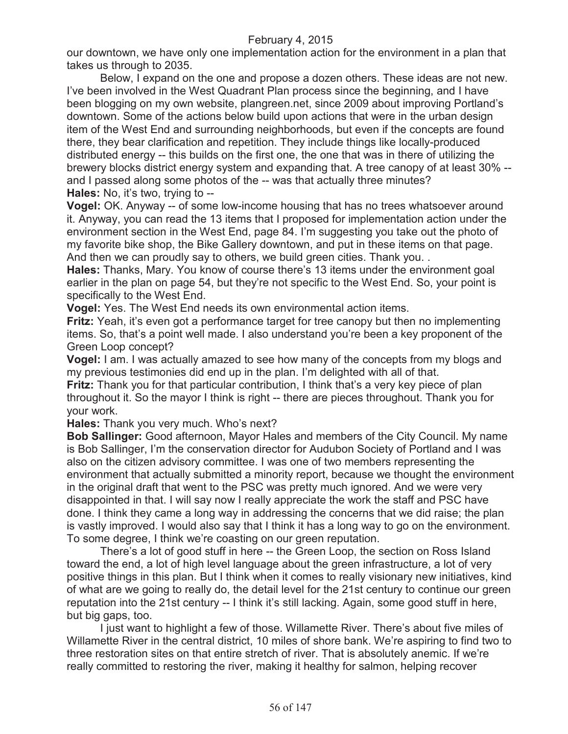our downtown, we have only one implementation action for the environment in a plan that takes us through to 2035.

Below, I expand on the one and propose a dozen others. These ideas are not new. I've been involved in the West Quadrant Plan process since the beginning, and I have been blogging on my own website, plangreen.net, since 2009 about improving Portland's downtown. Some of the actions below build upon actions that were in the urban design item of the West End and surrounding neighborhoods, but even if the concepts are found there, they bear clarification and repetition. They include things like locally-produced distributed energy -- this builds on the first one, the one that was in there of utilizing the brewery blocks district energy system and expanding that. A tree canopy of at least 30% - and I passed along some photos of the -- was that actually three minutes? **Hales:** No, it's two, trying to --

**Vogel:** OK. Anyway -- of some low-income housing that has no trees whatsoever around it. Anyway, you can read the 13 items that I proposed for implementation action under the environment section in the West End, page 84. I'm suggesting you take out the photo of my favorite bike shop, the Bike Gallery downtown, and put in these items on that page. And then we can proudly say to others, we build green cities. Thank you...

**Hales:** Thanks, Mary. You know of course there's 13 items under the environment goal earlier in the plan on page 54, but they're not specific to the West End. So, your point is specifically to the West End.

**Vogel:** Yes. The West End needs its own environmental action items.

**Fritz:** Yeah, it's even got a performance target for tree canopy but then no implementing items. So, that's a point well made. I also understand you're been a key proponent of the Green Loop concept?

**Vogel:** I am. I was actually amazed to see how many of the concepts from my blogs and my previous testimonies did end up in the plan. I'm delighted with all of that.

**Fritz:** Thank you for that particular contribution, I think that's a very key piece of plan throughout it. So the mayor I think is right -- there are pieces throughout. Thank you for your work.

**Hales:** Thank you very much. Who's next?

**Bob Sallinger:** Good afternoon, Mayor Hales and members of the City Council. My name is Bob Sallinger, I'm the conservation director for Audubon Society of Portland and I was also on the citizen advisory committee. I was one of two members representing the environment that actually submitted a minority report, because we thought the environment in the original draft that went to the PSC was pretty much ignored. And we were very disappointed in that. I will say now I really appreciate the work the staff and PSC have done. I think they came a long way in addressing the concerns that we did raise; the plan is vastly improved. I would also say that I think it has a long way to go on the environment. To some degree, I think we're coasting on our green reputation.

There's a lot of good stuff in here -- the Green Loop, the section on Ross Island toward the end, a lot of high level language about the green infrastructure, a lot of very positive things in this plan. But I think when it comes to really visionary new initiatives, kind of what are we going to really do, the detail level for the 21st century to continue our green reputation into the 21st century -- I think it's still lacking. Again, some good stuff in here, but big gaps, too.

I just want to highlight a few of those. Willamette River. There's about five miles of Willamette River in the central district, 10 miles of shore bank. We're aspiring to find two to three restoration sites on that entire stretch of river. That is absolutely anemic. If we're really committed to restoring the river, making it healthy for salmon, helping recover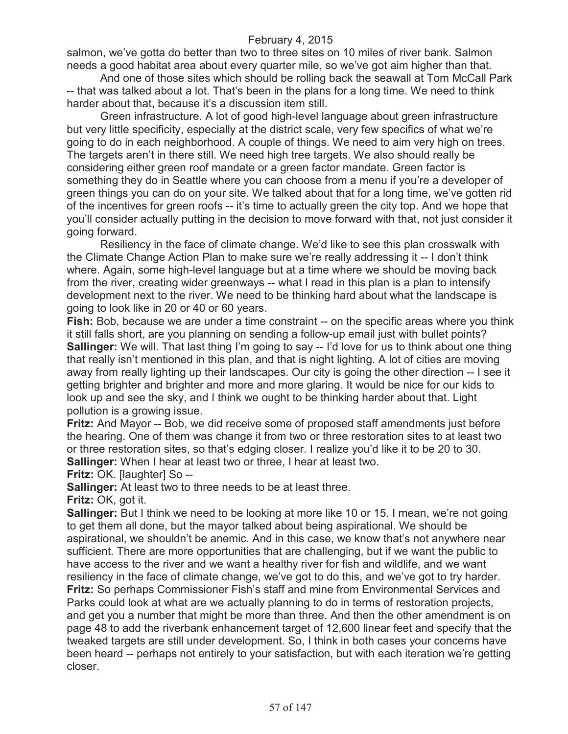salmon, we've gotta do better than two to three sites on 10 miles of river bank. Salmon needs a good habitat area about every quarter mile, so we've got aim higher than that.

And one of those sites which should be rolling back the seawall at Tom McCall Park -- that was talked about a lot. That's been in the plans for a long time. We need to think harder about that, because it's a discussion item still.

Green infrastructure. A lot of good high-level language about green infrastructure but very little specificity, especially at the district scale, very few specifics of what we're going to do in each neighborhood. A couple of things. We need to aim very high on trees. The targets aren't in there still. We need high tree targets. We also should really be considering either green roof mandate or a green factor mandate. Green factor is something they do in Seattle where you can choose from a menu if you're a developer of green things you can do on your site. We talked about that for a long time, we've gotten rid of the incentives for green roofs -- it's time to actually green the city top. And we hope that you'll consider actually putting in the decision to move forward with that, not just consider it going forward.

Resiliency in the face of climate change. We'd like to see this plan crosswalk with the Climate Change Action Plan to make sure we're really addressing it -- I don't think where. Again, some high-level language but at a time where we should be moving back from the river, creating wider greenways -- what I read in this plan is a plan to intensify development next to the river. We need to be thinking hard about what the landscape is going to look like in 20 or 40 or 60 years.

**Fish:** Bob, because we are under a time constraint -- on the specific areas where you think it still falls short, are you planning on sending a follow-up email just with bullet points? **Sallinger:** We will. That last thing I'm going to say -- I'd love for us to think about one thing that really isn't mentioned in this plan, and that is night lighting. A lot of cities are moving away from really lighting up their landscapes. Our city is going the other direction -- I see it getting brighter and brighter and more and more glaring. It would be nice for our kids to look up and see the sky, and I think we ought to be thinking harder about that. Light pollution is a growing issue.

**Fritz:** And Mayor -- Bob, we did receive some of proposed staff amendments just before the hearing. One of them was change it from two or three restoration sites to at least two or three restoration sites, so that's edging closer. I realize you'd like it to be 20 to 30. **Sallinger:** When I hear at least two or three, I hear at least two.

**Fritz:** OK. [laughter] So --

**Sallinger:** At least two to three needs to be at least three.

**Fritz:** OK, got it.

**Sallinger:** But I think we need to be looking at more like 10 or 15. I mean, we're not going to get them all done, but the mayor talked about being aspirational. We should be aspirational, we shouldn't be anemic. And in this case, we know that's not anywhere near sufficient. There are more opportunities that are challenging, but if we want the public to have access to the river and we want a healthy river for fish and wildlife, and we want resiliency in the face of climate change, we've got to do this, and we've got to try harder. **Fritz:** So perhaps Commissioner Fish's staff and mine from Environmental Services and Parks could look at what are we actually planning to do in terms of restoration projects, and get you a number that might be more than three. And then the other amendment is on page 48 to add the riverbank enhancement target of 12,600 linear feet and specify that the tweaked targets are still under development. So, I think in both cases your concerns have been heard -- perhaps not entirely to your satisfaction, but with each iteration we're getting closer.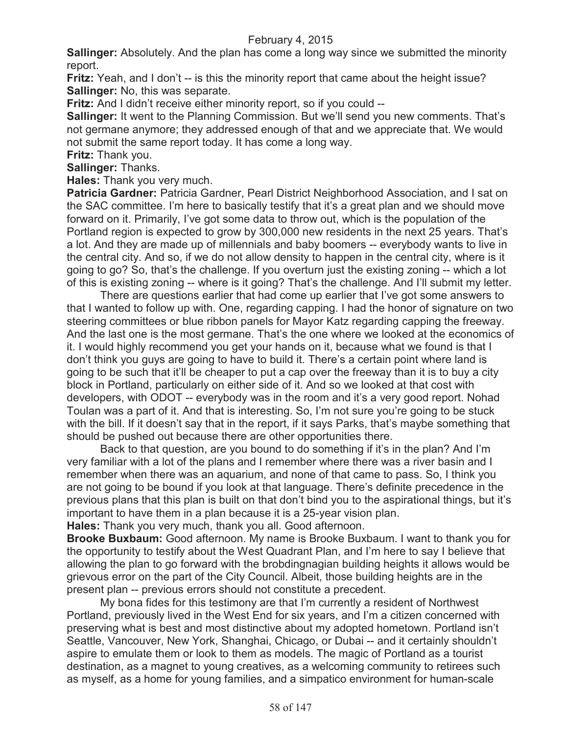**Sallinger:** Absolutely. And the plan has come a long way since we submitted the minority report.

**Fritz:** Yeah, and I don't -- is this the minority report that came about the height issue? **Sallinger:** No, this was separate.

**Fritz:** And I didn't receive either minority report, so if you could --

**Sallinger:** It went to the Planning Commission. But we'll send you new comments. That's not germane anymore; they addressed enough of that and we appreciate that. We would not submit the same report today. It has come a long way.

**Fritz:** Thank you.

**Sallinger:** Thanks.

**Hales:** Thank you very much.

**Patricia Gardner: Patricia Gardner, Pearl District Neighborhood Association, and I sat on** the SAC committee. I'm here to basically testify that it's a great plan and we should move forward on it. Primarily, I've got some data to throw out, which is the population of the Portland region is expected to grow by 300,000 new residents in the next 25 years. That's a lot. And they are made up of millennials and baby boomers -- everybody wants to live in the central city. And so, if we do not allow density to happen in the central city, where is it going to go? So, that's the challenge. If you overturn just the existing zoning -- which a lot of this is existing zoning -- where is it going? That's the challenge. And I'll submit my letter.

There are questions earlier that had come up earlier that I've got some answers to that I wanted to follow up with. One, regarding capping. I had the honor of signature on two steering committees or blue ribbon panels for Mayor Katz regarding capping the freeway. And the last one is the most germane. That's the one where we looked at the economics of it. I would highly recommend you get your hands on it, because what we found is that I don't think you guys are going to have to build it. There's a certain point where land is going to be such that it'll be cheaper to put a cap over the freeway than it is to buy a city block in Portland, particularly on either side of it. And so we looked at that cost with developers, with ODOT -- everybody was in the room and it's a very good report. Nohad Toulan was a part of it. And that is interesting. So, I'm not sure you're going to be stuck with the bill. If it doesn't say that in the report, if it says Parks, that's maybe something that should be pushed out because there are other opportunities there.

Back to that question, are you bound to do something if it's in the plan? And I'm very familiar with a lot of the plans and I remember where there was a river basin and I remember when there was an aquarium, and none of that came to pass. So, I think you are not going to be bound if you look at that language. There's definite precedence in the previous plans that this plan is built on that don't bind you to the aspirational things, but it's important to have them in a plan because it is a 25-year vision plan.

**Hales:** Thank you very much, thank you all. Good afternoon.

**Brooke Buxbaum:** Good afternoon. My name is Brooke Buxbaum. I want to thank you for the opportunity to testify about the West Quadrant Plan, and I'm here to say I believe that allowing the plan to go forward with the brobdingnagian building heights it allows would be grievous error on the part of the City Council. Albeit, those building heights are in the present plan -- previous errors should not constitute a precedent.

My bona fides for this testimony are that I'm currently a resident of Northwest Portland, previously lived in the West End for six years, and I'm a citizen concerned with preserving what is best and most distinctive about my adopted hometown. Portland isn't Seattle, Vancouver, New York, Shanghai, Chicago, or Dubai -- and it certainly shouldn't aspire to emulate them or look to them as models. The magic of Portland as a tourist destination, as a magnet to young creatives, as a welcoming community to retirees such as myself, as a home for young families, and a simpatico environment for human-scale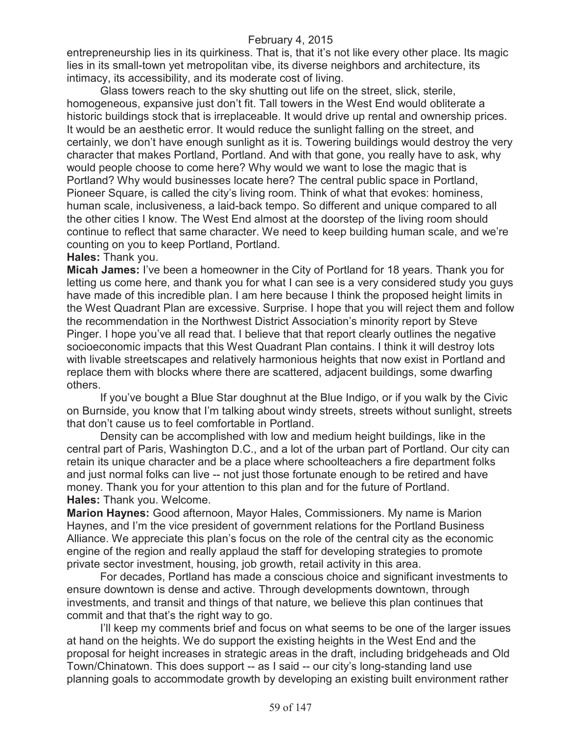entrepreneurship lies in its quirkiness. That is, that it's not like every other place. Its magic lies in its small-town yet metropolitan vibe, its diverse neighbors and architecture, its intimacy, its accessibility, and its moderate cost of living.

Glass towers reach to the sky shutting out life on the street, slick, sterile, homogeneous, expansive just don't fit. Tall towers in the West End would obliterate a historic buildings stock that is irreplaceable. It would drive up rental and ownership prices. It would be an aesthetic error. It would reduce the sunlight falling on the street, and certainly, we don't have enough sunlight as it is. Towering buildings would destroy the very character that makes Portland, Portland. And with that gone, you really have to ask, why would people choose to come here? Why would we want to lose the magic that is Portland? Why would businesses locate here? The central public space in Portland, Pioneer Square, is called the city's living room. Think of what that evokes: hominess, human scale, inclusiveness, a laid-back tempo. So different and unique compared to all the other cities I know. The West End almost at the doorstep of the living room should continue to reflect that same character. We need to keep building human scale, and we're counting on you to keep Portland, Portland.

#### **Hales:** Thank you.

**Micah James:** I've been a homeowner in the City of Portland for 18 years. Thank you for letting us come here, and thank you for what I can see is a very considered study you guys have made of this incredible plan. I am here because I think the proposed height limits in the West Quadrant Plan are excessive. Surprise. I hope that you will reject them and follow the recommendation in the Northwest District Association's minority report by Steve Pinger. I hope you've all read that. I believe that that report clearly outlines the negative socioeconomic impacts that this West Quadrant Plan contains. I think it will destroy lots with livable streetscapes and relatively harmonious heights that now exist in Portland and replace them with blocks where there are scattered, adjacent buildings, some dwarfing others.

If you've bought a Blue Star doughnut at the Blue Indigo, or if you walk by the Civic on Burnside, you know that I'm talking about windy streets, streets without sunlight, streets that don't cause us to feel comfortable in Portland.

Density can be accomplished with low and medium height buildings, like in the central part of Paris, Washington D.C., and a lot of the urban part of Portland. Our city can retain its unique character and be a place where schoolteachers a fire department folks and just normal folks can live -- not just those fortunate enough to be retired and have money. Thank you for your attention to this plan and for the future of Portland. **Hales:** Thank you. Welcome.

**Marion Haynes:** Good afternoon, Mayor Hales, Commissioners. My name is Marion Haynes, and I'm the vice president of government relations for the Portland Business Alliance. We appreciate this plan's focus on the role of the central city as the economic engine of the region and really applaud the staff for developing strategies to promote private sector investment, housing, job growth, retail activity in this area.

For decades, Portland has made a conscious choice and significant investments to ensure downtown is dense and active. Through developments downtown, through investments, and transit and things of that nature, we believe this plan continues that commit and that that's the right way to go.

I'll keep my comments brief and focus on what seems to be one of the larger issues at hand on the heights. We do support the existing heights in the West End and the proposal for height increases in strategic areas in the draft, including bridgeheads and Old Town/Chinatown. This does support -- as I said -- our city's long-standing land use planning goals to accommodate growth by developing an existing built environment rather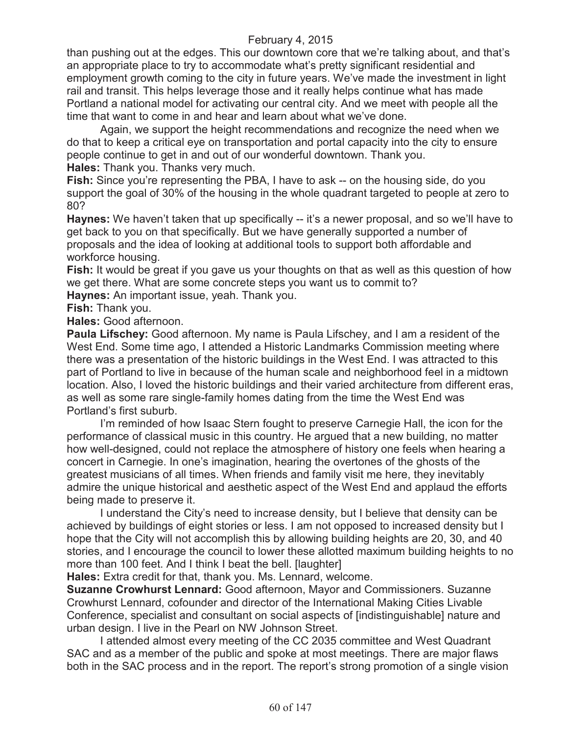than pushing out at the edges. This our downtown core that we're talking about, and that's an appropriate place to try to accommodate what's pretty significant residential and employment growth coming to the city in future years. We've made the investment in light rail and transit. This helps leverage those and it really helps continue what has made Portland a national model for activating our central city. And we meet with people all the time that want to come in and hear and learn about what we've done.

Again, we support the height recommendations and recognize the need when we do that to keep a critical eye on transportation and portal capacity into the city to ensure people continue to get in and out of our wonderful downtown. Thank you. **Hales:** Thank you. Thanks very much.

**Fish:** Since you're representing the PBA, I have to ask -- on the housing side, do you support the goal of 30% of the housing in the whole quadrant targeted to people at zero to 80?

**Haynes:** We haven't taken that up specifically -- it's a newer proposal, and so we'll have to get back to you on that specifically. But we have generally supported a number of proposals and the idea of looking at additional tools to support both affordable and workforce housing.

**Fish:** It would be great if you gave us your thoughts on that as well as this question of how we get there. What are some concrete steps you want us to commit to?

**Haynes:** An important issue, yeah. Thank you.

**Fish:** Thank you.

**Hales:** Good afternoon.

**Paula Lifschey:** Good afternoon. My name is Paula Lifschey, and I am a resident of the West End. Some time ago, I attended a Historic Landmarks Commission meeting where there was a presentation of the historic buildings in the West End. I was attracted to this part of Portland to live in because of the human scale and neighborhood feel in a midtown location. Also, I loved the historic buildings and their varied architecture from different eras, as well as some rare single-family homes dating from the time the West End was Portland's first suburb.

I'm reminded of how Isaac Stern fought to preserve Carnegie Hall, the icon for the performance of classical music in this country. He argued that a new building, no matter how well-designed, could not replace the atmosphere of history one feels when hearing a concert in Carnegie. In one's imagination, hearing the overtones of the ghosts of the greatest musicians of all times. When friends and family visit me here, they inevitably admire the unique historical and aesthetic aspect of the West End and applaud the efforts being made to preserve it.

I understand the City's need to increase density, but I believe that density can be achieved by buildings of eight stories or less. I am not opposed to increased density but I hope that the City will not accomplish this by allowing building heights are 20, 30, and 40 stories, and I encourage the council to lower these allotted maximum building heights to no more than 100 feet. And I think I beat the bell. [laughter]

**Hales:** Extra credit for that, thank you. Ms. Lennard, welcome.

**Suzanne Crowhurst Lennard:** Good afternoon, Mayor and Commissioners. Suzanne Crowhurst Lennard, cofounder and director of the International Making Cities Livable Conference, specialist and consultant on social aspects of [indistinguishable] nature and urban design. I live in the Pearl on NW Johnson Street.

I attended almost every meeting of the CC 2035 committee and West Quadrant SAC and as a member of the public and spoke at most meetings. There are major flaws both in the SAC process and in the report. The report's strong promotion of a single vision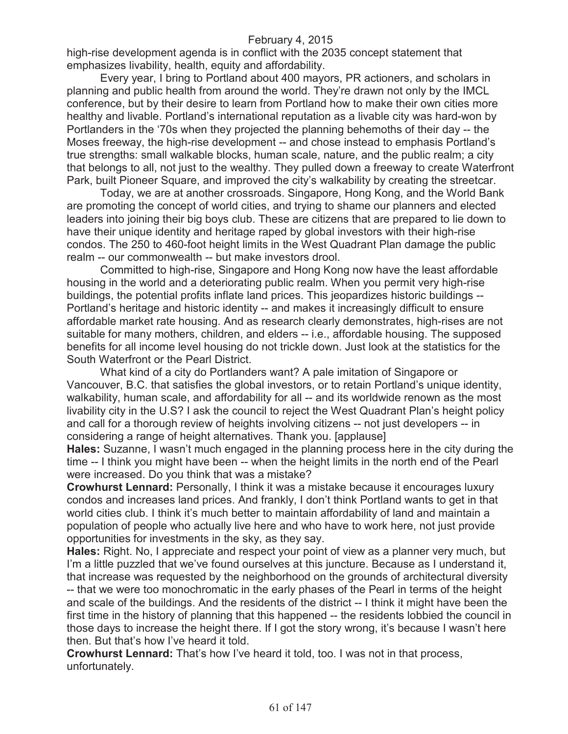high-rise development agenda is in conflict with the 2035 concept statement that emphasizes livability, health, equity and affordability.

Every year, I bring to Portland about 400 mayors, PR actioners, and scholars in planning and public health from around the world. They're drawn not only by the IMCL conference, but by their desire to learn from Portland how to make their own cities more healthy and livable. Portland's international reputation as a livable city was hard-won by Portlanders in the '70s when they projected the planning behemoths of their day -- the Moses freeway, the high-rise development -- and chose instead to emphasis Portland's true strengths: small walkable blocks, human scale, nature, and the public realm; a city that belongs to all, not just to the wealthy. They pulled down a freeway to create Waterfront Park, built Pioneer Square, and improved the city's walkability by creating the streetcar.

Today, we are at another crossroads. Singapore, Hong Kong, and the World Bank are promoting the concept of world cities, and trying to shame our planners and elected leaders into joining their big boys club. These are citizens that are prepared to lie down to have their unique identity and heritage raped by global investors with their high-rise condos. The 250 to 460-foot height limits in the West Quadrant Plan damage the public realm -- our commonwealth -- but make investors drool.

Committed to high-rise, Singapore and Hong Kong now have the least affordable housing in the world and a deteriorating public realm. When you permit very high-rise buildings, the potential profits inflate land prices. This jeopardizes historic buildings -- Portland's heritage and historic identity -- and makes it increasingly difficult to ensure affordable market rate housing. And as research clearly demonstrates, high-rises are not suitable for many mothers, children, and elders -- i.e., affordable housing. The supposed benefits for all income level housing do not trickle down. Just look at the statistics for the South Waterfront or the Pearl District.

What kind of a city do Portlanders want? A pale imitation of Singapore or Vancouver, B.C. that satisfies the global investors, or to retain Portland's unique identity, walkability, human scale, and affordability for all -- and its worldwide renown as the most livability city in the U.S? I ask the council to reject the West Quadrant Plan's height policy and call for a thorough review of heights involving citizens -- not just developers -- in considering a range of height alternatives. Thank you. [applause]

**Hales:** Suzanne, I wasn't much engaged in the planning process here in the city during the time -- I think you might have been -- when the height limits in the north end of the Pearl were increased. Do you think that was a mistake?

**Crowhurst Lennard:** Personally, I think it was a mistake because it encourages luxury condos and increases land prices. And frankly, I don't think Portland wants to get in that world cities club. I think it's much better to maintain affordability of land and maintain a population of people who actually live here and who have to work here, not just provide opportunities for investments in the sky, as they say.

**Hales:** Right. No, I appreciate and respect your point of view as a planner very much, but I'm a little puzzled that we've found ourselves at this juncture. Because as I understand it, that increase was requested by the neighborhood on the grounds of architectural diversity -- that we were too monochromatic in the early phases of the Pearl in terms of the height and scale of the buildings. And the residents of the district -- I think it might have been the first time in the history of planning that this happened -- the residents lobbied the council in those days to increase the height there. If I got the story wrong, it's because I wasn't here then. But that's how I've heard it told.

**Crowhurst Lennard:** That's how I've heard it told, too. I was not in that process, unfortunately.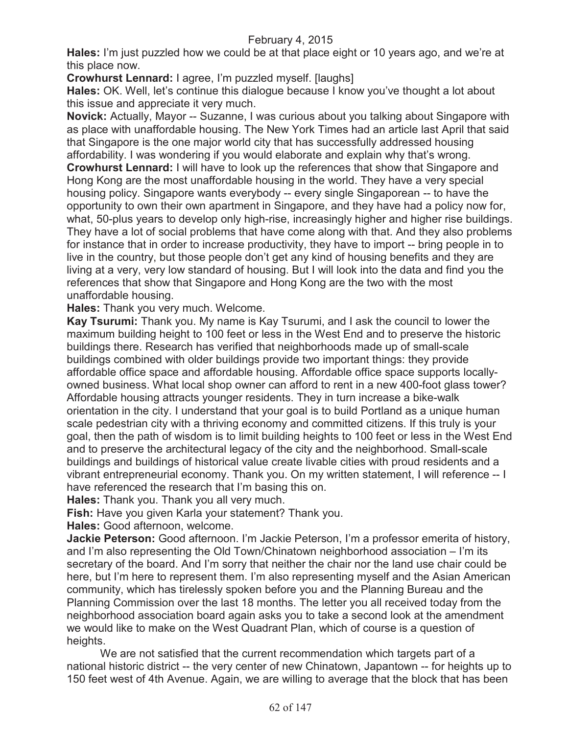**Hales:** I'm just puzzled how we could be at that place eight or 10 years ago, and we're at this place now.

**Crowhurst Lennard:** I agree, I'm puzzled myself. [laughs]

**Hales:** OK. Well, let's continue this dialogue because I know you've thought a lot about this issue and appreciate it very much.

**Novick:** Actually, Mayor -- Suzanne, I was curious about you talking about Singapore with as place with unaffordable housing. The New York Times had an article last April that said that Singapore is the one major world city that has successfully addressed housing affordability. I was wondering if you would elaborate and explain why that's wrong.

**Crowhurst Lennard:** I will have to look up the references that show that Singapore and Hong Kong are the most unaffordable housing in the world. They have a very special housing policy. Singapore wants everybody -- every single Singaporean -- to have the opportunity to own their own apartment in Singapore, and they have had a policy now for, what, 50-plus years to develop only high-rise, increasingly higher and higher rise buildings. They have a lot of social problems that have come along with that. And they also problems for instance that in order to increase productivity, they have to import -- bring people in to live in the country, but those people don't get any kind of housing benefits and they are living at a very, very low standard of housing. But I will look into the data and find you the references that show that Singapore and Hong Kong are the two with the most unaffordable housing.

**Hales:** Thank you very much. Welcome.

**Kay Tsurumi:** Thank you. My name is Kay Tsurumi, and I ask the council to lower the maximum building height to 100 feet or less in the West End and to preserve the historic buildings there. Research has verified that neighborhoods made up of small-scale buildings combined with older buildings provide two important things: they provide affordable office space and affordable housing. Affordable office space supports locallyowned business. What local shop owner can afford to rent in a new 400-foot glass tower? Affordable housing attracts younger residents. They in turn increase a bike-walk orientation in the city. I understand that your goal is to build Portland as a unique human scale pedestrian city with a thriving economy and committed citizens. If this truly is your goal, then the path of wisdom is to limit building heights to 100 feet or less in the West End and to preserve the architectural legacy of the city and the neighborhood. Small-scale buildings and buildings of historical value create livable cities with proud residents and a vibrant entrepreneurial economy. Thank you. On my written statement, I will reference -- I have referenced the research that I'm basing this on.

**Hales:** Thank you. Thank you all very much.

**Fish:** Have you given Karla your statement? Thank you.

**Hales:** Good afternoon, welcome.

**Jackie Peterson:** Good afternoon. I'm Jackie Peterson, I'm a professor emerita of history, and I'm also representing the Old Town/Chinatown neighborhood association – I'm its secretary of the board. And I'm sorry that neither the chair nor the land use chair could be here, but I'm here to represent them. I'm also representing myself and the Asian American community, which has tirelessly spoken before you and the Planning Bureau and the Planning Commission over the last 18 months. The letter you all received today from the neighborhood association board again asks you to take a second look at the amendment we would like to make on the West Quadrant Plan, which of course is a question of heights.

We are not satisfied that the current recommendation which targets part of a national historic district -- the very center of new Chinatown, Japantown -- for heights up to 150 feet west of 4th Avenue. Again, we are willing to average that the block that has been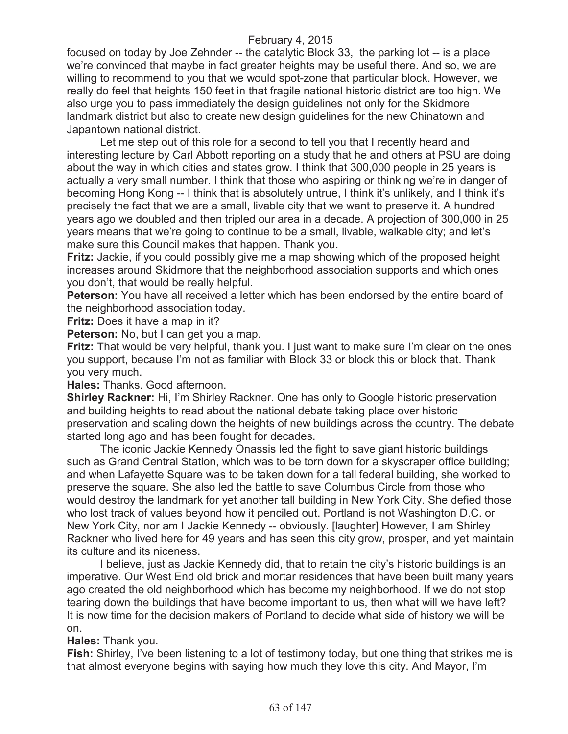focused on today by Joe Zehnder -- the catalytic Block 33, the parking lot -- is a place we're convinced that maybe in fact greater heights may be useful there. And so, we are willing to recommend to you that we would spot-zone that particular block. However, we really do feel that heights 150 feet in that fragile national historic district are too high. We also urge you to pass immediately the design guidelines not only for the Skidmore landmark district but also to create new design guidelines for the new Chinatown and Japantown national district.

Let me step out of this role for a second to tell you that I recently heard and interesting lecture by Carl Abbott reporting on a study that he and others at PSU are doing about the way in which cities and states grow. I think that 300,000 people in 25 years is actually a very small number. I think that those who aspiring or thinking we're in danger of becoming Hong Kong -- I think that is absolutely untrue, I think it's unlikely, and I think it's precisely the fact that we are a small, livable city that we want to preserve it. A hundred years ago we doubled and then tripled our area in a decade. A projection of 300,000 in 25 years means that we're going to continue to be a small, livable, walkable city; and let's make sure this Council makes that happen. Thank you.

**Fritz:** Jackie, if you could possibly give me a map showing which of the proposed height increases around Skidmore that the neighborhood association supports and which ones you don't, that would be really helpful.

**Peterson:** You have all received a letter which has been endorsed by the entire board of the neighborhood association today.

**Fritz:** Does it have a map in it?

**Peterson:** No, but I can get you a map.

**Fritz:** That would be very helpful, thank you. I just want to make sure I'm clear on the ones you support, because I'm not as familiar with Block 33 or block this or block that. Thank you very much.

**Hales:** Thanks. Good afternoon.

**Shirley Rackner:** Hi, I'm Shirley Rackner. One has only to Google historic preservation and building heights to read about the national debate taking place over historic preservation and scaling down the heights of new buildings across the country. The debate started long ago and has been fought for decades.

The iconic Jackie Kennedy Onassis led the fight to save giant historic buildings such as Grand Central Station, which was to be torn down for a skyscraper office building; and when Lafayette Square was to be taken down for a tall federal building, she worked to preserve the square. She also led the battle to save Columbus Circle from those who would destroy the landmark for yet another tall building in New York City. She defied those who lost track of values beyond how it penciled out. Portland is not Washington D.C. or New York City, nor am I Jackie Kennedy -- obviously. [laughter] However, I am Shirley Rackner who lived here for 49 years and has seen this city grow, prosper, and yet maintain its culture and its niceness.

I believe, just as Jackie Kennedy did, that to retain the city's historic buildings is an imperative. Our West End old brick and mortar residences that have been built many years ago created the old neighborhood which has become my neighborhood. If we do not stop tearing down the buildings that have become important to us, then what will we have left? It is now time for the decision makers of Portland to decide what side of history we will be on.

**Hales:** Thank you.

**Fish:** Shirley, I've been listening to a lot of testimony today, but one thing that strikes me is that almost everyone begins with saying how much they love this city. And Mayor, I'm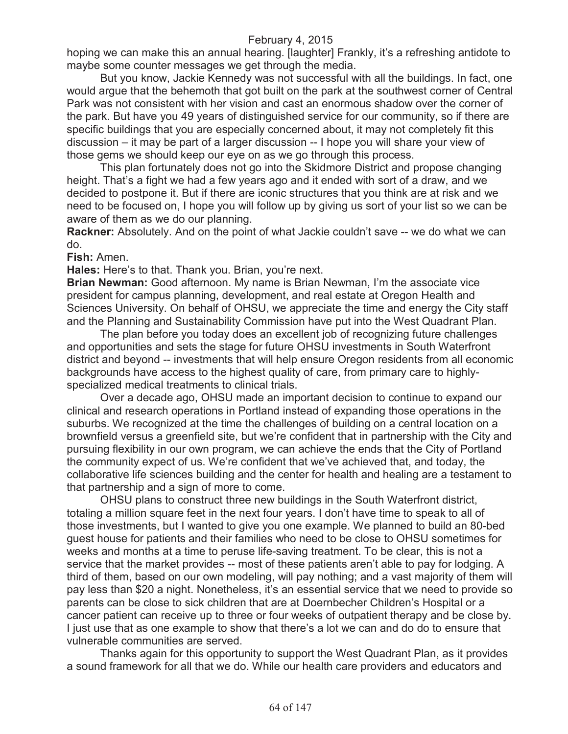hoping we can make this an annual hearing. [laughter] Frankly, it's a refreshing antidote to maybe some counter messages we get through the media.

But you know, Jackie Kennedy was not successful with all the buildings. In fact, one would argue that the behemoth that got built on the park at the southwest corner of Central Park was not consistent with her vision and cast an enormous shadow over the corner of the park. But have you 49 years of distinguished service for our community, so if there are specific buildings that you are especially concerned about, it may not completely fit this discussion – it may be part of a larger discussion -- I hope you will share your view of those gems we should keep our eye on as we go through this process.

This plan fortunately does not go into the Skidmore District and propose changing height. That's a fight we had a few years ago and it ended with sort of a draw, and we decided to postpone it. But if there are iconic structures that you think are at risk and we need to be focused on, I hope you will follow up by giving us sort of your list so we can be aware of them as we do our planning.

**Rackner:** Absolutely. And on the point of what Jackie couldn't save -- we do what we can do.

**Fish:** Amen.

**Hales:** Here's to that. Thank you. Brian, you're next.

**Brian Newman:** Good afternoon. My name is Brian Newman, I'm the associate vice president for campus planning, development, and real estate at Oregon Health and Sciences University. On behalf of OHSU, we appreciate the time and energy the City staff and the Planning and Sustainability Commission have put into the West Quadrant Plan.

The plan before you today does an excellent job of recognizing future challenges and opportunities and sets the stage for future OHSU investments in South Waterfront district and beyond -- investments that will help ensure Oregon residents from all economic backgrounds have access to the highest quality of care, from primary care to highlyspecialized medical treatments to clinical trials.

Over a decade ago, OHSU made an important decision to continue to expand our clinical and research operations in Portland instead of expanding those operations in the suburbs. We recognized at the time the challenges of building on a central location on a brownfield versus a greenfield site, but we're confident that in partnership with the City and pursuing flexibility in our own program, we can achieve the ends that the City of Portland the community expect of us. We're confident that we've achieved that, and today, the collaborative life sciences building and the center for health and healing are a testament to that partnership and a sign of more to come.

OHSU plans to construct three new buildings in the South Waterfront district, totaling a million square feet in the next four years. I don't have time to speak to all of those investments, but I wanted to give you one example. We planned to build an 80-bed guest house for patients and their families who need to be close to OHSU sometimes for weeks and months at a time to peruse life-saving treatment. To be clear, this is not a service that the market provides -- most of these patients aren't able to pay for lodging. A third of them, based on our own modeling, will pay nothing; and a vast majority of them will pay less than \$20 a night. Nonetheless, it's an essential service that we need to provide so parents can be close to sick children that are at Doernbecher Children's Hospital or a cancer patient can receive up to three or four weeks of outpatient therapy and be close by. I just use that as one example to show that there's a lot we can and do do to ensure that vulnerable communities are served.

Thanks again for this opportunity to support the West Quadrant Plan, as it provides a sound framework for all that we do. While our health care providers and educators and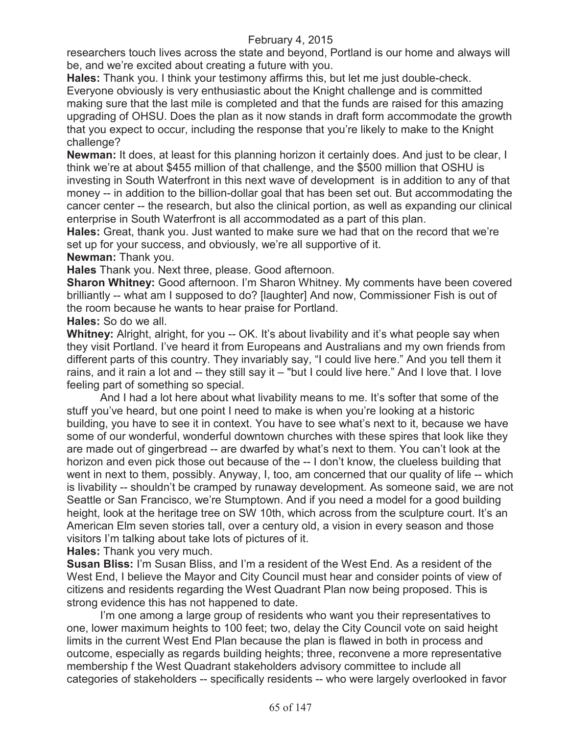researchers touch lives across the state and beyond, Portland is our home and always will be, and we're excited about creating a future with you.

**Hales:** Thank you. I think your testimony affirms this, but let me just double-check. Everyone obviously is very enthusiastic about the Knight challenge and is committed making sure that the last mile is completed and that the funds are raised for this amazing upgrading of OHSU. Does the plan as it now stands in draft form accommodate the growth that you expect to occur, including the response that you're likely to make to the Knight challenge?

**Newman:** It does, at least for this planning horizon it certainly does. And just to be clear, I think we're at about \$455 million of that challenge, and the \$500 million that OSHU is investing in South Waterfront in this next wave of development is in addition to any of that money -- in addition to the billion-dollar goal that has been set out. But accommodating the cancer center -- the research, but also the clinical portion, as well as expanding our clinical enterprise in South Waterfront is all accommodated as a part of this plan.

**Hales:** Great, thank you. Just wanted to make sure we had that on the record that we're set up for your success, and obviously, we're all supportive of it.

## **Newman:** Thank you.

**Hales** Thank you. Next three, please. Good afternoon.

**Sharon Whitney:** Good afternoon. I'm Sharon Whitney. My comments have been covered brilliantly -- what am I supposed to do? [laughter] And now, Commissioner Fish is out of the room because he wants to hear praise for Portland.

**Hales:** So do we all.

**Whitney:** Alright, alright, for you -- OK. It's about livability and it's what people say when they visit Portland. I've heard it from Europeans and Australians and my own friends from different parts of this country. They invariably say, "I could live here." And you tell them it rains, and it rain a lot and -- they still say it – "but I could live here." And I love that. I love feeling part of something so special.

And I had a lot here about what livability means to me. It's softer that some of the stuff you've heard, but one point I need to make is when you're looking at a historic building, you have to see it in context. You have to see what's next to it, because we have some of our wonderful, wonderful downtown churches with these spires that look like they are made out of gingerbread -- are dwarfed by what's next to them. You can't look at the horizon and even pick those out because of the -- I don't know, the clueless building that went in next to them, possibly. Anyway, I, too, am concerned that our quality of life -- which is livability -- shouldn't be cramped by runaway development. As someone said, we are not Seattle or San Francisco, we're Stumptown. And if you need a model for a good building height, look at the heritage tree on SW 10th, which across from the sculpture court. It's an American Elm seven stories tall, over a century old, a vision in every season and those visitors I'm talking about take lots of pictures of it.

**Hales:** Thank you very much.

**Susan Bliss:** I'm Susan Bliss, and I'm a resident of the West End. As a resident of the West End, I believe the Mayor and City Council must hear and consider points of view of citizens and residents regarding the West Quadrant Plan now being proposed. This is strong evidence this has not happened to date.

I'm one among a large group of residents who want you their representatives to one, lower maximum heights to 100 feet; two, delay the City Council vote on said height limits in the current West End Plan because the plan is flawed in both in process and outcome, especially as regards building heights; three, reconvene a more representative membership f the West Quadrant stakeholders advisory committee to include all categories of stakeholders -- specifically residents -- who were largely overlooked in favor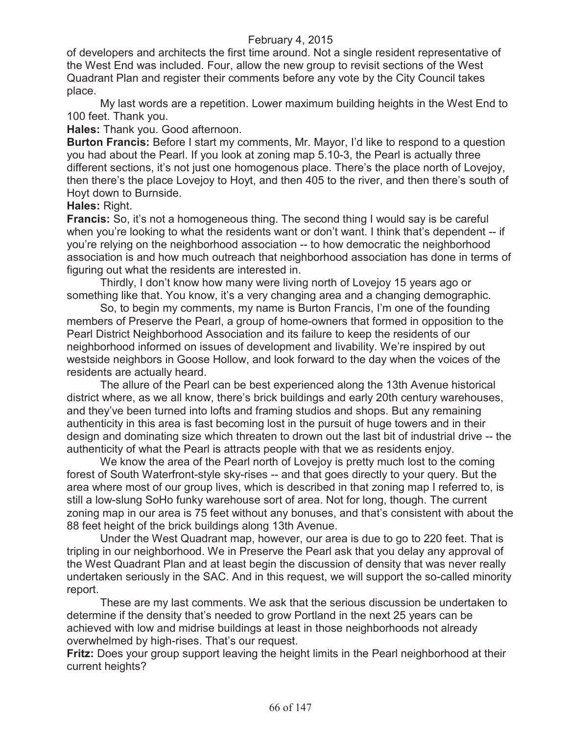of developers and architects the first time around. Not a single resident representative of the West End was included. Four, allow the new group to revisit sections of the West Quadrant Plan and register their comments before any vote by the City Council takes place.

My last words are a repetition. Lower maximum building heights in the West End to 100 feet. Thank you.

**Hales:** Thank you. Good afternoon.

**Burton Francis:** Before I start my comments, Mr. Mayor, I'd like to respond to a question you had about the Pearl. If you look at zoning map 5.10-3, the Pearl is actually three different sections, it's not just one homogenous place. There's the place north of Lovejoy, then there's the place Lovejoy to Hoyt, and then 405 to the river, and then there's south of Hoyt down to Burnside.

#### **Hales:** Right.

**Francis:** So, it's not a homogeneous thing. The second thing I would say is be careful when you're looking to what the residents want or don't want. I think that's dependent -- if you're relying on the neighborhood association -- to how democratic the neighborhood association is and how much outreach that neighborhood association has done in terms of figuring out what the residents are interested in.

Thirdly, I don't know how many were living north of Lovejoy 15 years ago or something like that. You know, it's a very changing area and a changing demographic.

So, to begin my comments, my name is Burton Francis, I'm one of the founding members of Preserve the Pearl, a group of home-owners that formed in opposition to the Pearl District Neighborhood Association and its failure to keep the residents of our neighborhood informed on issues of development and livability. We're inspired by out westside neighbors in Goose Hollow, and look forward to the day when the voices of the residents are actually heard.

The allure of the Pearl can be best experienced along the 13th Avenue historical district where, as we all know, there's brick buildings and early 20th century warehouses, and they've been turned into lofts and framing studios and shops. But any remaining authenticity in this area is fast becoming lost in the pursuit of huge towers and in their design and dominating size which threaten to drown out the last bit of industrial drive -- the authenticity of what the Pearl is attracts people with that we as residents enjoy.

We know the area of the Pearl north of Lovejoy is pretty much lost to the coming forest of South Waterfront-style sky-rises -- and that goes directly to your query. But the area where most of our group lives, which is described in that zoning map I referred to, is still a low-slung SoHo funky warehouse sort of area. Not for long, though. The current zoning map in our area is 75 feet without any bonuses, and that's consistent with about the 88 feet height of the brick buildings along 13th Avenue.

Under the West Quadrant map, however, our area is due to go to 220 feet. That is tripling in our neighborhood. We in Preserve the Pearl ask that you delay any approval of the West Quadrant Plan and at least begin the discussion of density that was never really undertaken seriously in the SAC. And in this request, we will support the so-called minority report.

These are my last comments. We ask that the serious discussion be undertaken to determine if the density that's needed to grow Portland in the next 25 years can be achieved with low and midrise buildings at least in those neighborhoods not already overwhelmed by high-rises. That's our request.

**Fritz:** Does your group support leaving the height limits in the Pearl neighborhood at their current heights?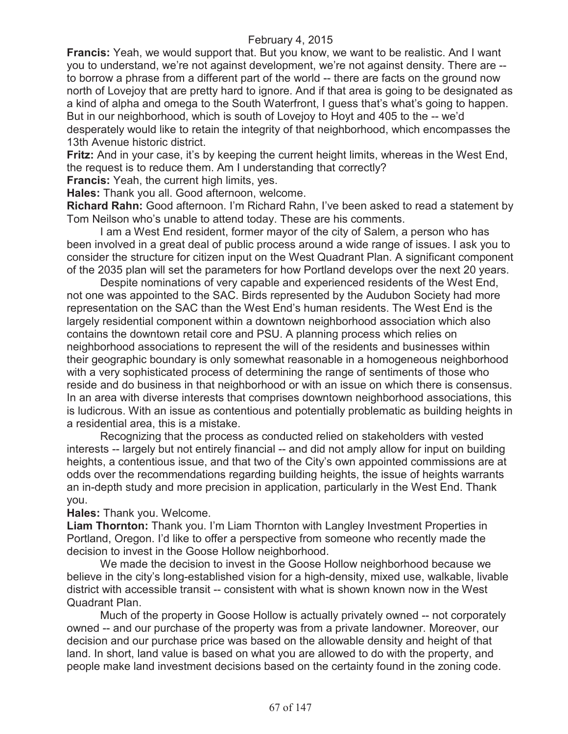**Francis:** Yeah, we would support that. But you know, we want to be realistic. And I want you to understand, we're not against development, we're not against density. There are - to borrow a phrase from a different part of the world -- there are facts on the ground now north of Lovejoy that are pretty hard to ignore. And if that area is going to be designated as a kind of alpha and omega to the South Waterfront, I guess that's what's going to happen. But in our neighborhood, which is south of Lovejoy to Hoyt and 405 to the -- we'd desperately would like to retain the integrity of that neighborhood, which encompasses the 13th Avenue historic district.

**Fritz:** And in your case, it's by keeping the current height limits, whereas in the West End, the request is to reduce them. Am I understanding that correctly?

**Francis:** Yeah, the current high limits, yes.

**Hales:** Thank you all. Good afternoon, welcome.

**Richard Rahn:** Good afternoon. I'm Richard Rahn, I've been asked to read a statement by Tom Neilson who's unable to attend today. These are his comments.

I am a West End resident, former mayor of the city of Salem, a person who has been involved in a great deal of public process around a wide range of issues. I ask you to consider the structure for citizen input on the West Quadrant Plan. A significant component of the 2035 plan will set the parameters for how Portland develops over the next 20 years.

Despite nominations of very capable and experienced residents of the West End, not one was appointed to the SAC. Birds represented by the Audubon Society had more representation on the SAC than the West End's human residents. The West End is the largely residential component within a downtown neighborhood association which also contains the downtown retail core and PSU. A planning process which relies on neighborhood associations to represent the will of the residents and businesses within their geographic boundary is only somewhat reasonable in a homogeneous neighborhood with a very sophisticated process of determining the range of sentiments of those who reside and do business in that neighborhood or with an issue on which there is consensus. In an area with diverse interests that comprises downtown neighborhood associations, this is ludicrous. With an issue as contentious and potentially problematic as building heights in a residential area, this is a mistake.

Recognizing that the process as conducted relied on stakeholders with vested interests -- largely but not entirely financial -- and did not amply allow for input on building heights, a contentious issue, and that two of the City's own appointed commissions are at odds over the recommendations regarding building heights, the issue of heights warrants an in-depth study and more precision in application, particularly in the West End. Thank you.

#### **Hales:** Thank you. Welcome.

**Liam Thornton:** Thank you. I'm Liam Thornton with Langley Investment Properties in Portland, Oregon. I'd like to offer a perspective from someone who recently made the decision to invest in the Goose Hollow neighborhood.

We made the decision to invest in the Goose Hollow neighborhood because we believe in the city's long-established vision for a high-density, mixed use, walkable, livable district with accessible transit -- consistent with what is shown known now in the West Quadrant Plan.

Much of the property in Goose Hollow is actually privately owned -- not corporately owned -- and our purchase of the property was from a private landowner. Moreover, our decision and our purchase price was based on the allowable density and height of that land. In short, land value is based on what you are allowed to do with the property, and people make land investment decisions based on the certainty found in the zoning code.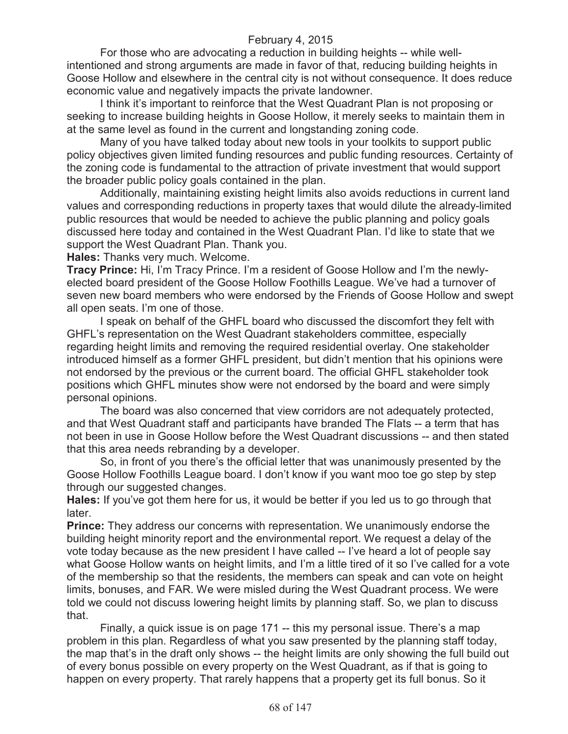For those who are advocating a reduction in building heights -- while wellintentioned and strong arguments are made in favor of that, reducing building heights in Goose Hollow and elsewhere in the central city is not without consequence. It does reduce economic value and negatively impacts the private landowner.

I think it's important to reinforce that the West Quadrant Plan is not proposing or seeking to increase building heights in Goose Hollow, it merely seeks to maintain them in at the same level as found in the current and longstanding zoning code.

Many of you have talked today about new tools in your toolkits to support public policy objectives given limited funding resources and public funding resources. Certainty of the zoning code is fundamental to the attraction of private investment that would support the broader public policy goals contained in the plan.

Additionally, maintaining existing height limits also avoids reductions in current land values and corresponding reductions in property taxes that would dilute the already-limited public resources that would be needed to achieve the public planning and policy goals discussed here today and contained in the West Quadrant Plan. I'd like to state that we support the West Quadrant Plan. Thank you.

**Hales:** Thanks very much. Welcome.

**Tracy Prince:** Hi, I'm Tracy Prince. I'm a resident of Goose Hollow and I'm the newlyelected board president of the Goose Hollow Foothills League. We've had a turnover of seven new board members who were endorsed by the Friends of Goose Hollow and swept all open seats. I'm one of those.

I speak on behalf of the GHFL board who discussed the discomfort they felt with GHFL's representation on the West Quadrant stakeholders committee, especially regarding height limits and removing the required residential overlay. One stakeholder introduced himself as a former GHFL president, but didn't mention that his opinions were not endorsed by the previous or the current board. The official GHFL stakeholder took positions which GHFL minutes show were not endorsed by the board and were simply personal opinions.

The board was also concerned that view corridors are not adequately protected, and that West Quadrant staff and participants have branded The Flats -- a term that has not been in use in Goose Hollow before the West Quadrant discussions -- and then stated that this area needs rebranding by a developer.

So, in front of you there's the official letter that was unanimously presented by the Goose Hollow Foothills League board. I don't know if you want moo toe go step by step through our suggested changes.

**Hales:** If you've got them here for us, it would be better if you led us to go through that later.

**Prince:** They address our concerns with representation. We unanimously endorse the building height minority report and the environmental report. We request a delay of the vote today because as the new president I have called -- I've heard a lot of people say what Goose Hollow wants on height limits, and I'm a little tired of it so I've called for a vote of the membership so that the residents, the members can speak and can vote on height limits, bonuses, and FAR. We were misled during the West Quadrant process. We were told we could not discuss lowering height limits by planning staff. So, we plan to discuss that.

Finally, a quick issue is on page 171 -- this my personal issue. There's a map problem in this plan. Regardless of what you saw presented by the planning staff today, the map that's in the draft only shows -- the height limits are only showing the full build out of every bonus possible on every property on the West Quadrant, as if that is going to happen on every property. That rarely happens that a property get its full bonus. So it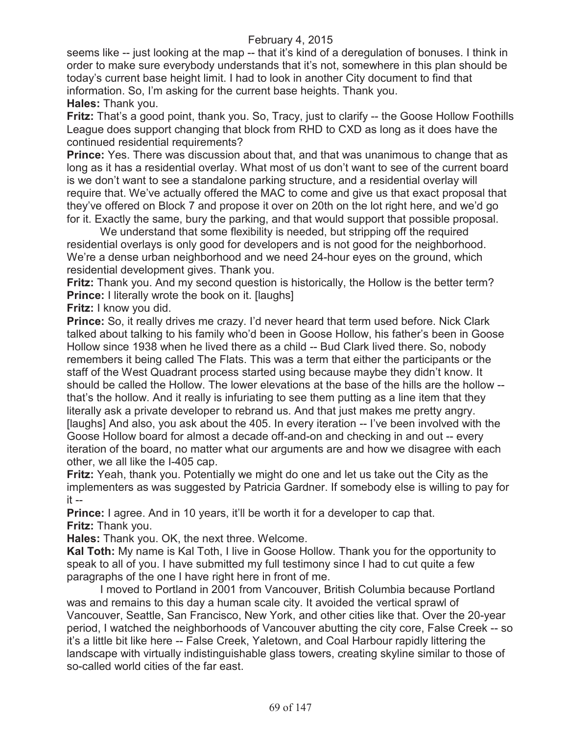seems like -- just looking at the map -- that it's kind of a deregulation of bonuses. I think in order to make sure everybody understands that it's not, somewhere in this plan should be today's current base height limit. I had to look in another City document to find that information. So, I'm asking for the current base heights. Thank you.

**Hales:** Thank you.

**Fritz:** That's a good point, thank you. So, Tracy, just to clarify -- the Goose Hollow Foothills League does support changing that block from RHD to CXD as long as it does have the continued residential requirements?

**Prince:** Yes. There was discussion about that, and that was unanimous to change that as long as it has a residential overlay. What most of us don't want to see of the current board is we don't want to see a standalone parking structure, and a residential overlay will require that. We've actually offered the MAC to come and give us that exact proposal that they've offered on Block 7 and propose it over on 20th on the lot right here, and we'd go for it. Exactly the same, bury the parking, and that would support that possible proposal.

We understand that some flexibility is needed, but stripping off the required residential overlays is only good for developers and is not good for the neighborhood. We're a dense urban neighborhood and we need 24-hour eyes on the ground, which residential development gives. Thank you.

**Fritz:** Thank you. And my second question is historically, the Hollow is the better term? **Prince:** I literally wrote the book on it. [laughs]

**Fritz:** I know you did.

**Prince:** So, it really drives me crazy. I'd never heard that term used before. Nick Clark talked about talking to his family who'd been in Goose Hollow, his father's been in Goose Hollow since 1938 when he lived there as a child -- Bud Clark lived there. So, nobody remembers it being called The Flats. This was a term that either the participants or the staff of the West Quadrant process started using because maybe they didn't know. It should be called the Hollow. The lower elevations at the base of the hills are the hollow - that's the hollow. And it really is infuriating to see them putting as a line item that they literally ask a private developer to rebrand us. And that just makes me pretty angry. [laughs] And also, you ask about the 405. In every iteration -- I've been involved with the Goose Hollow board for almost a decade off-and-on and checking in and out -- every iteration of the board, no matter what our arguments are and how we disagree with each other, we all like the I-405 cap.

**Fritz:** Yeah, thank you. Potentially we might do one and let us take out the City as the implementers as was suggested by Patricia Gardner. If somebody else is willing to pay for it --

**Prince:** I agree. And in 10 years, it'll be worth it for a developer to cap that. **Fritz:** Thank you.

**Hales:** Thank you. OK, the next three. Welcome.

**Kal Toth:** My name is Kal Toth, I live in Goose Hollow. Thank you for the opportunity to speak to all of you. I have submitted my full testimony since I had to cut quite a few paragraphs of the one I have right here in front of me.

I moved to Portland in 2001 from Vancouver, British Columbia because Portland was and remains to this day a human scale city. It avoided the vertical sprawl of Vancouver, Seattle, San Francisco, New York, and other cities like that. Over the 20-year period, I watched the neighborhoods of Vancouver abutting the city core, False Creek -- so it's a little bit like here -- False Creek, Yaletown, and Coal Harbour rapidly littering the landscape with virtually indistinguishable glass towers, creating skyline similar to those of so-called world cities of the far east.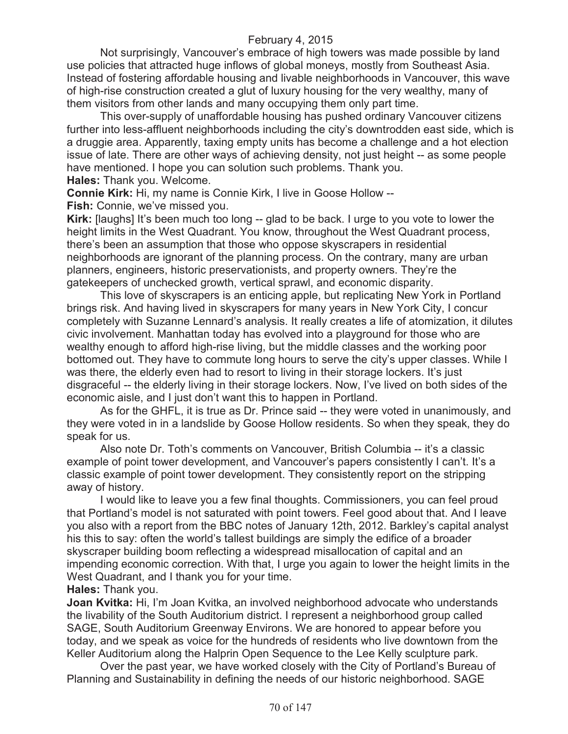Not surprisingly, Vancouver's embrace of high towers was made possible by land use policies that attracted huge inflows of global moneys, mostly from Southeast Asia. Instead of fostering affordable housing and livable neighborhoods in Vancouver, this wave of high-rise construction created a glut of luxury housing for the very wealthy, many of them visitors from other lands and many occupying them only part time.

This over-supply of unaffordable housing has pushed ordinary Vancouver citizens further into less-affluent neighborhoods including the city's downtrodden east side, which is a druggie area. Apparently, taxing empty units has become a challenge and a hot election issue of late. There are other ways of achieving density, not just height -- as some people have mentioned. I hope you can solution such problems. Thank you. **Hales:** Thank you. Welcome.

**Connie Kirk:** Hi, my name is Connie Kirk, I live in Goose Hollow -- **Fish:** Connie, we've missed you.

**Kirk:** [laughs] It's been much too long -- glad to be back. I urge to you vote to lower the height limits in the West Quadrant. You know, throughout the West Quadrant process, there's been an assumption that those who oppose skyscrapers in residential neighborhoods are ignorant of the planning process. On the contrary, many are urban planners, engineers, historic preservationists, and property owners. They're the gatekeepers of unchecked growth, vertical sprawl, and economic disparity.

This love of skyscrapers is an enticing apple, but replicating New York in Portland brings risk. And having lived in skyscrapers for many years in New York City, I concur completely with Suzanne Lennard's analysis. It really creates a life of atomization, it dilutes civic involvement. Manhattan today has evolved into a playground for those who are wealthy enough to afford high-rise living, but the middle classes and the working poor bottomed out. They have to commute long hours to serve the city's upper classes. While I was there, the elderly even had to resort to living in their storage lockers. It's just disgraceful -- the elderly living in their storage lockers. Now, I've lived on both sides of the economic aisle, and I just don't want this to happen in Portland.

As for the GHFL, it is true as Dr. Prince said -- they were voted in unanimously, and they were voted in in a landslide by Goose Hollow residents. So when they speak, they do speak for us.

Also note Dr. Toth's comments on Vancouver, British Columbia -- it's a classic example of point tower development, and Vancouver's papers consistently I can't. It's a classic example of point tower development. They consistently report on the stripping away of history.

I would like to leave you a few final thoughts. Commissioners, you can feel proud that Portland's model is not saturated with point towers. Feel good about that. And I leave you also with a report from the BBC notes of January 12th, 2012. Barkley's capital analyst his this to say: often the world's tallest buildings are simply the edifice of a broader skyscraper building boom reflecting a widespread misallocation of capital and an impending economic correction. With that, I urge you again to lower the height limits in the West Quadrant, and I thank you for your time. **Hales:** Thank you.

**Joan Kvitka:** Hi, I'm Joan Kvitka, an involved neighborhood advocate who understands the livability of the South Auditorium district. I represent a neighborhood group called SAGE, South Auditorium Greenway Environs. We are honored to appear before you today, and we speak as voice for the hundreds of residents who live downtown from the Keller Auditorium along the Halprin Open Sequence to the Lee Kelly sculpture park.

Over the past year, we have worked closely with the City of Portland's Bureau of Planning and Sustainability in defining the needs of our historic neighborhood. SAGE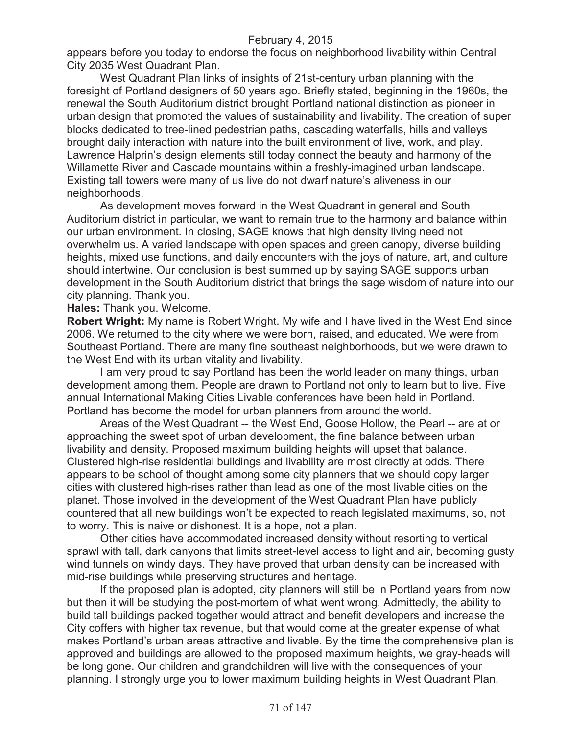appears before you today to endorse the focus on neighborhood livability within Central City 2035 West Quadrant Plan.

West Quadrant Plan links of insights of 21st-century urban planning with the foresight of Portland designers of 50 years ago. Briefly stated, beginning in the 1960s, the renewal the South Auditorium district brought Portland national distinction as pioneer in urban design that promoted the values of sustainability and livability. The creation of super blocks dedicated to tree-lined pedestrian paths, cascading waterfalls, hills and valleys brought daily interaction with nature into the built environment of live, work, and play. Lawrence Halprin's design elements still today connect the beauty and harmony of the Willamette River and Cascade mountains within a freshly-imagined urban landscape. Existing tall towers were many of us live do not dwarf nature's aliveness in our neighborhoods.

As development moves forward in the West Quadrant in general and South Auditorium district in particular, we want to remain true to the harmony and balance within our urban environment. In closing, SAGE knows that high density living need not overwhelm us. A varied landscape with open spaces and green canopy, diverse building heights, mixed use functions, and daily encounters with the joys of nature, art, and culture should intertwine. Our conclusion is best summed up by saying SAGE supports urban development in the South Auditorium district that brings the sage wisdom of nature into our city planning. Thank you.

**Hales:** Thank you. Welcome.

**Robert Wright:** My name is Robert Wright. My wife and I have lived in the West End since 2006. We returned to the city where we were born, raised, and educated. We were from Southeast Portland. There are many fine southeast neighborhoods, but we were drawn to the West End with its urban vitality and livability.

I am very proud to say Portland has been the world leader on many things, urban development among them. People are drawn to Portland not only to learn but to live. Five annual International Making Cities Livable conferences have been held in Portland. Portland has become the model for urban planners from around the world.

Areas of the West Quadrant -- the West End, Goose Hollow, the Pearl -- are at or approaching the sweet spot of urban development, the fine balance between urban livability and density. Proposed maximum building heights will upset that balance. Clustered high-rise residential buildings and livability are most directly at odds. There appears to be school of thought among some city planners that we should copy larger cities with clustered high-rises rather than lead as one of the most livable cities on the planet. Those involved in the development of the West Quadrant Plan have publicly countered that all new buildings won't be expected to reach legislated maximums, so, not to worry. This is naive or dishonest. It is a hope, not a plan.

Other cities have accommodated increased density without resorting to vertical sprawl with tall, dark canyons that limits street-level access to light and air, becoming gusty wind tunnels on windy days. They have proved that urban density can be increased with mid-rise buildings while preserving structures and heritage.

If the proposed plan is adopted, city planners will still be in Portland years from now but then it will be studying the post-mortem of what went wrong. Admittedly, the ability to build tall buildings packed together would attract and benefit developers and increase the City coffers with higher tax revenue, but that would come at the greater expense of what makes Portland's urban areas attractive and livable. By the time the comprehensive plan is approved and buildings are allowed to the proposed maximum heights, we gray-heads will be long gone. Our children and grandchildren will live with the consequences of your planning. I strongly urge you to lower maximum building heights in West Quadrant Plan.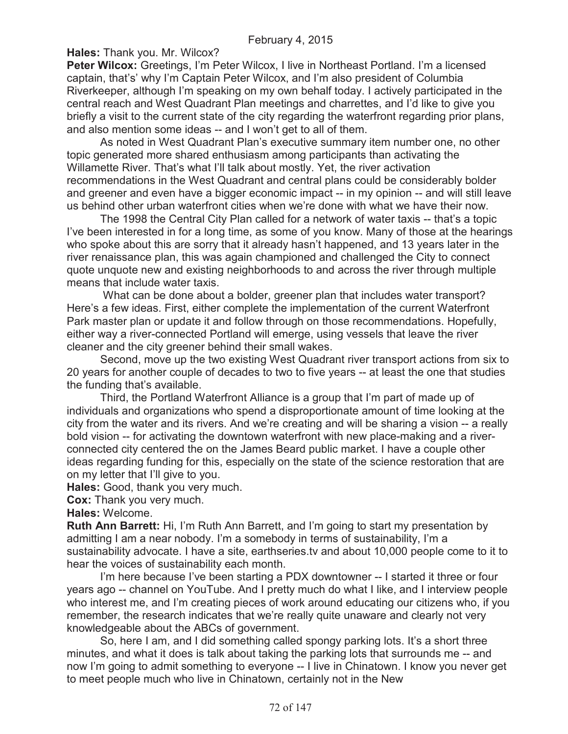**Hales:** Thank you. Mr. Wilcox?

**Peter Wilcox:** Greetings, I'm Peter Wilcox, I live in Northeast Portland. I'm a licensed captain, that's' why I'm Captain Peter Wilcox, and I'm also president of Columbia Riverkeeper, although I'm speaking on my own behalf today. I actively participated in the central reach and West Quadrant Plan meetings and charrettes, and I'd like to give you briefly a visit to the current state of the city regarding the waterfront regarding prior plans, and also mention some ideas -- and I won't get to all of them.

As noted in West Quadrant Plan's executive summary item number one, no other topic generated more shared enthusiasm among participants than activating the Willamette River. That's what I'll talk about mostly. Yet, the river activation recommendations in the West Quadrant and central plans could be considerably bolder and greener and even have a bigger economic impact -- in my opinion -- and will still leave us behind other urban waterfront cities when we're done with what we have their now.

The 1998 the Central City Plan called for a network of water taxis -- that's a topic I've been interested in for a long time, as some of you know. Many of those at the hearings who spoke about this are sorry that it already hasn't happened, and 13 years later in the river renaissance plan, this was again championed and challenged the City to connect quote unquote new and existing neighborhoods to and across the river through multiple means that include water taxis.

What can be done about a bolder, greener plan that includes water transport? Here's a few ideas. First, either complete the implementation of the current Waterfront Park master plan or update it and follow through on those recommendations. Hopefully, either way a river-connected Portland will emerge, using vessels that leave the river cleaner and the city greener behind their small wakes.

Second, move up the two existing West Quadrant river transport actions from six to 20 years for another couple of decades to two to five years -- at least the one that studies the funding that's available.

Third, the Portland Waterfront Alliance is a group that I'm part of made up of individuals and organizations who spend a disproportionate amount of time looking at the city from the water and its rivers. And we're creating and will be sharing a vision -- a really bold vision -- for activating the downtown waterfront with new place-making and a riverconnected city centered the on the James Beard public market. I have a couple other ideas regarding funding for this, especially on the state of the science restoration that are on my letter that I'll give to you.

**Hales:** Good, thank you very much.

**Cox:** Thank you very much.

**Hales:** Welcome.

**Ruth Ann Barrett:** Hi, I'm Ruth Ann Barrett, and I'm going to start my presentation by admitting I am a near nobody. I'm a somebody in terms of sustainability, I'm a sustainability advocate. I have a site, earthseries.tv and about 10,000 people come to it to hear the voices of sustainability each month.

I'm here because I've been starting a PDX downtowner -- I started it three or four years ago -- channel on YouTube. And I pretty much do what I like, and I interview people who interest me, and I'm creating pieces of work around educating our citizens who, if you remember, the research indicates that we're really quite unaware and clearly not very knowledgeable about the ABCs of government.

So, here I am, and I did something called spongy parking lots. It's a short three minutes, and what it does is talk about taking the parking lots that surrounds me -- and now I'm going to admit something to everyone -- I live in Chinatown. I know you never get to meet people much who live in Chinatown, certainly not in the New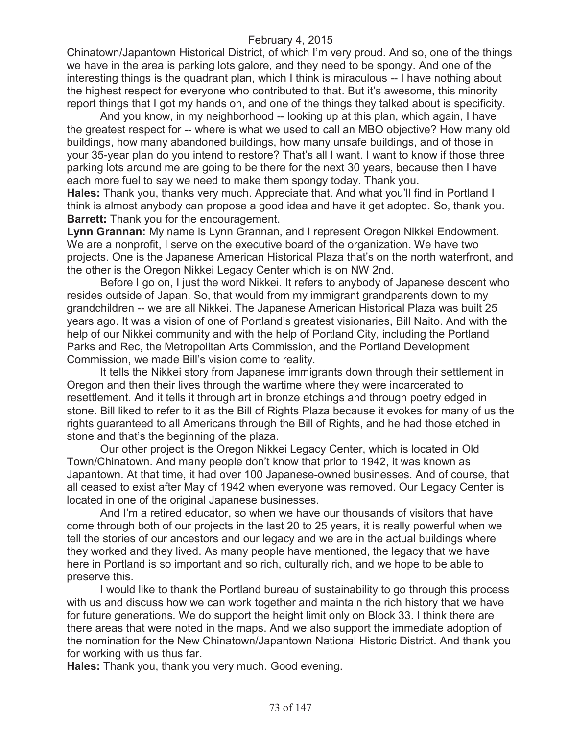Chinatown/Japantown Historical District, of which I'm very proud. And so, one of the things we have in the area is parking lots galore, and they need to be spongy. And one of the interesting things is the quadrant plan, which I think is miraculous -- I have nothing about the highest respect for everyone who contributed to that. But it's awesome, this minority report things that I got my hands on, and one of the things they talked about is specificity.

And you know, in my neighborhood -- looking up at this plan, which again, I have the greatest respect for -- where is what we used to call an MBO objective? How many old buildings, how many abandoned buildings, how many unsafe buildings, and of those in your 35-year plan do you intend to restore? That's all I want. I want to know if those three parking lots around me are going to be there for the next 30 years, because then I have each more fuel to say we need to make them spongy today. Thank you.

**Hales:** Thank you, thanks very much. Appreciate that. And what you'll find in Portland I think is almost anybody can propose a good idea and have it get adopted. So, thank you. **Barrett:** Thank you for the encouragement.

**Lynn Grannan:** My name is Lynn Grannan, and I represent Oregon Nikkei Endowment. We are a nonprofit, I serve on the executive board of the organization. We have two projects. One is the Japanese American Historical Plaza that's on the north waterfront, and the other is the Oregon Nikkei Legacy Center which is on NW 2nd.

Before I go on, I just the word Nikkei. It refers to anybody of Japanese descent who resides outside of Japan. So, that would from my immigrant grandparents down to my grandchildren -- we are all Nikkei. The Japanese American Historical Plaza was built 25 years ago. It was a vision of one of Portland's greatest visionaries, Bill Naito. And with the help of our Nikkei community and with the help of Portland City, including the Portland Parks and Rec, the Metropolitan Arts Commission, and the Portland Development Commission, we made Bill's vision come to reality.

It tells the Nikkei story from Japanese immigrants down through their settlement in Oregon and then their lives through the wartime where they were incarcerated to resettlement. And it tells it through art in bronze etchings and through poetry edged in stone. Bill liked to refer to it as the Bill of Rights Plaza because it evokes for many of us the rights guaranteed to all Americans through the Bill of Rights, and he had those etched in stone and that's the beginning of the plaza.

Our other project is the Oregon Nikkei Legacy Center, which is located in Old Town/Chinatown. And many people don't know that prior to 1942, it was known as Japantown. At that time, it had over 100 Japanese-owned businesses. And of course, that all ceased to exist after May of 1942 when everyone was removed. Our Legacy Center is located in one of the original Japanese businesses.

And I'm a retired educator, so when we have our thousands of visitors that have come through both of our projects in the last 20 to 25 years, it is really powerful when we tell the stories of our ancestors and our legacy and we are in the actual buildings where they worked and they lived. As many people have mentioned, the legacy that we have here in Portland is so important and so rich, culturally rich, and we hope to be able to preserve this.

I would like to thank the Portland bureau of sustainability to go through this process with us and discuss how we can work together and maintain the rich history that we have for future generations. We do support the height limit only on Block 33. I think there are there areas that were noted in the maps. And we also support the immediate adoption of the nomination for the New Chinatown/Japantown National Historic District. And thank you for working with us thus far.

**Hales:** Thank you, thank you very much. Good evening.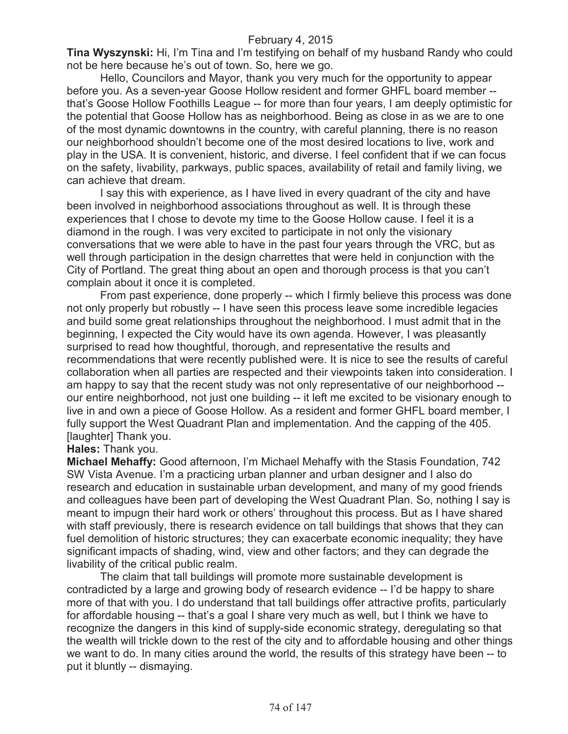**Tina Wyszynski:** Hi, I'm Tina and I'm testifying on behalf of my husband Randy who could not be here because he's out of town. So, here we go.

Hello, Councilors and Mayor, thank you very much for the opportunity to appear before you. As a seven-year Goose Hollow resident and former GHFL board member - that's Goose Hollow Foothills League -- for more than four years, I am deeply optimistic for the potential that Goose Hollow has as neighborhood. Being as close in as we are to one of the most dynamic downtowns in the country, with careful planning, there is no reason our neighborhood shouldn't become one of the most desired locations to live, work and play in the USA. It is convenient, historic, and diverse. I feel confident that if we can focus on the safety, livability, parkways, public spaces, availability of retail and family living, we can achieve that dream.

I say this with experience, as I have lived in every quadrant of the city and have been involved in neighborhood associations throughout as well. It is through these experiences that I chose to devote my time to the Goose Hollow cause. I feel it is a diamond in the rough. I was very excited to participate in not only the visionary conversations that we were able to have in the past four years through the VRC, but as well through participation in the design charrettes that were held in conjunction with the City of Portland. The great thing about an open and thorough process is that you can't complain about it once it is completed.

From past experience, done properly -- which I firmly believe this process was done not only properly but robustly -- I have seen this process leave some incredible legacies and build some great relationships throughout the neighborhood. I must admit that in the beginning, I expected the City would have its own agenda. However, I was pleasantly surprised to read how thoughtful, thorough, and representative the results and recommendations that were recently published were. It is nice to see the results of careful collaboration when all parties are respected and their viewpoints taken into consideration. I am happy to say that the recent study was not only representative of our neighborhood - our entire neighborhood, not just one building -- it left me excited to be visionary enough to live in and own a piece of Goose Hollow. As a resident and former GHFL board member, I fully support the West Quadrant Plan and implementation. And the capping of the 405. [laughter] Thank you.

# **Hales:** Thank you.

**Michael Mehaffy:** Good afternoon, I'm Michael Mehaffy with the Stasis Foundation, 742 SW Vista Avenue. I'm a practicing urban planner and urban designer and I also do research and education in sustainable urban development, and many of my good friends and colleagues have been part of developing the West Quadrant Plan. So, nothing I say is meant to impugn their hard work or others' throughout this process. But as I have shared with staff previously, there is research evidence on tall buildings that shows that they can fuel demolition of historic structures; they can exacerbate economic inequality; they have significant impacts of shading, wind, view and other factors; and they can degrade the livability of the critical public realm.

The claim that tall buildings will promote more sustainable development is contradicted by a large and growing body of research evidence -- I'd be happy to share more of that with you. I do understand that tall buildings offer attractive profits, particularly for affordable housing -- that's a goal I share very much as well, but I think we have to recognize the dangers in this kind of supply-side economic strategy, deregulating so that the wealth will trickle down to the rest of the city and to affordable housing and other things we want to do. In many cities around the world, the results of this strategy have been -- to put it bluntly -- dismaying.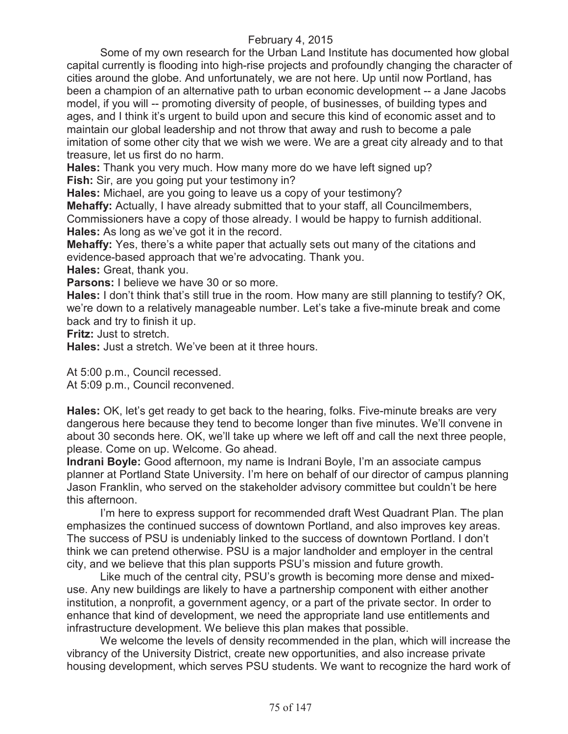Some of my own research for the Urban Land Institute has documented how global capital currently is flooding into high-rise projects and profoundly changing the character of cities around the globe. And unfortunately, we are not here. Up until now Portland, has been a champion of an alternative path to urban economic development -- a Jane Jacobs model, if you will -- promoting diversity of people, of businesses, of building types and ages, and I think it's urgent to build upon and secure this kind of economic asset and to maintain our global leadership and not throw that away and rush to become a pale imitation of some other city that we wish we were. We are a great city already and to that treasure, let us first do no harm.

**Hales:** Thank you very much. How many more do we have left signed up? **Fish:** Sir, are you going put your testimony in?

**Hales:** Michael, are you going to leave us a copy of your testimony?

**Mehaffy:** Actually, I have already submitted that to your staff, all Councilmembers,

Commissioners have a copy of those already. I would be happy to furnish additional. **Hales:** As long as we've got it in the record.

**Mehaffy:** Yes, there's a white paper that actually sets out many of the citations and evidence-based approach that we're advocating. Thank you.

**Hales:** Great, thank you.

**Parsons:** I believe we have 30 or so more.

**Hales:** I don't think that's still true in the room. How many are still planning to testify? OK, we're down to a relatively manageable number. Let's take a five-minute break and come back and try to finish it up.

**Fritz:** Just to stretch.

**Hales:** Just a stretch. We've been at it three hours.

At 5:00 p.m., Council recessed.

At 5:09 p.m., Council reconvened.

**Hales:** OK, let's get ready to get back to the hearing, folks. Five-minute breaks are very dangerous here because they tend to become longer than five minutes. We'll convene in about 30 seconds here. OK, we'll take up where we left off and call the next three people, please. Come on up. Welcome. Go ahead.

**Indrani Boyle:** Good afternoon, my name is Indrani Boyle, I'm an associate campus planner at Portland State University. I'm here on behalf of our director of campus planning Jason Franklin, who served on the stakeholder advisory committee but couldn't be here this afternoon.

I'm here to express support for recommended draft West Quadrant Plan. The plan emphasizes the continued success of downtown Portland, and also improves key areas. The success of PSU is undeniably linked to the success of downtown Portland. I don't think we can pretend otherwise. PSU is a major landholder and employer in the central city, and we believe that this plan supports PSU's mission and future growth.

Like much of the central city, PSU's growth is becoming more dense and mixeduse. Any new buildings are likely to have a partnership component with either another institution, a nonprofit, a government agency, or a part of the private sector. In order to enhance that kind of development, we need the appropriate land use entitlements and infrastructure development. We believe this plan makes that possible.

We welcome the levels of density recommended in the plan, which will increase the vibrancy of the University District, create new opportunities, and also increase private housing development, which serves PSU students. We want to recognize the hard work of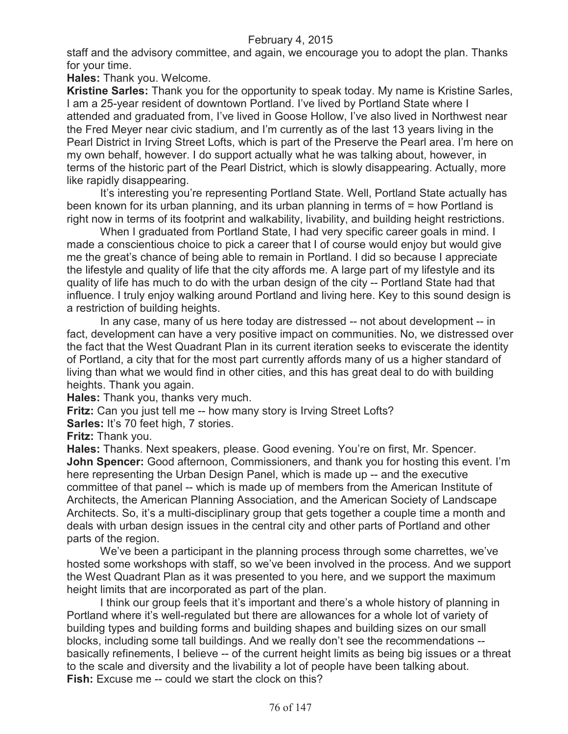staff and the advisory committee, and again, we encourage you to adopt the plan. Thanks for your time.

**Hales:** Thank you. Welcome.

**Kristine Sarles:** Thank you for the opportunity to speak today. My name is Kristine Sarles, I am a 25-year resident of downtown Portland. I've lived by Portland State where I attended and graduated from, I've lived in Goose Hollow, I've also lived in Northwest near the Fred Meyer near civic stadium, and I'm currently as of the last 13 years living in the Pearl District in Irving Street Lofts, which is part of the Preserve the Pearl area. I'm here on my own behalf, however. I do support actually what he was talking about, however, in terms of the historic part of the Pearl District, which is slowly disappearing. Actually, more like rapidly disappearing.

It's interesting you're representing Portland State. Well, Portland State actually has been known for its urban planning, and its urban planning in terms of = how Portland is right now in terms of its footprint and walkability, livability, and building height restrictions.

When I graduated from Portland State, I had very specific career goals in mind. I made a conscientious choice to pick a career that I of course would enjoy but would give me the great's chance of being able to remain in Portland. I did so because I appreciate the lifestyle and quality of life that the city affords me. A large part of my lifestyle and its quality of life has much to do with the urban design of the city -- Portland State had that influence. I truly enjoy walking around Portland and living here. Key to this sound design is a restriction of building heights.

In any case, many of us here today are distressed -- not about development -- in fact, development can have a very positive impact on communities. No, we distressed over the fact that the West Quadrant Plan in its current iteration seeks to eviscerate the identity of Portland, a city that for the most part currently affords many of us a higher standard of living than what we would find in other cities, and this has great deal to do with building heights. Thank you again.

**Hales:** Thank you, thanks very much.

**Fritz:** Can you just tell me -- how many story is Irving Street Lofts?

**Sarles:** It's 70 feet high, 7 stories.

**Fritz:** Thank you.

**Hales:** Thanks. Next speakers, please. Good evening. You're on first, Mr. Spencer. **John Spencer:** Good afternoon, Commissioners, and thank you for hosting this event. I'm here representing the Urban Design Panel, which is made up -- and the executive committee of that panel -- which is made up of members from the American Institute of Architects, the American Planning Association, and the American Society of Landscape Architects. So, it's a multi-disciplinary group that gets together a couple time a month and deals with urban design issues in the central city and other parts of Portland and other parts of the region.

We've been a participant in the planning process through some charrettes, we've hosted some workshops with staff, so we've been involved in the process. And we support the West Quadrant Plan as it was presented to you here, and we support the maximum height limits that are incorporated as part of the plan.

I think our group feels that it's important and there's a whole history of planning in Portland where it's well-regulated but there are allowances for a whole lot of variety of building types and building forms and building shapes and building sizes on our small blocks, including some tall buildings. And we really don't see the recommendations - basically refinements, I believe -- of the current height limits as being big issues or a threat to the scale and diversity and the livability a lot of people have been talking about. **Fish:** Excuse me -- could we start the clock on this?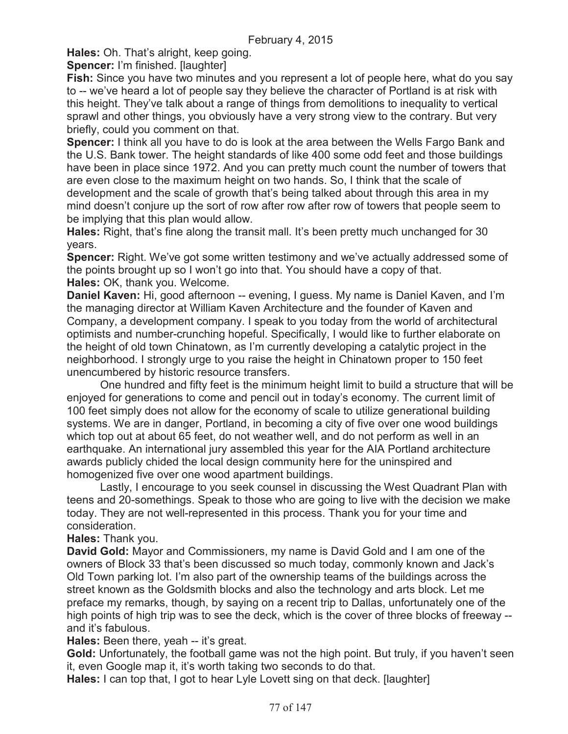**Hales:** Oh. That's alright, keep going.

**Spencer:** I'm finished. [laughter]

**Fish:** Since you have two minutes and you represent a lot of people here, what do you say to -- we've heard a lot of people say they believe the character of Portland is at risk with this height. They've talk about a range of things from demolitions to inequality to vertical sprawl and other things, you obviously have a very strong view to the contrary. But very briefly, could you comment on that.

**Spencer:** I think all you have to do is look at the area between the Wells Fargo Bank and the U.S. Bank tower. The height standards of like 400 some odd feet and those buildings have been in place since 1972. And you can pretty much count the number of towers that are even close to the maximum height on two hands. So, I think that the scale of development and the scale of growth that's being talked about through this area in my mind doesn't conjure up the sort of row after row after row of towers that people seem to be implying that this plan would allow.

**Hales:** Right, that's fine along the transit mall. It's been pretty much unchanged for 30 years.

**Spencer:** Right. We've got some written testimony and we've actually addressed some of the points brought up so I won't go into that. You should have a copy of that. **Hales:** OK, thank you. Welcome.

**Daniel Kaven:** Hi, good afternoon -- evening, I guess. My name is Daniel Kaven, and I'm the managing director at William Kaven Architecture and the founder of Kaven and Company, a development company. I speak to you today from the world of architectural optimists and number-crunching hopeful. Specifically, I would like to further elaborate on the height of old town Chinatown, as I'm currently developing a catalytic project in the neighborhood. I strongly urge to you raise the height in Chinatown proper to 150 feet unencumbered by historic resource transfers.

One hundred and fifty feet is the minimum height limit to build a structure that will be enjoyed for generations to come and pencil out in today's economy. The current limit of 100 feet simply does not allow for the economy of scale to utilize generational building systems. We are in danger, Portland, in becoming a city of five over one wood buildings which top out at about 65 feet, do not weather well, and do not perform as well in an earthquake. An international jury assembled this year for the AIA Portland architecture awards publicly chided the local design community here for the uninspired and homogenized five over one wood apartment buildings.

Lastly, I encourage to you seek counsel in discussing the West Quadrant Plan with teens and 20-somethings. Speak to those who are going to live with the decision we make today. They are not well-represented in this process. Thank you for your time and consideration.

**Hales:** Thank you.

**David Gold:** Mayor and Commissioners, my name is David Gold and I am one of the owners of Block 33 that's been discussed so much today, commonly known and Jack's Old Town parking lot. I'm also part of the ownership teams of the buildings across the street known as the Goldsmith blocks and also the technology and arts block. Let me preface my remarks, though, by saying on a recent trip to Dallas, unfortunately one of the high points of high trip was to see the deck, which is the cover of three blocks of freeway - and it's fabulous.

**Hales:** Been there, yeah -- it's great.

**Gold:** Unfortunately, the football game was not the high point. But truly, if you haven't seen it, even Google map it, it's worth taking two seconds to do that.

**Hales:** I can top that, I got to hear Lyle Lovett sing on that deck. [laughter]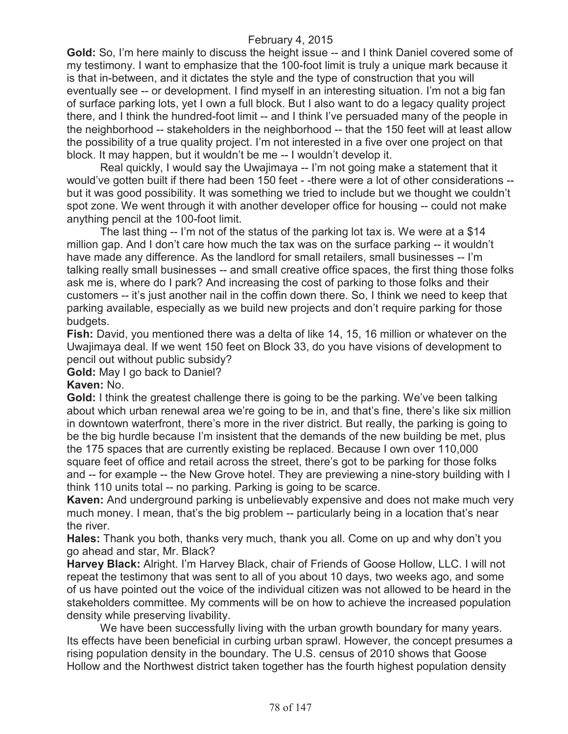**Gold:** So, I'm here mainly to discuss the height issue -- and I think Daniel covered some of my testimony. I want to emphasize that the 100-foot limit is truly a unique mark because it is that in-between, and it dictates the style and the type of construction that you will eventually see -- or development. I find myself in an interesting situation. I'm not a big fan of surface parking lots, yet I own a full block. But I also want to do a legacy quality project there, and I think the hundred-foot limit -- and I think I've persuaded many of the people in the neighborhood -- stakeholders in the neighborhood -- that the 150 feet will at least allow the possibility of a true quality project. I'm not interested in a five over one project on that block. It may happen, but it wouldn't be me -- I wouldn't develop it.

Real quickly, I would say the Uwajimaya -- I'm not going make a statement that it would've gotten built if there had been 150 feet - -there were a lot of other considerations - but it was good possibility. It was something we tried to include but we thought we couldn't spot zone. We went through it with another developer office for housing -- could not make anything pencil at the 100-foot limit.

The last thing -- I'm not of the status of the parking lot tax is. We were at a \$14 million gap. And I don't care how much the tax was on the surface parking -- it wouldn't have made any difference. As the landlord for small retailers, small businesses -- I'm talking really small businesses -- and small creative office spaces, the first thing those folks ask me is, where do I park? And increasing the cost of parking to those folks and their customers -- it's just another nail in the coffin down there. So, I think we need to keep that parking available, especially as we build new projects and don't require parking for those budgets.

**Fish:** David, you mentioned there was a delta of like 14, 15, 16 million or whatever on the Uwajimaya deal. If we went 150 feet on Block 33, do you have visions of development to pencil out without public subsidy?

**Gold:** May I go back to Daniel?

#### **Kaven:** No.

**Gold:** I think the greatest challenge there is going to be the parking. We've been talking about which urban renewal area we're going to be in, and that's fine, there's like six million in downtown waterfront, there's more in the river district. But really, the parking is going to be the big hurdle because I'm insistent that the demands of the new building be met, plus the 175 spaces that are currently existing be replaced. Because I own over 110,000 square feet of office and retail across the street, there's got to be parking for those folks and -- for example -- the New Grove hotel. They are previewing a nine-story building with I think 110 units total -- no parking. Parking is going to be scarce.

**Kaven:** And underground parking is unbelievably expensive and does not make much very much money. I mean, that's the big problem -- particularly being in a location that's near the river.

**Hales:** Thank you both, thanks very much, thank you all. Come on up and why don't you go ahead and star, Mr. Black?

**Harvey Black:** Alright. I'm Harvey Black, chair of Friends of Goose Hollow, LLC. I will not repeat the testimony that was sent to all of you about 10 days, two weeks ago, and some of us have pointed out the voice of the individual citizen was not allowed to be heard in the stakeholders committee. My comments will be on how to achieve the increased population density while preserving livability.

We have been successfully living with the urban growth boundary for many years. Its effects have been beneficial in curbing urban sprawl. However, the concept presumes a rising population density in the boundary. The U.S. census of 2010 shows that Goose Hollow and the Northwest district taken together has the fourth highest population density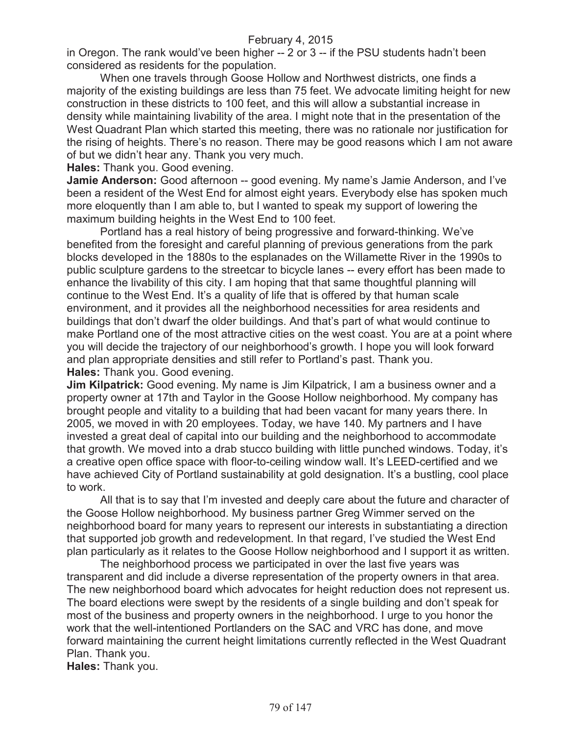in Oregon. The rank would've been higher -- 2 or 3 -- if the PSU students hadn't been considered as residents for the population.

When one travels through Goose Hollow and Northwest districts, one finds a majority of the existing buildings are less than 75 feet. We advocate limiting height for new construction in these districts to 100 feet, and this will allow a substantial increase in density while maintaining livability of the area. I might note that in the presentation of the West Quadrant Plan which started this meeting, there was no rationale nor justification for the rising of heights. There's no reason. There may be good reasons which I am not aware of but we didn't hear any. Thank you very much.

**Hales:** Thank you. Good evening.

**Jamie Anderson:** Good afternoon -- good evening. My name's Jamie Anderson, and I've been a resident of the West End for almost eight years. Everybody else has spoken much more eloquently than I am able to, but I wanted to speak my support of lowering the maximum building heights in the West End to 100 feet.

Portland has a real history of being progressive and forward-thinking. We've benefited from the foresight and careful planning of previous generations from the park blocks developed in the 1880s to the esplanades on the Willamette River in the 1990s to public sculpture gardens to the streetcar to bicycle lanes -- every effort has been made to enhance the livability of this city. I am hoping that that same thoughtful planning will continue to the West End. It's a quality of life that is offered by that human scale environment, and it provides all the neighborhood necessities for area residents and buildings that don't dwarf the older buildings. And that's part of what would continue to make Portland one of the most attractive cities on the west coast. You are at a point where you will decide the trajectory of our neighborhood's growth. I hope you will look forward and plan appropriate densities and still refer to Portland's past. Thank you. **Hales:** Thank you. Good evening.

**Jim Kilpatrick:** Good evening. My name is Jim Kilpatrick, I am a business owner and a property owner at 17th and Taylor in the Goose Hollow neighborhood. My company has brought people and vitality to a building that had been vacant for many years there. In 2005, we moved in with 20 employees. Today, we have 140. My partners and I have invested a great deal of capital into our building and the neighborhood to accommodate that growth. We moved into a drab stucco building with little punched windows. Today, it's a creative open office space with floor-to-ceiling window wall. It's LEED-certified and we have achieved City of Portland sustainability at gold designation. It's a bustling, cool place to work.

All that is to say that I'm invested and deeply care about the future and character of the Goose Hollow neighborhood. My business partner Greg Wimmer served on the neighborhood board for many years to represent our interests in substantiating a direction that supported job growth and redevelopment. In that regard, I've studied the West End plan particularly as it relates to the Goose Hollow neighborhood and I support it as written.

The neighborhood process we participated in over the last five years was transparent and did include a diverse representation of the property owners in that area. The new neighborhood board which advocates for height reduction does not represent us. The board elections were swept by the residents of a single building and don't speak for most of the business and property owners in the neighborhood. I urge to you honor the work that the well-intentioned Portlanders on the SAC and VRC has done, and move forward maintaining the current height limitations currently reflected in the West Quadrant Plan. Thank you.

**Hales:** Thank you.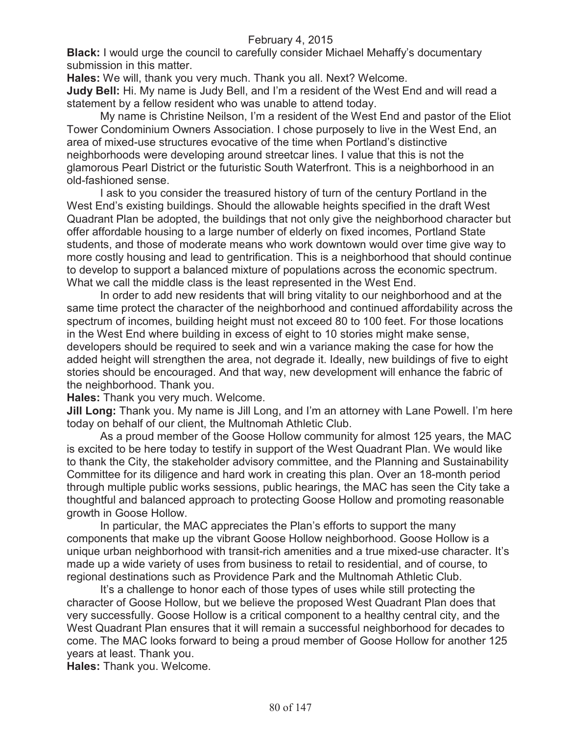**Black:** I would urge the council to carefully consider Michael Mehaffy's documentary submission in this matter.

**Hales:** We will, thank you very much. Thank you all. Next? Welcome.

**Judy Bell:** Hi. My name is Judy Bell, and I'm a resident of the West End and will read a statement by a fellow resident who was unable to attend today.

My name is Christine Neilson, I'm a resident of the West End and pastor of the Eliot Tower Condominium Owners Association. I chose purposely to live in the West End, an area of mixed-use structures evocative of the time when Portland's distinctive neighborhoods were developing around streetcar lines. I value that this is not the glamorous Pearl District or the futuristic South Waterfront. This is a neighborhood in an old-fashioned sense.

I ask to you consider the treasured history of turn of the century Portland in the West End's existing buildings. Should the allowable heights specified in the draft West Quadrant Plan be adopted, the buildings that not only give the neighborhood character but offer affordable housing to a large number of elderly on fixed incomes, Portland State students, and those of moderate means who work downtown would over time give way to more costly housing and lead to gentrification. This is a neighborhood that should continue to develop to support a balanced mixture of populations across the economic spectrum. What we call the middle class is the least represented in the West End.

In order to add new residents that will bring vitality to our neighborhood and at the same time protect the character of the neighborhood and continued affordability across the spectrum of incomes, building height must not exceed 80 to 100 feet. For those locations in the West End where building in excess of eight to 10 stories might make sense, developers should be required to seek and win a variance making the case for how the added height will strengthen the area, not degrade it. Ideally, new buildings of five to eight stories should be encouraged. And that way, new development will enhance the fabric of the neighborhood. Thank you.

**Hales:** Thank you very much. Welcome.

**Jill Long:** Thank you. My name is Jill Long, and I'm an attorney with Lane Powell. I'm here today on behalf of our client, the Multnomah Athletic Club.

As a proud member of the Goose Hollow community for almost 125 years, the MAC is excited to be here today to testify in support of the West Quadrant Plan. We would like to thank the City, the stakeholder advisory committee, and the Planning and Sustainability Committee for its diligence and hard work in creating this plan. Over an 18-month period through multiple public works sessions, public hearings, the MAC has seen the City take a thoughtful and balanced approach to protecting Goose Hollow and promoting reasonable growth in Goose Hollow.

In particular, the MAC appreciates the Plan's efforts to support the many components that make up the vibrant Goose Hollow neighborhood. Goose Hollow is a unique urban neighborhood with transit-rich amenities and a true mixed-use character. It's made up a wide variety of uses from business to retail to residential, and of course, to regional destinations such as Providence Park and the Multnomah Athletic Club.

It's a challenge to honor each of those types of uses while still protecting the character of Goose Hollow, but we believe the proposed West Quadrant Plan does that very successfully. Goose Hollow is a critical component to a healthy central city, and the West Quadrant Plan ensures that it will remain a successful neighborhood for decades to come. The MAC looks forward to being a proud member of Goose Hollow for another 125 years at least. Thank you.

**Hales:** Thank you. Welcome.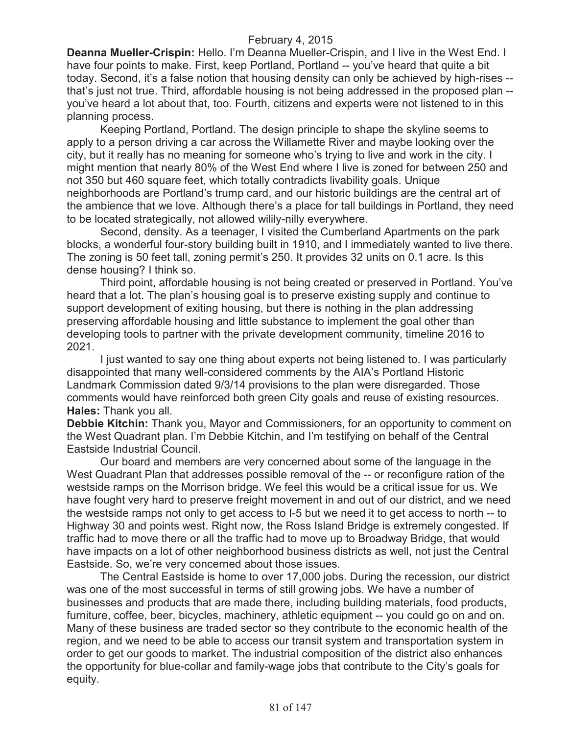**Deanna Mueller-Crispin:** Hello. I'm Deanna Mueller-Crispin, and I live in the West End. I have four points to make. First, keep Portland, Portland -- you've heard that quite a bit today. Second, it's a false notion that housing density can only be achieved by high-rises - that's just not true. Third, affordable housing is not being addressed in the proposed plan - you've heard a lot about that, too. Fourth, citizens and experts were not listened to in this planning process.

Keeping Portland, Portland. The design principle to shape the skyline seems to apply to a person driving a car across the Willamette River and maybe looking over the city, but it really has no meaning for someone who's trying to live and work in the city. I might mention that nearly 80% of the West End where I live is zoned for between 250 and not 350 but 460 square feet, which totally contradicts livability goals. Unique neighborhoods are Portland's trump card, and our historic buildings are the central art of the ambience that we love. Although there's a place for tall buildings in Portland, they need to be located strategically, not allowed wilily-nilly everywhere.

Second, density. As a teenager, I visited the Cumberland Apartments on the park blocks, a wonderful four-story building built in 1910, and I immediately wanted to live there. The zoning is 50 feet tall, zoning permit's 250. It provides 32 units on 0.1 acre. Is this dense housing? I think so.

Third point, affordable housing is not being created or preserved in Portland. You've heard that a lot. The plan's housing goal is to preserve existing supply and continue to support development of exiting housing, but there is nothing in the plan addressing preserving affordable housing and little substance to implement the goal other than developing tools to partner with the private development community, timeline 2016 to 2021.

I just wanted to say one thing about experts not being listened to. I was particularly disappointed that many well-considered comments by the AIA's Portland Historic Landmark Commission dated 9/3/14 provisions to the plan were disregarded. Those comments would have reinforced both green City goals and reuse of existing resources. **Hales:** Thank you all.

**Debbie Kitchin:** Thank you, Mayor and Commissioners, for an opportunity to comment on the West Quadrant plan. I'm Debbie Kitchin, and I'm testifying on behalf of the Central Eastside Industrial Council.

Our board and members are very concerned about some of the language in the West Quadrant Plan that addresses possible removal of the -- or reconfigure ration of the westside ramps on the Morrison bridge. We feel this would be a critical issue for us. We have fought very hard to preserve freight movement in and out of our district, and we need the westside ramps not only to get access to I-5 but we need it to get access to north -- to Highway 30 and points west. Right now, the Ross Island Bridge is extremely congested. If traffic had to move there or all the traffic had to move up to Broadway Bridge, that would have impacts on a lot of other neighborhood business districts as well, not just the Central Eastside. So, we're very concerned about those issues.

The Central Eastside is home to over 17,000 jobs. During the recession, our district was one of the most successful in terms of still growing jobs. We have a number of businesses and products that are made there, including building materials, food products, furniture, coffee, beer, bicycles, machinery, athletic equipment -- you could go on and on. Many of these business are traded sector so they contribute to the economic health of the region, and we need to be able to access our transit system and transportation system in order to get our goods to market. The industrial composition of the district also enhances the opportunity for blue-collar and family-wage jobs that contribute to the City's goals for equity.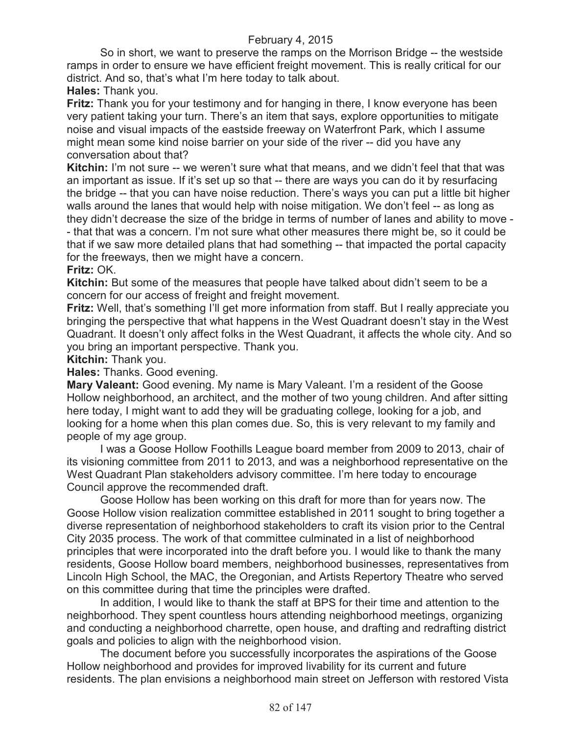So in short, we want to preserve the ramps on the Morrison Bridge -- the westside ramps in order to ensure we have efficient freight movement. This is really critical for our district. And so, that's what I'm here today to talk about.

**Hales:** Thank you.

**Fritz:** Thank you for your testimony and for hanging in there, I know everyone has been very patient taking your turn. There's an item that says, explore opportunities to mitigate noise and visual impacts of the eastside freeway on Waterfront Park, which I assume might mean some kind noise barrier on your side of the river -- did you have any conversation about that?

**Kitchin:** I'm not sure -- we weren't sure what that means, and we didn't feel that that was an important as issue. If it's set up so that -- there are ways you can do it by resurfacing the bridge -- that you can have noise reduction. There's ways you can put a little bit higher walls around the lanes that would help with noise mitigation. We don't feel -- as long as they didn't decrease the size of the bridge in terms of number of lanes and ability to move - - that that was a concern. I'm not sure what other measures there might be, so it could be that if we saw more detailed plans that had something -- that impacted the portal capacity for the freeways, then we might have a concern.

# **Fritz:** OK.

**Kitchin:** But some of the measures that people have talked about didn't seem to be a concern for our access of freight and freight movement.

Fritz: Well, that's something I'll get more information from staff. But I really appreciate you bringing the perspective that what happens in the West Quadrant doesn't stay in the West Quadrant. It doesn't only affect folks in the West Quadrant, it affects the whole city. And so you bring an important perspective. Thank you.

**Kitchin:** Thank you.

**Hales:** Thanks. Good evening.

**Mary Valeant:** Good evening. My name is Mary Valeant. I'm a resident of the Goose Hollow neighborhood, an architect, and the mother of two young children. And after sitting here today, I might want to add they will be graduating college, looking for a job, and looking for a home when this plan comes due. So, this is very relevant to my family and people of my age group.

I was a Goose Hollow Foothills League board member from 2009 to 2013, chair of its visioning committee from 2011 to 2013, and was a neighborhood representative on the West Quadrant Plan stakeholders advisory committee. I'm here today to encourage Council approve the recommended draft.

Goose Hollow has been working on this draft for more than for years now. The Goose Hollow vision realization committee established in 2011 sought to bring together a diverse representation of neighborhood stakeholders to craft its vision prior to the Central City 2035 process. The work of that committee culminated in a list of neighborhood principles that were incorporated into the draft before you. I would like to thank the many residents, Goose Hollow board members, neighborhood businesses, representatives from Lincoln High School, the MAC, the Oregonian, and Artists Repertory Theatre who served on this committee during that time the principles were drafted.

In addition, I would like to thank the staff at BPS for their time and attention to the neighborhood. They spent countless hours attending neighborhood meetings, organizing and conducting a neighborhood charrette, open house, and drafting and redrafting district goals and policies to align with the neighborhood vision.

The document before you successfully incorporates the aspirations of the Goose Hollow neighborhood and provides for improved livability for its current and future residents. The plan envisions a neighborhood main street on Jefferson with restored Vista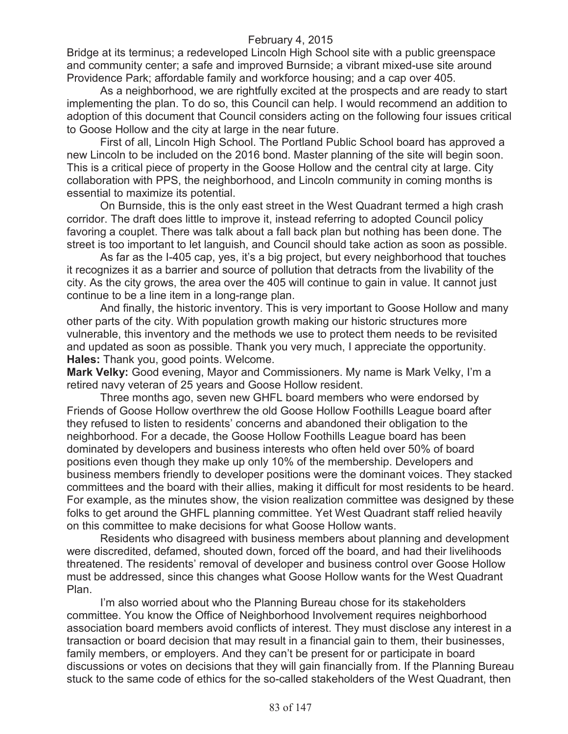Bridge at its terminus; a redeveloped Lincoln High School site with a public greenspace and community center; a safe and improved Burnside; a vibrant mixed-use site around Providence Park; affordable family and workforce housing; and a cap over 405.

As a neighborhood, we are rightfully excited at the prospects and are ready to start implementing the plan. To do so, this Council can help. I would recommend an addition to adoption of this document that Council considers acting on the following four issues critical to Goose Hollow and the city at large in the near future.

First of all, Lincoln High School. The Portland Public School board has approved a new Lincoln to be included on the 2016 bond. Master planning of the site will begin soon. This is a critical piece of property in the Goose Hollow and the central city at large. City collaboration with PPS, the neighborhood, and Lincoln community in coming months is essential to maximize its potential.

On Burnside, this is the only east street in the West Quadrant termed a high crash corridor. The draft does little to improve it, instead referring to adopted Council policy favoring a couplet. There was talk about a fall back plan but nothing has been done. The street is too important to let languish, and Council should take action as soon as possible.

As far as the I-405 cap, yes, it's a big project, but every neighborhood that touches it recognizes it as a barrier and source of pollution that detracts from the livability of the city. As the city grows, the area over the 405 will continue to gain in value. It cannot just continue to be a line item in a long-range plan.

And finally, the historic inventory. This is very important to Goose Hollow and many other parts of the city. With population growth making our historic structures more vulnerable, this inventory and the methods we use to protect them needs to be revisited and updated as soon as possible. Thank you very much, I appreciate the opportunity. **Hales:** Thank you, good points. Welcome.

**Mark Velky:** Good evening, Mayor and Commissioners. My name is Mark Velky, I'm a retired navy veteran of 25 years and Goose Hollow resident.

Three months ago, seven new GHFL board members who were endorsed by Friends of Goose Hollow overthrew the old Goose Hollow Foothills League board after they refused to listen to residents' concerns and abandoned their obligation to the neighborhood. For a decade, the Goose Hollow Foothills League board has been dominated by developers and business interests who often held over 50% of board positions even though they make up only 10% of the membership. Developers and business members friendly to developer positions were the dominant voices. They stacked committees and the board with their allies, making it difficult for most residents to be heard. For example, as the minutes show, the vision realization committee was designed by these folks to get around the GHFL planning committee. Yet West Quadrant staff relied heavily on this committee to make decisions for what Goose Hollow wants.

Residents who disagreed with business members about planning and development were discredited, defamed, shouted down, forced off the board, and had their livelihoods threatened. The residents' removal of developer and business control over Goose Hollow must be addressed, since this changes what Goose Hollow wants for the West Quadrant Plan.

I'm also worried about who the Planning Bureau chose for its stakeholders committee. You know the Office of Neighborhood Involvement requires neighborhood association board members avoid conflicts of interest. They must disclose any interest in a transaction or board decision that may result in a financial gain to them, their businesses, family members, or employers. And they can't be present for or participate in board discussions or votes on decisions that they will gain financially from. If the Planning Bureau stuck to the same code of ethics for the so-called stakeholders of the West Quadrant, then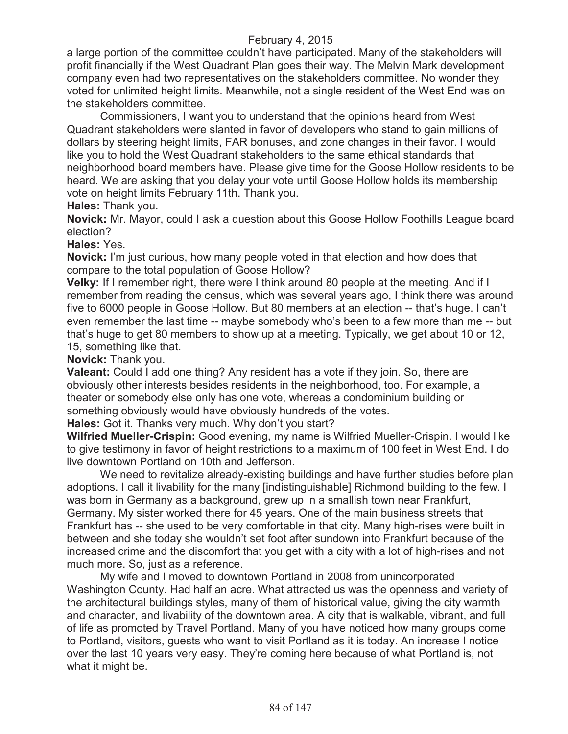a large portion of the committee couldn't have participated. Many of the stakeholders will profit financially if the West Quadrant Plan goes their way. The Melvin Mark development company even had two representatives on the stakeholders committee. No wonder they voted for unlimited height limits. Meanwhile, not a single resident of the West End was on the stakeholders committee.

Commissioners, I want you to understand that the opinions heard from West Quadrant stakeholders were slanted in favor of developers who stand to gain millions of dollars by steering height limits, FAR bonuses, and zone changes in their favor. I would like you to hold the West Quadrant stakeholders to the same ethical standards that neighborhood board members have. Please give time for the Goose Hollow residents to be heard. We are asking that you delay your vote until Goose Hollow holds its membership vote on height limits February 11th. Thank you.

#### **Hales:** Thank you.

**Novick:** Mr. Mayor, could I ask a question about this Goose Hollow Foothills League board election?

#### **Hales:** Yes.

**Novick:** I'm just curious, how many people voted in that election and how does that compare to the total population of Goose Hollow?

**Velky:** If I remember right, there were I think around 80 people at the meeting. And if I remember from reading the census, which was several years ago, I think there was around five to 6000 people in Goose Hollow. But 80 members at an election -- that's huge. I can't even remember the last time -- maybe somebody who's been to a few more than me -- but that's huge to get 80 members to show up at a meeting. Typically, we get about 10 or 12, 15, something like that.

#### **Novick:** Thank you.

**Valeant:** Could I add one thing? Any resident has a vote if they join. So, there are obviously other interests besides residents in the neighborhood, too. For example, a theater or somebody else only has one vote, whereas a condominium building or something obviously would have obviously hundreds of the votes.

**Hales:** Got it. Thanks very much. Why don't you start?

**Wilfried Mueller-Crispin:** Good evening, my name is Wilfried Mueller-Crispin. I would like to give testimony in favor of height restrictions to a maximum of 100 feet in West End. I do live downtown Portland on 10th and Jefferson.

We need to revitalize already-existing buildings and have further studies before plan adoptions. I call it livability for the many [indistinguishable] Richmond building to the few. I was born in Germany as a background, grew up in a smallish town near Frankfurt, Germany. My sister worked there for 45 years. One of the main business streets that Frankfurt has -- she used to be very comfortable in that city. Many high-rises were built in between and she today she wouldn't set foot after sundown into Frankfurt because of the increased crime and the discomfort that you get with a city with a lot of high-rises and not much more. So, just as a reference.

My wife and I moved to downtown Portland in 2008 from unincorporated Washington County. Had half an acre. What attracted us was the openness and variety of the architectural buildings styles, many of them of historical value, giving the city warmth and character, and livability of the downtown area. A city that is walkable, vibrant, and full of life as promoted by Travel Portland. Many of you have noticed how many groups come to Portland, visitors, guests who want to visit Portland as it is today. An increase I notice over the last 10 years very easy. They're coming here because of what Portland is, not what it might be.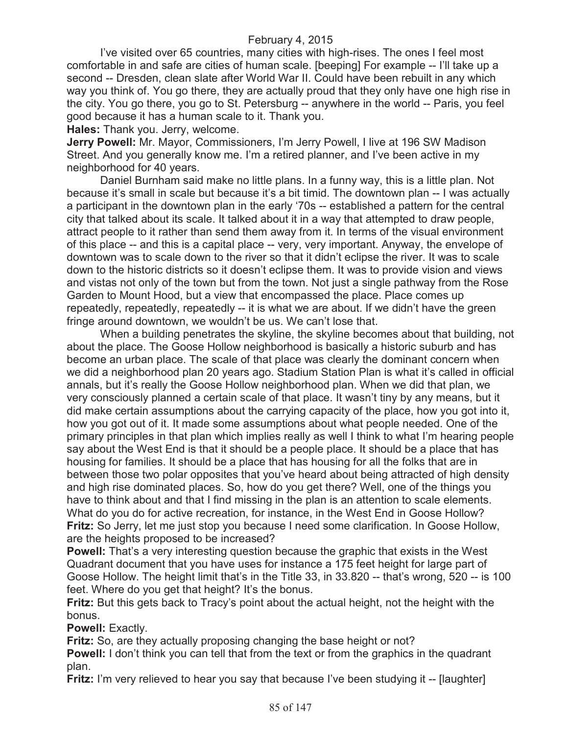I've visited over 65 countries, many cities with high-rises. The ones I feel most comfortable in and safe are cities of human scale. [beeping] For example -- I'll take up a second -- Dresden, clean slate after World War II. Could have been rebuilt in any which way you think of. You go there, they are actually proud that they only have one high rise in the city. You go there, you go to St. Petersburg -- anywhere in the world -- Paris, you feel good because it has a human scale to it. Thank you.

**Hales:** Thank you. Jerry, welcome.

**Jerry Powell:** Mr. Mayor, Commissioners, I'm Jerry Powell, I live at 196 SW Madison Street. And you generally know me. I'm a retired planner, and I've been active in my neighborhood for 40 years.

Daniel Burnham said make no little plans. In a funny way, this is a little plan. Not because it's small in scale but because it's a bit timid. The downtown plan -- I was actually a participant in the downtown plan in the early '70s -- established a pattern for the central city that talked about its scale. It talked about it in a way that attempted to draw people, attract people to it rather than send them away from it. In terms of the visual environment of this place -- and this is a capital place -- very, very important. Anyway, the envelope of downtown was to scale down to the river so that it didn't eclipse the river. It was to scale down to the historic districts so it doesn't eclipse them. It was to provide vision and views and vistas not only of the town but from the town. Not just a single pathway from the Rose Garden to Mount Hood, but a view that encompassed the place. Place comes up repeatedly, repeatedly, repeatedly -- it is what we are about. If we didn't have the green fringe around downtown, we wouldn't be us. We can't lose that.

When a building penetrates the skyline, the skyline becomes about that building, not about the place. The Goose Hollow neighborhood is basically a historic suburb and has become an urban place. The scale of that place was clearly the dominant concern when we did a neighborhood plan 20 years ago. Stadium Station Plan is what it's called in official annals, but it's really the Goose Hollow neighborhood plan. When we did that plan, we very consciously planned a certain scale of that place. It wasn't tiny by any means, but it did make certain assumptions about the carrying capacity of the place, how you got into it, how you got out of it. It made some assumptions about what people needed. One of the primary principles in that plan which implies really as well I think to what I'm hearing people say about the West End is that it should be a people place. It should be a place that has housing for families. It should be a place that has housing for all the folks that are in between those two polar opposites that you've heard about being attracted of high density and high rise dominated places. So, how do you get there? Well, one of the things you have to think about and that I find missing in the plan is an attention to scale elements. What do you do for active recreation, for instance, in the West End in Goose Hollow? **Fritz:** So Jerry, let me just stop you because I need some clarification. In Goose Hollow, are the heights proposed to be increased?

**Powell:** That's a very interesting question because the graphic that exists in the West Quadrant document that you have uses for instance a 175 feet height for large part of Goose Hollow. The height limit that's in the Title 33, in 33.820 -- that's wrong, 520 -- is 100 feet. Where do you get that height? It's the bonus.

**Fritz:** But this gets back to Tracy's point about the actual height, not the height with the bonus.

**Powell:** Exactly.

**Fritz:** So, are they actually proposing changing the base height or not?

**Powell:** I don't think you can tell that from the text or from the graphics in the quadrant plan.

**Fritz:** I'm very relieved to hear you say that because I've been studying it -- [laughter]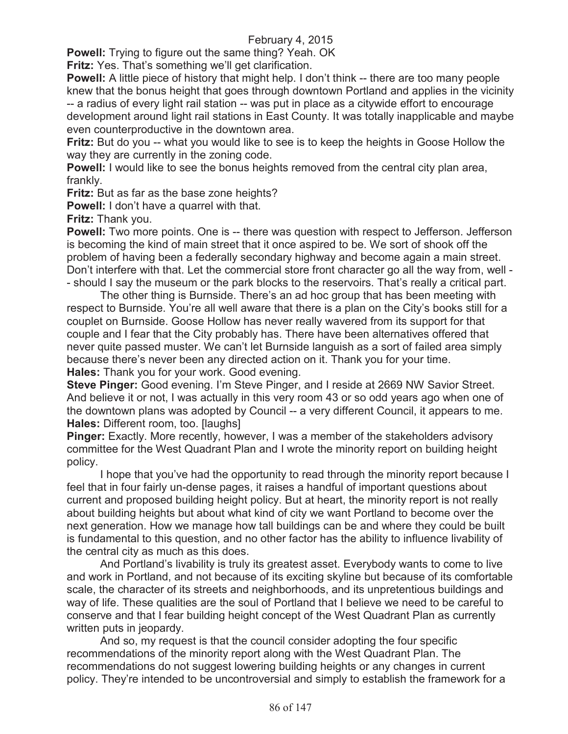**Powell:** Trying to figure out the same thing? Yeah. OK

**Fritz:** Yes. That's something we'll get clarification.

**Powell:** A little piece of history that might help. I don't think -- there are too many people knew that the bonus height that goes through downtown Portland and applies in the vicinity -- a radius of every light rail station -- was put in place as a citywide effort to encourage development around light rail stations in East County. It was totally inapplicable and maybe even counterproductive in the downtown area.

**Fritz:** But do you -- what you would like to see is to keep the heights in Goose Hollow the way they are currently in the zoning code.

**Powell:** I would like to see the bonus heights removed from the central city plan area, frankly.

**Fritz:** But as far as the base zone heights?

**Powell:** I don't have a quarrel with that.

**Fritz:** Thank you.

**Powell:** Two more points. One is -- there was question with respect to Jefferson. Jefferson is becoming the kind of main street that it once aspired to be. We sort of shook off the problem of having been a federally secondary highway and become again a main street. Don't interfere with that. Let the commercial store front character go all the way from, well - - should I say the museum or the park blocks to the reservoirs. That's really a critical part.

The other thing is Burnside. There's an ad hoc group that has been meeting with respect to Burnside. You're all well aware that there is a plan on the City's books still for a couplet on Burnside. Goose Hollow has never really wavered from its support for that couple and I fear that the City probably has. There have been alternatives offered that never quite passed muster. We can't let Burnside languish as a sort of failed area simply because there's never been any directed action on it. Thank you for your time. **Hales:** Thank you for your work. Good evening.

**Steve Pinger:** Good evening. I'm Steve Pinger, and I reside at 2669 NW Savior Street. And believe it or not, I was actually in this very room 43 or so odd years ago when one of the downtown plans was adopted by Council -- a very different Council, it appears to me. **Hales:** Different room, too. [laughs]

**Pinger:** Exactly. More recently, however, I was a member of the stakeholders advisory committee for the West Quadrant Plan and I wrote the minority report on building height policy.

I hope that you've had the opportunity to read through the minority report because I feel that in four fairly un-dense pages, it raises a handful of important questions about current and proposed building height policy. But at heart, the minority report is not really about building heights but about what kind of city we want Portland to become over the next generation. How we manage how tall buildings can be and where they could be built is fundamental to this question, and no other factor has the ability to influence livability of the central city as much as this does.

And Portland's livability is truly its greatest asset. Everybody wants to come to live and work in Portland, and not because of its exciting skyline but because of its comfortable scale, the character of its streets and neighborhoods, and its unpretentious buildings and way of life. These qualities are the soul of Portland that I believe we need to be careful to conserve and that I fear building height concept of the West Quadrant Plan as currently written puts in jeopardy.

And so, my request is that the council consider adopting the four specific recommendations of the minority report along with the West Quadrant Plan. The recommendations do not suggest lowering building heights or any changes in current policy. They're intended to be uncontroversial and simply to establish the framework for a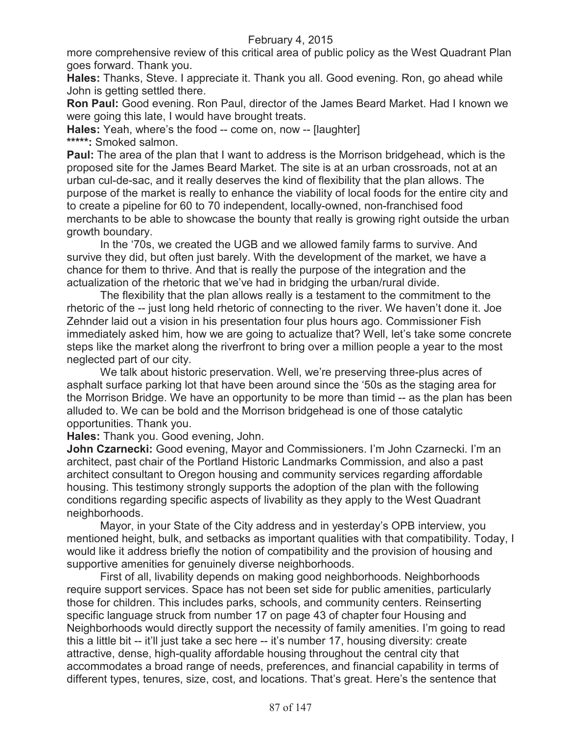more comprehensive review of this critical area of public policy as the West Quadrant Plan goes forward. Thank you.

**Hales:** Thanks, Steve. I appreciate it. Thank you all. Good evening. Ron, go ahead while John is getting settled there.

**Ron Paul:** Good evening. Ron Paul, director of the James Beard Market. Had I known we were going this late, I would have brought treats.

**Hales:** Yeah, where's the food -- come on, now -- [laughter] **\*\*\*\*\*:** Smoked salmon.

**Paul:** The area of the plan that I want to address is the Morrison bridgehead, which is the proposed site for the James Beard Market. The site is at an urban crossroads, not at an urban cul-de-sac, and it really deserves the kind of flexibility that the plan allows. The purpose of the market is really to enhance the viability of local foods for the entire city and to create a pipeline for 60 to 70 independent, locally-owned, non-franchised food merchants to be able to showcase the bounty that really is growing right outside the urban growth boundary.

In the '70s, we created the UGB and we allowed family farms to survive. And survive they did, but often just barely. With the development of the market, we have a chance for them to thrive. And that is really the purpose of the integration and the actualization of the rhetoric that we've had in bridging the urban/rural divide.

The flexibility that the plan allows really is a testament to the commitment to the rhetoric of the -- just long held rhetoric of connecting to the river. We haven't done it. Joe Zehnder laid out a vision in his presentation four plus hours ago. Commissioner Fish immediately asked him, how we are going to actualize that? Well, let's take some concrete steps like the market along the riverfront to bring over a million people a year to the most neglected part of our city.

We talk about historic preservation. Well, we're preserving three-plus acres of asphalt surface parking lot that have been around since the '50s as the staging area for the Morrison Bridge. We have an opportunity to be more than timid -- as the plan has been alluded to. We can be bold and the Morrison bridgehead is one of those catalytic opportunities. Thank you.

**Hales:** Thank you. Good evening, John.

**John Czarnecki:** Good evening, Mayor and Commissioners. I'm John Czarnecki. I'm an architect, past chair of the Portland Historic Landmarks Commission, and also a past architect consultant to Oregon housing and community services regarding affordable housing. This testimony strongly supports the adoption of the plan with the following conditions regarding specific aspects of livability as they apply to the West Quadrant neighborhoods.

Mayor, in your State of the City address and in yesterday's OPB interview, you mentioned height, bulk, and setbacks as important qualities with that compatibility. Today, I would like it address briefly the notion of compatibility and the provision of housing and supportive amenities for genuinely diverse neighborhoods.

First of all, livability depends on making good neighborhoods. Neighborhoods require support services. Space has not been set side for public amenities, particularly those for children. This includes parks, schools, and community centers. Reinserting specific language struck from number 17 on page 43 of chapter four Housing and Neighborhoods would directly support the necessity of family amenities. I'm going to read this a little bit -- it'll just take a sec here -- it's number 17, housing diversity: create attractive, dense, high-quality affordable housing throughout the central city that accommodates a broad range of needs, preferences, and financial capability in terms of different types, tenures, size, cost, and locations. That's great. Here's the sentence that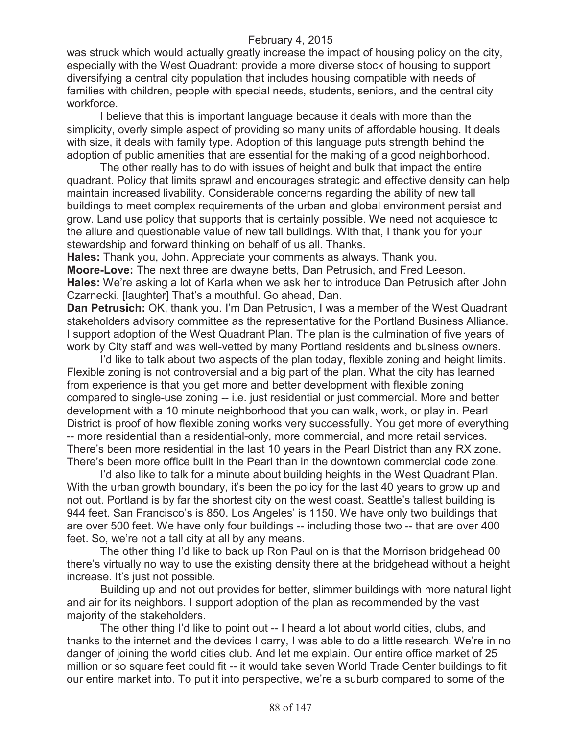was struck which would actually greatly increase the impact of housing policy on the city, especially with the West Quadrant: provide a more diverse stock of housing to support diversifying a central city population that includes housing compatible with needs of families with children, people with special needs, students, seniors, and the central city workforce.

I believe that this is important language because it deals with more than the simplicity, overly simple aspect of providing so many units of affordable housing. It deals with size, it deals with family type. Adoption of this language puts strength behind the adoption of public amenities that are essential for the making of a good neighborhood.

The other really has to do with issues of height and bulk that impact the entire quadrant. Policy that limits sprawl and encourages strategic and effective density can help maintain increased livability. Considerable concerns regarding the ability of new tall buildings to meet complex requirements of the urban and global environment persist and grow. Land use policy that supports that is certainly possible. We need not acquiesce to the allure and questionable value of new tall buildings. With that, I thank you for your stewardship and forward thinking on behalf of us all. Thanks.

**Hales:** Thank you, John. Appreciate your comments as always. Thank you. **Moore-Love:** The next three are dwayne betts, Dan Petrusich, and Fred Leeson. **Hales:** We're asking a lot of Karla when we ask her to introduce Dan Petrusich after John Czarnecki. [laughter] That's a mouthful. Go ahead, Dan.

**Dan Petrusich:** OK, thank you. I'm Dan Petrusich, I was a member of the West Quadrant stakeholders advisory committee as the representative for the Portland Business Alliance. I support adoption of the West Quadrant Plan. The plan is the culmination of five years of work by City staff and was well-vetted by many Portland residents and business owners.

I'd like to talk about two aspects of the plan today, flexible zoning and height limits. Flexible zoning is not controversial and a big part of the plan. What the city has learned from experience is that you get more and better development with flexible zoning compared to single-use zoning -- i.e. just residential or just commercial. More and better development with a 10 minute neighborhood that you can walk, work, or play in. Pearl District is proof of how flexible zoning works very successfully. You get more of everything -- more residential than a residential-only, more commercial, and more retail services. There's been more residential in the last 10 years in the Pearl District than any RX zone. There's been more office built in the Pearl than in the downtown commercial code zone.

I'd also like to talk for a minute about building heights in the West Quadrant Plan. With the urban growth boundary, it's been the policy for the last 40 years to grow up and not out. Portland is by far the shortest city on the west coast. Seattle's tallest building is 944 feet. San Francisco's is 850. Los Angeles' is 1150. We have only two buildings that are over 500 feet. We have only four buildings -- including those two -- that are over 400 feet. So, we're not a tall city at all by any means.

The other thing I'd like to back up Ron Paul on is that the Morrison bridgehead 00 there's virtually no way to use the existing density there at the bridgehead without a height increase. It's just not possible.

Building up and not out provides for better, slimmer buildings with more natural light and air for its neighbors. I support adoption of the plan as recommended by the vast majority of the stakeholders.

The other thing I'd like to point out -- I heard a lot about world cities, clubs, and thanks to the internet and the devices I carry, I was able to do a little research. We're in no danger of joining the world cities club. And let me explain. Our entire office market of 25 million or so square feet could fit -- it would take seven World Trade Center buildings to fit our entire market into. To put it into perspective, we're a suburb compared to some of the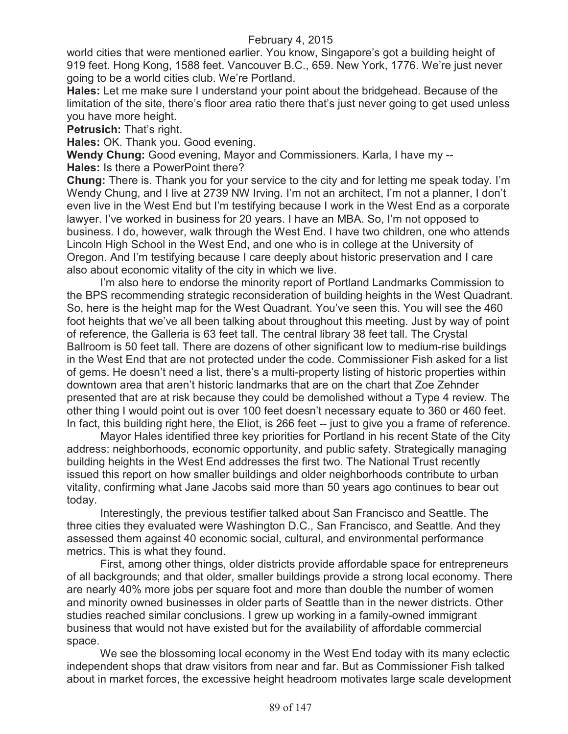world cities that were mentioned earlier. You know, Singapore's got a building height of 919 feet. Hong Kong, 1588 feet. Vancouver B.C., 659. New York, 1776. We're just never going to be a world cities club. We're Portland.

**Hales:** Let me make sure I understand your point about the bridgehead. Because of the limitation of the site, there's floor area ratio there that's just never going to get used unless you have more height.

**Petrusich: That's right.** 

**Hales:** OK. Thank you. Good evening.

**Wendy Chung:** Good evening, Mayor and Commissioners. Karla, I have my -- **Hales:** Is there a PowerPoint there?

**Chung:** There is. Thank you for your service to the city and for letting me speak today. I'm Wendy Chung, and I live at 2739 NW Irving. I'm not an architect, I'm not a planner, I don't even live in the West End but I'm testifying because I work in the West End as a corporate lawyer. I've worked in business for 20 years. I have an MBA. So, I'm not opposed to business. I do, however, walk through the West End. I have two children, one who attends Lincoln High School in the West End, and one who is in college at the University of Oregon. And I'm testifying because I care deeply about historic preservation and I care also about economic vitality of the city in which we live.

I'm also here to endorse the minority report of Portland Landmarks Commission to the BPS recommending strategic reconsideration of building heights in the West Quadrant. So, here is the height map for the West Quadrant. You've seen this. You will see the 460 foot heights that we've all been talking about throughout this meeting. Just by way of point of reference, the Galleria is 63 feet tall. The central library 38 feet tall. The Crystal Ballroom is 50 feet tall. There are dozens of other significant low to medium-rise buildings in the West End that are not protected under the code. Commissioner Fish asked for a list of gems. He doesn't need a list, there's a multi-property listing of historic properties within downtown area that aren't historic landmarks that are on the chart that Zoe Zehnder presented that are at risk because they could be demolished without a Type 4 review. The other thing I would point out is over 100 feet doesn't necessary equate to 360 or 460 feet. In fact, this building right here, the Eliot, is 266 feet -- just to give you a frame of reference.

Mayor Hales identified three key priorities for Portland in his recent State of the City address: neighborhoods, economic opportunity, and public safety. Strategically managing building heights in the West End addresses the first two. The National Trust recently issued this report on how smaller buildings and older neighborhoods contribute to urban vitality, confirming what Jane Jacobs said more than 50 years ago continues to bear out today.

Interestingly, the previous testifier talked about San Francisco and Seattle. The three cities they evaluated were Washington D.C., San Francisco, and Seattle. And they assessed them against 40 economic social, cultural, and environmental performance metrics. This is what they found.

First, among other things, older districts provide affordable space for entrepreneurs of all backgrounds; and that older, smaller buildings provide a strong local economy. There are nearly 40% more jobs per square foot and more than double the number of women and minority owned businesses in older parts of Seattle than in the newer districts. Other studies reached similar conclusions. I grew up working in a family-owned immigrant business that would not have existed but for the availability of affordable commercial space.

We see the blossoming local economy in the West End today with its many eclectic independent shops that draw visitors from near and far. But as Commissioner Fish talked about in market forces, the excessive height headroom motivates large scale development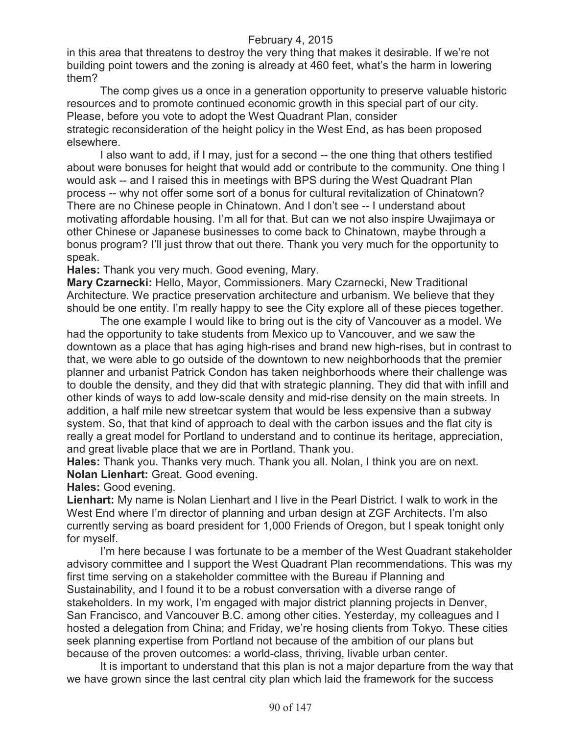in this area that threatens to destroy the very thing that makes it desirable. If we're not building point towers and the zoning is already at 460 feet, what's the harm in lowering them?

The comp gives us a once in a generation opportunity to preserve valuable historic resources and to promote continued economic growth in this special part of our city. Please, before you vote to adopt the West Quadrant Plan, consider

strategic reconsideration of the height policy in the West End, as has been proposed elsewhere.

I also want to add, if I may, just for a second -- the one thing that others testified about were bonuses for height that would add or contribute to the community. One thing I would ask -- and I raised this in meetings with BPS during the West Quadrant Plan process -- why not offer some sort of a bonus for cultural revitalization of Chinatown? There are no Chinese people in Chinatown. And I don't see -- I understand about motivating affordable housing. I'm all for that. But can we not also inspire Uwajimaya or other Chinese or Japanese businesses to come back to Chinatown, maybe through a bonus program? I'll just throw that out there. Thank you very much for the opportunity to speak.

**Hales:** Thank you very much. Good evening, Mary.

**Mary Czarnecki:** Hello, Mayor, Commissioners. Mary Czarnecki, New Traditional Architecture. We practice preservation architecture and urbanism. We believe that they should be one entity. I'm really happy to see the City explore all of these pieces together.

The one example I would like to bring out is the city of Vancouver as a model. We had the opportunity to take students from Mexico up to Vancouver, and we saw the downtown as a place that has aging high-rises and brand new high-rises, but in contrast to that, we were able to go outside of the downtown to new neighborhoods that the premier planner and urbanist Patrick Condon has taken neighborhoods where their challenge was to double the density, and they did that with strategic planning. They did that with infill and other kinds of ways to add low-scale density and mid-rise density on the main streets. In addition, a half mile new streetcar system that would be less expensive than a subway system. So, that that kind of approach to deal with the carbon issues and the flat city is really a great model for Portland to understand and to continue its heritage, appreciation, and great livable place that we are in Portland. Thank you.

**Hales:** Thank you. Thanks very much. Thank you all. Nolan, I think you are on next. **Nolan Lienhart:** Great. Good evening.

**Hales:** Good evening.

**Lienhart:** My name is Nolan Lienhart and I live in the Pearl District. I walk to work in the West End where I'm director of planning and urban design at ZGF Architects. I'm also currently serving as board president for 1,000 Friends of Oregon, but I speak tonight only for myself.

I'm here because I was fortunate to be a member of the West Quadrant stakeholder advisory committee and I support the West Quadrant Plan recommendations. This was my first time serving on a stakeholder committee with the Bureau if Planning and Sustainability, and I found it to be a robust conversation with a diverse range of stakeholders. In my work, I'm engaged with major district planning projects in Denver, San Francisco, and Vancouver B.C. among other cities. Yesterday, my colleagues and I hosted a delegation from China; and Friday, we're hosing clients from Tokyo. These cities seek planning expertise from Portland not because of the ambition of our plans but because of the proven outcomes: a world-class, thriving, livable urban center.

It is important to understand that this plan is not a major departure from the way that we have grown since the last central city plan which laid the framework for the success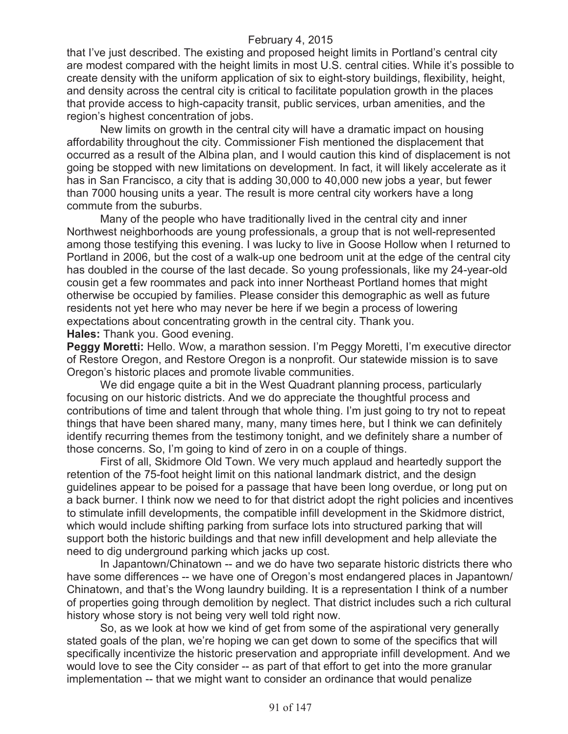that I've just described. The existing and proposed height limits in Portland's central city are modest compared with the height limits in most U.S. central cities. While it's possible to create density with the uniform application of six to eight-story buildings, flexibility, height, and density across the central city is critical to facilitate population growth in the places that provide access to high-capacity transit, public services, urban amenities, and the region's highest concentration of jobs.

New limits on growth in the central city will have a dramatic impact on housing affordability throughout the city. Commissioner Fish mentioned the displacement that occurred as a result of the Albina plan, and I would caution this kind of displacement is not going be stopped with new limitations on development. In fact, it will likely accelerate as it has in San Francisco, a city that is adding 30,000 to 40,000 new jobs a year, but fewer than 7000 housing units a year. The result is more central city workers have a long commute from the suburbs.

Many of the people who have traditionally lived in the central city and inner Northwest neighborhoods are young professionals, a group that is not well-represented among those testifying this evening. I was lucky to live in Goose Hollow when I returned to Portland in 2006, but the cost of a walk-up one bedroom unit at the edge of the central city has doubled in the course of the last decade. So young professionals, like my 24-year-old cousin get a few roommates and pack into inner Northeast Portland homes that might otherwise be occupied by families. Please consider this demographic as well as future residents not yet here who may never be here if we begin a process of lowering expectations about concentrating growth in the central city. Thank you. **Hales:** Thank you. Good evening.

**Peggy Moretti:** Hello. Wow, a marathon session. I'm Peggy Moretti, I'm executive director of Restore Oregon, and Restore Oregon is a nonprofit. Our statewide mission is to save Oregon's historic places and promote livable communities.

We did engage quite a bit in the West Quadrant planning process, particularly focusing on our historic districts. And we do appreciate the thoughtful process and contributions of time and talent through that whole thing. I'm just going to try not to repeat things that have been shared many, many, many times here, but I think we can definitely identify recurring themes from the testimony tonight, and we definitely share a number of those concerns. So, I'm going to kind of zero in on a couple of things.

First of all, Skidmore Old Town. We very much applaud and heartedly support the retention of the 75-foot height limit on this national landmark district, and the design guidelines appear to be poised for a passage that have been long overdue, or long put on a back burner. I think now we need to for that district adopt the right policies and incentives to stimulate infill developments, the compatible infill development in the Skidmore district, which would include shifting parking from surface lots into structured parking that will support both the historic buildings and that new infill development and help alleviate the need to dig underground parking which jacks up cost.

In Japantown/Chinatown -- and we do have two separate historic districts there who have some differences -- we have one of Oregon's most endangered places in Japantown/ Chinatown, and that's the Wong laundry building. It is a representation I think of a number of properties going through demolition by neglect. That district includes such a rich cultural history whose story is not being very well told right now.

So, as we look at how we kind of get from some of the aspirational very generally stated goals of the plan, we're hoping we can get down to some of the specifics that will specifically incentivize the historic preservation and appropriate infill development. And we would love to see the City consider -- as part of that effort to get into the more granular implementation -- that we might want to consider an ordinance that would penalize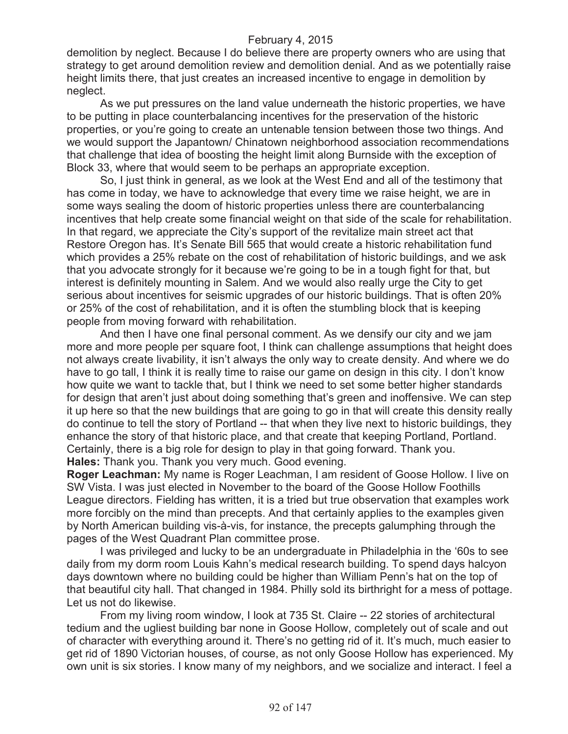demolition by neglect. Because I do believe there are property owners who are using that strategy to get around demolition review and demolition denial. And as we potentially raise height limits there, that just creates an increased incentive to engage in demolition by neglect.

As we put pressures on the land value underneath the historic properties, we have to be putting in place counterbalancing incentives for the preservation of the historic properties, or you're going to create an untenable tension between those two things. And we would support the Japantown/ Chinatown neighborhood association recommendations that challenge that idea of boosting the height limit along Burnside with the exception of Block 33, where that would seem to be perhaps an appropriate exception.

So, I just think in general, as we look at the West End and all of the testimony that has come in today, we have to acknowledge that every time we raise height, we are in some ways sealing the doom of historic properties unless there are counterbalancing incentives that help create some financial weight on that side of the scale for rehabilitation. In that regard, we appreciate the City's support of the revitalize main street act that Restore Oregon has. It's Senate Bill 565 that would create a historic rehabilitation fund which provides a 25% rebate on the cost of rehabilitation of historic buildings, and we ask that you advocate strongly for it because we're going to be in a tough fight for that, but interest is definitely mounting in Salem. And we would also really urge the City to get serious about incentives for seismic upgrades of our historic buildings. That is often 20% or 25% of the cost of rehabilitation, and it is often the stumbling block that is keeping people from moving forward with rehabilitation.

And then I have one final personal comment. As we densify our city and we jam more and more people per square foot, I think can challenge assumptions that height does not always create livability, it isn't always the only way to create density. And where we do have to go tall, I think it is really time to raise our game on design in this city. I don't know how quite we want to tackle that, but I think we need to set some better higher standards for design that aren't just about doing something that's green and inoffensive. We can step it up here so that the new buildings that are going to go in that will create this density really do continue to tell the story of Portland -- that when they live next to historic buildings, they enhance the story of that historic place, and that create that keeping Portland, Portland. Certainly, there is a big role for design to play in that going forward. Thank you. **Hales:** Thank you. Thank you very much. Good evening.

**Roger Leachman:** My name is Roger Leachman, I am resident of Goose Hollow. I live on SW Vista. I was just elected in November to the board of the Goose Hollow Foothills League directors. Fielding has written, it is a tried but true observation that examples work more forcibly on the mind than precepts. And that certainly applies to the examples given by North American building vis-à-vis, for instance, the precepts galumphing through the pages of the West Quadrant Plan committee prose.

I was privileged and lucky to be an undergraduate in Philadelphia in the '60s to see daily from my dorm room Louis Kahn's medical research building. To spend days halcyon days downtown where no building could be higher than William Penn's hat on the top of that beautiful city hall. That changed in 1984. Philly sold its birthright for a mess of pottage. Let us not do likewise.

From my living room window, I look at 735 St. Claire -- 22 stories of architectural tedium and the ugliest building bar none in Goose Hollow, completely out of scale and out of character with everything around it. There's no getting rid of it. It's much, much easier to get rid of 1890 Victorian houses, of course, as not only Goose Hollow has experienced. My own unit is six stories. I know many of my neighbors, and we socialize and interact. I feel a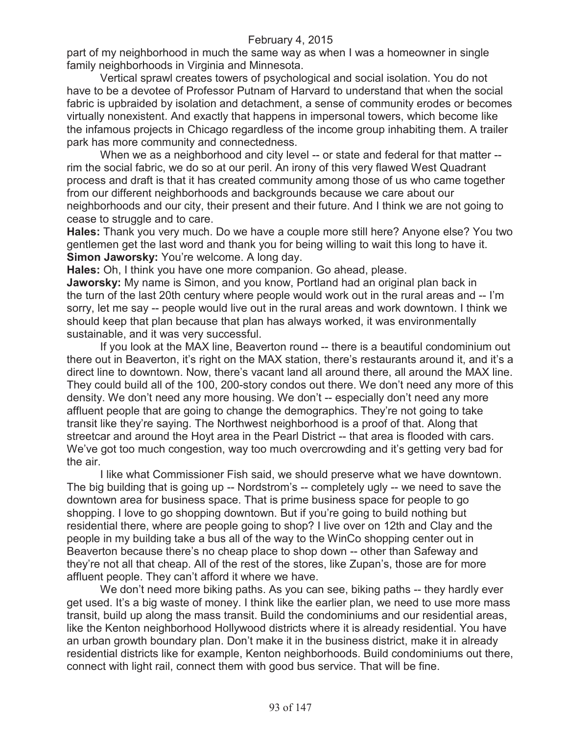part of my neighborhood in much the same way as when I was a homeowner in single family neighborhoods in Virginia and Minnesota.

Vertical sprawl creates towers of psychological and social isolation. You do not have to be a devotee of Professor Putnam of Harvard to understand that when the social fabric is upbraided by isolation and detachment, a sense of community erodes or becomes virtually nonexistent. And exactly that happens in impersonal towers, which become like the infamous projects in Chicago regardless of the income group inhabiting them. A trailer park has more community and connectedness.

When we as a neighborhood and city level -- or state and federal for that matter - rim the social fabric, we do so at our peril. An irony of this very flawed West Quadrant process and draft is that it has created community among those of us who came together from our different neighborhoods and backgrounds because we care about our neighborhoods and our city, their present and their future. And I think we are not going to cease to struggle and to care.

**Hales:** Thank you very much. Do we have a couple more still here? Anyone else? You two gentlemen get the last word and thank you for being willing to wait this long to have it. **Simon Jaworsky:** You're welcome. A long day.

**Hales:** Oh, I think you have one more companion. Go ahead, please.

**Jaworsky:** My name is Simon, and you know, Portland had an original plan back in the turn of the last 20th century where people would work out in the rural areas and -- I'm sorry, let me say -- people would live out in the rural areas and work downtown. I think we should keep that plan because that plan has always worked, it was environmentally sustainable, and it was very successful.

If you look at the MAX line, Beaverton round -- there is a beautiful condominium out there out in Beaverton, it's right on the MAX station, there's restaurants around it, and it's a direct line to downtown. Now, there's vacant land all around there, all around the MAX line. They could build all of the 100, 200-story condos out there. We don't need any more of this density. We don't need any more housing. We don't -- especially don't need any more affluent people that are going to change the demographics. They're not going to take transit like they're saying. The Northwest neighborhood is a proof of that. Along that streetcar and around the Hoyt area in the Pearl District -- that area is flooded with cars. We've got too much congestion, way too much overcrowding and it's getting very bad for the air.

I like what Commissioner Fish said, we should preserve what we have downtown. The big building that is going up -- Nordstrom's -- completely ugly -- we need to save the downtown area for business space. That is prime business space for people to go shopping. I love to go shopping downtown. But if you're going to build nothing but residential there, where are people going to shop? I live over on 12th and Clay and the people in my building take a bus all of the way to the WinCo shopping center out in Beaverton because there's no cheap place to shop down -- other than Safeway and they're not all that cheap. All of the rest of the stores, like Zupan's, those are for more affluent people. They can't afford it where we have.

We don't need more biking paths. As you can see, biking paths -- they hardly ever get used. It's a big waste of money. I think like the earlier plan, we need to use more mass transit, build up along the mass transit. Build the condominiums and our residential areas, like the Kenton neighborhood Hollywood districts where it is already residential. You have an urban growth boundary plan. Don't make it in the business district, make it in already residential districts like for example, Kenton neighborhoods. Build condominiums out there, connect with light rail, connect them with good bus service. That will be fine.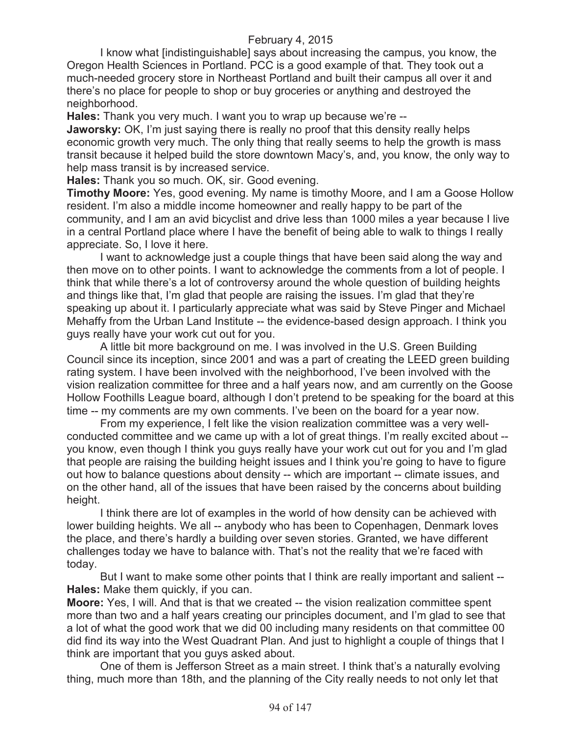I know what [indistinguishable] says about increasing the campus, you know, the Oregon Health Sciences in Portland. PCC is a good example of that. They took out a much-needed grocery store in Northeast Portland and built their campus all over it and there's no place for people to shop or buy groceries or anything and destroyed the neighborhood.

**Hales:** Thank you very much. I want you to wrap up because we're --

**Jaworsky:** OK, I'm just saying there is really no proof that this density really helps economic growth very much. The only thing that really seems to help the growth is mass transit because it helped build the store downtown Macy's, and, you know, the only way to help mass transit is by increased service.

**Hales:** Thank you so much. OK, sir. Good evening.

**Timothy Moore:** Yes, good evening. My name is timothy Moore, and I am a Goose Hollow resident. I'm also a middle income homeowner and really happy to be part of the community, and I am an avid bicyclist and drive less than 1000 miles a year because I live in a central Portland place where I have the benefit of being able to walk to things I really appreciate. So, I love it here.

I want to acknowledge just a couple things that have been said along the way and then move on to other points. I want to acknowledge the comments from a lot of people. I think that while there's a lot of controversy around the whole question of building heights and things like that, I'm glad that people are raising the issues. I'm glad that they're speaking up about it. I particularly appreciate what was said by Steve Pinger and Michael Mehaffy from the Urban Land Institute -- the evidence-based design approach. I think you guys really have your work cut out for you.

A little bit more background on me. I was involved in the U.S. Green Building Council since its inception, since 2001 and was a part of creating the LEED green building rating system. I have been involved with the neighborhood, I've been involved with the vision realization committee for three and a half years now, and am currently on the Goose Hollow Foothills League board, although I don't pretend to be speaking for the board at this time -- my comments are my own comments. I've been on the board for a year now.

From my experience, I felt like the vision realization committee was a very wellconducted committee and we came up with a lot of great things. I'm really excited about - you know, even though I think you guys really have your work cut out for you and I'm glad that people are raising the building height issues and I think you're going to have to figure out how to balance questions about density -- which are important -- climate issues, and on the other hand, all of the issues that have been raised by the concerns about building height.

I think there are lot of examples in the world of how density can be achieved with lower building heights. We all -- anybody who has been to Copenhagen, Denmark loves the place, and there's hardly a building over seven stories. Granted, we have different challenges today we have to balance with. That's not the reality that we're faced with today.

But I want to make some other points that I think are really important and salient -- **Hales:** Make them quickly, if you can.

**Moore:** Yes, I will. And that is that we created -- the vision realization committee spent more than two and a half years creating our principles document, and I'm glad to see that a lot of what the good work that we did 00 including many residents on that committee 00 did find its way into the West Quadrant Plan. And just to highlight a couple of things that I think are important that you guys asked about.

One of them is Jefferson Street as a main street. I think that's a naturally evolving thing, much more than 18th, and the planning of the City really needs to not only let that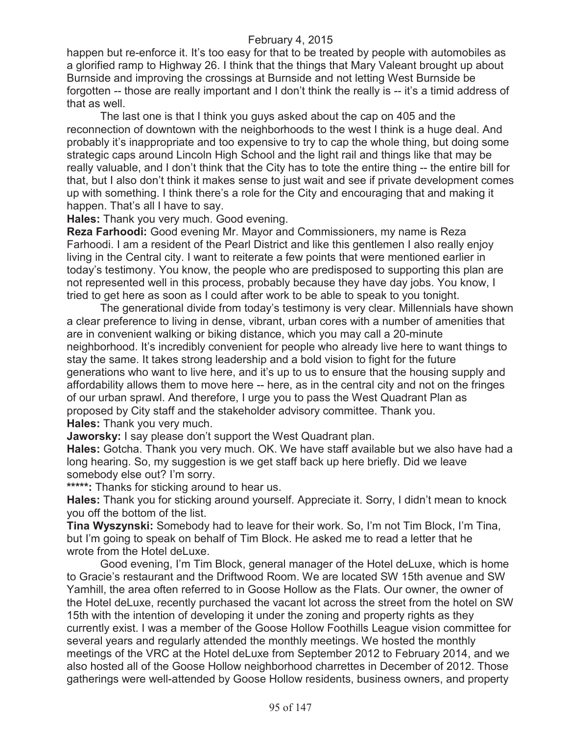happen but re-enforce it. It's too easy for that to be treated by people with automobiles as a glorified ramp to Highway 26. I think that the things that Mary Valeant brought up about Burnside and improving the crossings at Burnside and not letting West Burnside be forgotten -- those are really important and I don't think the really is -- it's a timid address of that as well.

The last one is that I think you guys asked about the cap on 405 and the reconnection of downtown with the neighborhoods to the west I think is a huge deal. And probably it's inappropriate and too expensive to try to cap the whole thing, but doing some strategic caps around Lincoln High School and the light rail and things like that may be really valuable, and I don't think that the City has to tote the entire thing -- the entire bill for that, but I also don't think it makes sense to just wait and see if private development comes up with something. I think there's a role for the City and encouraging that and making it happen. That's all I have to say.

**Hales:** Thank you very much. Good evening.

**Reza Farhoodi:** Good evening Mr. Mayor and Commissioners, my name is Reza Farhoodi. I am a resident of the Pearl District and like this gentlemen I also really enjoy living in the Central city. I want to reiterate a few points that were mentioned earlier in today's testimony. You know, the people who are predisposed to supporting this plan are not represented well in this process, probably because they have day jobs. You know, I tried to get here as soon as I could after work to be able to speak to you tonight.

The generational divide from today's testimony is very clear. Millennials have shown a clear preference to living in dense, vibrant, urban cores with a number of amenities that are in convenient walking or biking distance, which you may call a 20-minute neighborhood. It's incredibly convenient for people who already live here to want things to stay the same. It takes strong leadership and a bold vision to fight for the future generations who want to live here, and it's up to us to ensure that the housing supply and affordability allows them to move here -- here, as in the central city and not on the fringes of our urban sprawl. And therefore, I urge you to pass the West Quadrant Plan as proposed by City staff and the stakeholder advisory committee. Thank you. **Hales:** Thank you very much.

**Jaworsky:** I say please don't support the West Quadrant plan.

**Hales:** Gotcha. Thank you very much. OK. We have staff available but we also have had a long hearing. So, my suggestion is we get staff back up here briefly. Did we leave somebody else out? I'm sorry.

**\*\*\*\*\*:** Thanks for sticking around to hear us.

**Hales:** Thank you for sticking around yourself. Appreciate it. Sorry, I didn't mean to knock you off the bottom of the list.

**Tina Wyszynski:** Somebody had to leave for their work. So, I'm not Tim Block, I'm Tina, but I'm going to speak on behalf of Tim Block. He asked me to read a letter that he wrote from the Hotel deLuxe.

Good evening, I'm Tim Block, general manager of the Hotel deLuxe, which is home to Gracie's restaurant and the Driftwood Room. We are located SW 15th avenue and SW Yamhill, the area often referred to in Goose Hollow as the Flats. Our owner, the owner of the Hotel deLuxe, recently purchased the vacant lot across the street from the hotel on SW 15th with the intention of developing it under the zoning and property rights as they currently exist. I was a member of the Goose Hollow Foothills League vision committee for several years and regularly attended the monthly meetings. We hosted the monthly meetings of the VRC at the Hotel deLuxe from September 2012 to February 2014, and we also hosted all of the Goose Hollow neighborhood charrettes in December of 2012. Those gatherings were well-attended by Goose Hollow residents, business owners, and property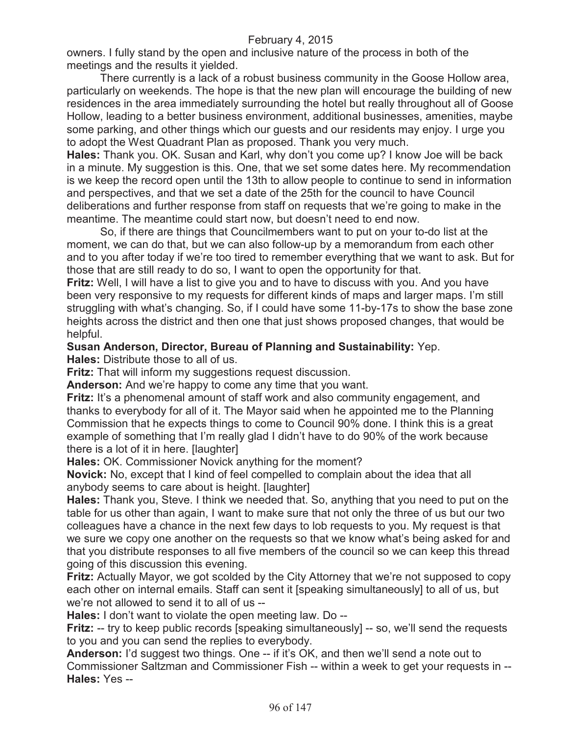owners. I fully stand by the open and inclusive nature of the process in both of the meetings and the results it yielded.

There currently is a lack of a robust business community in the Goose Hollow area, particularly on weekends. The hope is that the new plan will encourage the building of new residences in the area immediately surrounding the hotel but really throughout all of Goose Hollow, leading to a better business environment, additional businesses, amenities, maybe some parking, and other things which our guests and our residents may enjoy. I urge you to adopt the West Quadrant Plan as proposed. Thank you very much.

**Hales:** Thank you. OK. Susan and Karl, why don't you come up? I know Joe will be back in a minute. My suggestion is this. One, that we set some dates here. My recommendation is we keep the record open until the 13th to allow people to continue to send in information and perspectives, and that we set a date of the 25th for the council to have Council deliberations and further response from staff on requests that we're going to make in the meantime. The meantime could start now, but doesn't need to end now.

So, if there are things that Councilmembers want to put on your to-do list at the moment, we can do that, but we can also follow-up by a memorandum from each other and to you after today if we're too tired to remember everything that we want to ask. But for those that are still ready to do so, I want to open the opportunity for that.

**Fritz:** Well, I will have a list to give you and to have to discuss with you. And you have been very responsive to my requests for different kinds of maps and larger maps. I'm still struggling with what's changing. So, if I could have some 11-by-17s to show the base zone heights across the district and then one that just shows proposed changes, that would be helpful.

**Susan Anderson, Director, Bureau of Planning and Sustainability:** Yep.

**Hales:** Distribute those to all of us.

**Fritz:** That will inform my suggestions request discussion.

**Anderson:** And we're happy to come any time that you want.

**Fritz:** It's a phenomenal amount of staff work and also community engagement, and thanks to everybody for all of it. The Mayor said when he appointed me to the Planning Commission that he expects things to come to Council 90% done. I think this is a great example of something that I'm really glad I didn't have to do 90% of the work because there is a lot of it in here. [laughter]

**Hales:** OK. Commissioner Novick anything for the moment?

**Novick:** No, except that I kind of feel compelled to complain about the idea that all anybody seems to care about is height. [laughter]

**Hales:** Thank you, Steve. I think we needed that. So, anything that you need to put on the table for us other than again, I want to make sure that not only the three of us but our two colleagues have a chance in the next few days to lob requests to you. My request is that we sure we copy one another on the requests so that we know what's being asked for and that you distribute responses to all five members of the council so we can keep this thread going of this discussion this evening.

**Fritz:** Actually Mayor, we got scolded by the City Attorney that we're not supposed to copy each other on internal emails. Staff can sent it [speaking simultaneously] to all of us, but we're not allowed to send it to all of us --

**Hales:** I don't want to violate the open meeting law. Do --

**Fritz:** -- try to keep public records [speaking simultaneously] -- so, we'll send the requests to you and you can send the replies to everybody.

**Anderson:** I'd suggest two things. One -- if it's OK, and then we'll send a note out to Commissioner Saltzman and Commissioner Fish -- within a week to get your requests in -- **Hales:** Yes --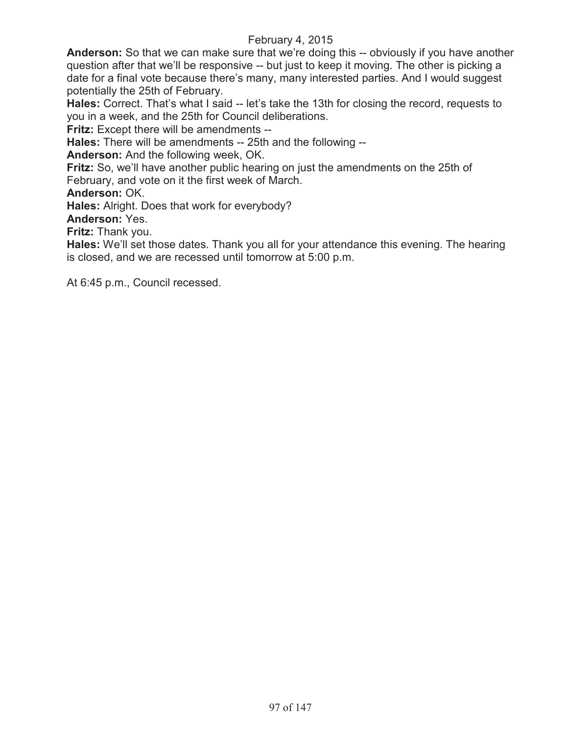**Anderson:** So that we can make sure that we're doing this -- obviously if you have another question after that we'll be responsive -- but just to keep it moving. The other is picking a date for a final vote because there's many, many interested parties. And I would suggest potentially the 25th of February.

**Hales:** Correct. That's what I said -- let's take the 13th for closing the record, requests to you in a week, and the 25th for Council deliberations.

**Fritz:** Except there will be amendments --

**Hales:** There will be amendments -- 25th and the following --

**Anderson:** And the following week, OK.

**Fritz:** So, we'll have another public hearing on just the amendments on the 25th of February, and vote on it the first week of March.

**Anderson:** OK.

**Hales:** Alright. Does that work for everybody?

**Anderson:** Yes.

**Fritz:** Thank you.

**Hales:** We'll set those dates. Thank you all for your attendance this evening. The hearing is closed, and we are recessed until tomorrow at 5:00 p.m.

At 6:45 p.m., Council recessed.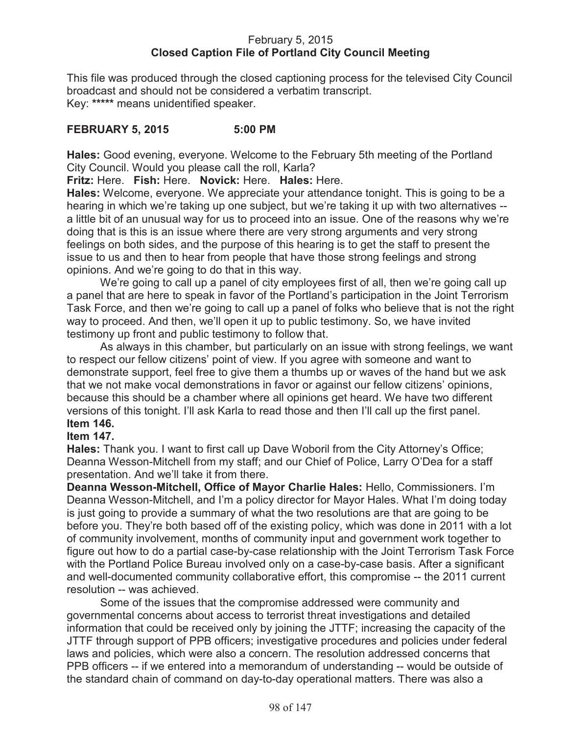# February 5, 2015 **Closed Caption File of Portland City Council Meeting**

This file was produced through the closed captioning process for the televised City Council broadcast and should not be considered a verbatim transcript. Key: **\*\*\*\*\*** means unidentified speaker.

# **FEBRUARY 5, 2015 5:00 PM**

**Hales:** Good evening, everyone. Welcome to the February 5th meeting of the Portland City Council. Would you please call the roll, Karla?

**Fritz:** Here. **Fish:** Here. **Novick:** Here. **Hales:** Here.

**Hales:** Welcome, everyone. We appreciate your attendance tonight. This is going to be a hearing in which we're taking up one subject, but we're taking it up with two alternatives - a little bit of an unusual way for us to proceed into an issue. One of the reasons why we're doing that is this is an issue where there are very strong arguments and very strong feelings on both sides, and the purpose of this hearing is to get the staff to present the issue to us and then to hear from people that have those strong feelings and strong opinions. And we're going to do that in this way.

We're going to call up a panel of city employees first of all, then we're going call up a panel that are here to speak in favor of the Portland's participation in the Joint Terrorism Task Force, and then we're going to call up a panel of folks who believe that is not the right way to proceed. And then, we'll open it up to public testimony. So, we have invited testimony up front and public testimony to follow that.

As always in this chamber, but particularly on an issue with strong feelings, we want to respect our fellow citizens' point of view. If you agree with someone and want to demonstrate support, feel free to give them a thumbs up or waves of the hand but we ask that we not make vocal demonstrations in favor or against our fellow citizens' opinions, because this should be a chamber where all opinions get heard. We have two different versions of this tonight. I'll ask Karla to read those and then I'll call up the first panel. **Item 146.**

# **Item 147.**

**Hales:** Thank you. I want to first call up Dave Woboril from the City Attorney's Office; Deanna Wesson-Mitchell from my staff; and our Chief of Police, Larry O'Dea for a staff presentation. And we'll take it from there.

**Deanna Wesson-Mitchell, Office of Mayor Charlie Hales:** Hello, Commissioners. I'm Deanna Wesson-Mitchell, and I'm a policy director for Mayor Hales. What I'm doing today is just going to provide a summary of what the two resolutions are that are going to be before you. They're both based off of the existing policy, which was done in 2011 with a lot of community involvement, months of community input and government work together to figure out how to do a partial case-by-case relationship with the Joint Terrorism Task Force with the Portland Police Bureau involved only on a case-by-case basis. After a significant and well-documented community collaborative effort, this compromise -- the 2011 current resolution -- was achieved.

Some of the issues that the compromise addressed were community and governmental concerns about access to terrorist threat investigations and detailed information that could be received only by joining the JTTF; increasing the capacity of the JTTF through support of PPB officers; investigative procedures and policies under federal laws and policies, which were also a concern. The resolution addressed concerns that PPB officers -- if we entered into a memorandum of understanding -- would be outside of the standard chain of command on day-to-day operational matters. There was also a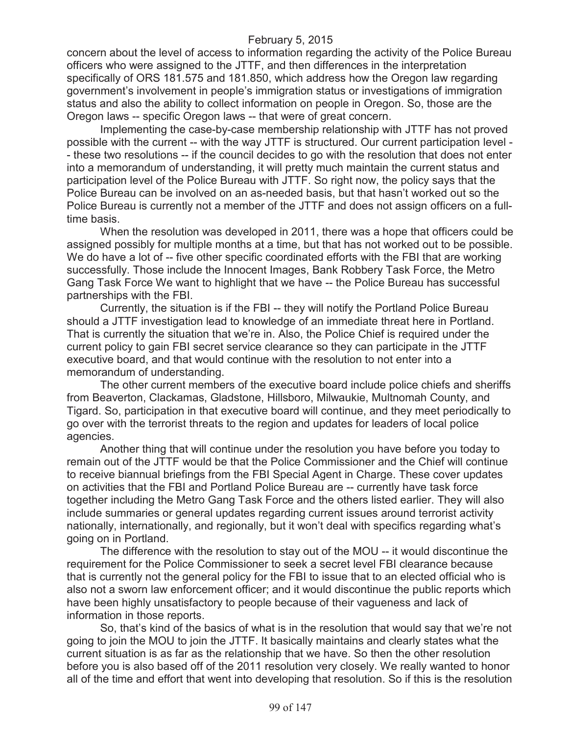concern about the level of access to information regarding the activity of the Police Bureau officers who were assigned to the JTTF, and then differences in the interpretation specifically of ORS 181.575 and 181.850, which address how the Oregon law regarding government's involvement in people's immigration status or investigations of immigration status and also the ability to collect information on people in Oregon. So, those are the Oregon laws -- specific Oregon laws -- that were of great concern.

Implementing the case-by-case membership relationship with JTTF has not proved possible with the current -- with the way JTTF is structured. Our current participation level - - these two resolutions -- if the council decides to go with the resolution that does not enter into a memorandum of understanding, it will pretty much maintain the current status and participation level of the Police Bureau with JTTF. So right now, the policy says that the Police Bureau can be involved on an as-needed basis, but that hasn't worked out so the Police Bureau is currently not a member of the JTTF and does not assign officers on a fulltime basis.

When the resolution was developed in 2011, there was a hope that officers could be assigned possibly for multiple months at a time, but that has not worked out to be possible. We do have a lot of -- five other specific coordinated efforts with the FBI that are working successfully. Those include the Innocent Images, Bank Robbery Task Force, the Metro Gang Task Force We want to highlight that we have -- the Police Bureau has successful partnerships with the FBI.

Currently, the situation is if the FBI -- they will notify the Portland Police Bureau should a JTTF investigation lead to knowledge of an immediate threat here in Portland. That is currently the situation that we're in. Also, the Police Chief is required under the current policy to gain FBI secret service clearance so they can participate in the JTTF executive board, and that would continue with the resolution to not enter into a memorandum of understanding.

The other current members of the executive board include police chiefs and sheriffs from Beaverton, Clackamas, Gladstone, Hillsboro, Milwaukie, Multnomah County, and Tigard. So, participation in that executive board will continue, and they meet periodically to go over with the terrorist threats to the region and updates for leaders of local police agencies.

Another thing that will continue under the resolution you have before you today to remain out of the JTTF would be that the Police Commissioner and the Chief will continue to receive biannual briefings from the FBI Special Agent in Charge. These cover updates on activities that the FBI and Portland Police Bureau are -- currently have task force together including the Metro Gang Task Force and the others listed earlier. They will also include summaries or general updates regarding current issues around terrorist activity nationally, internationally, and regionally, but it won't deal with specifics regarding what's going on in Portland.

The difference with the resolution to stay out of the MOU -- it would discontinue the requirement for the Police Commissioner to seek a secret level FBI clearance because that is currently not the general policy for the FBI to issue that to an elected official who is also not a sworn law enforcement officer; and it would discontinue the public reports which have been highly unsatisfactory to people because of their vagueness and lack of information in those reports.

So, that's kind of the basics of what is in the resolution that would say that we're not going to join the MOU to join the JTTF. It basically maintains and clearly states what the current situation is as far as the relationship that we have. So then the other resolution before you is also based off of the 2011 resolution very closely. We really wanted to honor all of the time and effort that went into developing that resolution. So if this is the resolution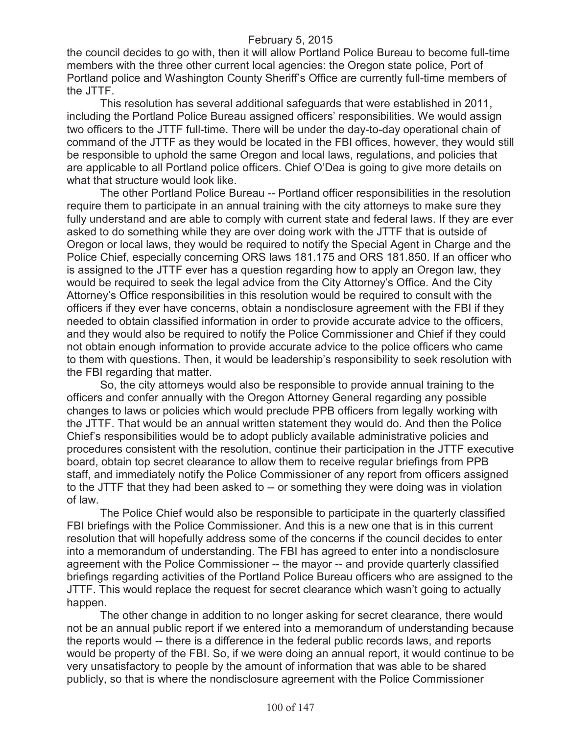the council decides to go with, then it will allow Portland Police Bureau to become full-time members with the three other current local agencies: the Oregon state police, Port of Portland police and Washington County Sheriff's Office are currently full-time members of the JTTF.

This resolution has several additional safeguards that were established in 2011, including the Portland Police Bureau assigned officers' responsibilities. We would assign two officers to the JTTF full-time. There will be under the day-to-day operational chain of command of the JTTF as they would be located in the FBI offices, however, they would still be responsible to uphold the same Oregon and local laws, regulations, and policies that are applicable to all Portland police officers. Chief O'Dea is going to give more details on what that structure would look like.

The other Portland Police Bureau -- Portland officer responsibilities in the resolution require them to participate in an annual training with the city attorneys to make sure they fully understand and are able to comply with current state and federal laws. If they are ever asked to do something while they are over doing work with the JTTF that is outside of Oregon or local laws, they would be required to notify the Special Agent in Charge and the Police Chief, especially concerning ORS laws 181.175 and ORS 181.850. If an officer who is assigned to the JTTF ever has a question regarding how to apply an Oregon law, they would be required to seek the legal advice from the City Attorney's Office. And the City Attorney's Office responsibilities in this resolution would be required to consult with the officers if they ever have concerns, obtain a nondisclosure agreement with the FBI if they needed to obtain classified information in order to provide accurate advice to the officers, and they would also be required to notify the Police Commissioner and Chief if they could not obtain enough information to provide accurate advice to the police officers who came to them with questions. Then, it would be leadership's responsibility to seek resolution with the FBI regarding that matter.

So, the city attorneys would also be responsible to provide annual training to the officers and confer annually with the Oregon Attorney General regarding any possible changes to laws or policies which would preclude PPB officers from legally working with the JTTF. That would be an annual written statement they would do. And then the Police Chief's responsibilities would be to adopt publicly available administrative policies and procedures consistent with the resolution, continue their participation in the JTTF executive board, obtain top secret clearance to allow them to receive regular briefings from PPB staff, and immediately notify the Police Commissioner of any report from officers assigned to the JTTF that they had been asked to -- or something they were doing was in violation of law.

The Police Chief would also be responsible to participate in the quarterly classified FBI briefings with the Police Commissioner. And this is a new one that is in this current resolution that will hopefully address some of the concerns if the council decides to enter into a memorandum of understanding. The FBI has agreed to enter into a nondisclosure agreement with the Police Commissioner -- the mayor -- and provide quarterly classified briefings regarding activities of the Portland Police Bureau officers who are assigned to the JTTF. This would replace the request for secret clearance which wasn't going to actually happen.

The other change in addition to no longer asking for secret clearance, there would not be an annual public report if we entered into a memorandum of understanding because the reports would -- there is a difference in the federal public records laws, and reports would be property of the FBI. So, if we were doing an annual report, it would continue to be very unsatisfactory to people by the amount of information that was able to be shared publicly, so that is where the nondisclosure agreement with the Police Commissioner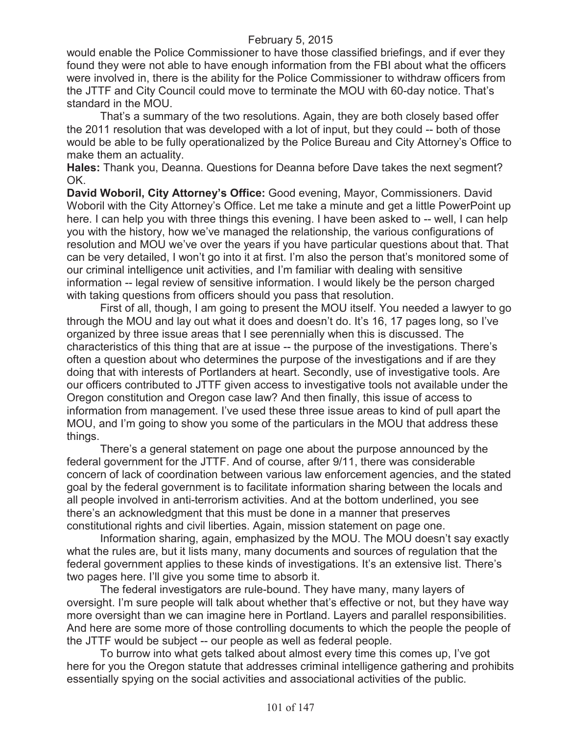would enable the Police Commissioner to have those classified briefings, and if ever they found they were not able to have enough information from the FBI about what the officers were involved in, there is the ability for the Police Commissioner to withdraw officers from the JTTF and City Council could move to terminate the MOU with 60-day notice. That's standard in the MOU.

That's a summary of the two resolutions. Again, they are both closely based offer the 2011 resolution that was developed with a lot of input, but they could -- both of those would be able to be fully operationalized by the Police Bureau and City Attorney's Office to make them an actuality.

**Hales:** Thank you, Deanna. Questions for Deanna before Dave takes the next segment? OK.

**David Woboril, City Attorney's Office:** Good evening, Mayor, Commissioners. David Woboril with the City Attorney's Office. Let me take a minute and get a little PowerPoint up here. I can help you with three things this evening. I have been asked to -- well, I can help you with the history, how we've managed the relationship, the various configurations of resolution and MOU we've over the years if you have particular questions about that. That can be very detailed, I won't go into it at first. I'm also the person that's monitored some of our criminal intelligence unit activities, and I'm familiar with dealing with sensitive information -- legal review of sensitive information. I would likely be the person charged with taking questions from officers should you pass that resolution.

First of all, though, I am going to present the MOU itself. You needed a lawyer to go through the MOU and lay out what it does and doesn't do. It's 16, 17 pages long, so I've organized by three issue areas that I see perennially when this is discussed. The characteristics of this thing that are at issue -- the purpose of the investigations. There's often a question about who determines the purpose of the investigations and if are they doing that with interests of Portlanders at heart. Secondly, use of investigative tools. Are our officers contributed to JTTF given access to investigative tools not available under the Oregon constitution and Oregon case law? And then finally, this issue of access to information from management. I've used these three issue areas to kind of pull apart the MOU, and I'm going to show you some of the particulars in the MOU that address these things.

There's a general statement on page one about the purpose announced by the federal government for the JTTF. And of course, after 9/11, there was considerable concern of lack of coordination between various law enforcement agencies, and the stated goal by the federal government is to facilitate information sharing between the locals and all people involved in anti-terrorism activities. And at the bottom underlined, you see there's an acknowledgment that this must be done in a manner that preserves constitutional rights and civil liberties. Again, mission statement on page one.

Information sharing, again, emphasized by the MOU. The MOU doesn't say exactly what the rules are, but it lists many, many documents and sources of regulation that the federal government applies to these kinds of investigations. It's an extensive list. There's two pages here. I'll give you some time to absorb it.

The federal investigators are rule-bound. They have many, many layers of oversight. I'm sure people will talk about whether that's effective or not, but they have way more oversight than we can imagine here in Portland. Layers and parallel responsibilities. And here are some more of those controlling documents to which the people the people of the JTTF would be subject -- our people as well as federal people.

To burrow into what gets talked about almost every time this comes up, I've got here for you the Oregon statute that addresses criminal intelligence gathering and prohibits essentially spying on the social activities and associational activities of the public.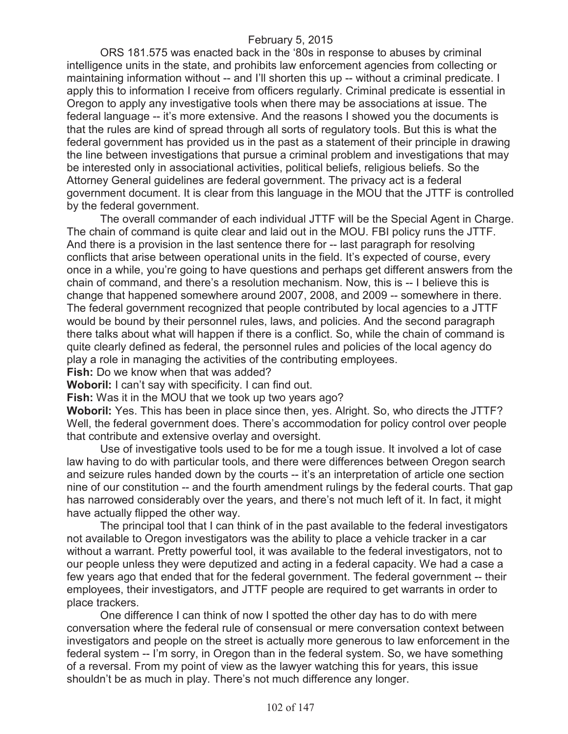ORS 181.575 was enacted back in the '80s in response to abuses by criminal intelligence units in the state, and prohibits law enforcement agencies from collecting or maintaining information without -- and I'll shorten this up -- without a criminal predicate. I apply this to information I receive from officers regularly. Criminal predicate is essential in Oregon to apply any investigative tools when there may be associations at issue. The federal language -- it's more extensive. And the reasons I showed you the documents is that the rules are kind of spread through all sorts of regulatory tools. But this is what the federal government has provided us in the past as a statement of their principle in drawing the line between investigations that pursue a criminal problem and investigations that may be interested only in associational activities, political beliefs, religious beliefs. So the Attorney General guidelines are federal government. The privacy act is a federal government document. It is clear from this language in the MOU that the JTTF is controlled by the federal government.

The overall commander of each individual JTTF will be the Special Agent in Charge. The chain of command is quite clear and laid out in the MOU. FBI policy runs the JTTF. And there is a provision in the last sentence there for -- last paragraph for resolving conflicts that arise between operational units in the field. It's expected of course, every once in a while, you're going to have questions and perhaps get different answers from the chain of command, and there's a resolution mechanism. Now, this is -- I believe this is change that happened somewhere around 2007, 2008, and 2009 -- somewhere in there. The federal government recognized that people contributed by local agencies to a JTTF would be bound by their personnel rules, laws, and policies. And the second paragraph there talks about what will happen if there is a conflict. So, while the chain of command is quite clearly defined as federal, the personnel rules and policies of the local agency do play a role in managing the activities of the contributing employees.

**Fish:** Do we know when that was added?

**Woboril:** I can't say with specificity. I can find out.

**Fish:** Was it in the MOU that we took up two years ago?

**Woboril:** Yes. This has been in place since then, yes. Alright. So, who directs the JTTF? Well, the federal government does. There's accommodation for policy control over people that contribute and extensive overlay and oversight.

Use of investigative tools used to be for me a tough issue. It involved a lot of case law having to do with particular tools, and there were differences between Oregon search and seizure rules handed down by the courts -- it's an interpretation of article one section nine of our constitution -- and the fourth amendment rulings by the federal courts. That gap has narrowed considerably over the years, and there's not much left of it. In fact, it might have actually flipped the other way.

The principal tool that I can think of in the past available to the federal investigators not available to Oregon investigators was the ability to place a vehicle tracker in a car without a warrant. Pretty powerful tool, it was available to the federal investigators, not to our people unless they were deputized and acting in a federal capacity. We had a case a few years ago that ended that for the federal government. The federal government -- their employees, their investigators, and JTTF people are required to get warrants in order to place trackers.

One difference I can think of now I spotted the other day has to do with mere conversation where the federal rule of consensual or mere conversation context between investigators and people on the street is actually more generous to law enforcement in the federal system -- I'm sorry, in Oregon than in the federal system. So, we have something of a reversal. From my point of view as the lawyer watching this for years, this issue shouldn't be as much in play. There's not much difference any longer.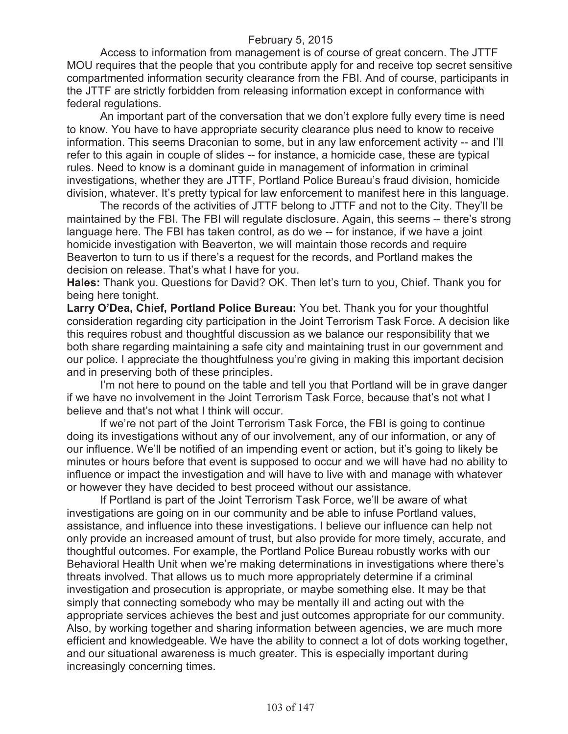Access to information from management is of course of great concern. The JTTF MOU requires that the people that you contribute apply for and receive top secret sensitive compartmented information security clearance from the FBI. And of course, participants in the JTTF are strictly forbidden from releasing information except in conformance with federal regulations.

An important part of the conversation that we don't explore fully every time is need to know. You have to have appropriate security clearance plus need to know to receive information. This seems Draconian to some, but in any law enforcement activity -- and I'll refer to this again in couple of slides -- for instance, a homicide case, these are typical rules. Need to know is a dominant guide in management of information in criminal investigations, whether they are JTTF, Portland Police Bureau's fraud division, homicide division, whatever. It's pretty typical for law enforcement to manifest here in this language.

The records of the activities of JTTF belong to JTTF and not to the City. They'll be maintained by the FBI. The FBI will regulate disclosure. Again, this seems -- there's strong language here. The FBI has taken control, as do we -- for instance, if we have a joint homicide investigation with Beaverton, we will maintain those records and require Beaverton to turn to us if there's a request for the records, and Portland makes the decision on release. That's what I have for you.

**Hales:** Thank you. Questions for David? OK. Then let's turn to you, Chief. Thank you for being here tonight.

**Larry O'Dea, Chief, Portland Police Bureau:** You bet. Thank you for your thoughtful consideration regarding city participation in the Joint Terrorism Task Force. A decision like this requires robust and thoughtful discussion as we balance our responsibility that we both share regarding maintaining a safe city and maintaining trust in our government and our police. I appreciate the thoughtfulness you're giving in making this important decision and in preserving both of these principles.

I'm not here to pound on the table and tell you that Portland will be in grave danger if we have no involvement in the Joint Terrorism Task Force, because that's not what I believe and that's not what I think will occur.

If we're not part of the Joint Terrorism Task Force, the FBI is going to continue doing its investigations without any of our involvement, any of our information, or any of our influence. We'll be notified of an impending event or action, but it's going to likely be minutes or hours before that event is supposed to occur and we will have had no ability to influence or impact the investigation and will have to live with and manage with whatever or however they have decided to best proceed without our assistance.

If Portland is part of the Joint Terrorism Task Force, we'll be aware of what investigations are going on in our community and be able to infuse Portland values, assistance, and influence into these investigations. I believe our influence can help not only provide an increased amount of trust, but also provide for more timely, accurate, and thoughtful outcomes. For example, the Portland Police Bureau robustly works with our Behavioral Health Unit when we're making determinations in investigations where there's threats involved. That allows us to much more appropriately determine if a criminal investigation and prosecution is appropriate, or maybe something else. It may be that simply that connecting somebody who may be mentally ill and acting out with the appropriate services achieves the best and just outcomes appropriate for our community. Also, by working together and sharing information between agencies, we are much more efficient and knowledgeable. We have the ability to connect a lot of dots working together, and our situational awareness is much greater. This is especially important during increasingly concerning times.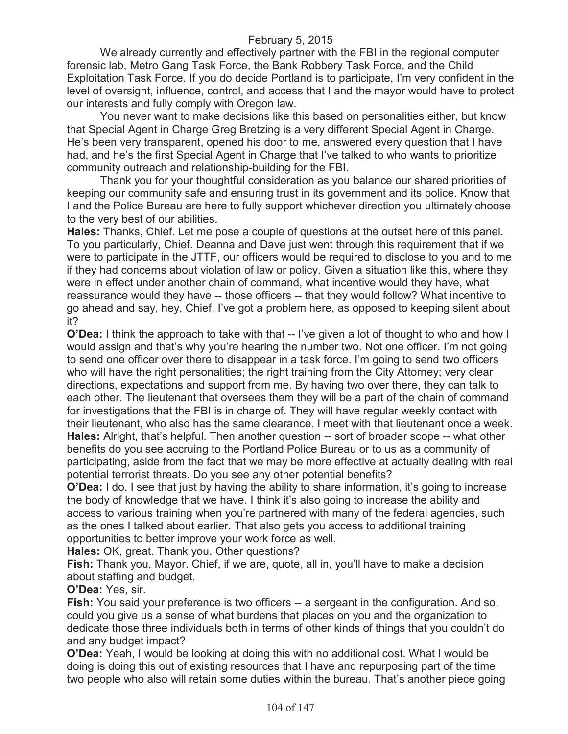We already currently and effectively partner with the FBI in the regional computer forensic lab, Metro Gang Task Force, the Bank Robbery Task Force, and the Child Exploitation Task Force. If you do decide Portland is to participate, I'm very confident in the level of oversight, influence, control, and access that I and the mayor would have to protect our interests and fully comply with Oregon law.

You never want to make decisions like this based on personalities either, but know that Special Agent in Charge Greg Bretzing is a very different Special Agent in Charge. He's been very transparent, opened his door to me, answered every question that I have had, and he's the first Special Agent in Charge that I've talked to who wants to prioritize community outreach and relationship-building for the FBI.

Thank you for your thoughtful consideration as you balance our shared priorities of keeping our community safe and ensuring trust in its government and its police. Know that I and the Police Bureau are here to fully support whichever direction you ultimately choose to the very best of our abilities.

**Hales:** Thanks, Chief. Let me pose a couple of questions at the outset here of this panel. To you particularly, Chief. Deanna and Dave just went through this requirement that if we were to participate in the JTTF, our officers would be required to disclose to you and to me if they had concerns about violation of law or policy. Given a situation like this, where they were in effect under another chain of command, what incentive would they have, what reassurance would they have -- those officers -- that they would follow? What incentive to go ahead and say, hey, Chief, I've got a problem here, as opposed to keeping silent about it?

**O'Dea:** I think the approach to take with that -- I've given a lot of thought to who and how I would assign and that's why you're hearing the number two. Not one officer. I'm not going to send one officer over there to disappear in a task force. I'm going to send two officers who will have the right personalities; the right training from the City Attorney; very clear directions, expectations and support from me. By having two over there, they can talk to each other. The lieutenant that oversees them they will be a part of the chain of command for investigations that the FBI is in charge of. They will have regular weekly contact with their lieutenant, who also has the same clearance. I meet with that lieutenant once a week. **Hales:** Alright, that's helpful. Then another question -- sort of broader scope -- what other benefits do you see accruing to the Portland Police Bureau or to us as a community of participating, aside from the fact that we may be more effective at actually dealing with real potential terrorist threats. Do you see any other potential benefits?

**O'Dea:** I do. I see that just by having the ability to share information, it's going to increase the body of knowledge that we have. I think it's also going to increase the ability and access to various training when you're partnered with many of the federal agencies, such as the ones I talked about earlier. That also gets you access to additional training opportunities to better improve your work force as well.

**Hales:** OK, great. Thank you. Other questions?

**Fish:** Thank you, Mayor. Chief, if we are, quote, all in, you'll have to make a decision about staffing and budget.

**O'Dea:** Yes, sir.

**Fish:** You said your preference is two officers -- a sergeant in the configuration. And so, could you give us a sense of what burdens that places on you and the organization to dedicate those three individuals both in terms of other kinds of things that you couldn't do and any budget impact?

**O'Dea:** Yeah, I would be looking at doing this with no additional cost. What I would be doing is doing this out of existing resources that I have and repurposing part of the time two people who also will retain some duties within the bureau. That's another piece going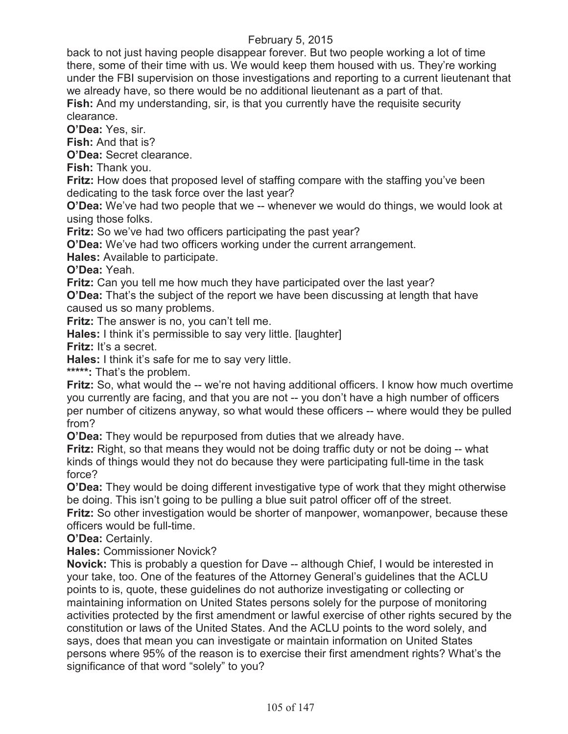back to not just having people disappear forever. But two people working a lot of time there, some of their time with us. We would keep them housed with us. They're working under the FBI supervision on those investigations and reporting to a current lieutenant that we already have, so there would be no additional lieutenant as a part of that. **Fish:** And my understanding, sir, is that you currently have the requisite security clearance.

**O'Dea:** Yes, sir.

**Fish:** And that is?

**O'Dea:** Secret clearance.

**Fish:** Thank you.

**Fritz:** How does that proposed level of staffing compare with the staffing you've been dedicating to the task force over the last year?

**O'Dea:** We've had two people that we -- whenever we would do things, we would look at using those folks.

**Fritz:** So we've had two officers participating the past year?

**O'Dea:** We've had two officers working under the current arrangement.

**Hales:** Available to participate.

**O'Dea:** Yeah.

**Fritz:** Can you tell me how much they have participated over the last year?

**O'Dea:** That's the subject of the report we have been discussing at length that have caused us so many problems.

**Fritz:** The answer is no, you can't tell me.

**Hales:** I think it's permissible to say very little. [laughter]

**Fritz:** It's a secret.

**Hales:** I think it's safe for me to say very little.

**\*\*\*\*\*:** That's the problem.

**Fritz:** So, what would the -- we're not having additional officers. I know how much overtime you currently are facing, and that you are not -- you don't have a high number of officers per number of citizens anyway, so what would these officers -- where would they be pulled from?

**O'Dea:** They would be repurposed from duties that we already have.

**Fritz:** Right, so that means they would not be doing traffic duty or not be doing -- what kinds of things would they not do because they were participating full-time in the task force?

**O'Dea:** They would be doing different investigative type of work that they might otherwise be doing. This isn't going to be pulling a blue suit patrol officer off of the street.

**Fritz:** So other investigation would be shorter of manpower, womanpower, because these officers would be full-time.

**O'Dea:** Certainly.

**Hales:** Commissioner Novick?

**Novick:** This is probably a question for Dave -- although Chief, I would be interested in your take, too. One of the features of the Attorney General's guidelines that the ACLU points to is, quote, these guidelines do not authorize investigating or collecting or maintaining information on United States persons solely for the purpose of monitoring activities protected by the first amendment or lawful exercise of other rights secured by the constitution or laws of the United States. And the ACLU points to the word solely, and says, does that mean you can investigate or maintain information on United States persons where 95% of the reason is to exercise their first amendment rights? What's the significance of that word "solely" to you?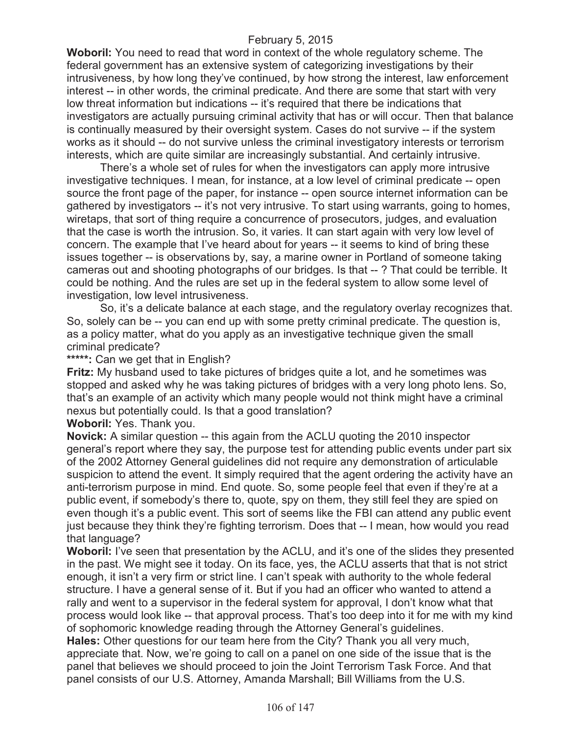**Woboril:** You need to read that word in context of the whole regulatory scheme. The federal government has an extensive system of categorizing investigations by their intrusiveness, by how long they've continued, by how strong the interest, law enforcement interest -- in other words, the criminal predicate. And there are some that start with very low threat information but indications -- it's required that there be indications that investigators are actually pursuing criminal activity that has or will occur. Then that balance is continually measured by their oversight system. Cases do not survive -- if the system works as it should -- do not survive unless the criminal investigatory interests or terrorism interests, which are quite similar are increasingly substantial. And certainly intrusive.

There's a whole set of rules for when the investigators can apply more intrusive investigative techniques. I mean, for instance, at a low level of criminal predicate -- open source the front page of the paper, for instance -- open source internet information can be gathered by investigators -- it's not very intrusive. To start using warrants, going to homes, wiretaps, that sort of thing require a concurrence of prosecutors, judges, and evaluation that the case is worth the intrusion. So, it varies. It can start again with very low level of concern. The example that I've heard about for years -- it seems to kind of bring these issues together -- is observations by, say, a marine owner in Portland of someone taking cameras out and shooting photographs of our bridges. Is that -- ? That could be terrible. It could be nothing. And the rules are set up in the federal system to allow some level of investigation, low level intrusiveness.

So, it's a delicate balance at each stage, and the regulatory overlay recognizes that. So, solely can be -- you can end up with some pretty criminal predicate. The question is, as a policy matter, what do you apply as an investigative technique given the small criminal predicate?

## **\*\*\*\*\*:** Can we get that in English?

**Fritz:** My husband used to take pictures of bridges quite a lot, and he sometimes was stopped and asked why he was taking pictures of bridges with a very long photo lens. So, that's an example of an activity which many people would not think might have a criminal nexus but potentially could. Is that a good translation?

**Woboril:** Yes. Thank you.

**Novick:** A similar question -- this again from the ACLU quoting the 2010 inspector general's report where they say, the purpose test for attending public events under part six of the 2002 Attorney General guidelines did not require any demonstration of articulable suspicion to attend the event. It simply required that the agent ordering the activity have an anti-terrorism purpose in mind. End quote. So, some people feel that even if they're at a public event, if somebody's there to, quote, spy on them, they still feel they are spied on even though it's a public event. This sort of seems like the FBI can attend any public event just because they think they're fighting terrorism. Does that -- I mean, how would you read that language?

**Woboril:** I've seen that presentation by the ACLU, and it's one of the slides they presented in the past. We might see it today. On its face, yes, the ACLU asserts that that is not strict enough, it isn't a very firm or strict line. I can't speak with authority to the whole federal structure. I have a general sense of it. But if you had an officer who wanted to attend a rally and went to a supervisor in the federal system for approval, I don't know what that process would look like -- that approval process. That's too deep into it for me with my kind of sophomoric knowledge reading through the Attorney General's guidelines.

**Hales:** Other questions for our team here from the City? Thank you all very much, appreciate that. Now, we're going to call on a panel on one side of the issue that is the panel that believes we should proceed to join the Joint Terrorism Task Force. And that panel consists of our U.S. Attorney, Amanda Marshall; Bill Williams from the U.S.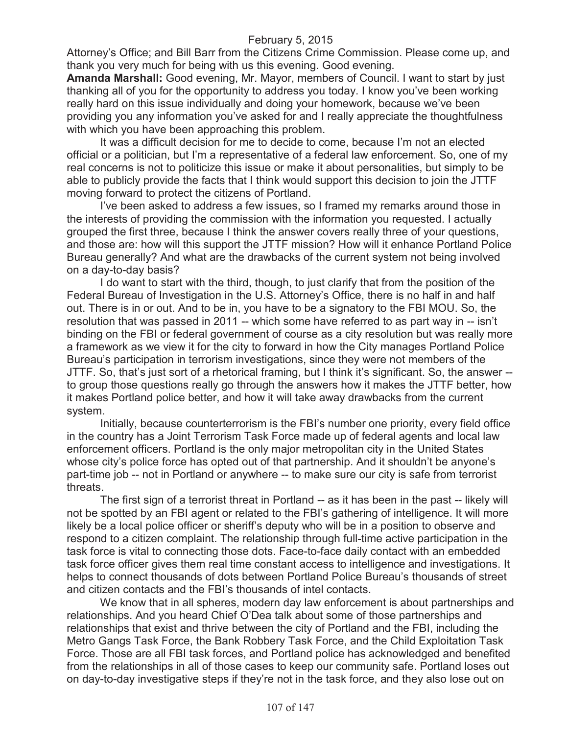Attorney's Office; and Bill Barr from the Citizens Crime Commission. Please come up, and thank you very much for being with us this evening. Good evening.

**Amanda Marshall:** Good evening, Mr. Mayor, members of Council. I want to start by just thanking all of you for the opportunity to address you today. I know you've been working really hard on this issue individually and doing your homework, because we've been providing you any information you've asked for and I really appreciate the thoughtfulness with which you have been approaching this problem.

It was a difficult decision for me to decide to come, because I'm not an elected official or a politician, but I'm a representative of a federal law enforcement. So, one of my real concerns is not to politicize this issue or make it about personalities, but simply to be able to publicly provide the facts that I think would support this decision to join the JTTF moving forward to protect the citizens of Portland.

I've been asked to address a few issues, so I framed my remarks around those in the interests of providing the commission with the information you requested. I actually grouped the first three, because I think the answer covers really three of your questions, and those are: how will this support the JTTF mission? How will it enhance Portland Police Bureau generally? And what are the drawbacks of the current system not being involved on a day-to-day basis?

I do want to start with the third, though, to just clarify that from the position of the Federal Bureau of Investigation in the U.S. Attorney's Office, there is no half in and half out. There is in or out. And to be in, you have to be a signatory to the FBI MOU. So, the resolution that was passed in 2011 -- which some have referred to as part way in -- isn't binding on the FBI or federal government of course as a city resolution but was really more a framework as we view it for the city to forward in how the City manages Portland Police Bureau's participation in terrorism investigations, since they were not members of the JTTF. So, that's just sort of a rhetorical framing, but I think it's significant. So, the answer - to group those questions really go through the answers how it makes the JTTF better, how it makes Portland police better, and how it will take away drawbacks from the current system.

Initially, because counterterrorism is the FBI's number one priority, every field office in the country has a Joint Terrorism Task Force made up of federal agents and local law enforcement officers. Portland is the only major metropolitan city in the United States whose city's police force has opted out of that partnership. And it shouldn't be anyone's part-time job -- not in Portland or anywhere -- to make sure our city is safe from terrorist threats.

The first sign of a terrorist threat in Portland -- as it has been in the past -- likely will not be spotted by an FBI agent or related to the FBI's gathering of intelligence. It will more likely be a local police officer or sheriff's deputy who will be in a position to observe and respond to a citizen complaint. The relationship through full-time active participation in the task force is vital to connecting those dots. Face-to-face daily contact with an embedded task force officer gives them real time constant access to intelligence and investigations. It helps to connect thousands of dots between Portland Police Bureau's thousands of street and citizen contacts and the FBI's thousands of intel contacts.

We know that in all spheres, modern day law enforcement is about partnerships and relationships. And you heard Chief O'Dea talk about some of those partnerships and relationships that exist and thrive between the city of Portland and the FBI, including the Metro Gangs Task Force, the Bank Robbery Task Force, and the Child Exploitation Task Force. Those are all FBI task forces, and Portland police has acknowledged and benefited from the relationships in all of those cases to keep our community safe. Portland loses out on day-to-day investigative steps if they're not in the task force, and they also lose out on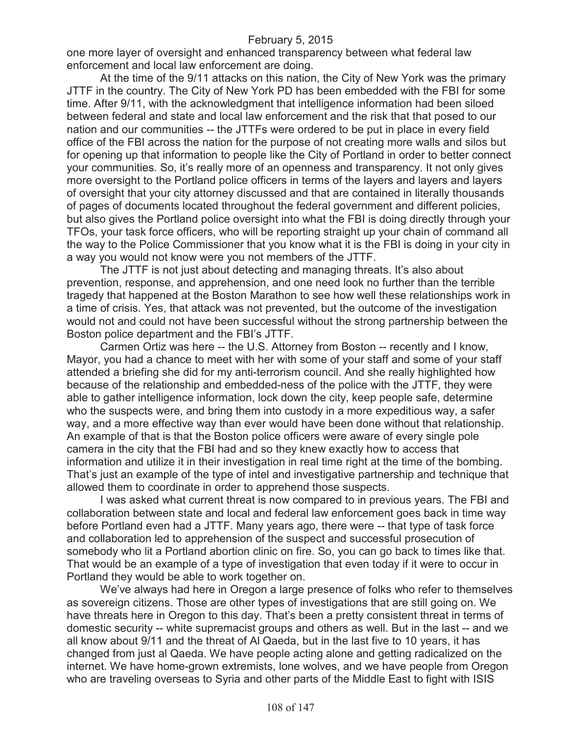one more layer of oversight and enhanced transparency between what federal law enforcement and local law enforcement are doing.

At the time of the 9/11 attacks on this nation, the City of New York was the primary JTTF in the country. The City of New York PD has been embedded with the FBI for some time. After 9/11, with the acknowledgment that intelligence information had been siloed between federal and state and local law enforcement and the risk that that posed to our nation and our communities -- the JTTFs were ordered to be put in place in every field office of the FBI across the nation for the purpose of not creating more walls and silos but for opening up that information to people like the City of Portland in order to better connect your communities. So, it's really more of an openness and transparency. It not only gives more oversight to the Portland police officers in terms of the layers and layers and layers of oversight that your city attorney discussed and that are contained in literally thousands of pages of documents located throughout the federal government and different policies, but also gives the Portland police oversight into what the FBI is doing directly through your TFOs, your task force officers, who will be reporting straight up your chain of command all the way to the Police Commissioner that you know what it is the FBI is doing in your city in a way you would not know were you not members of the JTTF.

The JTTF is not just about detecting and managing threats. It's also about prevention, response, and apprehension, and one need look no further than the terrible tragedy that happened at the Boston Marathon to see how well these relationships work in a time of crisis. Yes, that attack was not prevented, but the outcome of the investigation would not and could not have been successful without the strong partnership between the Boston police department and the FBI's JTTF.

Carmen Ortiz was here -- the U.S. Attorney from Boston -- recently and I know, Mayor, you had a chance to meet with her with some of your staff and some of your staff attended a briefing she did for my anti-terrorism council. And she really highlighted how because of the relationship and embedded-ness of the police with the JTTF, they were able to gather intelligence information, lock down the city, keep people safe, determine who the suspects were, and bring them into custody in a more expeditious way, a safer way, and a more effective way than ever would have been done without that relationship. An example of that is that the Boston police officers were aware of every single pole camera in the city that the FBI had and so they knew exactly how to access that information and utilize it in their investigation in real time right at the time of the bombing. That's just an example of the type of intel and investigative partnership and technique that allowed them to coordinate in order to apprehend those suspects.

I was asked what current threat is now compared to in previous years. The FBI and collaboration between state and local and federal law enforcement goes back in time way before Portland even had a JTTF. Many years ago, there were -- that type of task force and collaboration led to apprehension of the suspect and successful prosecution of somebody who lit a Portland abortion clinic on fire. So, you can go back to times like that. That would be an example of a type of investigation that even today if it were to occur in Portland they would be able to work together on.

We've always had here in Oregon a large presence of folks who refer to themselves as sovereign citizens. Those are other types of investigations that are still going on. We have threats here in Oregon to this day. That's been a pretty consistent threat in terms of domestic security -- white supremacist groups and others as well. But in the last -- and we all know about 9/11 and the threat of Al Qaeda, but in the last five to 10 years, it has changed from just al Qaeda. We have people acting alone and getting radicalized on the internet. We have home-grown extremists, lone wolves, and we have people from Oregon who are traveling overseas to Syria and other parts of the Middle East to fight with ISIS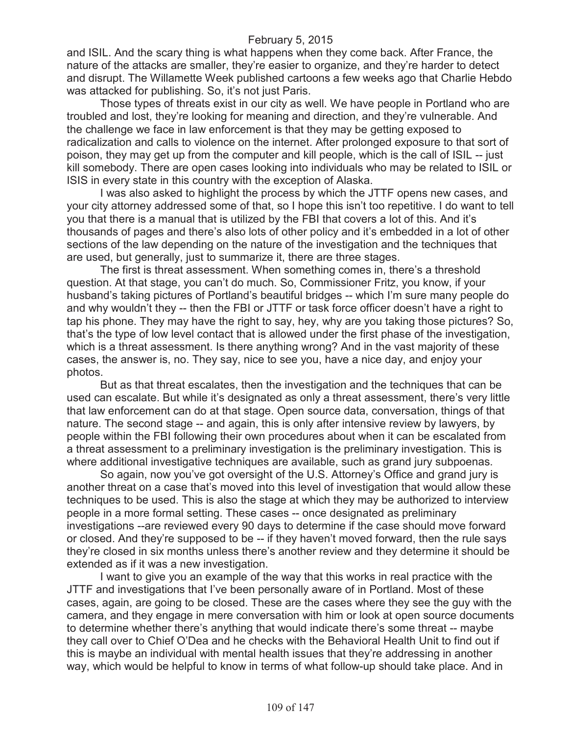and ISIL. And the scary thing is what happens when they come back. After France, the nature of the attacks are smaller, they're easier to organize, and they're harder to detect and disrupt. The Willamette Week published cartoons a few weeks ago that Charlie Hebdo was attacked for publishing. So, it's not just Paris.

Those types of threats exist in our city as well. We have people in Portland who are troubled and lost, they're looking for meaning and direction, and they're vulnerable. And the challenge we face in law enforcement is that they may be getting exposed to radicalization and calls to violence on the internet. After prolonged exposure to that sort of poison, they may get up from the computer and kill people, which is the call of ISIL -- just kill somebody. There are open cases looking into individuals who may be related to ISIL or ISIS in every state in this country with the exception of Alaska.

I was also asked to highlight the process by which the JTTF opens new cases, and your city attorney addressed some of that, so I hope this isn't too repetitive. I do want to tell you that there is a manual that is utilized by the FBI that covers a lot of this. And it's thousands of pages and there's also lots of other policy and it's embedded in a lot of other sections of the law depending on the nature of the investigation and the techniques that are used, but generally, just to summarize it, there are three stages.

The first is threat assessment. When something comes in, there's a threshold question. At that stage, you can't do much. So, Commissioner Fritz, you know, if your husband's taking pictures of Portland's beautiful bridges -- which I'm sure many people do and why wouldn't they -- then the FBI or JTTF or task force officer doesn't have a right to tap his phone. They may have the right to say, hey, why are you taking those pictures? So, that's the type of low level contact that is allowed under the first phase of the investigation, which is a threat assessment. Is there anything wrong? And in the vast majority of these cases, the answer is, no. They say, nice to see you, have a nice day, and enjoy your photos.

But as that threat escalates, then the investigation and the techniques that can be used can escalate. But while it's designated as only a threat assessment, there's very little that law enforcement can do at that stage. Open source data, conversation, things of that nature. The second stage -- and again, this is only after intensive review by lawyers, by people within the FBI following their own procedures about when it can be escalated from a threat assessment to a preliminary investigation is the preliminary investigation. This is where additional investigative techniques are available, such as grand jury subpoenas.

So again, now you've got oversight of the U.S. Attorney's Office and grand jury is another threat on a case that's moved into this level of investigation that would allow these techniques to be used. This is also the stage at which they may be authorized to interview people in a more formal setting. These cases -- once designated as preliminary investigations --are reviewed every 90 days to determine if the case should move forward or closed. And they're supposed to be -- if they haven't moved forward, then the rule says they're closed in six months unless there's another review and they determine it should be extended as if it was a new investigation.

I want to give you an example of the way that this works in real practice with the JTTF and investigations that I've been personally aware of in Portland. Most of these cases, again, are going to be closed. These are the cases where they see the guy with the camera, and they engage in mere conversation with him or look at open source documents to determine whether there's anything that would indicate there's some threat -- maybe they call over to Chief O'Dea and he checks with the Behavioral Health Unit to find out if this is maybe an individual with mental health issues that they're addressing in another way, which would be helpful to know in terms of what follow-up should take place. And in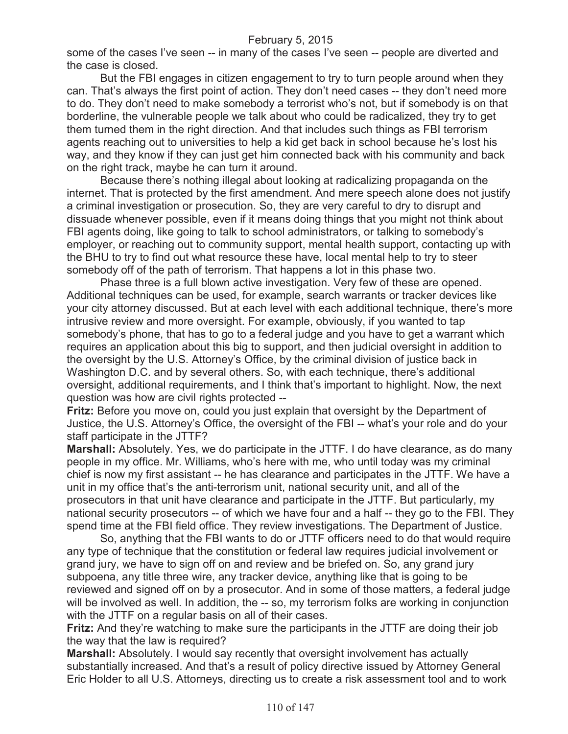some of the cases I've seen -- in many of the cases I've seen -- people are diverted and the case is closed.

But the FBI engages in citizen engagement to try to turn people around when they can. That's always the first point of action. They don't need cases -- they don't need more to do. They don't need to make somebody a terrorist who's not, but if somebody is on that borderline, the vulnerable people we talk about who could be radicalized, they try to get them turned them in the right direction. And that includes such things as FBI terrorism agents reaching out to universities to help a kid get back in school because he's lost his way, and they know if they can just get him connected back with his community and back on the right track, maybe he can turn it around.

Because there's nothing illegal about looking at radicalizing propaganda on the internet. That is protected by the first amendment. And mere speech alone does not justify a criminal investigation or prosecution. So, they are very careful to dry to disrupt and dissuade whenever possible, even if it means doing things that you might not think about FBI agents doing, like going to talk to school administrators, or talking to somebody's employer, or reaching out to community support, mental health support, contacting up with the BHU to try to find out what resource these have, local mental help to try to steer somebody off of the path of terrorism. That happens a lot in this phase two.

Phase three is a full blown active investigation. Very few of these are opened. Additional techniques can be used, for example, search warrants or tracker devices like your city attorney discussed. But at each level with each additional technique, there's more intrusive review and more oversight. For example, obviously, if you wanted to tap somebody's phone, that has to go to a federal judge and you have to get a warrant which requires an application about this big to support, and then judicial oversight in addition to the oversight by the U.S. Attorney's Office, by the criminal division of justice back in Washington D.C. and by several others. So, with each technique, there's additional oversight, additional requirements, and I think that's important to highlight. Now, the next question was how are civil rights protected --

**Fritz:** Before you move on, could you just explain that oversight by the Department of Justice, the U.S. Attorney's Office, the oversight of the FBI -- what's your role and do your staff participate in the JTTF?

**Marshall:** Absolutely. Yes, we do participate in the JTTF. I do have clearance, as do many people in my office. Mr. Williams, who's here with me, who until today was my criminal chief is now my first assistant -- he has clearance and participates in the JTTF. We have a unit in my office that's the anti-terrorism unit, national security unit, and all of the prosecutors in that unit have clearance and participate in the JTTF. But particularly, my national security prosecutors -- of which we have four and a half -- they go to the FBI. They spend time at the FBI field office. They review investigations. The Department of Justice.

So, anything that the FBI wants to do or JTTF officers need to do that would require any type of technique that the constitution or federal law requires judicial involvement or grand jury, we have to sign off on and review and be briefed on. So, any grand jury subpoena, any title three wire, any tracker device, anything like that is going to be reviewed and signed off on by a prosecutor. And in some of those matters, a federal judge will be involved as well. In addition, the -- so, my terrorism folks are working in conjunction with the JTTF on a regular basis on all of their cases.

**Fritz:** And they're watching to make sure the participants in the JTTF are doing their job the way that the law is required?

**Marshall:** Absolutely. I would say recently that oversight involvement has actually substantially increased. And that's a result of policy directive issued by Attorney General Eric Holder to all U.S. Attorneys, directing us to create a risk assessment tool and to work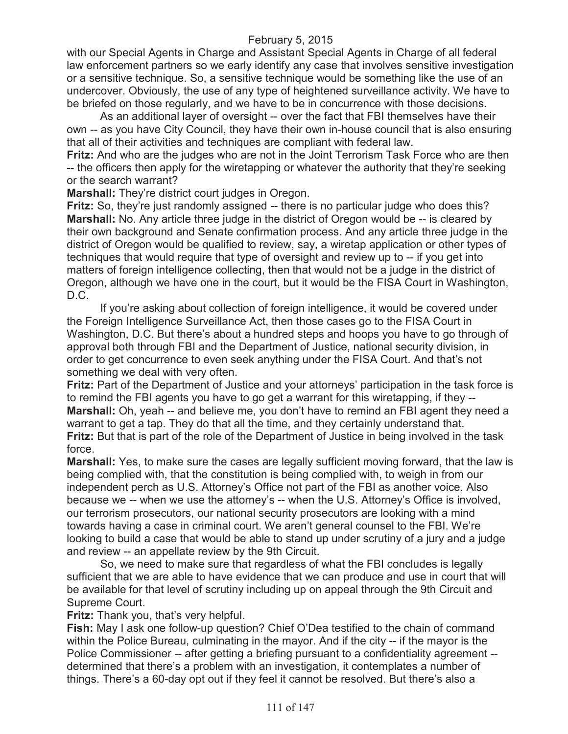with our Special Agents in Charge and Assistant Special Agents in Charge of all federal law enforcement partners so we early identify any case that involves sensitive investigation or a sensitive technique. So, a sensitive technique would be something like the use of an undercover. Obviously, the use of any type of heightened surveillance activity. We have to be briefed on those regularly, and we have to be in concurrence with those decisions.

As an additional layer of oversight -- over the fact that FBI themselves have their own -- as you have City Council, they have their own in-house council that is also ensuring that all of their activities and techniques are compliant with federal law.

**Fritz:** And who are the judges who are not in the Joint Terrorism Task Force who are then -- the officers then apply for the wiretapping or whatever the authority that they're seeking or the search warrant?

**Marshall:** They're district court judges in Oregon.

**Fritz:** So, they're just randomly assigned -- there is no particular judge who does this? **Marshall:** No. Any article three judge in the district of Oregon would be -- is cleared by their own background and Senate confirmation process. And any article three judge in the district of Oregon would be qualified to review, say, a wiretap application or other types of techniques that would require that type of oversight and review up to -- if you get into matters of foreign intelligence collecting, then that would not be a judge in the district of Oregon, although we have one in the court, but it would be the FISA Court in Washington, D.C.

If you're asking about collection of foreign intelligence, it would be covered under the Foreign Intelligence Surveillance Act, then those cases go to the FISA Court in Washington, D.C. But there's about a hundred steps and hoops you have to go through of approval both through FBI and the Department of Justice, national security division, in order to get concurrence to even seek anything under the FISA Court. And that's not something we deal with very often.

**Fritz:** Part of the Department of Justice and your attorneys' participation in the task force is to remind the FBI agents you have to go get a warrant for this wiretapping, if they -- **Marshall:** Oh, yeah -- and believe me, you don't have to remind an FBI agent they need a warrant to get a tap. They do that all the time, and they certainly understand that. **Fritz:** But that is part of the role of the Department of Justice in being involved in the task force.

**Marshall:** Yes, to make sure the cases are legally sufficient moving forward, that the law is being complied with, that the constitution is being complied with, to weigh in from our independent perch as U.S. Attorney's Office not part of the FBI as another voice. Also because we -- when we use the attorney's -- when the U.S. Attorney's Office is involved, our terrorism prosecutors, our national security prosecutors are looking with a mind towards having a case in criminal court. We aren't general counsel to the FBI. We're looking to build a case that would be able to stand up under scrutiny of a jury and a judge and review -- an appellate review by the 9th Circuit.

So, we need to make sure that regardless of what the FBI concludes is legally sufficient that we are able to have evidence that we can produce and use in court that will be available for that level of scrutiny including up on appeal through the 9th Circuit and Supreme Court.

**Fritz:** Thank you, that's very helpful.

**Fish:** May I ask one follow-up question? Chief O'Dea testified to the chain of command within the Police Bureau, culminating in the mayor. And if the city -- if the mayor is the Police Commissioner -- after getting a briefing pursuant to a confidentiality agreement - determined that there's a problem with an investigation, it contemplates a number of things. There's a 60-day opt out if they feel it cannot be resolved. But there's also a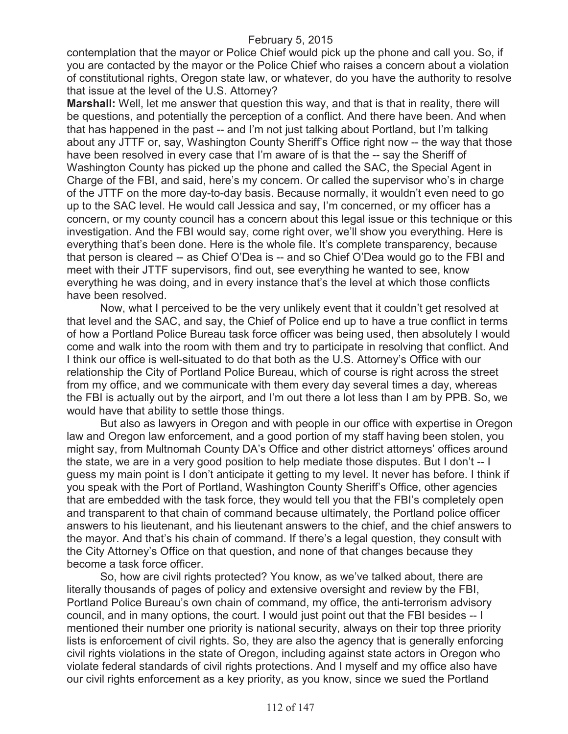contemplation that the mayor or Police Chief would pick up the phone and call you. So, if you are contacted by the mayor or the Police Chief who raises a concern about a violation of constitutional rights, Oregon state law, or whatever, do you have the authority to resolve that issue at the level of the U.S. Attorney?

**Marshall:** Well, let me answer that question this way, and that is that in reality, there will be questions, and potentially the perception of a conflict. And there have been. And when that has happened in the past -- and I'm not just talking about Portland, but I'm talking about any JTTF or, say, Washington County Sheriff's Office right now -- the way that those have been resolved in every case that I'm aware of is that the -- say the Sheriff of Washington County has picked up the phone and called the SAC, the Special Agent in Charge of the FBI, and said, here's my concern. Or called the supervisor who's in charge of the JTTF on the more day-to-day basis. Because normally, it wouldn't even need to go up to the SAC level. He would call Jessica and say, I'm concerned, or my officer has a concern, or my county council has a concern about this legal issue or this technique or this investigation. And the FBI would say, come right over, we'll show you everything. Here is everything that's been done. Here is the whole file. It's complete transparency, because that person is cleared -- as Chief O'Dea is -- and so Chief O'Dea would go to the FBI and meet with their JTTF supervisors, find out, see everything he wanted to see, know everything he was doing, and in every instance that's the level at which those conflicts have been resolved.

Now, what I perceived to be the very unlikely event that it couldn't get resolved at that level and the SAC, and say, the Chief of Police end up to have a true conflict in terms of how a Portland Police Bureau task force officer was being used, then absolutely I would come and walk into the room with them and try to participate in resolving that conflict. And I think our office is well-situated to do that both as the U.S. Attorney's Office with our relationship the City of Portland Police Bureau, which of course is right across the street from my office, and we communicate with them every day several times a day, whereas the FBI is actually out by the airport, and I'm out there a lot less than I am by PPB. So, we would have that ability to settle those things.

But also as lawyers in Oregon and with people in our office with expertise in Oregon law and Oregon law enforcement, and a good portion of my staff having been stolen, you might say, from Multnomah County DA's Office and other district attorneys' offices around the state, we are in a very good position to help mediate those disputes. But I don't -- I guess my main point is I don't anticipate it getting to my level. It never has before. I think if you speak with the Port of Portland, Washington County Sheriff's Office, other agencies that are embedded with the task force, they would tell you that the FBI's completely open and transparent to that chain of command because ultimately, the Portland police officer answers to his lieutenant, and his lieutenant answers to the chief, and the chief answers to the mayor. And that's his chain of command. If there's a legal question, they consult with the City Attorney's Office on that question, and none of that changes because they become a task force officer.

So, how are civil rights protected? You know, as we've talked about, there are literally thousands of pages of policy and extensive oversight and review by the FBI, Portland Police Bureau's own chain of command, my office, the anti-terrorism advisory council, and in many options, the court. I would just point out that the FBI besides -- I mentioned their number one priority is national security, always on their top three priority lists is enforcement of civil rights. So, they are also the agency that is generally enforcing civil rights violations in the state of Oregon, including against state actors in Oregon who violate federal standards of civil rights protections. And I myself and my office also have our civil rights enforcement as a key priority, as you know, since we sued the Portland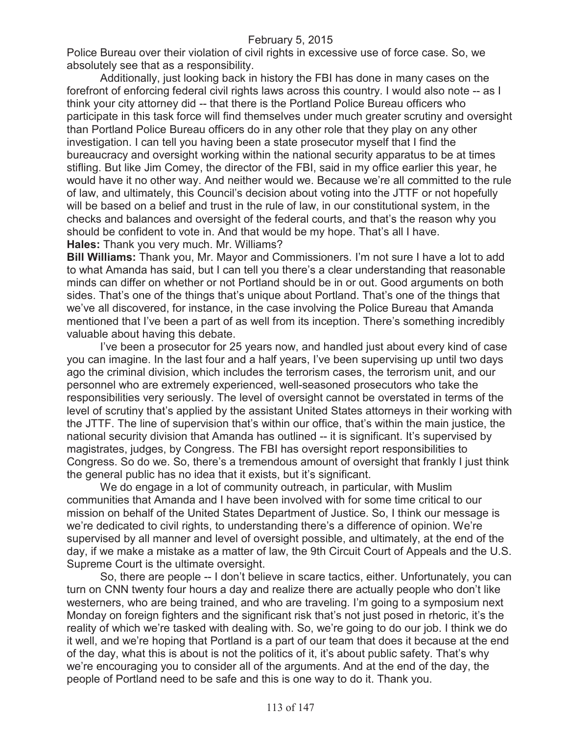Police Bureau over their violation of civil rights in excessive use of force case. So, we absolutely see that as a responsibility.

Additionally, just looking back in history the FBI has done in many cases on the forefront of enforcing federal civil rights laws across this country. I would also note -- as I think your city attorney did -- that there is the Portland Police Bureau officers who participate in this task force will find themselves under much greater scrutiny and oversight than Portland Police Bureau officers do in any other role that they play on any other investigation. I can tell you having been a state prosecutor myself that I find the bureaucracy and oversight working within the national security apparatus to be at times stifling. But like Jim Comey, the director of the FBI, said in my office earlier this year, he would have it no other way. And neither would we. Because we're all committed to the rule of law, and ultimately, this Council's decision about voting into the JTTF or not hopefully will be based on a belief and trust in the rule of law, in our constitutional system, in the checks and balances and oversight of the federal courts, and that's the reason why you should be confident to vote in. And that would be my hope. That's all I have. **Hales:** Thank you very much. Mr. Williams?

**Bill Williams:** Thank you, Mr. Mayor and Commissioners. I'm not sure I have a lot to add to what Amanda has said, but I can tell you there's a clear understanding that reasonable minds can differ on whether or not Portland should be in or out. Good arguments on both sides. That's one of the things that's unique about Portland. That's one of the things that we've all discovered, for instance, in the case involving the Police Bureau that Amanda mentioned that I've been a part of as well from its inception. There's something incredibly valuable about having this debate.

I've been a prosecutor for 25 years now, and handled just about every kind of case you can imagine. In the last four and a half years, I've been supervising up until two days ago the criminal division, which includes the terrorism cases, the terrorism unit, and our personnel who are extremely experienced, well-seasoned prosecutors who take the responsibilities very seriously. The level of oversight cannot be overstated in terms of the level of scrutiny that's applied by the assistant United States attorneys in their working with the JTTF. The line of supervision that's within our office, that's within the main justice, the national security division that Amanda has outlined -- it is significant. It's supervised by magistrates, judges, by Congress. The FBI has oversight report responsibilities to Congress. So do we. So, there's a tremendous amount of oversight that frankly I just think the general public has no idea that it exists, but it's significant.

We do engage in a lot of community outreach, in particular, with Muslim communities that Amanda and I have been involved with for some time critical to our mission on behalf of the United States Department of Justice. So, I think our message is we're dedicated to civil rights, to understanding there's a difference of opinion. We're supervised by all manner and level of oversight possible, and ultimately, at the end of the day, if we make a mistake as a matter of law, the 9th Circuit Court of Appeals and the U.S. Supreme Court is the ultimate oversight.

So, there are people -- I don't believe in scare tactics, either. Unfortunately, you can turn on CNN twenty four hours a day and realize there are actually people who don't like westerners, who are being trained, and who are traveling. I'm going to a symposium next Monday on foreign fighters and the significant risk that's not just posed in rhetoric, it's the reality of which we're tasked with dealing with. So, we're going to do our job. I think we do it well, and we're hoping that Portland is a part of our team that does it because at the end of the day, what this is about is not the politics of it, it's about public safety. That's why we're encouraging you to consider all of the arguments. And at the end of the day, the people of Portland need to be safe and this is one way to do it. Thank you.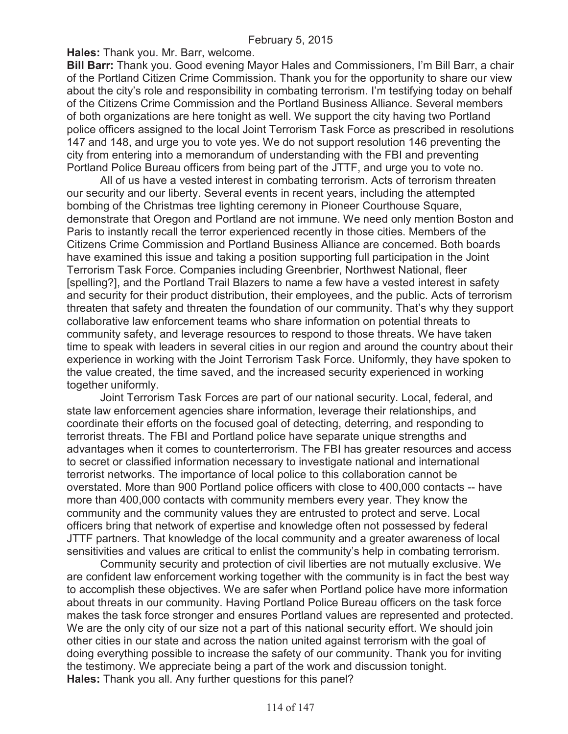**Hales:** Thank you. Mr. Barr, welcome.

**Bill Barr:** Thank you. Good evening Mayor Hales and Commissioners, I'm Bill Barr, a chair of the Portland Citizen Crime Commission. Thank you for the opportunity to share our view about the city's role and responsibility in combating terrorism. I'm testifying today on behalf of the Citizens Crime Commission and the Portland Business Alliance. Several members of both organizations are here tonight as well. We support the city having two Portland police officers assigned to the local Joint Terrorism Task Force as prescribed in resolutions 147 and 148, and urge you to vote yes. We do not support resolution 146 preventing the city from entering into a memorandum of understanding with the FBI and preventing Portland Police Bureau officers from being part of the JTTF, and urge you to vote no.

All of us have a vested interest in combating terrorism. Acts of terrorism threaten our security and our liberty. Several events in recent years, including the attempted bombing of the Christmas tree lighting ceremony in Pioneer Courthouse Square, demonstrate that Oregon and Portland are not immune. We need only mention Boston and Paris to instantly recall the terror experienced recently in those cities. Members of the Citizens Crime Commission and Portland Business Alliance are concerned. Both boards have examined this issue and taking a position supporting full participation in the Joint Terrorism Task Force. Companies including Greenbrier, Northwest National, fleer [spelling?], and the Portland Trail Blazers to name a few have a vested interest in safety and security for their product distribution, their employees, and the public. Acts of terrorism threaten that safety and threaten the foundation of our community. That's why they support collaborative law enforcement teams who share information on potential threats to community safety, and leverage resources to respond to those threats. We have taken time to speak with leaders in several cities in our region and around the country about their experience in working with the Joint Terrorism Task Force. Uniformly, they have spoken to the value created, the time saved, and the increased security experienced in working together uniformly.

Joint Terrorism Task Forces are part of our national security. Local, federal, and state law enforcement agencies share information, leverage their relationships, and coordinate their efforts on the focused goal of detecting, deterring, and responding to terrorist threats. The FBI and Portland police have separate unique strengths and advantages when it comes to counterterrorism. The FBI has greater resources and access to secret or classified information necessary to investigate national and international terrorist networks. The importance of local police to this collaboration cannot be overstated. More than 900 Portland police officers with close to 400,000 contacts -- have more than 400,000 contacts with community members every year. They know the community and the community values they are entrusted to protect and serve. Local officers bring that network of expertise and knowledge often not possessed by federal JTTF partners. That knowledge of the local community and a greater awareness of local sensitivities and values are critical to enlist the community's help in combating terrorism.

Community security and protection of civil liberties are not mutually exclusive. We are confident law enforcement working together with the community is in fact the best way to accomplish these objectives. We are safer when Portland police have more information about threats in our community. Having Portland Police Bureau officers on the task force makes the task force stronger and ensures Portland values are represented and protected. We are the only city of our size not a part of this national security effort. We should join other cities in our state and across the nation united against terrorism with the goal of doing everything possible to increase the safety of our community. Thank you for inviting the testimony. We appreciate being a part of the work and discussion tonight. **Hales:** Thank you all. Any further questions for this panel?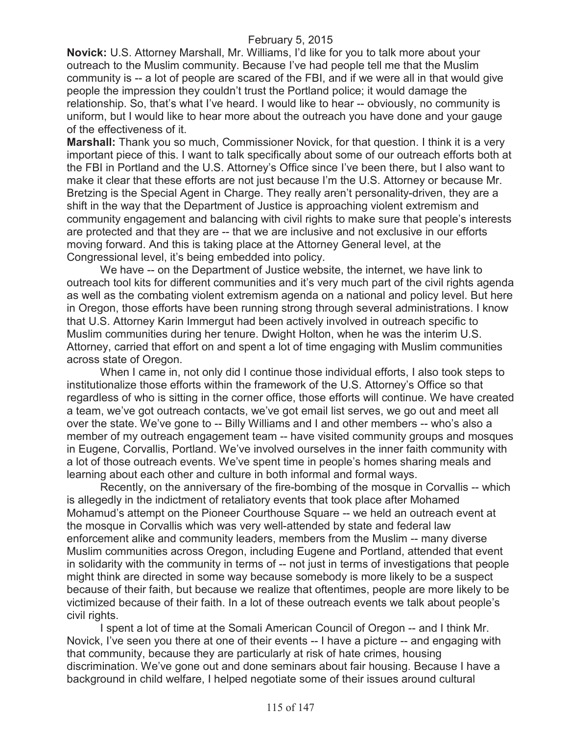**Novick:** U.S. Attorney Marshall, Mr. Williams, I'd like for you to talk more about your outreach to the Muslim community. Because I've had people tell me that the Muslim community is -- a lot of people are scared of the FBI, and if we were all in that would give people the impression they couldn't trust the Portland police; it would damage the relationship. So, that's what I've heard. I would like to hear -- obviously, no community is uniform, but I would like to hear more about the outreach you have done and your gauge of the effectiveness of it.

**Marshall:** Thank you so much, Commissioner Novick, for that question. I think it is a very important piece of this. I want to talk specifically about some of our outreach efforts both at the FBI in Portland and the U.S. Attorney's Office since I've been there, but I also want to make it clear that these efforts are not just because I'm the U.S. Attorney or because Mr. Bretzing is the Special Agent in Charge. They really aren't personality-driven, they are a shift in the way that the Department of Justice is approaching violent extremism and community engagement and balancing with civil rights to make sure that people's interests are protected and that they are -- that we are inclusive and not exclusive in our efforts moving forward. And this is taking place at the Attorney General level, at the Congressional level, it's being embedded into policy.

We have -- on the Department of Justice website, the internet, we have link to outreach tool kits for different communities and it's very much part of the civil rights agenda as well as the combating violent extremism agenda on a national and policy level. But here in Oregon, those efforts have been running strong through several administrations. I know that U.S. Attorney Karin Immergut had been actively involved in outreach specific to Muslim communities during her tenure. Dwight Holton, when he was the interim U.S. Attorney, carried that effort on and spent a lot of time engaging with Muslim communities across state of Oregon.

When I came in, not only did I continue those individual efforts, I also took steps to institutionalize those efforts within the framework of the U.S. Attorney's Office so that regardless of who is sitting in the corner office, those efforts will continue. We have created a team, we've got outreach contacts, we've got email list serves, we go out and meet all over the state. We've gone to -- Billy Williams and I and other members -- who's also a member of my outreach engagement team -- have visited community groups and mosques in Eugene, Corvallis, Portland. We've involved ourselves in the inner faith community with a lot of those outreach events. We've spent time in people's homes sharing meals and learning about each other and culture in both informal and formal ways.

Recently, on the anniversary of the fire-bombing of the mosque in Corvallis -- which is allegedly in the indictment of retaliatory events that took place after Mohamed Mohamud's attempt on the Pioneer Courthouse Square -- we held an outreach event at the mosque in Corvallis which was very well-attended by state and federal law enforcement alike and community leaders, members from the Muslim -- many diverse Muslim communities across Oregon, including Eugene and Portland, attended that event in solidarity with the community in terms of -- not just in terms of investigations that people might think are directed in some way because somebody is more likely to be a suspect because of their faith, but because we realize that oftentimes, people are more likely to be victimized because of their faith. In a lot of these outreach events we talk about people's civil rights.

I spent a lot of time at the Somali American Council of Oregon -- and I think Mr. Novick, I've seen you there at one of their events -- I have a picture -- and engaging with that community, because they are particularly at risk of hate crimes, housing discrimination. We've gone out and done seminars about fair housing. Because I have a background in child welfare, I helped negotiate some of their issues around cultural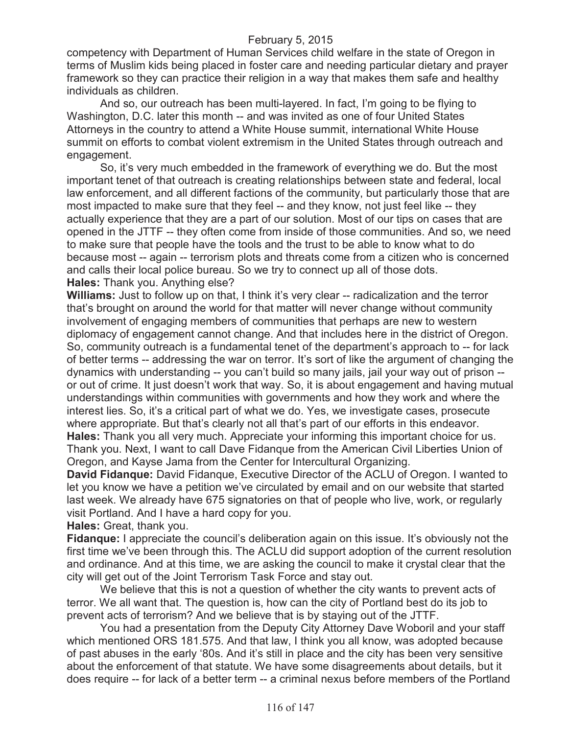competency with Department of Human Services child welfare in the state of Oregon in terms of Muslim kids being placed in foster care and needing particular dietary and prayer framework so they can practice their religion in a way that makes them safe and healthy individuals as children.

And so, our outreach has been multi-layered. In fact, I'm going to be flying to Washington, D.C. later this month -- and was invited as one of four United States Attorneys in the country to attend a White House summit, international White House summit on efforts to combat violent extremism in the United States through outreach and engagement.

So, it's very much embedded in the framework of everything we do. But the most important tenet of that outreach is creating relationships between state and federal, local law enforcement, and all different factions of the community, but particularly those that are most impacted to make sure that they feel -- and they know, not just feel like -- they actually experience that they are a part of our solution. Most of our tips on cases that are opened in the JTTF -- they often come from inside of those communities. And so, we need to make sure that people have the tools and the trust to be able to know what to do because most -- again -- terrorism plots and threats come from a citizen who is concerned and calls their local police bureau. So we try to connect up all of those dots. **Hales:** Thank you. Anything else?

**Williams:** Just to follow up on that, I think it's very clear -- radicalization and the terror that's brought on around the world for that matter will never change without community involvement of engaging members of communities that perhaps are new to western diplomacy of engagement cannot change. And that includes here in the district of Oregon. So, community outreach is a fundamental tenet of the department's approach to -- for lack of better terms -- addressing the war on terror. It's sort of like the argument of changing the dynamics with understanding -- you can't build so many jails, jail your way out of prison - or out of crime. It just doesn't work that way. So, it is about engagement and having mutual understandings within communities with governments and how they work and where the interest lies. So, it's a critical part of what we do. Yes, we investigate cases, prosecute where appropriate. But that's clearly not all that's part of our efforts in this endeavor. **Hales:** Thank you all very much. Appreciate your informing this important choice for us. Thank you. Next, I want to call Dave Fidanque from the American Civil Liberties Union of Oregon, and Kayse Jama from the Center for Intercultural Organizing.

**David Fidanque:** David Fidanque, Executive Director of the ACLU of Oregon. I wanted to let you know we have a petition we've circulated by email and on our website that started last week. We already have 675 signatories on that of people who live, work, or regularly visit Portland. And I have a hard copy for you.

**Hales:** Great, thank you.

**Fidanque:** I appreciate the council's deliberation again on this issue. It's obviously not the first time we've been through this. The ACLU did support adoption of the current resolution and ordinance. And at this time, we are asking the council to make it crystal clear that the city will get out of the Joint Terrorism Task Force and stay out.

We believe that this is not a question of whether the city wants to prevent acts of terror. We all want that. The question is, how can the city of Portland best do its job to prevent acts of terrorism? And we believe that is by staying out of the JTTF.

You had a presentation from the Deputy City Attorney Dave Woboril and your staff which mentioned ORS 181.575. And that law, I think you all know, was adopted because of past abuses in the early '80s. And it's still in place and the city has been very sensitive about the enforcement of that statute. We have some disagreements about details, but it does require -- for lack of a better term -- a criminal nexus before members of the Portland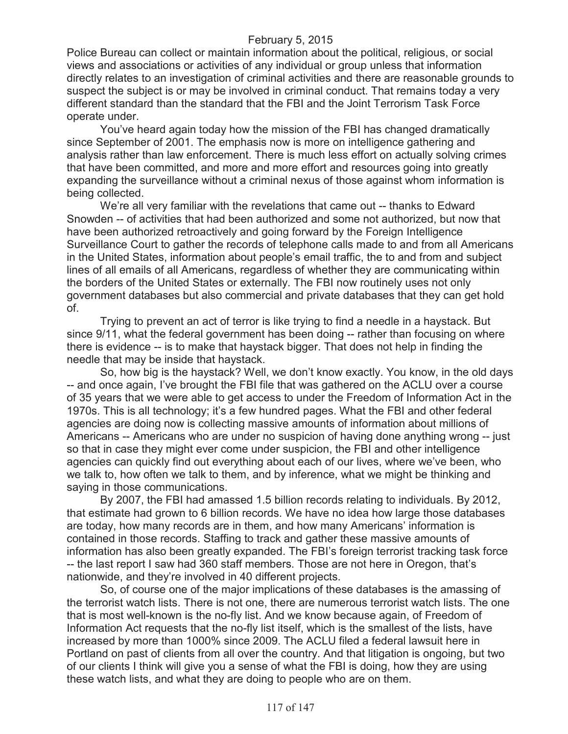Police Bureau can collect or maintain information about the political, religious, or social views and associations or activities of any individual or group unless that information directly relates to an investigation of criminal activities and there are reasonable grounds to suspect the subject is or may be involved in criminal conduct. That remains today a very different standard than the standard that the FBI and the Joint Terrorism Task Force operate under.

You've heard again today how the mission of the FBI has changed dramatically since September of 2001. The emphasis now is more on intelligence gathering and analysis rather than law enforcement. There is much less effort on actually solving crimes that have been committed, and more and more effort and resources going into greatly expanding the surveillance without a criminal nexus of those against whom information is being collected.

We're all very familiar with the revelations that came out -- thanks to Edward Snowden -- of activities that had been authorized and some not authorized, but now that have been authorized retroactively and going forward by the Foreign Intelligence Surveillance Court to gather the records of telephone calls made to and from all Americans in the United States, information about people's email traffic, the to and from and subject lines of all emails of all Americans, regardless of whether they are communicating within the borders of the United States or externally. The FBI now routinely uses not only government databases but also commercial and private databases that they can get hold of.

Trying to prevent an act of terror is like trying to find a needle in a haystack. But since 9/11, what the federal government has been doing -- rather than focusing on where there is evidence -- is to make that haystack bigger. That does not help in finding the needle that may be inside that haystack.

So, how big is the haystack? Well, we don't know exactly. You know, in the old days -- and once again, I've brought the FBI file that was gathered on the ACLU over a course of 35 years that we were able to get access to under the Freedom of Information Act in the 1970s. This is all technology; it's a few hundred pages. What the FBI and other federal agencies are doing now is collecting massive amounts of information about millions of Americans -- Americans who are under no suspicion of having done anything wrong -- just so that in case they might ever come under suspicion, the FBI and other intelligence agencies can quickly find out everything about each of our lives, where we've been, who we talk to, how often we talk to them, and by inference, what we might be thinking and saying in those communications.

By 2007, the FBI had amassed 1.5 billion records relating to individuals. By 2012, that estimate had grown to 6 billion records. We have no idea how large those databases are today, how many records are in them, and how many Americans' information is contained in those records. Staffing to track and gather these massive amounts of information has also been greatly expanded. The FBI's foreign terrorist tracking task force -- the last report I saw had 360 staff members. Those are not here in Oregon, that's nationwide, and they're involved in 40 different projects.

So, of course one of the major implications of these databases is the amassing of the terrorist watch lists. There is not one, there are numerous terrorist watch lists. The one that is most well-known is the no-fly list. And we know because again, of Freedom of Information Act requests that the no-fly list itself, which is the smallest of the lists, have increased by more than 1000% since 2009. The ACLU filed a federal lawsuit here in Portland on past of clients from all over the country. And that litigation is ongoing, but two of our clients I think will give you a sense of what the FBI is doing, how they are using these watch lists, and what they are doing to people who are on them.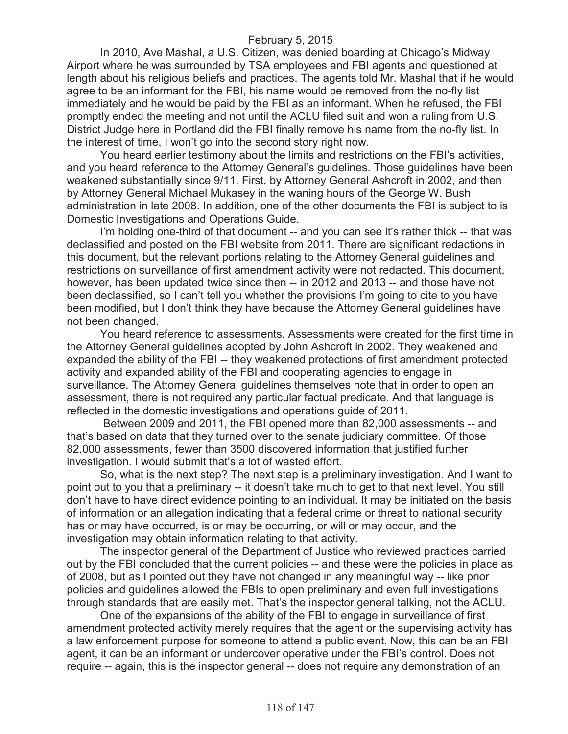In 2010, Ave Mashal, a U.S. Citizen, was denied boarding at Chicago's Midway Airport where he was surrounded by TSA employees and FBI agents and questioned at length about his religious beliefs and practices. The agents told Mr. Mashal that if he would agree to be an informant for the FBI, his name would be removed from the no-fly list immediately and he would be paid by the FBI as an informant. When he refused, the FBI promptly ended the meeting and not until the ACLU filed suit and won a ruling from U.S. District Judge here in Portland did the FBI finally remove his name from the no-fly list. In the interest of time, I won't go into the second story right now.

You heard earlier testimony about the limits and restrictions on the FBI's activities, and you heard reference to the Attorney General's guidelines. Those guidelines have been weakened substantially since 9/11. First, by Attorney General Ashcroft in 2002, and then by Attorney General Michael Mukasey in the waning hours of the George W. Bush administration in late 2008. In addition, one of the other documents the FBI is subject to is Domestic Investigations and Operations Guide.

I'm holding one-third of that document -- and you can see it's rather thick -- that was declassified and posted on the FBI website from 2011. There are significant redactions in this document, but the relevant portions relating to the Attorney General guidelines and restrictions on surveillance of first amendment activity were not redacted. This document, however, has been updated twice since then -- in 2012 and 2013 -- and those have not been declassified, so I can't tell you whether the provisions I'm going to cite to you have been modified, but I don't think they have because the Attorney General guidelines have not been changed.

You heard reference to assessments. Assessments were created for the first time in the Attorney General guidelines adopted by John Ashcroft in 2002. They weakened and expanded the ability of the FBI -- they weakened protections of first amendment protected activity and expanded ability of the FBI and cooperating agencies to engage in surveillance. The Attorney General guidelines themselves note that in order to open an assessment, there is not required any particular factual predicate. And that language is reflected in the domestic investigations and operations guide of 2011.

Between 2009 and 2011, the FBI opened more than 82,000 assessments -- and that's based on data that they turned over to the senate judiciary committee. Of those 82,000 assessments, fewer than 3500 discovered information that justified further investigation. I would submit that's a lot of wasted effort.

So, what is the next step? The next step is a preliminary investigation. And I want to point out to you that a preliminary -- it doesn't take much to get to that next level. You still don't have to have direct evidence pointing to an individual. It may be initiated on the basis of information or an allegation indicating that a federal crime or threat to national security has or may have occurred, is or may be occurring, or will or may occur, and the investigation may obtain information relating to that activity.

The inspector general of the Department of Justice who reviewed practices carried out by the FBI concluded that the current policies -- and these were the policies in place as of 2008, but as I pointed out they have not changed in any meaningful way -- like prior policies and guidelines allowed the FBIs to open preliminary and even full investigations through standards that are easily met. That's the inspector general talking, not the ACLU.

One of the expansions of the ability of the FBI to engage in surveillance of first amendment protected activity merely requires that the agent or the supervising activity has a law enforcement purpose for someone to attend a public event. Now, this can be an FBI agent, it can be an informant or undercover operative under the FBI's control. Does not require -- again, this is the inspector general -- does not require any demonstration of an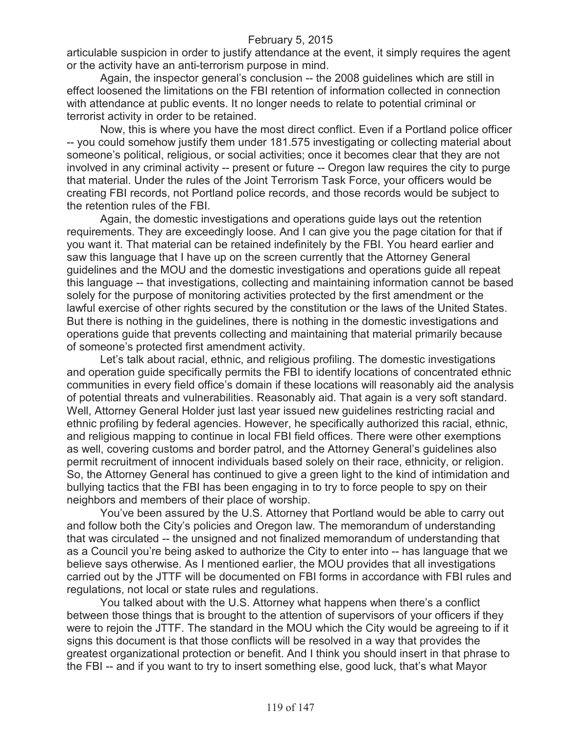articulable suspicion in order to justify attendance at the event, it simply requires the agent or the activity have an anti-terrorism purpose in mind.

Again, the inspector general's conclusion -- the 2008 guidelines which are still in effect loosened the limitations on the FBI retention of information collected in connection with attendance at public events. It no longer needs to relate to potential criminal or terrorist activity in order to be retained.

Now, this is where you have the most direct conflict. Even if a Portland police officer -- you could somehow justify them under 181.575 investigating or collecting material about someone's political, religious, or social activities; once it becomes clear that they are not involved in any criminal activity -- present or future -- Oregon law requires the city to purge that material. Under the rules of the Joint Terrorism Task Force, your officers would be creating FBI records, not Portland police records, and those records would be subject to the retention rules of the FBI.

Again, the domestic investigations and operations guide lays out the retention requirements. They are exceedingly loose. And I can give you the page citation for that if you want it. That material can be retained indefinitely by the FBI. You heard earlier and saw this language that I have up on the screen currently that the Attorney General guidelines and the MOU and the domestic investigations and operations guide all repeat this language -- that investigations, collecting and maintaining information cannot be based solely for the purpose of monitoring activities protected by the first amendment or the lawful exercise of other rights secured by the constitution or the laws of the United States. But there is nothing in the guidelines, there is nothing in the domestic investigations and operations guide that prevents collecting and maintaining that material primarily because of someone's protected first amendment activity.

Let's talk about racial, ethnic, and religious profiling. The domestic investigations and operation guide specifically permits the FBI to identify locations of concentrated ethnic communities in every field office's domain if these locations will reasonably aid the analysis of potential threats and vulnerabilities. Reasonably aid. That again is a very soft standard. Well, Attorney General Holder just last year issued new guidelines restricting racial and ethnic profiling by federal agencies. However, he specifically authorized this racial, ethnic, and religious mapping to continue in local FBI field offices. There were other exemptions as well, covering customs and border patrol, and the Attorney General's guidelines also permit recruitment of innocent individuals based solely on their race, ethnicity, or religion. So, the Attorney General has continued to give a green light to the kind of intimidation and bullying tactics that the FBI has been engaging in to try to force people to spy on their neighbors and members of their place of worship.

You've been assured by the U.S. Attorney that Portland would be able to carry out and follow both the City's policies and Oregon law. The memorandum of understanding that was circulated -- the unsigned and not finalized memorandum of understanding that as a Council you're being asked to authorize the City to enter into -- has language that we believe says otherwise. As I mentioned earlier, the MOU provides that all investigations carried out by the JTTF will be documented on FBI forms in accordance with FBI rules and regulations, not local or state rules and regulations.

You talked about with the U.S. Attorney what happens when there's a conflict between those things that is brought to the attention of supervisors of your officers if they were to rejoin the JTTF. The standard in the MOU which the City would be agreeing to if it signs this document is that those conflicts will be resolved in a way that provides the greatest organizational protection or benefit. And I think you should insert in that phrase to the FBI -- and if you want to try to insert something else, good luck, that's what Mayor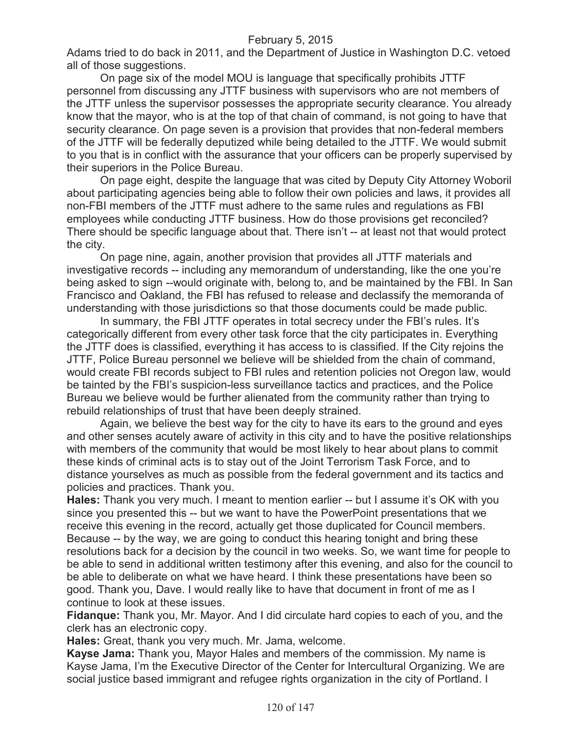Adams tried to do back in 2011, and the Department of Justice in Washington D.C. vetoed all of those suggestions.

On page six of the model MOU is language that specifically prohibits JTTF personnel from discussing any JTTF business with supervisors who are not members of the JTTF unless the supervisor possesses the appropriate security clearance. You already know that the mayor, who is at the top of that chain of command, is not going to have that security clearance. On page seven is a provision that provides that non-federal members of the JTTF will be federally deputized while being detailed to the JTTF. We would submit to you that is in conflict with the assurance that your officers can be properly supervised by their superiors in the Police Bureau.

On page eight, despite the language that was cited by Deputy City Attorney Woboril about participating agencies being able to follow their own policies and laws, it provides all non-FBI members of the JTTF must adhere to the same rules and regulations as FBI employees while conducting JTTF business. How do those provisions get reconciled? There should be specific language about that. There isn't -- at least not that would protect the city.

On page nine, again, another provision that provides all JTTF materials and investigative records -- including any memorandum of understanding, like the one you're being asked to sign --would originate with, belong to, and be maintained by the FBI. In San Francisco and Oakland, the FBI has refused to release and declassify the memoranda of understanding with those jurisdictions so that those documents could be made public.

In summary, the FBI JTTF operates in total secrecy under the FBI's rules. It's categorically different from every other task force that the city participates in. Everything the JTTF does is classified, everything it has access to is classified. If the City rejoins the JTTF, Police Bureau personnel we believe will be shielded from the chain of command, would create FBI records subject to FBI rules and retention policies not Oregon law, would be tainted by the FBI's suspicion-less surveillance tactics and practices, and the Police Bureau we believe would be further alienated from the community rather than trying to rebuild relationships of trust that have been deeply strained.

Again, we believe the best way for the city to have its ears to the ground and eyes and other senses acutely aware of activity in this city and to have the positive relationships with members of the community that would be most likely to hear about plans to commit these kinds of criminal acts is to stay out of the Joint Terrorism Task Force, and to distance yourselves as much as possible from the federal government and its tactics and policies and practices. Thank you.

**Hales:** Thank you very much. I meant to mention earlier -- but I assume it's OK with you since you presented this -- but we want to have the PowerPoint presentations that we receive this evening in the record, actually get those duplicated for Council members. Because -- by the way, we are going to conduct this hearing tonight and bring these resolutions back for a decision by the council in two weeks. So, we want time for people to be able to send in additional written testimony after this evening, and also for the council to be able to deliberate on what we have heard. I think these presentations have been so good. Thank you, Dave. I would really like to have that document in front of me as I continue to look at these issues.

**Fidanque:** Thank you, Mr. Mayor. And I did circulate hard copies to each of you, and the clerk has an electronic copy.

**Hales:** Great, thank you very much. Mr. Jama, welcome.

**Kayse Jama:** Thank you, Mayor Hales and members of the commission. My name is Kayse Jama, I'm the Executive Director of the Center for Intercultural Organizing. We are social justice based immigrant and refugee rights organization in the city of Portland. I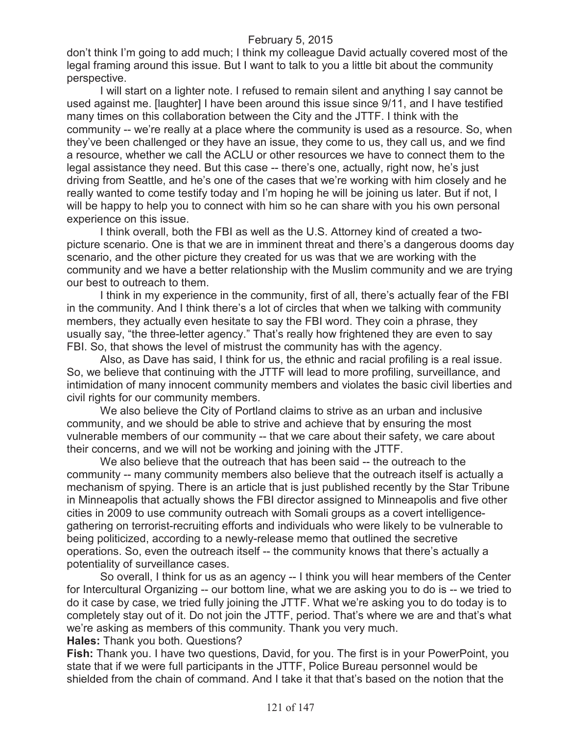don't think I'm going to add much; I think my colleague David actually covered most of the legal framing around this issue. But I want to talk to you a little bit about the community perspective.

I will start on a lighter note. I refused to remain silent and anything I say cannot be used against me. [laughter] I have been around this issue since 9/11, and I have testified many times on this collaboration between the City and the JTTF. I think with the community -- we're really at a place where the community is used as a resource. So, when they've been challenged or they have an issue, they come to us, they call us, and we find a resource, whether we call the ACLU or other resources we have to connect them to the legal assistance they need. But this case -- there's one, actually, right now, he's just driving from Seattle, and he's one of the cases that we're working with him closely and he really wanted to come testify today and I'm hoping he will be joining us later. But if not, I will be happy to help you to connect with him so he can share with you his own personal experience on this issue.

I think overall, both the FBI as well as the U.S. Attorney kind of created a twopicture scenario. One is that we are in imminent threat and there's a dangerous dooms day scenario, and the other picture they created for us was that we are working with the community and we have a better relationship with the Muslim community and we are trying our best to outreach to them.

I think in my experience in the community, first of all, there's actually fear of the FBI in the community. And I think there's a lot of circles that when we talking with community members, they actually even hesitate to say the FBI word. They coin a phrase, they usually say, "the three-letter agency." That's really how frightened they are even to say FBI. So, that shows the level of mistrust the community has with the agency.

Also, as Dave has said, I think for us, the ethnic and racial profiling is a real issue. So, we believe that continuing with the JTTF will lead to more profiling, surveillance, and intimidation of many innocent community members and violates the basic civil liberties and civil rights for our community members.

We also believe the City of Portland claims to strive as an urban and inclusive community, and we should be able to strive and achieve that by ensuring the most vulnerable members of our community -- that we care about their safety, we care about their concerns, and we will not be working and joining with the JTTF.

We also believe that the outreach that has been said -- the outreach to the community -- many community members also believe that the outreach itself is actually a mechanism of spying. There is an article that is just published recently by the Star Tribune in Minneapolis that actually shows the FBI director assigned to Minneapolis and five other cities in 2009 to use community outreach with Somali groups as a covert intelligencegathering on terrorist-recruiting efforts and individuals who were likely to be vulnerable to being politicized, according to a newly-release memo that outlined the secretive operations. So, even the outreach itself -- the community knows that there's actually a potentiality of surveillance cases.

So overall, I think for us as an agency -- I think you will hear members of the Center for Intercultural Organizing -- our bottom line, what we are asking you to do is -- we tried to do it case by case, we tried fully joining the JTTF. What we're asking you to do today is to completely stay out of it. Do not join the JTTF, period. That's where we are and that's what we're asking as members of this community. Thank you very much.

**Hales:** Thank you both. Questions?

**Fish:** Thank you. I have two questions, David, for you. The first is in your PowerPoint, you state that if we were full participants in the JTTF, Police Bureau personnel would be shielded from the chain of command. And I take it that that's based on the notion that the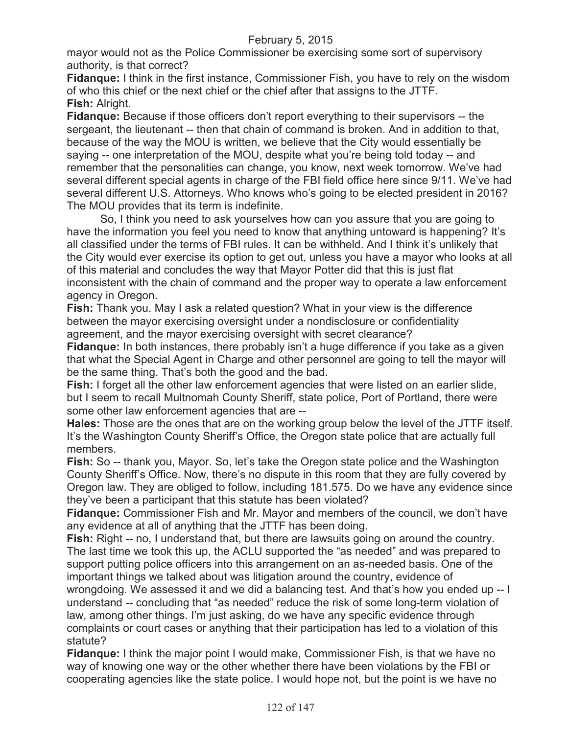mayor would not as the Police Commissioner be exercising some sort of supervisory authority, is that correct?

**Fidanque:** I think in the first instance, Commissioner Fish, you have to rely on the wisdom of who this chief or the next chief or the chief after that assigns to the JTTF. **Fish:** Alright.

**Fidanque:** Because if those officers don't report everything to their supervisors -- the sergeant, the lieutenant -- then that chain of command is broken. And in addition to that, because of the way the MOU is written, we believe that the City would essentially be saying -- one interpretation of the MOU, despite what you're being told today -- and remember that the personalities can change, you know, next week tomorrow. We've had several different special agents in charge of the FBI field office here since 9/11. We've had several different U.S. Attorneys. Who knows who's going to be elected president in 2016? The MOU provides that its term is indefinite.

So, I think you need to ask yourselves how can you assure that you are going to have the information you feel you need to know that anything untoward is happening? It's all classified under the terms of FBI rules. It can be withheld. And I think it's unlikely that the City would ever exercise its option to get out, unless you have a mayor who looks at all of this material and concludes the way that Mayor Potter did that this is just flat inconsistent with the chain of command and the proper way to operate a law enforcement agency in Oregon.

**Fish:** Thank you. May I ask a related question? What in your view is the difference between the mayor exercising oversight under a nondisclosure or confidentiality agreement, and the mayor exercising oversight with secret clearance?

**Fidanque:** In both instances, there probably isn't a huge difference if you take as a given that what the Special Agent in Charge and other personnel are going to tell the mayor will be the same thing. That's both the good and the bad.

**Fish:** I forget all the other law enforcement agencies that were listed on an earlier slide, but I seem to recall Multnomah County Sheriff, state police, Port of Portland, there were some other law enforcement agencies that are --

**Hales:** Those are the ones that are on the working group below the level of the JTTF itself. It's the Washington County Sheriff's Office, the Oregon state police that are actually full members.

**Fish:** So -- thank you, Mayor. So, let's take the Oregon state police and the Washington County Sheriff's Office. Now, there's no dispute in this room that they are fully covered by Oregon law. They are obliged to follow, including 181.575. Do we have any evidence since they've been a participant that this statute has been violated?

**Fidanque:** Commissioner Fish and Mr. Mayor and members of the council, we don't have any evidence at all of anything that the JTTF has been doing.

**Fish:** Right -- no, I understand that, but there are lawsuits going on around the country. The last time we took this up, the ACLU supported the "as needed" and was prepared to support putting police officers into this arrangement on an as-needed basis. One of the important things we talked about was litigation around the country, evidence of

wrongdoing. We assessed it and we did a balancing test. And that's how you ended up -- I understand -- concluding that "as needed" reduce the risk of some long-term violation of law, among other things. I'm just asking, do we have any specific evidence through complaints or court cases or anything that their participation has led to a violation of this statute?

**Fidanque:** I think the major point I would make, Commissioner Fish, is that we have no way of knowing one way or the other whether there have been violations by the FBI or cooperating agencies like the state police. I would hope not, but the point is we have no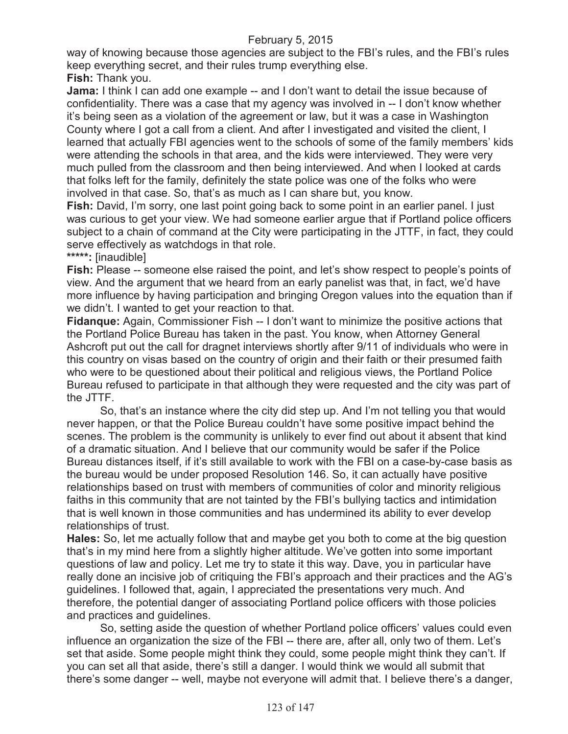way of knowing because those agencies are subject to the FBI's rules, and the FBI's rules keep everything secret, and their rules trump everything else. **Fish:** Thank you.

**Jama:** I think I can add one example -- and I don't want to detail the issue because of confidentiality. There was a case that my agency was involved in -- I don't know whether it's being seen as a violation of the agreement or law, but it was a case in Washington County where I got a call from a client. And after I investigated and visited the client, I learned that actually FBI agencies went to the schools of some of the family members' kids were attending the schools in that area, and the kids were interviewed. They were very much pulled from the classroom and then being interviewed. And when I looked at cards that folks left for the family, definitely the state police was one of the folks who were involved in that case. So, that's as much as I can share but, you know.

**Fish:** David, I'm sorry, one last point going back to some point in an earlier panel. I just was curious to get your view. We had someone earlier argue that if Portland police officers subject to a chain of command at the City were participating in the JTTF, in fact, they could serve effectively as watchdogs in that role.

**\*\*\*\*\*:** [inaudible]

**Fish:** Please -- someone else raised the point, and let's show respect to people's points of view. And the argument that we heard from an early panelist was that, in fact, we'd have more influence by having participation and bringing Oregon values into the equation than if we didn't. I wanted to get your reaction to that.

**Fidanque:** Again, Commissioner Fish -- I don't want to minimize the positive actions that the Portland Police Bureau has taken in the past. You know, when Attorney General Ashcroft put out the call for dragnet interviews shortly after 9/11 of individuals who were in this country on visas based on the country of origin and their faith or their presumed faith who were to be questioned about their political and religious views, the Portland Police Bureau refused to participate in that although they were requested and the city was part of the JTTF.

So, that's an instance where the city did step up. And I'm not telling you that would never happen, or that the Police Bureau couldn't have some positive impact behind the scenes. The problem is the community is unlikely to ever find out about it absent that kind of a dramatic situation. And I believe that our community would be safer if the Police Bureau distances itself, if it's still available to work with the FBI on a case-by-case basis as the bureau would be under proposed Resolution 146. So, it can actually have positive relationships based on trust with members of communities of color and minority religious faiths in this community that are not tainted by the FBI's bullying tactics and intimidation that is well known in those communities and has undermined its ability to ever develop relationships of trust.

**Hales:** So, let me actually follow that and maybe get you both to come at the big question that's in my mind here from a slightly higher altitude. We've gotten into some important questions of law and policy. Let me try to state it this way. Dave, you in particular have really done an incisive job of critiquing the FBI's approach and their practices and the AG's guidelines. I followed that, again, I appreciated the presentations very much. And therefore, the potential danger of associating Portland police officers with those policies and practices and guidelines.

So, setting aside the question of whether Portland police officers' values could even influence an organization the size of the FBI -- there are, after all, only two of them. Let's set that aside. Some people might think they could, some people might think they can't. If you can set all that aside, there's still a danger. I would think we would all submit that there's some danger -- well, maybe not everyone will admit that. I believe there's a danger,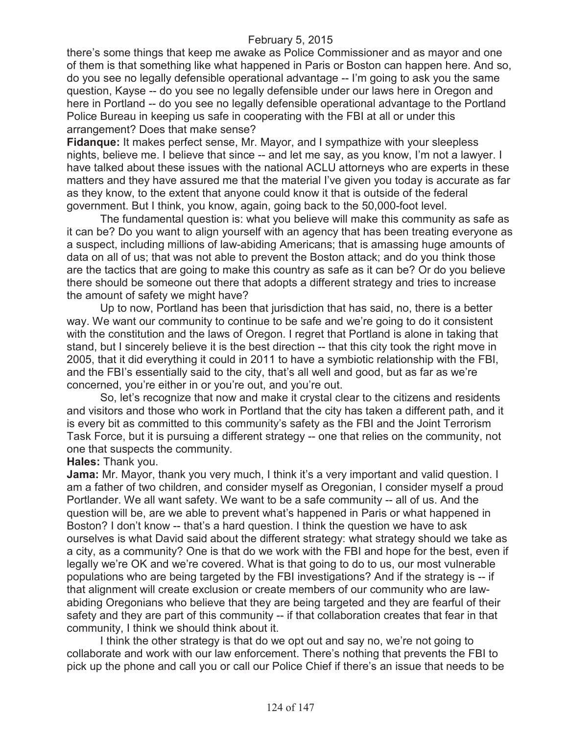there's some things that keep me awake as Police Commissioner and as mayor and one of them is that something like what happened in Paris or Boston can happen here. And so, do you see no legally defensible operational advantage -- I'm going to ask you the same question, Kayse -- do you see no legally defensible under our laws here in Oregon and here in Portland -- do you see no legally defensible operational advantage to the Portland Police Bureau in keeping us safe in cooperating with the FBI at all or under this arrangement? Does that make sense?

**Fidanque:** It makes perfect sense, Mr. Mayor, and I sympathize with your sleepless nights, believe me. I believe that since -- and let me say, as you know, I'm not a lawyer. I have talked about these issues with the national ACLU attorneys who are experts in these matters and they have assured me that the material I've given you today is accurate as far as they know, to the extent that anyone could know it that is outside of the federal government. But I think, you know, again, going back to the 50,000-foot level.

The fundamental question is: what you believe will make this community as safe as it can be? Do you want to align yourself with an agency that has been treating everyone as a suspect, including millions of law-abiding Americans; that is amassing huge amounts of data on all of us; that was not able to prevent the Boston attack; and do you think those are the tactics that are going to make this country as safe as it can be? Or do you believe there should be someone out there that adopts a different strategy and tries to increase the amount of safety we might have?

Up to now, Portland has been that jurisdiction that has said, no, there is a better way. We want our community to continue to be safe and we're going to do it consistent with the constitution and the laws of Oregon. I regret that Portland is alone in taking that stand, but I sincerely believe it is the best direction -- that this city took the right move in 2005, that it did everything it could in 2011 to have a symbiotic relationship with the FBI, and the FBI's essentially said to the city, that's all well and good, but as far as we're concerned, you're either in or you're out, and you're out.

So, let's recognize that now and make it crystal clear to the citizens and residents and visitors and those who work in Portland that the city has taken a different path, and it is every bit as committed to this community's safety as the FBI and the Joint Terrorism Task Force, but it is pursuing a different strategy -- one that relies on the community, not one that suspects the community.

#### **Hales:** Thank you.

**Jama:** Mr. Mayor, thank you very much, I think it's a very important and valid question. I am a father of two children, and consider myself as Oregonian, I consider myself a proud Portlander. We all want safety. We want to be a safe community -- all of us. And the question will be, are we able to prevent what's happened in Paris or what happened in Boston? I don't know -- that's a hard question. I think the question we have to ask ourselves is what David said about the different strategy: what strategy should we take as a city, as a community? One is that do we work with the FBI and hope for the best, even if legally we're OK and we're covered. What is that going to do to us, our most vulnerable populations who are being targeted by the FBI investigations? And if the strategy is -- if that alignment will create exclusion or create members of our community who are lawabiding Oregonians who believe that they are being targeted and they are fearful of their safety and they are part of this community -- if that collaboration creates that fear in that community, I think we should think about it.

I think the other strategy is that do we opt out and say no, we're not going to collaborate and work with our law enforcement. There's nothing that prevents the FBI to pick up the phone and call you or call our Police Chief if there's an issue that needs to be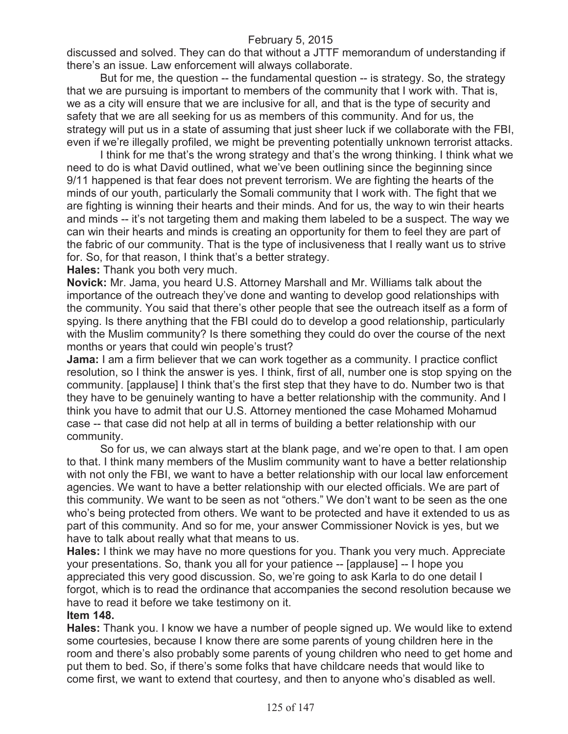discussed and solved. They can do that without a JTTF memorandum of understanding if there's an issue. Law enforcement will always collaborate.

But for me, the question -- the fundamental question -- is strategy. So, the strategy that we are pursuing is important to members of the community that I work with. That is, we as a city will ensure that we are inclusive for all, and that is the type of security and safety that we are all seeking for us as members of this community. And for us, the strategy will put us in a state of assuming that just sheer luck if we collaborate with the FBI, even if we're illegally profiled, we might be preventing potentially unknown terrorist attacks.

I think for me that's the wrong strategy and that's the wrong thinking. I think what we need to do is what David outlined, what we've been outlining since the beginning since 9/11 happened is that fear does not prevent terrorism. We are fighting the hearts of the minds of our youth, particularly the Somali community that I work with. The fight that we are fighting is winning their hearts and their minds. And for us, the way to win their hearts and minds -- it's not targeting them and making them labeled to be a suspect. The way we can win their hearts and minds is creating an opportunity for them to feel they are part of the fabric of our community. That is the type of inclusiveness that I really want us to strive for. So, for that reason, I think that's a better strategy.

**Hales:** Thank you both very much.

**Novick:** Mr. Jama, you heard U.S. Attorney Marshall and Mr. Williams talk about the importance of the outreach they've done and wanting to develop good relationships with the community. You said that there's other people that see the outreach itself as a form of spying. Is there anything that the FBI could do to develop a good relationship, particularly with the Muslim community? Is there something they could do over the course of the next months or years that could win people's trust?

**Jama:** I am a firm believer that we can work together as a community. I practice conflict resolution, so I think the answer is yes. I think, first of all, number one is stop spying on the community. [applause] I think that's the first step that they have to do. Number two is that they have to be genuinely wanting to have a better relationship with the community. And I think you have to admit that our U.S. Attorney mentioned the case Mohamed Mohamud case -- that case did not help at all in terms of building a better relationship with our community.

So for us, we can always start at the blank page, and we're open to that. I am open to that. I think many members of the Muslim community want to have a better relationship with not only the FBI, we want to have a better relationship with our local law enforcement agencies. We want to have a better relationship with our elected officials. We are part of this community. We want to be seen as not "others." We don't want to be seen as the one who's being protected from others. We want to be protected and have it extended to us as part of this community. And so for me, your answer Commissioner Novick is yes, but we have to talk about really what that means to us.

**Hales:** I think we may have no more questions for you. Thank you very much. Appreciate your presentations. So, thank you all for your patience -- [applause] -- I hope you appreciated this very good discussion. So, we're going to ask Karla to do one detail I forgot, which is to read the ordinance that accompanies the second resolution because we have to read it before we take testimony on it.

#### **Item 148.**

**Hales:** Thank you. I know we have a number of people signed up. We would like to extend some courtesies, because I know there are some parents of young children here in the room and there's also probably some parents of young children who need to get home and put them to bed. So, if there's some folks that have childcare needs that would like to come first, we want to extend that courtesy, and then to anyone who's disabled as well.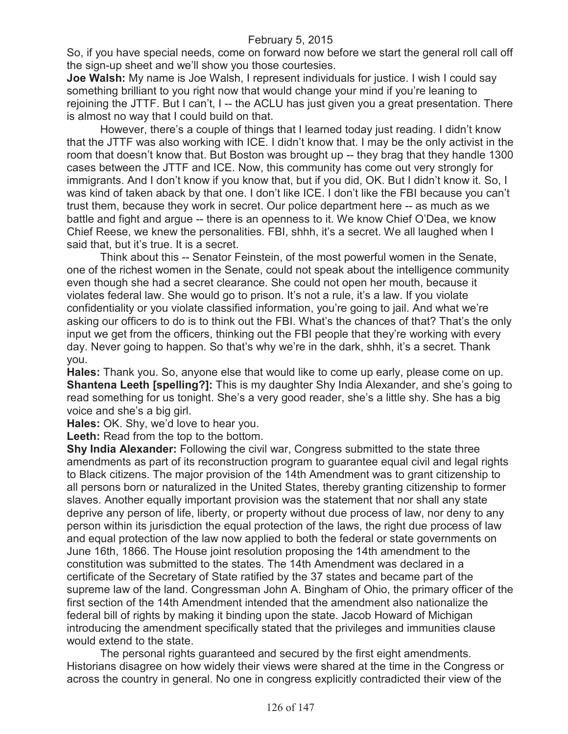So, if you have special needs, come on forward now before we start the general roll call off the sign-up sheet and we'll show you those courtesies.

**Joe Walsh:** My name is Joe Walsh, I represent individuals for justice. I wish I could say something brilliant to you right now that would change your mind if you're leaning to rejoining the JTTF. But I can't, I -- the ACLU has just given you a great presentation. There is almost no way that I could build on that.

However, there's a couple of things that I learned today just reading. I didn't know that the JTTF was also working with ICE. I didn't know that. I may be the only activist in the room that doesn't know that. But Boston was brought up -- they brag that they handle 1300 cases between the JTTF and ICE. Now, this community has come out very strongly for immigrants. And I don't know if you know that, but if you did, OK. But I didn't know it. So, I was kind of taken aback by that one. I don't like ICE. I don't like the FBI because you can't trust them, because they work in secret. Our police department here -- as much as we battle and fight and argue -- there is an openness to it. We know Chief O'Dea, we know Chief Reese, we knew the personalities. FBI, shhh, it's a secret. We all laughed when I said that, but it's true. It is a secret.

Think about this -- Senator Feinstein, of the most powerful women in the Senate, one of the richest women in the Senate, could not speak about the intelligence community even though she had a secret clearance. She could not open her mouth, because it violates federal law. She would go to prison. It's not a rule, it's a law. If you violate confidentiality or you violate classified information, you're going to jail. And what we're asking our officers to do is to think out the FBI. What's the chances of that? That's the only input we get from the officers, thinking out the FBI people that they're working with every day. Never going to happen. So that's why we're in the dark, shhh, it's a secret. Thank you.

**Hales:** Thank you. So, anyone else that would like to come up early, please come on up. **Shantena Leeth [spelling?]:** This is my daughter Shy India Alexander, and she's going to read something for us tonight. She's a very good reader, she's a little shy. She has a big voice and she's a big girl.

**Hales:** OK. Shy, we'd love to hear you.

Leeth: Read from the top to the bottom.

**Shy India Alexander:** Following the civil war, Congress submitted to the state three amendments as part of its reconstruction program to guarantee equal civil and legal rights to Black citizens. The major provision of the 14th Amendment was to grant citizenship to all persons born or naturalized in the United States, thereby granting citizenship to former slaves. Another equally important provision was the statement that nor shall any state deprive any person of life, liberty, or property without due process of law, nor deny to any person within its jurisdiction the equal protection of the laws, the right due process of law and equal protection of the law now applied to both the federal or state governments on June 16th, 1866. The House joint resolution proposing the 14th amendment to the constitution was submitted to the states. The 14th Amendment was declared in a certificate of the Secretary of State ratified by the 37 states and became part of the supreme law of the land. Congressman John A. Bingham of Ohio, the primary officer of the first section of the 14th Amendment intended that the amendment also nationalize the federal bill of rights by making it binding upon the state. Jacob Howard of Michigan introducing the amendment specifically stated that the privileges and immunities clause would extend to the state.

The personal rights guaranteed and secured by the first eight amendments. Historians disagree on how widely their views were shared at the time in the Congress or across the country in general. No one in congress explicitly contradicted their view of the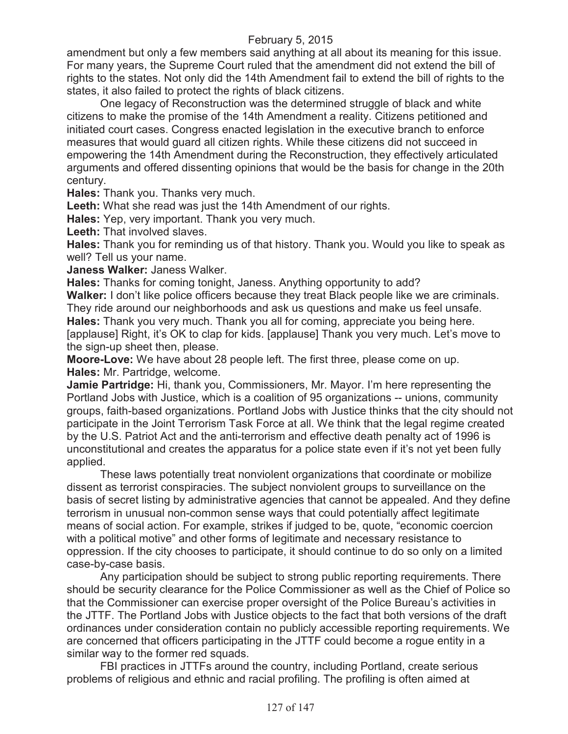amendment but only a few members said anything at all about its meaning for this issue. For many years, the Supreme Court ruled that the amendment did not extend the bill of rights to the states. Not only did the 14th Amendment fail to extend the bill of rights to the states, it also failed to protect the rights of black citizens.

One legacy of Reconstruction was the determined struggle of black and white citizens to make the promise of the 14th Amendment a reality. Citizens petitioned and initiated court cases. Congress enacted legislation in the executive branch to enforce measures that would guard all citizen rights. While these citizens did not succeed in empowering the 14th Amendment during the Reconstruction, they effectively articulated arguments and offered dissenting opinions that would be the basis for change in the 20th century.

**Hales:** Thank you. Thanks very much.

**Leeth:** What she read was just the 14th Amendment of our rights.

**Hales:** Yep, very important. Thank you very much.

**Leeth:** That involved slaves.

**Hales:** Thank you for reminding us of that history. Thank you. Would you like to speak as well? Tell us your name.

**Janess Walker:** Janess Walker.

**Hales:** Thanks for coming tonight, Janess. Anything opportunity to add?

**Walker:** I don't like police officers because they treat Black people like we are criminals. They ride around our neighborhoods and ask us questions and make us feel unsafe. **Hales:** Thank you very much. Thank you all for coming, appreciate you being here. [applause] Right, it's OK to clap for kids. [applause] Thank you very much. Let's move to the sign-up sheet then, please.

**Moore-Love:** We have about 28 people left. The first three, please come on up. **Hales:** Mr. Partridge, welcome.

**Jamie Partridge:** Hi, thank you, Commissioners, Mr. Mayor. I'm here representing the Portland Jobs with Justice, which is a coalition of 95 organizations -- unions, community groups, faith-based organizations. Portland Jobs with Justice thinks that the city should not participate in the Joint Terrorism Task Force at all. We think that the legal regime created by the U.S. Patriot Act and the anti-terrorism and effective death penalty act of 1996 is unconstitutional and creates the apparatus for a police state even if it's not yet been fully applied.

These laws potentially treat nonviolent organizations that coordinate or mobilize dissent as terrorist conspiracies. The subject nonviolent groups to surveillance on the basis of secret listing by administrative agencies that cannot be appealed. And they define terrorism in unusual non-common sense ways that could potentially affect legitimate means of social action. For example, strikes if judged to be, quote, "economic coercion with a political motive" and other forms of legitimate and necessary resistance to oppression. If the city chooses to participate, it should continue to do so only on a limited case-by-case basis.

Any participation should be subject to strong public reporting requirements. There should be security clearance for the Police Commissioner as well as the Chief of Police so that the Commissioner can exercise proper oversight of the Police Bureau's activities in the JTTF. The Portland Jobs with Justice objects to the fact that both versions of the draft ordinances under consideration contain no publicly accessible reporting requirements. We are concerned that officers participating in the JTTF could become a rogue entity in a similar way to the former red squads.

FBI practices in JTTFs around the country, including Portland, create serious problems of religious and ethnic and racial profiling. The profiling is often aimed at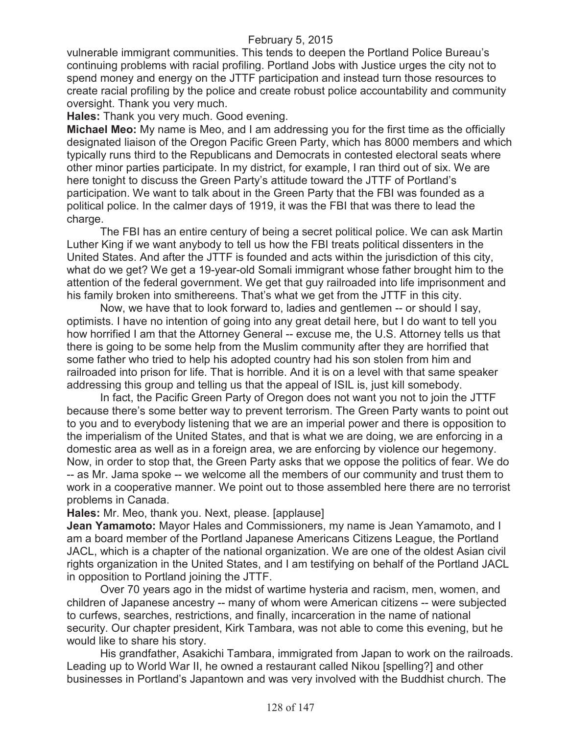vulnerable immigrant communities. This tends to deepen the Portland Police Bureau's continuing problems with racial profiling. Portland Jobs with Justice urges the city not to spend money and energy on the JTTF participation and instead turn those resources to create racial profiling by the police and create robust police accountability and community oversight. Thank you very much.

**Hales:** Thank you very much. Good evening.

**Michael Meo:** My name is Meo, and I am addressing you for the first time as the officially designated liaison of the Oregon Pacific Green Party, which has 8000 members and which typically runs third to the Republicans and Democrats in contested electoral seats where other minor parties participate. In my district, for example, I ran third out of six. We are here tonight to discuss the Green Party's attitude toward the JTTF of Portland's participation. We want to talk about in the Green Party that the FBI was founded as a political police. In the calmer days of 1919, it was the FBI that was there to lead the charge.

The FBI has an entire century of being a secret political police. We can ask Martin Luther King if we want anybody to tell us how the FBI treats political dissenters in the United States. And after the JTTF is founded and acts within the jurisdiction of this city, what do we get? We get a 19-year-old Somali immigrant whose father brought him to the attention of the federal government. We get that guy railroaded into life imprisonment and his family broken into smithereens. That's what we get from the JTTF in this city.

Now, we have that to look forward to, ladies and gentlemen -- or should I say, optimists. I have no intention of going into any great detail here, but I do want to tell you how horrified I am that the Attorney General -- excuse me, the U.S. Attorney tells us that there is going to be some help from the Muslim community after they are horrified that some father who tried to help his adopted country had his son stolen from him and railroaded into prison for life. That is horrible. And it is on a level with that same speaker addressing this group and telling us that the appeal of ISIL is, just kill somebody.

In fact, the Pacific Green Party of Oregon does not want you not to join the JTTF because there's some better way to prevent terrorism. The Green Party wants to point out to you and to everybody listening that we are an imperial power and there is opposition to the imperialism of the United States, and that is what we are doing, we are enforcing in a domestic area as well as in a foreign area, we are enforcing by violence our hegemony. Now, in order to stop that, the Green Party asks that we oppose the politics of fear. We do -- as Mr. Jama spoke -- we welcome all the members of our community and trust them to work in a cooperative manner. We point out to those assembled here there are no terrorist problems in Canada.

**Hales:** Mr. Meo, thank you. Next, please. [applause]

**Jean Yamamoto:** Mayor Hales and Commissioners, my name is Jean Yamamoto, and I am a board member of the Portland Japanese Americans Citizens League, the Portland JACL, which is a chapter of the national organization. We are one of the oldest Asian civil rights organization in the United States, and I am testifying on behalf of the Portland JACL in opposition to Portland joining the JTTF.

Over 70 years ago in the midst of wartime hysteria and racism, men, women, and children of Japanese ancestry -- many of whom were American citizens -- were subjected to curfews, searches, restrictions, and finally, incarceration in the name of national security. Our chapter president, Kirk Tambara, was not able to come this evening, but he would like to share his story.

His grandfather, Asakichi Tambara, immigrated from Japan to work on the railroads. Leading up to World War II, he owned a restaurant called Nikou [spelling?] and other businesses in Portland's Japantown and was very involved with the Buddhist church. The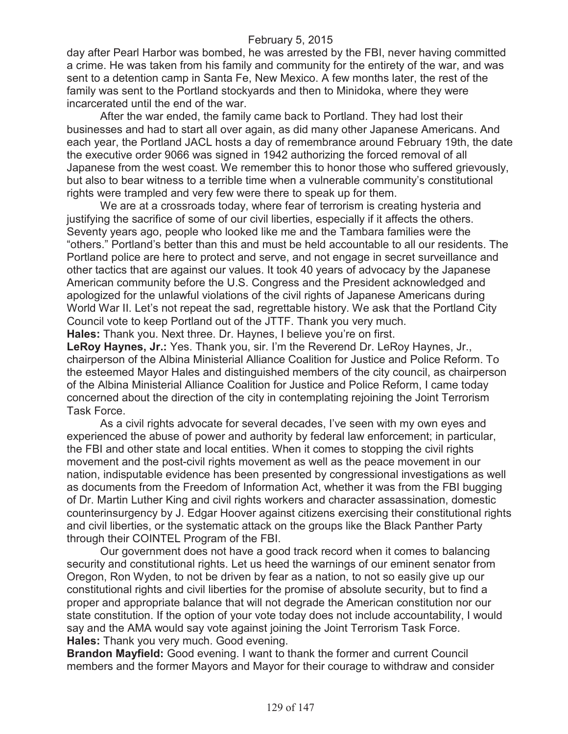day after Pearl Harbor was bombed, he was arrested by the FBI, never having committed a crime. He was taken from his family and community for the entirety of the war, and was sent to a detention camp in Santa Fe, New Mexico. A few months later, the rest of the family was sent to the Portland stockyards and then to Minidoka, where they were incarcerated until the end of the war.

After the war ended, the family came back to Portland. They had lost their businesses and had to start all over again, as did many other Japanese Americans. And each year, the Portland JACL hosts a day of remembrance around February 19th, the date the executive order 9066 was signed in 1942 authorizing the forced removal of all Japanese from the west coast. We remember this to honor those who suffered grievously, but also to bear witness to a terrible time when a vulnerable community's constitutional rights were trampled and very few were there to speak up for them.

We are at a crossroads today, where fear of terrorism is creating hysteria and justifying the sacrifice of some of our civil liberties, especially if it affects the others. Seventy years ago, people who looked like me and the Tambara families were the "others." Portland's better than this and must be held accountable to all our residents. The Portland police are here to protect and serve, and not engage in secret surveillance and other tactics that are against our values. It took 40 years of advocacy by the Japanese American community before the U.S. Congress and the President acknowledged and apologized for the unlawful violations of the civil rights of Japanese Americans during World War II. Let's not repeat the sad, regrettable history. We ask that the Portland City Council vote to keep Portland out of the JTTF. Thank you very much. **Hales:** Thank you. Next three. Dr. Haynes, I believe you're on first.

**LeRoy Haynes, Jr.:** Yes. Thank you, sir. I'm the Reverend Dr. LeRoy Haynes, Jr., chairperson of the Albina Ministerial Alliance Coalition for Justice and Police Reform. To the esteemed Mayor Hales and distinguished members of the city council, as chairperson of the Albina Ministerial Alliance Coalition for Justice and Police Reform, I came today concerned about the direction of the city in contemplating rejoining the Joint Terrorism Task Force.

As a civil rights advocate for several decades, I've seen with my own eyes and experienced the abuse of power and authority by federal law enforcement; in particular, the FBI and other state and local entities. When it comes to stopping the civil rights movement and the post-civil rights movement as well as the peace movement in our nation, indisputable evidence has been presented by congressional investigations as well as documents from the Freedom of Information Act, whether it was from the FBI bugging of Dr. Martin Luther King and civil rights workers and character assassination, domestic counterinsurgency by J. Edgar Hoover against citizens exercising their constitutional rights and civil liberties, or the systematic attack on the groups like the Black Panther Party through their COINTEL Program of the FBI.

Our government does not have a good track record when it comes to balancing security and constitutional rights. Let us heed the warnings of our eminent senator from Oregon, Ron Wyden, to not be driven by fear as a nation, to not so easily give up our constitutional rights and civil liberties for the promise of absolute security, but to find a proper and appropriate balance that will not degrade the American constitution nor our state constitution. If the option of your vote today does not include accountability, I would say and the AMA would say vote against joining the Joint Terrorism Task Force. **Hales:** Thank you very much. Good evening.

**Brandon Mayfield:** Good evening. I want to thank the former and current Council members and the former Mayors and Mayor for their courage to withdraw and consider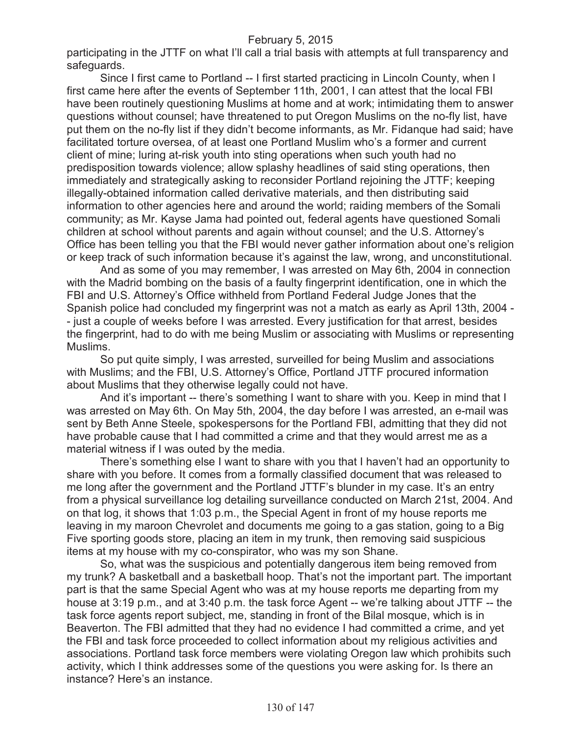participating in the JTTF on what I'll call a trial basis with attempts at full transparency and safeguards.

Since I first came to Portland -- I first started practicing in Lincoln County, when I first came here after the events of September 11th, 2001, I can attest that the local FBI have been routinely questioning Muslims at home and at work; intimidating them to answer questions without counsel; have threatened to put Oregon Muslims on the no-fly list, have put them on the no-fly list if they didn't become informants, as Mr. Fidanque had said; have facilitated torture oversea, of at least one Portland Muslim who's a former and current client of mine; luring at-risk youth into sting operations when such youth had no predisposition towards violence; allow splashy headlines of said sting operations, then immediately and strategically asking to reconsider Portland rejoining the JTTF; keeping illegally-obtained information called derivative materials, and then distributing said information to other agencies here and around the world; raiding members of the Somali community; as Mr. Kayse Jama had pointed out, federal agents have questioned Somali children at school without parents and again without counsel; and the U.S. Attorney's Office has been telling you that the FBI would never gather information about one's religion or keep track of such information because it's against the law, wrong, and unconstitutional.

And as some of you may remember, I was arrested on May 6th, 2004 in connection with the Madrid bombing on the basis of a faulty fingerprint identification, one in which the FBI and U.S. Attorney's Office withheld from Portland Federal Judge Jones that the Spanish police had concluded my fingerprint was not a match as early as April 13th, 2004 - - just a couple of weeks before I was arrested. Every justification for that arrest, besides the fingerprint, had to do with me being Muslim or associating with Muslims or representing Muslims.

So put quite simply, I was arrested, surveilled for being Muslim and associations with Muslims; and the FBI, U.S. Attorney's Office, Portland JTTF procured information about Muslims that they otherwise legally could not have.

And it's important -- there's something I want to share with you. Keep in mind that I was arrested on May 6th. On May 5th, 2004, the day before I was arrested, an e-mail was sent by Beth Anne Steele, spokespersons for the Portland FBI, admitting that they did not have probable cause that I had committed a crime and that they would arrest me as a material witness if I was outed by the media.

There's something else I want to share with you that I haven't had an opportunity to share with you before. It comes from a formally classified document that was released to me long after the government and the Portland JTTF's blunder in my case. It's an entry from a physical surveillance log detailing surveillance conducted on March 21st, 2004. And on that log, it shows that 1:03 p.m., the Special Agent in front of my house reports me leaving in my maroon Chevrolet and documents me going to a gas station, going to a Big Five sporting goods store, placing an item in my trunk, then removing said suspicious items at my house with my co-conspirator, who was my son Shane.

So, what was the suspicious and potentially dangerous item being removed from my trunk? A basketball and a basketball hoop. That's not the important part. The important part is that the same Special Agent who was at my house reports me departing from my house at 3:19 p.m., and at 3:40 p.m. the task force Agent -- we're talking about JTTF -- the task force agents report subject, me, standing in front of the Bilal mosque, which is in Beaverton. The FBI admitted that they had no evidence I had committed a crime, and yet the FBI and task force proceeded to collect information about my religious activities and associations. Portland task force members were violating Oregon law which prohibits such activity, which I think addresses some of the questions you were asking for. Is there an instance? Here's an instance.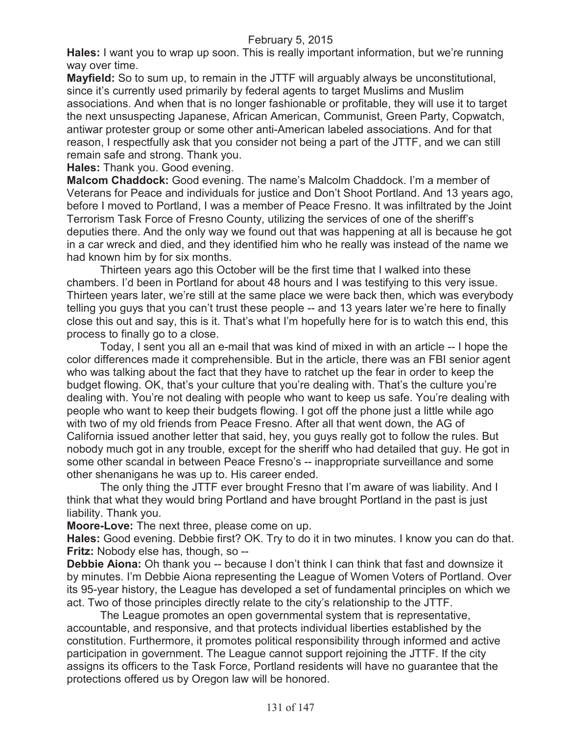**Hales:** I want you to wrap up soon. This is really important information, but we're running way over time.

**Mayfield:** So to sum up, to remain in the JTTF will arguably always be unconstitutional, since it's currently used primarily by federal agents to target Muslims and Muslim associations. And when that is no longer fashionable or profitable, they will use it to target the next unsuspecting Japanese, African American, Communist, Green Party, Copwatch, antiwar protester group or some other anti-American labeled associations. And for that reason, I respectfully ask that you consider not being a part of the JTTF, and we can still remain safe and strong. Thank you.

**Hales:** Thank you. Good evening.

**Malcom Chaddock:** Good evening. The name's Malcolm Chaddock. I'm a member of Veterans for Peace and individuals for justice and Don't Shoot Portland. And 13 years ago, before I moved to Portland, I was a member of Peace Fresno. It was infiltrated by the Joint Terrorism Task Force of Fresno County, utilizing the services of one of the sheriff's deputies there. And the only way we found out that was happening at all is because he got in a car wreck and died, and they identified him who he really was instead of the name we had known him by for six months.

Thirteen years ago this October will be the first time that I walked into these chambers. I'd been in Portland for about 48 hours and I was testifying to this very issue. Thirteen years later, we're still at the same place we were back then, which was everybody telling you guys that you can't trust these people -- and 13 years later we're here to finally close this out and say, this is it. That's what I'm hopefully here for is to watch this end, this process to finally go to a close.

Today, I sent you all an e-mail that was kind of mixed in with an article -- I hope the color differences made it comprehensible. But in the article, there was an FBI senior agent who was talking about the fact that they have to ratchet up the fear in order to keep the budget flowing. OK, that's your culture that you're dealing with. That's the culture you're dealing with. You're not dealing with people who want to keep us safe. You're dealing with people who want to keep their budgets flowing. I got off the phone just a little while ago with two of my old friends from Peace Fresno. After all that went down, the AG of California issued another letter that said, hey, you guys really got to follow the rules. But nobody much got in any trouble, except for the sheriff who had detailed that guy. He got in some other scandal in between Peace Fresno's -- inappropriate surveillance and some other shenanigans he was up to. His career ended.

The only thing the JTTF ever brought Fresno that I'm aware of was liability. And I think that what they would bring Portland and have brought Portland in the past is just liability. Thank you.

**Moore-Love:** The next three, please come on up.

**Hales:** Good evening. Debbie first? OK. Try to do it in two minutes. I know you can do that. **Fritz:** Nobody else has, though, so --

**Debbie Aiona:** Oh thank you -- because I don't think I can think that fast and downsize it by minutes. I'm Debbie Aiona representing the League of Women Voters of Portland. Over its 95-year history, the League has developed a set of fundamental principles on which we act. Two of those principles directly relate to the city's relationship to the JTTF.

The League promotes an open governmental system that is representative, accountable, and responsive, and that protects individual liberties established by the constitution. Furthermore, it promotes political responsibility through informed and active participation in government. The League cannot support rejoining the JTTF. If the city assigns its officers to the Task Force, Portland residents will have no guarantee that the protections offered us by Oregon law will be honored.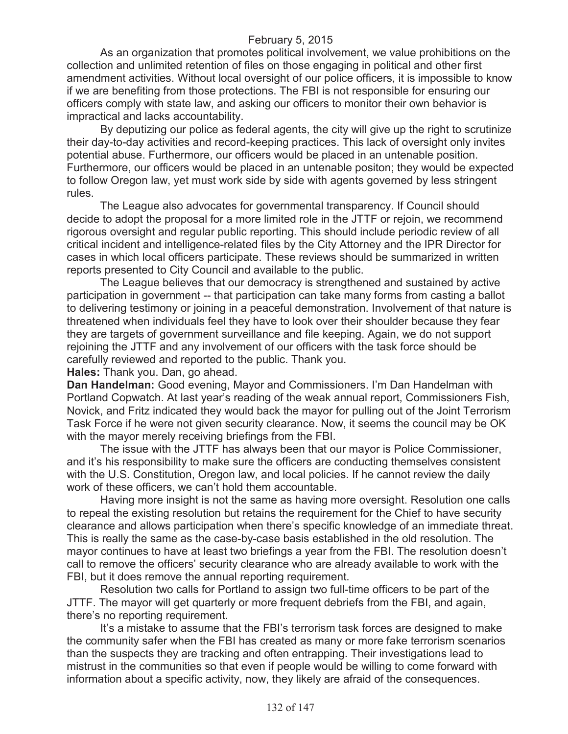As an organization that promotes political involvement, we value prohibitions on the collection and unlimited retention of files on those engaging in political and other first amendment activities. Without local oversight of our police officers, it is impossible to know if we are benefiting from those protections. The FBI is not responsible for ensuring our officers comply with state law, and asking our officers to monitor their own behavior is impractical and lacks accountability.

By deputizing our police as federal agents, the city will give up the right to scrutinize their day-to-day activities and record-keeping practices. This lack of oversight only invites potential abuse. Furthermore, our officers would be placed in an untenable position. Furthermore, our officers would be placed in an untenable positon; they would be expected to follow Oregon law, yet must work side by side with agents governed by less stringent rules.

The League also advocates for governmental transparency. If Council should decide to adopt the proposal for a more limited role in the JTTF or rejoin, we recommend rigorous oversight and regular public reporting. This should include periodic review of all critical incident and intelligence-related files by the City Attorney and the IPR Director for cases in which local officers participate. These reviews should be summarized in written reports presented to City Council and available to the public.

The League believes that our democracy is strengthened and sustained by active participation in government -- that participation can take many forms from casting a ballot to delivering testimony or joining in a peaceful demonstration. Involvement of that nature is threatened when individuals feel they have to look over their shoulder because they fear they are targets of government surveillance and file keeping. Again, we do not support rejoining the JTTF and any involvement of our officers with the task force should be carefully reviewed and reported to the public. Thank you.

**Hales:** Thank you. Dan, go ahead.

**Dan Handelman:** Good evening, Mayor and Commissioners. I'm Dan Handelman with Portland Copwatch. At last year's reading of the weak annual report, Commissioners Fish, Novick, and Fritz indicated they would back the mayor for pulling out of the Joint Terrorism Task Force if he were not given security clearance. Now, it seems the council may be OK with the mayor merely receiving briefings from the FBI.

The issue with the JTTF has always been that our mayor is Police Commissioner, and it's his responsibility to make sure the officers are conducting themselves consistent with the U.S. Constitution, Oregon law, and local policies. If he cannot review the daily work of these officers, we can't hold them accountable.

Having more insight is not the same as having more oversight. Resolution one calls to repeal the existing resolution but retains the requirement for the Chief to have security clearance and allows participation when there's specific knowledge of an immediate threat. This is really the same as the case-by-case basis established in the old resolution. The mayor continues to have at least two briefings a year from the FBI. The resolution doesn't call to remove the officers' security clearance who are already available to work with the FBI, but it does remove the annual reporting requirement.

Resolution two calls for Portland to assign two full-time officers to be part of the JTTF. The mayor will get quarterly or more frequent debriefs from the FBI, and again, there's no reporting requirement.

It's a mistake to assume that the FBI's terrorism task forces are designed to make the community safer when the FBI has created as many or more fake terrorism scenarios than the suspects they are tracking and often entrapping. Their investigations lead to mistrust in the communities so that even if people would be willing to come forward with information about a specific activity, now, they likely are afraid of the consequences.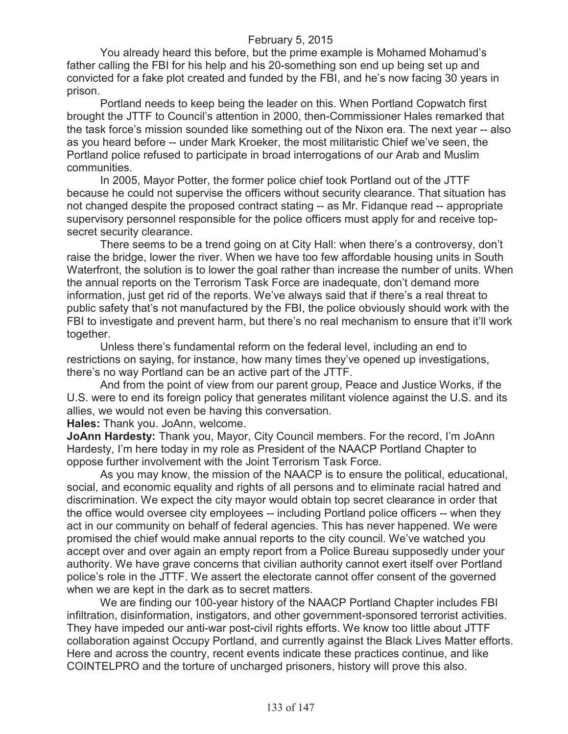You already heard this before, but the prime example is Mohamed Mohamud's father calling the FBI for his help and his 20-something son end up being set up and convicted for a fake plot created and funded by the FBI, and he's now facing 30 years in prison.

Portland needs to keep being the leader on this. When Portland Copwatch first brought the JTTF to Council's attention in 2000, then-Commissioner Hales remarked that the task force's mission sounded like something out of the Nixon era. The next year -- also as you heard before -- under Mark Kroeker, the most militaristic Chief we've seen, the Portland police refused to participate in broad interrogations of our Arab and Muslim communities.

In 2005, Mayor Potter, the former police chief took Portland out of the JTTF because he could not supervise the officers without security clearance. That situation has not changed despite the proposed contract stating -- as Mr. Fidanque read -- appropriate supervisory personnel responsible for the police officers must apply for and receive topsecret security clearance.

There seems to be a trend going on at City Hall: when there's a controversy, don't raise the bridge, lower the river. When we have too few affordable housing units in South Waterfront, the solution is to lower the goal rather than increase the number of units. When the annual reports on the Terrorism Task Force are inadequate, don't demand more information, just get rid of the reports. We've always said that if there's a real threat to public safety that's not manufactured by the FBI, the police obviously should work with the FBI to investigate and prevent harm, but there's no real mechanism to ensure that it'll work together.

Unless there's fundamental reform on the federal level, including an end to restrictions on saying, for instance, how many times they've opened up investigations, there's no way Portland can be an active part of the JTTF.

And from the point of view from our parent group, Peace and Justice Works, if the U.S. were to end its foreign policy that generates militant violence against the U.S. and its allies, we would not even be having this conversation.

**Hales:** Thank you. JoAnn, welcome.

**JoAnn Hardesty:** Thank you, Mayor, City Council members. For the record, I'm JoAnn Hardesty, I'm here today in my role as President of the NAACP Portland Chapter to oppose further involvement with the Joint Terrorism Task Force.

As you may know, the mission of the NAACP is to ensure the political, educational, social, and economic equality and rights of all persons and to eliminate racial hatred and discrimination. We expect the city mayor would obtain top secret clearance in order that the office would oversee city employees -- including Portland police officers -- when they act in our community on behalf of federal agencies. This has never happened. We were promised the chief would make annual reports to the city council. We've watched you accept over and over again an empty report from a Police Bureau supposedly under your authority. We have grave concerns that civilian authority cannot exert itself over Portland police's role in the JTTF. We assert the electorate cannot offer consent of the governed when we are kept in the dark as to secret matters.

We are finding our 100-year history of the NAACP Portland Chapter includes FBI infiltration, disinformation, instigators, and other government-sponsored terrorist activities. They have impeded our anti-war post-civil rights efforts. We know too little about JTTF collaboration against Occupy Portland, and currently against the Black Lives Matter efforts. Here and across the country, recent events indicate these practices continue, and like COINTELPRO and the torture of uncharged prisoners, history will prove this also.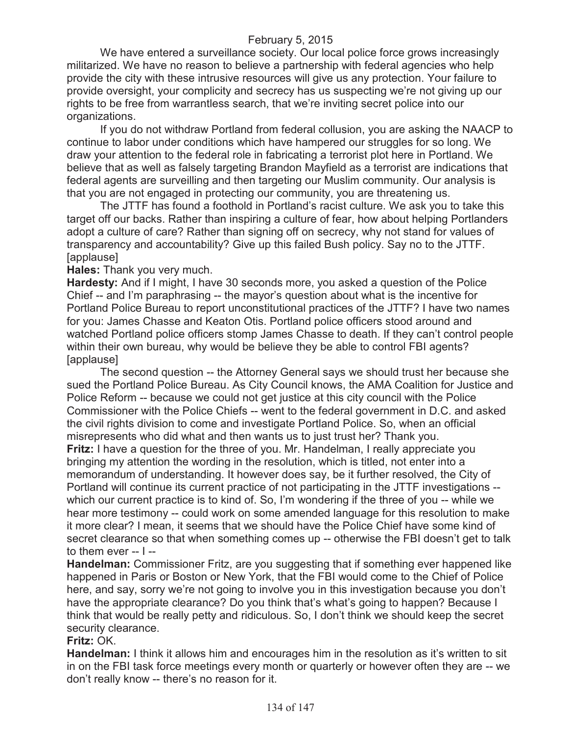We have entered a surveillance society. Our local police force grows increasingly militarized. We have no reason to believe a partnership with federal agencies who help provide the city with these intrusive resources will give us any protection. Your failure to provide oversight, your complicity and secrecy has us suspecting we're not giving up our rights to be free from warrantless search, that we're inviting secret police into our organizations.

If you do not withdraw Portland from federal collusion, you are asking the NAACP to continue to labor under conditions which have hampered our struggles for so long. We draw your attention to the federal role in fabricating a terrorist plot here in Portland. We believe that as well as falsely targeting Brandon Mayfield as a terrorist are indications that federal agents are surveilling and then targeting our Muslim community. Our analysis is that you are not engaged in protecting our community, you are threatening us.

The JTTF has found a foothold in Portland's racist culture. We ask you to take this target off our backs. Rather than inspiring a culture of fear, how about helping Portlanders adopt a culture of care? Rather than signing off on secrecy, why not stand for values of transparency and accountability? Give up this failed Bush policy. Say no to the JTTF. [applause]

#### **Hales:** Thank you very much.

**Hardesty:** And if I might, I have 30 seconds more, you asked a question of the Police Chief -- and I'm paraphrasing -- the mayor's question about what is the incentive for Portland Police Bureau to report unconstitutional practices of the JTTF? I have two names for you: James Chasse and Keaton Otis. Portland police officers stood around and watched Portland police officers stomp James Chasse to death. If they can't control people within their own bureau, why would be believe they be able to control FBI agents? [applause]

The second question -- the Attorney General says we should trust her because she sued the Portland Police Bureau. As City Council knows, the AMA Coalition for Justice and Police Reform -- because we could not get justice at this city council with the Police Commissioner with the Police Chiefs -- went to the federal government in D.C. and asked the civil rights division to come and investigate Portland Police. So, when an official misrepresents who did what and then wants us to just trust her? Thank you.

**Fritz:** I have a question for the three of you. Mr. Handelman, I really appreciate you bringing my attention the wording in the resolution, which is titled, not enter into a memorandum of understanding. It however does say, be it further resolved, the City of Portland will continue its current practice of not participating in the JTTF investigations - which our current practice is to kind of. So, I'm wondering if the three of you -- while we hear more testimony -- could work on some amended language for this resolution to make it more clear? I mean, it seems that we should have the Police Chief have some kind of secret clearance so that when something comes up -- otherwise the FBI doesn't get to talk to them ever -- I --

**Handelman:** Commissioner Fritz, are you suggesting that if something ever happened like happened in Paris or Boston or New York, that the FBI would come to the Chief of Police here, and say, sorry we're not going to involve you in this investigation because you don't have the appropriate clearance? Do you think that's what's going to happen? Because I think that would be really petty and ridiculous. So, I don't think we should keep the secret security clearance.

# **Fritz:** OK.

**Handelman:** I think it allows him and encourages him in the resolution as it's written to sit in on the FBI task force meetings every month or quarterly or however often they are -- we don't really know -- there's no reason for it.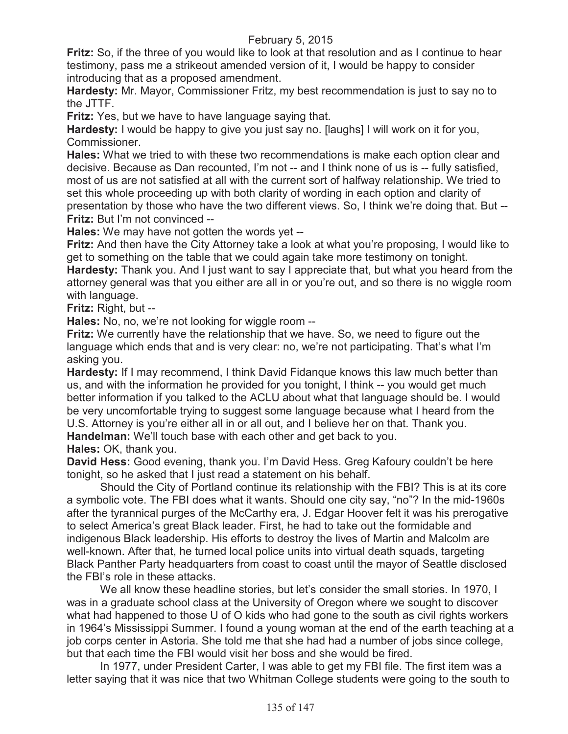**Fritz:** So, if the three of you would like to look at that resolution and as I continue to hear testimony, pass me a strikeout amended version of it, I would be happy to consider introducing that as a proposed amendment.

**Hardesty:** Mr. Mayor, Commissioner Fritz, my best recommendation is just to say no to the JTTF.

**Fritz:** Yes, but we have to have language saying that.

**Hardesty:** I would be happy to give you just say no. [laughs] I will work on it for you, Commissioner.

**Hales:** What we tried to with these two recommendations is make each option clear and decisive. Because as Dan recounted, I'm not -- and I think none of us is -- fully satisfied, most of us are not satisfied at all with the current sort of halfway relationship. We tried to set this whole proceeding up with both clarity of wording in each option and clarity of presentation by those who have the two different views. So, I think we're doing that. But -- **Fritz:** But I'm not convinced --

**Hales:** We may have not gotten the words yet --

**Fritz:** And then have the City Attorney take a look at what you're proposing, I would like to get to something on the table that we could again take more testimony on tonight. **Hardesty:** Thank you. And I just want to say I appreciate that, but what you heard from the attorney general was that you either are all in or you're out, and so there is no wiggle room with language.

**Fritz:** Right, but --

**Hales:** No, no, we're not looking for wiggle room --

**Fritz:** We currently have the relationship that we have. So, we need to figure out the language which ends that and is very clear: no, we're not participating. That's what I'm asking you.

**Hardesty:** If I may recommend, I think David Fidanque knows this law much better than us, and with the information he provided for you tonight, I think -- you would get much better information if you talked to the ACLU about what that language should be. I would be very uncomfortable trying to suggest some language because what I heard from the U.S. Attorney is you're either all in or all out, and I believe her on that. Thank you.

**Handelman:** We'll touch base with each other and get back to you.

**Hales:** OK, thank you.

**David Hess:** Good evening, thank you. I'm David Hess. Greg Kafoury couldn't be here tonight, so he asked that I just read a statement on his behalf.

Should the City of Portland continue its relationship with the FBI? This is at its core a symbolic vote. The FBI does what it wants. Should one city say, "no"? In the mid-1960s after the tyrannical purges of the McCarthy era, J. Edgar Hoover felt it was his prerogative to select America's great Black leader. First, he had to take out the formidable and indigenous Black leadership. His efforts to destroy the lives of Martin and Malcolm are well-known. After that, he turned local police units into virtual death squads, targeting Black Panther Party headquarters from coast to coast until the mayor of Seattle disclosed the FBI's role in these attacks.

We all know these headline stories, but let's consider the small stories. In 1970, I was in a graduate school class at the University of Oregon where we sought to discover what had happened to those U of O kids who had gone to the south as civil rights workers in 1964's Mississippi Summer. I found a young woman at the end of the earth teaching at a job corps center in Astoria. She told me that she had had a number of jobs since college, but that each time the FBI would visit her boss and she would be fired.

In 1977, under President Carter, I was able to get my FBI file. The first item was a letter saying that it was nice that two Whitman College students were going to the south to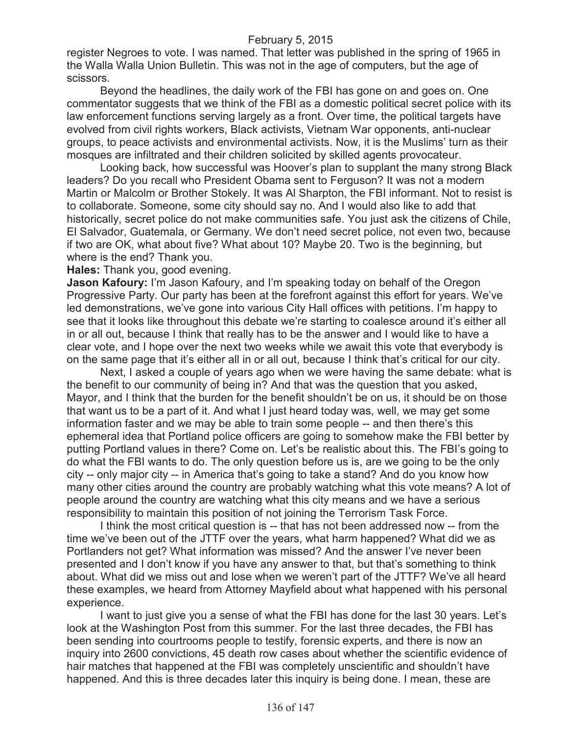register Negroes to vote. I was named. That letter was published in the spring of 1965 in the Walla Walla Union Bulletin. This was not in the age of computers, but the age of scissors.

Beyond the headlines, the daily work of the FBI has gone on and goes on. One commentator suggests that we think of the FBI as a domestic political secret police with its law enforcement functions serving largely as a front. Over time, the political targets have evolved from civil rights workers, Black activists, Vietnam War opponents, anti-nuclear groups, to peace activists and environmental activists. Now, it is the Muslims' turn as their mosques are infiltrated and their children solicited by skilled agents provocateur.

Looking back, how successful was Hoover's plan to supplant the many strong Black leaders? Do you recall who President Obama sent to Ferguson? It was not a modern Martin or Malcolm or Brother Stokely. It was Al Sharpton, the FBI informant. Not to resist is to collaborate. Someone, some city should say no. And I would also like to add that historically, secret police do not make communities safe. You just ask the citizens of Chile, El Salvador, Guatemala, or Germany. We don't need secret police, not even two, because if two are OK, what about five? What about 10? Maybe 20. Two is the beginning, but where is the end? Thank you.

**Hales:** Thank you, good evening.

**Jason Kafoury:** I'm Jason Kafoury, and I'm speaking today on behalf of the Oregon Progressive Party. Our party has been at the forefront against this effort for years. We've led demonstrations, we've gone into various City Hall offices with petitions. I'm happy to see that it looks like throughout this debate we're starting to coalesce around it's either all in or all out, because I think that really has to be the answer and I would like to have a clear vote, and I hope over the next two weeks while we await this vote that everybody is on the same page that it's either all in or all out, because I think that's critical for our city.

Next, I asked a couple of years ago when we were having the same debate: what is the benefit to our community of being in? And that was the question that you asked, Mayor, and I think that the burden for the benefit shouldn't be on us, it should be on those that want us to be a part of it. And what I just heard today was, well, we may get some information faster and we may be able to train some people -- and then there's this ephemeral idea that Portland police officers are going to somehow make the FBI better by putting Portland values in there? Come on. Let's be realistic about this. The FBI's going to do what the FBI wants to do. The only question before us is, are we going to be the only city -- only major city -- in America that's going to take a stand? And do you know how many other cities around the country are probably watching what this vote means? A lot of people around the country are watching what this city means and we have a serious responsibility to maintain this position of not joining the Terrorism Task Force.

I think the most critical question is -- that has not been addressed now -- from the time we've been out of the JTTF over the years, what harm happened? What did we as Portlanders not get? What information was missed? And the answer I've never been presented and I don't know if you have any answer to that, but that's something to think about. What did we miss out and lose when we weren't part of the JTTF? We've all heard these examples, we heard from Attorney Mayfield about what happened with his personal experience.

I want to just give you a sense of what the FBI has done for the last 30 years. Let's look at the Washington Post from this summer. For the last three decades, the FBI has been sending into courtrooms people to testify, forensic experts, and there is now an inquiry into 2600 convictions, 45 death row cases about whether the scientific evidence of hair matches that happened at the FBI was completely unscientific and shouldn't have happened. And this is three decades later this inquiry is being done. I mean, these are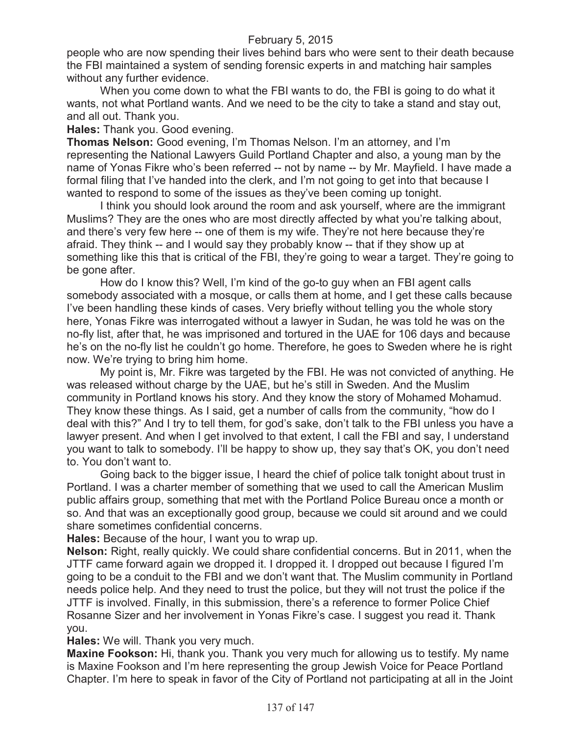people who are now spending their lives behind bars who were sent to their death because the FBI maintained a system of sending forensic experts in and matching hair samples without any further evidence.

When you come down to what the FBI wants to do, the FBI is going to do what it wants, not what Portland wants. And we need to be the city to take a stand and stay out, and all out. Thank you.

**Hales:** Thank you. Good evening.

**Thomas Nelson:** Good evening, I'm Thomas Nelson. I'm an attorney, and I'm representing the National Lawyers Guild Portland Chapter and also, a young man by the name of Yonas Fikre who's been referred -- not by name -- by Mr. Mayfield. I have made a formal filing that I've handed into the clerk, and I'm not going to get into that because I wanted to respond to some of the issues as they've been coming up tonight.

I think you should look around the room and ask yourself, where are the immigrant Muslims? They are the ones who are most directly affected by what you're talking about, and there's very few here -- one of them is my wife. They're not here because they're afraid. They think -- and I would say they probably know -- that if they show up at something like this that is critical of the FBI, they're going to wear a target. They're going to be gone after.

How do I know this? Well, I'm kind of the go-to guy when an FBI agent calls somebody associated with a mosque, or calls them at home, and I get these calls because I've been handling these kinds of cases. Very briefly without telling you the whole story here, Yonas Fikre was interrogated without a lawyer in Sudan, he was told he was on the no-fly list, after that, he was imprisoned and tortured in the UAE for 106 days and because he's on the no-fly list he couldn't go home. Therefore, he goes to Sweden where he is right now. We're trying to bring him home.

My point is, Mr. Fikre was targeted by the FBI. He was not convicted of anything. He was released without charge by the UAE, but he's still in Sweden. And the Muslim community in Portland knows his story. And they know the story of Mohamed Mohamud. They know these things. As I said, get a number of calls from the community, "how do I deal with this?" And I try to tell them, for god's sake, don't talk to the FBI unless you have a lawyer present. And when I get involved to that extent, I call the FBI and say, I understand you want to talk to somebody. I'll be happy to show up, they say that's OK, you don't need to. You don't want to.

Going back to the bigger issue, I heard the chief of police talk tonight about trust in Portland. I was a charter member of something that we used to call the American Muslim public affairs group, something that met with the Portland Police Bureau once a month or so. And that was an exceptionally good group, because we could sit around and we could share sometimes confidential concerns.

**Hales:** Because of the hour, I want you to wrap up.

**Nelson:** Right, really quickly. We could share confidential concerns. But in 2011, when the JTTF came forward again we dropped it. I dropped it. I dropped out because I figured I'm going to be a conduit to the FBI and we don't want that. The Muslim community in Portland needs police help. And they need to trust the police, but they will not trust the police if the JTTF is involved. Finally, in this submission, there's a reference to former Police Chief Rosanne Sizer and her involvement in Yonas Fikre's case. I suggest you read it. Thank you.

**Hales:** We will. Thank you very much.

**Maxine Fookson:** Hi, thank you. Thank you very much for allowing us to testify. My name is Maxine Fookson and I'm here representing the group Jewish Voice for Peace Portland Chapter. I'm here to speak in favor of the City of Portland not participating at all in the Joint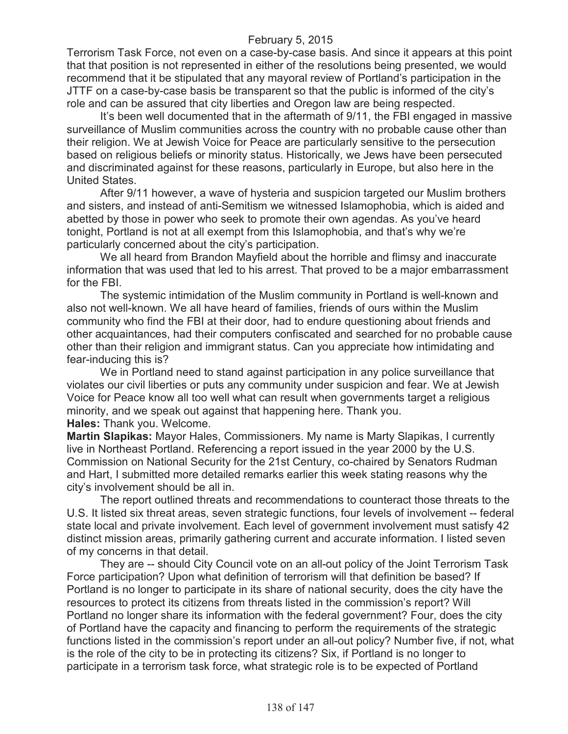Terrorism Task Force, not even on a case-by-case basis. And since it appears at this point that that position is not represented in either of the resolutions being presented, we would recommend that it be stipulated that any mayoral review of Portland's participation in the JTTF on a case-by-case basis be transparent so that the public is informed of the city's role and can be assured that city liberties and Oregon law are being respected.

It's been well documented that in the aftermath of 9/11, the FBI engaged in massive surveillance of Muslim communities across the country with no probable cause other than their religion. We at Jewish Voice for Peace are particularly sensitive to the persecution based on religious beliefs or minority status. Historically, we Jews have been persecuted and discriminated against for these reasons, particularly in Europe, but also here in the United States.

After 9/11 however, a wave of hysteria and suspicion targeted our Muslim brothers and sisters, and instead of anti-Semitism we witnessed Islamophobia, which is aided and abetted by those in power who seek to promote their own agendas. As you've heard tonight, Portland is not at all exempt from this Islamophobia, and that's why we're particularly concerned about the city's participation.

We all heard from Brandon Mayfield about the horrible and flimsy and inaccurate information that was used that led to his arrest. That proved to be a major embarrassment for the FBI.

The systemic intimidation of the Muslim community in Portland is well-known and also not well-known. We all have heard of families, friends of ours within the Muslim community who find the FBI at their door, had to endure questioning about friends and other acquaintances, had their computers confiscated and searched for no probable cause other than their religion and immigrant status. Can you appreciate how intimidating and fear-inducing this is?

We in Portland need to stand against participation in any police surveillance that violates our civil liberties or puts any community under suspicion and fear. We at Jewish Voice for Peace know all too well what can result when governments target a religious minority, and we speak out against that happening here. Thank you. **Hales:** Thank you. Welcome.

**Martin Slapikas:** Mayor Hales, Commissioners. My name is Marty Slapikas, I currently live in Northeast Portland. Referencing a report issued in the year 2000 by the U.S. Commission on National Security for the 21st Century, co-chaired by Senators Rudman and Hart, I submitted more detailed remarks earlier this week stating reasons why the city's involvement should be all in.

The report outlined threats and recommendations to counteract those threats to the U.S. It listed six threat areas, seven strategic functions, four levels of involvement -- federal state local and private involvement. Each level of government involvement must satisfy 42 distinct mission areas, primarily gathering current and accurate information. I listed seven of my concerns in that detail.

They are -- should City Council vote on an all-out policy of the Joint Terrorism Task Force participation? Upon what definition of terrorism will that definition be based? If Portland is no longer to participate in its share of national security, does the city have the resources to protect its citizens from threats listed in the commission's report? Will Portland no longer share its information with the federal government? Four, does the city of Portland have the capacity and financing to perform the requirements of the strategic functions listed in the commission's report under an all-out policy? Number five, if not, what is the role of the city to be in protecting its citizens? Six, if Portland is no longer to participate in a terrorism task force, what strategic role is to be expected of Portland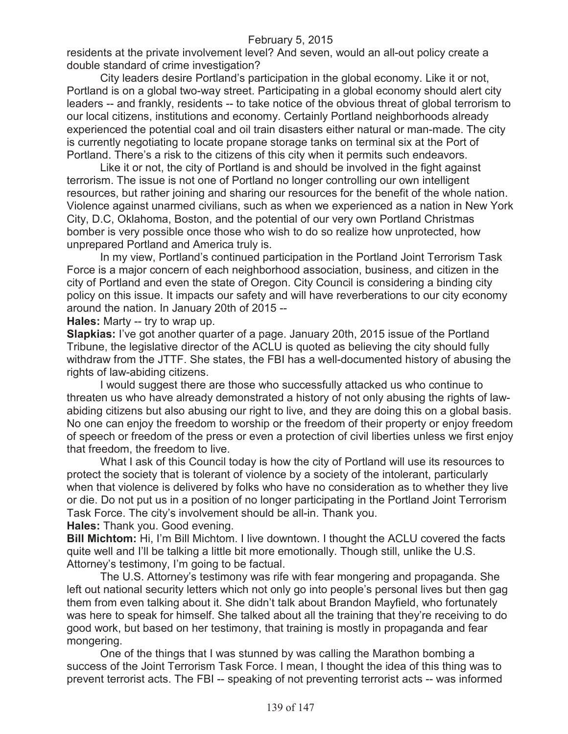residents at the private involvement level? And seven, would an all-out policy create a double standard of crime investigation?

City leaders desire Portland's participation in the global economy. Like it or not, Portland is on a global two-way street. Participating in a global economy should alert city leaders -- and frankly, residents -- to take notice of the obvious threat of global terrorism to our local citizens, institutions and economy. Certainly Portland neighborhoods already experienced the potential coal and oil train disasters either natural or man-made. The city is currently negotiating to locate propane storage tanks on terminal six at the Port of Portland. There's a risk to the citizens of this city when it permits such endeavors.

Like it or not, the city of Portland is and should be involved in the fight against terrorism. The issue is not one of Portland no longer controlling our own intelligent resources, but rather joining and sharing our resources for the benefit of the whole nation. Violence against unarmed civilians, such as when we experienced as a nation in New York City, D.C, Oklahoma, Boston, and the potential of our very own Portland Christmas bomber is very possible once those who wish to do so realize how unprotected, how unprepared Portland and America truly is.

In my view, Portland's continued participation in the Portland Joint Terrorism Task Force is a major concern of each neighborhood association, business, and citizen in the city of Portland and even the state of Oregon. City Council is considering a binding city policy on this issue. It impacts our safety and will have reverberations to our city economy around the nation. In January 20th of 2015 --

**Hales:** Marty -- try to wrap up.

**Slapkias:** I've got another quarter of a page. January 20th, 2015 issue of the Portland Tribune, the legislative director of the ACLU is quoted as believing the city should fully withdraw from the JTTF. She states, the FBI has a well-documented history of abusing the rights of law-abiding citizens.

I would suggest there are those who successfully attacked us who continue to threaten us who have already demonstrated a history of not only abusing the rights of lawabiding citizens but also abusing our right to live, and they are doing this on a global basis. No one can enjoy the freedom to worship or the freedom of their property or enjoy freedom of speech or freedom of the press or even a protection of civil liberties unless we first enjoy that freedom, the freedom to live.

What I ask of this Council today is how the city of Portland will use its resources to protect the society that is tolerant of violence by a society of the intolerant, particularly when that violence is delivered by folks who have no consideration as to whether they live or die. Do not put us in a position of no longer participating in the Portland Joint Terrorism Task Force. The city's involvement should be all-in. Thank you.

**Hales:** Thank you. Good evening.

**Bill Michtom:** Hi, I'm Bill Michtom. I live downtown. I thought the ACLU covered the facts quite well and I'll be talking a little bit more emotionally. Though still, unlike the U.S. Attorney's testimony, I'm going to be factual.

The U.S. Attorney's testimony was rife with fear mongering and propaganda. She left out national security letters which not only go into people's personal lives but then gag them from even talking about it. She didn't talk about Brandon Mayfield, who fortunately was here to speak for himself. She talked about all the training that they're receiving to do good work, but based on her testimony, that training is mostly in propaganda and fear mongering.

One of the things that I was stunned by was calling the Marathon bombing a success of the Joint Terrorism Task Force. I mean, I thought the idea of this thing was to prevent terrorist acts. The FBI -- speaking of not preventing terrorist acts -- was informed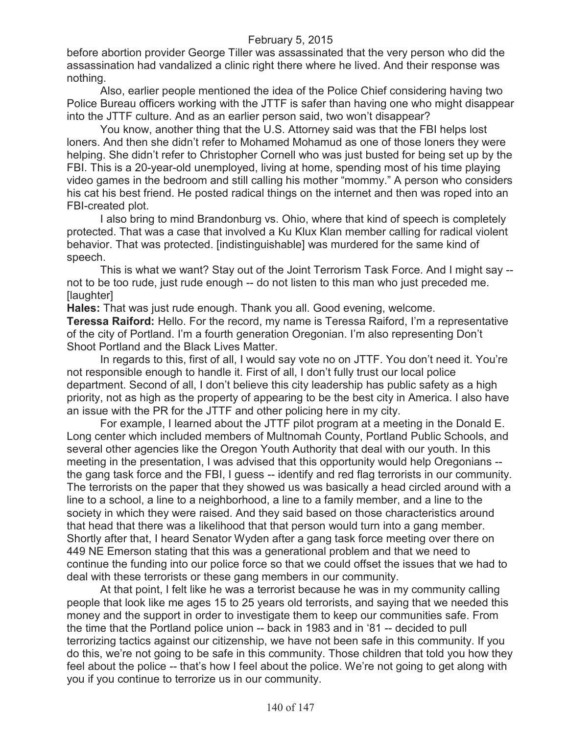before abortion provider George Tiller was assassinated that the very person who did the assassination had vandalized a clinic right there where he lived. And their response was nothing.

Also, earlier people mentioned the idea of the Police Chief considering having two Police Bureau officers working with the JTTF is safer than having one who might disappear into the JTTF culture. And as an earlier person said, two won't disappear?

You know, another thing that the U.S. Attorney said was that the FBI helps lost loners. And then she didn't refer to Mohamed Mohamud as one of those loners they were helping. She didn't refer to Christopher Cornell who was just busted for being set up by the FBI. This is a 20-year-old unemployed, living at home, spending most of his time playing video games in the bedroom and still calling his mother "mommy." A person who considers his cat his best friend. He posted radical things on the internet and then was roped into an FBI-created plot.

I also bring to mind Brandonburg vs. Ohio, where that kind of speech is completely protected. That was a case that involved a Ku Klux Klan member calling for radical violent behavior. That was protected. [indistinguishable] was murdered for the same kind of speech.

This is what we want? Stay out of the Joint Terrorism Task Force. And I might say - not to be too rude, just rude enough -- do not listen to this man who just preceded me. [laughter]

**Hales:** That was just rude enough. Thank you all. Good evening, welcome.

**Teressa Raiford:** Hello. For the record, my name is Teressa Raiford, I'm a representative of the city of Portland. I'm a fourth generation Oregonian. I'm also representing Don't Shoot Portland and the Black Lives Matter.

In regards to this, first of all, I would say vote no on JTTF. You don't need it. You're not responsible enough to handle it. First of all, I don't fully trust our local police department. Second of all, I don't believe this city leadership has public safety as a high priority, not as high as the property of appearing to be the best city in America. I also have an issue with the PR for the JTTF and other policing here in my city.

For example, I learned about the JTTF pilot program at a meeting in the Donald E. Long center which included members of Multnomah County, Portland Public Schools, and several other agencies like the Oregon Youth Authority that deal with our youth. In this meeting in the presentation, I was advised that this opportunity would help Oregonians - the gang task force and the FBI, I guess -- identify and red flag terrorists in our community. The terrorists on the paper that they showed us was basically a head circled around with a line to a school, a line to a neighborhood, a line to a family member, and a line to the society in which they were raised. And they said based on those characteristics around that head that there was a likelihood that that person would turn into a gang member. Shortly after that, I heard Senator Wyden after a gang task force meeting over there on 449 NE Emerson stating that this was a generational problem and that we need to continue the funding into our police force so that we could offset the issues that we had to deal with these terrorists or these gang members in our community.

At that point, I felt like he was a terrorist because he was in my community calling people that look like me ages 15 to 25 years old terrorists, and saying that we needed this money and the support in order to investigate them to keep our communities safe. From the time that the Portland police union -- back in 1983 and in '81 -- decided to pull terrorizing tactics against our citizenship, we have not been safe in this community. If you do this, we're not going to be safe in this community. Those children that told you how they feel about the police -- that's how I feel about the police. We're not going to get along with you if you continue to terrorize us in our community.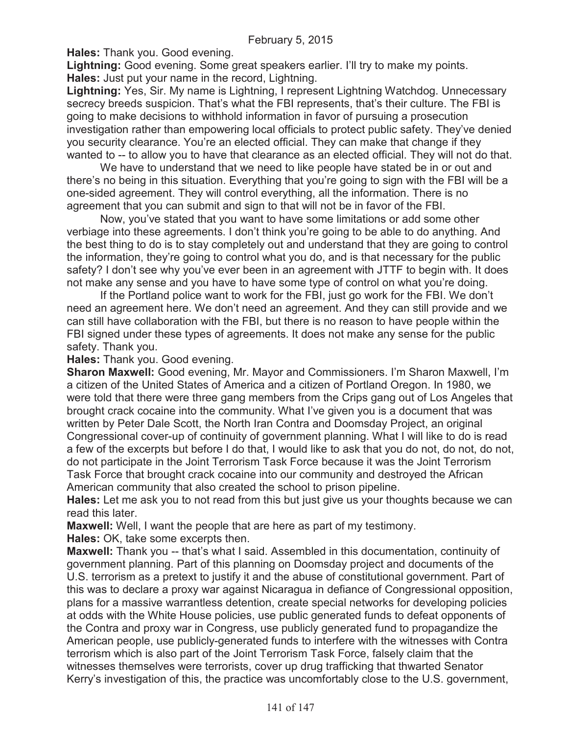**Hales:** Thank you. Good evening.

**Lightning:** Good evening. Some great speakers earlier. I'll try to make my points. **Hales:** Just put your name in the record, Lightning.

**Lightning:** Yes, Sir. My name is Lightning, I represent Lightning Watchdog. Unnecessary secrecy breeds suspicion. That's what the FBI represents, that's their culture. The FBI is going to make decisions to withhold information in favor of pursuing a prosecution investigation rather than empowering local officials to protect public safety. They've denied you security clearance. You're an elected official. They can make that change if they wanted to -- to allow you to have that clearance as an elected official. They will not do that.

We have to understand that we need to like people have stated be in or out and there's no being in this situation. Everything that you're going to sign with the FBI will be a one-sided agreement. They will control everything, all the information. There is no agreement that you can submit and sign to that will not be in favor of the FBI.

Now, you've stated that you want to have some limitations or add some other verbiage into these agreements. I don't think you're going to be able to do anything. And the best thing to do is to stay completely out and understand that they are going to control the information, they're going to control what you do, and is that necessary for the public safety? I don't see why you've ever been in an agreement with JTTF to begin with. It does not make any sense and you have to have some type of control on what you're doing.

If the Portland police want to work for the FBI, just go work for the FBI. We don't need an agreement here. We don't need an agreement. And they can still provide and we can still have collaboration with the FBI, but there is no reason to have people within the FBI signed under these types of agreements. It does not make any sense for the public safety. Thank you.

**Hales:** Thank you. Good evening.

**Sharon Maxwell:** Good evening, Mr. Mayor and Commissioners. I'm Sharon Maxwell, I'm a citizen of the United States of America and a citizen of Portland Oregon. In 1980, we were told that there were three gang members from the Crips gang out of Los Angeles that brought crack cocaine into the community. What I've given you is a document that was written by Peter Dale Scott, the North Iran Contra and Doomsday Project, an original Congressional cover-up of continuity of government planning. What I will like to do is read a few of the excerpts but before I do that, I would like to ask that you do not, do not, do not, do not participate in the Joint Terrorism Task Force because it was the Joint Terrorism Task Force that brought crack cocaine into our community and destroyed the African American community that also created the school to prison pipeline.

**Hales:** Let me ask you to not read from this but just give us your thoughts because we can read this later.

**Maxwell:** Well, I want the people that are here as part of my testimony.

**Hales:** OK, take some excerpts then.

**Maxwell:** Thank you -- that's what I said. Assembled in this documentation, continuity of government planning. Part of this planning on Doomsday project and documents of the U.S. terrorism as a pretext to justify it and the abuse of constitutional government. Part of this was to declare a proxy war against Nicaragua in defiance of Congressional opposition, plans for a massive warrantless detention, create special networks for developing policies at odds with the White House policies, use public generated funds to defeat opponents of the Contra and proxy war in Congress, use publicly generated fund to propagandize the American people, use publicly-generated funds to interfere with the witnesses with Contra terrorism which is also part of the Joint Terrorism Task Force, falsely claim that the witnesses themselves were terrorists, cover up drug trafficking that thwarted Senator Kerry's investigation of this, the practice was uncomfortably close to the U.S. government,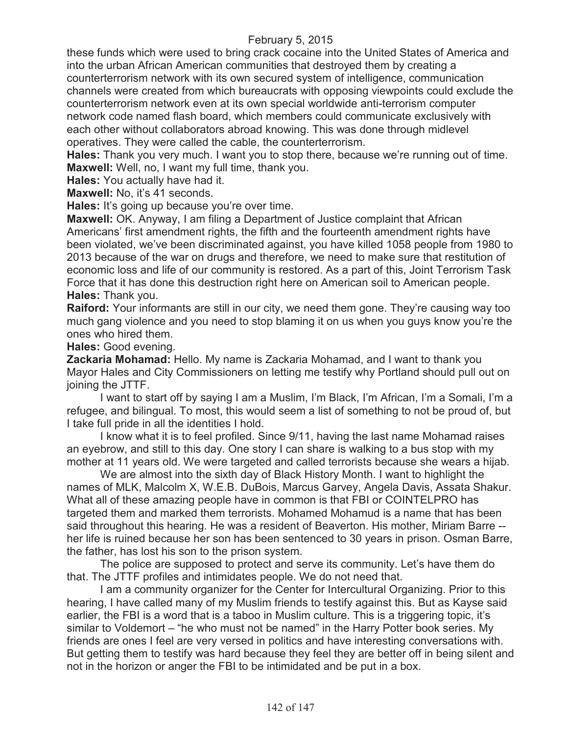these funds which were used to bring crack cocaine into the United States of America and into the urban African American communities that destroyed them by creating a counterterrorism network with its own secured system of intelligence, communication channels were created from which bureaucrats with opposing viewpoints could exclude the counterterrorism network even at its own special worldwide anti-terrorism computer network code named flash board, which members could communicate exclusively with each other without collaborators abroad knowing. This was done through midlevel operatives. They were called the cable, the counterterrorism.

**Hales:** Thank you very much. I want you to stop there, because we're running out of time. **Maxwell:** Well, no, I want my full time, thank you.

**Hales:** You actually have had it.

**Maxwell:** No, it's 41 seconds.

**Hales:** It's going up because you're over time.

**Maxwell:** OK. Anyway, I am filing a Department of Justice complaint that African Americans' first amendment rights, the fifth and the fourteenth amendment rights have been violated, we've been discriminated against, you have killed 1058 people from 1980 to 2013 because of the war on drugs and therefore, we need to make sure that restitution of economic loss and life of our community is restored. As a part of this, Joint Terrorism Task Force that it has done this destruction right here on American soil to American people. **Hales:** Thank you.

**Raiford:** Your informants are still in our city, we need them gone. They're causing way too much gang violence and you need to stop blaming it on us when you guys know you're the ones who hired them.

**Hales:** Good evening.

**Zackaria Mohamad:** Hello. My name is Zackaria Mohamad, and I want to thank you Mayor Hales and City Commissioners on letting me testify why Portland should pull out on joining the JTTF.

I want to start off by saying I am a Muslim, I'm Black, I'm African, I'm a Somali, I'm a refugee, and bilingual. To most, this would seem a list of something to not be proud of, but I take full pride in all the identities I hold.

I know what it is to feel profiled. Since 9/11, having the last name Mohamad raises an eyebrow, and still to this day. One story I can share is walking to a bus stop with my mother at 11 years old. We were targeted and called terrorists because she wears a hijab.

We are almost into the sixth day of Black History Month. I want to highlight the names of MLK, Malcolm X, W.E.B. DuBois, Marcus Garvey, Angela Davis, Assata Shakur. What all of these amazing people have in common is that FBI or COINTELPRO has targeted them and marked them terrorists. Mohamed Mohamud is a name that has been said throughout this hearing. He was a resident of Beaverton. His mother, Miriam Barre - her life is ruined because her son has been sentenced to 30 years in prison. Osman Barre, the father, has lost his son to the prison system.

The police are supposed to protect and serve its community. Let's have them do that. The JTTF profiles and intimidates people. We do not need that.

I am a community organizer for the Center for Intercultural Organizing. Prior to this hearing, I have called many of my Muslim friends to testify against this. But as Kayse said earlier, the FBI is a word that is a taboo in Muslim culture. This is a triggering topic, it's similar to Voldemort – "he who must not be named" in the Harry Potter book series. My friends are ones I feel are very versed in politics and have interesting conversations with. But getting them to testify was hard because they feel they are better off in being silent and not in the horizon or anger the FBI to be intimidated and be put in a box.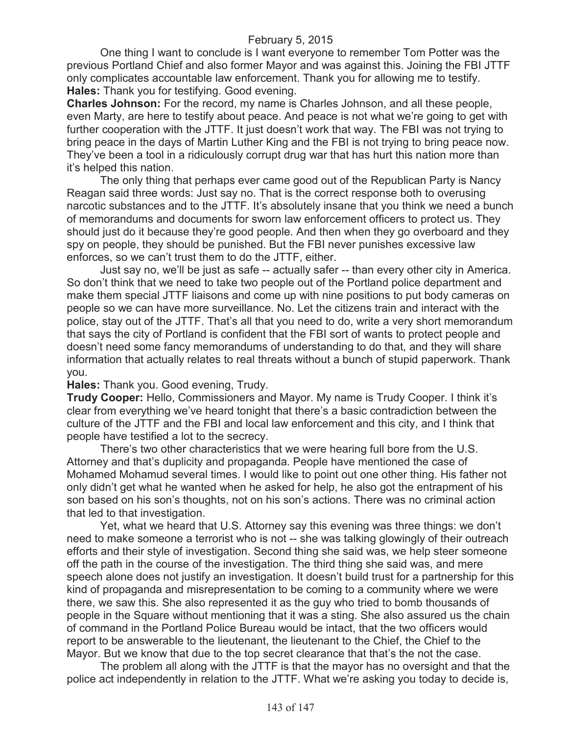One thing I want to conclude is I want everyone to remember Tom Potter was the previous Portland Chief and also former Mayor and was against this. Joining the FBI JTTF only complicates accountable law enforcement. Thank you for allowing me to testify. **Hales:** Thank you for testifying. Good evening.

**Charles Johnson:** For the record, my name is Charles Johnson, and all these people, even Marty, are here to testify about peace. And peace is not what we're going to get with further cooperation with the JTTF. It just doesn't work that way. The FBI was not trying to bring peace in the days of Martin Luther King and the FBI is not trying to bring peace now. They've been a tool in a ridiculously corrupt drug war that has hurt this nation more than it's helped this nation.

The only thing that perhaps ever came good out of the Republican Party is Nancy Reagan said three words: Just say no. That is the correct response both to overusing narcotic substances and to the JTTF. It's absolutely insane that you think we need a bunch of memorandums and documents for sworn law enforcement officers to protect us. They should just do it because they're good people. And then when they go overboard and they spy on people, they should be punished. But the FBI never punishes excessive law enforces, so we can't trust them to do the JTTF, either.

Just say no, we'll be just as safe -- actually safer -- than every other city in America. So don't think that we need to take two people out of the Portland police department and make them special JTTF liaisons and come up with nine positions to put body cameras on people so we can have more surveillance. No. Let the citizens train and interact with the police, stay out of the JTTF. That's all that you need to do, write a very short memorandum that says the city of Portland is confident that the FBI sort of wants to protect people and doesn't need some fancy memorandums of understanding to do that, and they will share information that actually relates to real threats without a bunch of stupid paperwork. Thank you.

**Hales:** Thank you. Good evening, Trudy.

**Trudy Cooper:** Hello, Commissioners and Mayor. My name is Trudy Cooper. I think it's clear from everything we've heard tonight that there's a basic contradiction between the culture of the JTTF and the FBI and local law enforcement and this city, and I think that people have testified a lot to the secrecy.

There's two other characteristics that we were hearing full bore from the U.S. Attorney and that's duplicity and propaganda. People have mentioned the case of Mohamed Mohamud several times. I would like to point out one other thing. His father not only didn't get what he wanted when he asked for help, he also got the entrapment of his son based on his son's thoughts, not on his son's actions. There was no criminal action that led to that investigation.

Yet, what we heard that U.S. Attorney say this evening was three things: we don't need to make someone a terrorist who is not -- she was talking glowingly of their outreach efforts and their style of investigation. Second thing she said was, we help steer someone off the path in the course of the investigation. The third thing she said was, and mere speech alone does not justify an investigation. It doesn't build trust for a partnership for this kind of propaganda and misrepresentation to be coming to a community where we were there, we saw this. She also represented it as the guy who tried to bomb thousands of people in the Square without mentioning that it was a sting. She also assured us the chain of command in the Portland Police Bureau would be intact, that the two officers would report to be answerable to the lieutenant, the lieutenant to the Chief, the Chief to the Mayor. But we know that due to the top secret clearance that that's the not the case.

The problem all along with the JTTF is that the mayor has no oversight and that the police act independently in relation to the JTTF. What we're asking you today to decide is,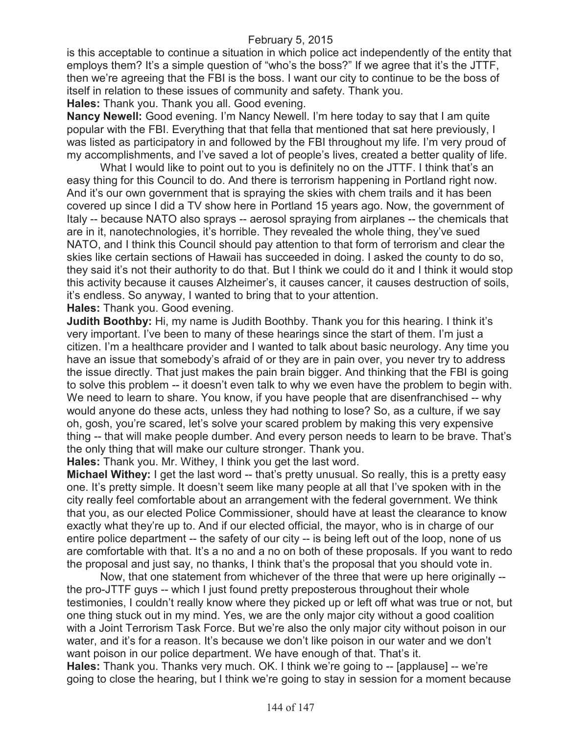is this acceptable to continue a situation in which police act independently of the entity that employs them? It's a simple question of "who's the boss?" If we agree that it's the JTTF, then we're agreeing that the FBI is the boss. I want our city to continue to be the boss of itself in relation to these issues of community and safety. Thank you.

**Hales:** Thank you. Thank you all. Good evening.

**Nancy Newell:** Good evening. I'm Nancy Newell. I'm here today to say that I am quite popular with the FBI. Everything that that fella that mentioned that sat here previously, I was listed as participatory in and followed by the FBI throughout my life. I'm very proud of my accomplishments, and I've saved a lot of people's lives, created a better quality of life.

What I would like to point out to you is definitely no on the JTTF. I think that's an easy thing for this Council to do. And there is terrorism happening in Portland right now. And it's our own government that is spraying the skies with chem trails and it has been covered up since I did a TV show here in Portland 15 years ago. Now, the government of Italy -- because NATO also sprays -- aerosol spraying from airplanes -- the chemicals that are in it, nanotechnologies, it's horrible. They revealed the whole thing, they've sued NATO, and I think this Council should pay attention to that form of terrorism and clear the skies like certain sections of Hawaii has succeeded in doing. I asked the county to do so, they said it's not their authority to do that. But I think we could do it and I think it would stop this activity because it causes Alzheimer's, it causes cancer, it causes destruction of soils, it's endless. So anyway, I wanted to bring that to your attention.

**Hales:** Thank you. Good evening.

**Judith Boothby:** Hi, my name is Judith Boothby. Thank you for this hearing. I think it's very important. I've been to many of these hearings since the start of them. I'm just a citizen. I'm a healthcare provider and I wanted to talk about basic neurology. Any time you have an issue that somebody's afraid of or they are in pain over, you never try to address the issue directly. That just makes the pain brain bigger. And thinking that the FBI is going to solve this problem -- it doesn't even talk to why we even have the problem to begin with. We need to learn to share. You know, if you have people that are disenfranchised -- why would anyone do these acts, unless they had nothing to lose? So, as a culture, if we say oh, gosh, you're scared, let's solve your scared problem by making this very expensive thing -- that will make people dumber. And every person needs to learn to be brave. That's the only thing that will make our culture stronger. Thank you.

**Hales:** Thank you. Mr. Withey, I think you get the last word.

**Michael Withey:** I get the last word -- that's pretty unusual. So really, this is a pretty easy one. It's pretty simple. It doesn't seem like many people at all that I've spoken with in the city really feel comfortable about an arrangement with the federal government. We think that you, as our elected Police Commissioner, should have at least the clearance to know exactly what they're up to. And if our elected official, the mayor, who is in charge of our entire police department -- the safety of our city -- is being left out of the loop, none of us are comfortable with that. It's a no and a no on both of these proposals. If you want to redo the proposal and just say, no thanks, I think that's the proposal that you should vote in.

Now, that one statement from whichever of the three that were up here originally - the pro-JTTF guys -- which I just found pretty preposterous throughout their whole testimonies, I couldn't really know where they picked up or left off what was true or not, but one thing stuck out in my mind. Yes, we are the only major city without a good coalition with a Joint Terrorism Task Force. But we're also the only major city without poison in our water, and it's for a reason. It's because we don't like poison in our water and we don't want poison in our police department. We have enough of that. That's it. **Hales:** Thank you. Thanks very much. OK. I think we're going to -- [applause] -- we're going to close the hearing, but I think we're going to stay in session for a moment because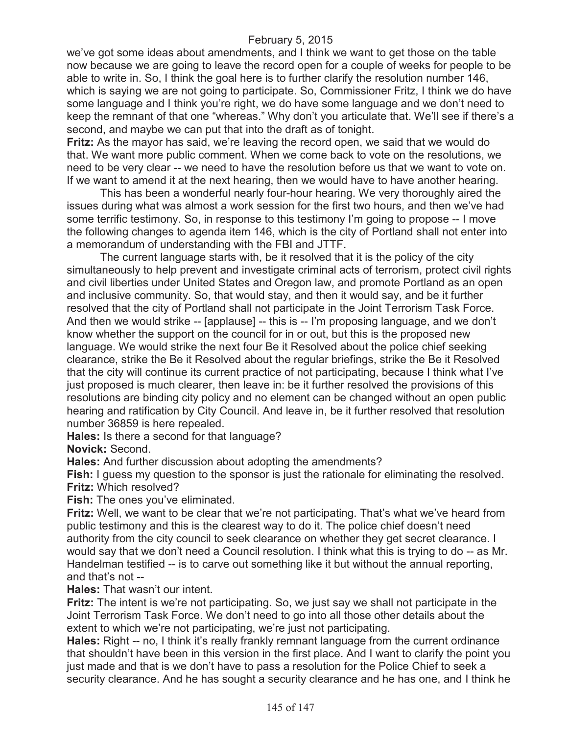### February 5, 2015

we've got some ideas about amendments, and I think we want to get those on the table now because we are going to leave the record open for a couple of weeks for people to be able to write in. So, I think the goal here is to further clarify the resolution number 146, which is saying we are not going to participate. So, Commissioner Fritz, I think we do have some language and I think you're right, we do have some language and we don't need to keep the remnant of that one "whereas." Why don't you articulate that. We'll see if there's a second, and maybe we can put that into the draft as of tonight.

**Fritz:** As the mayor has said, we're leaving the record open, we said that we would do that. We want more public comment. When we come back to vote on the resolutions, we need to be very clear -- we need to have the resolution before us that we want to vote on. If we want to amend it at the next hearing, then we would have to have another hearing.

This has been a wonderful nearly four-hour hearing. We very thoroughly aired the issues during what was almost a work session for the first two hours, and then we've had some terrific testimony. So, in response to this testimony I'm going to propose -- I move the following changes to agenda item 146, which is the city of Portland shall not enter into a memorandum of understanding with the FBI and JTTF.

The current language starts with, be it resolved that it is the policy of the city simultaneously to help prevent and investigate criminal acts of terrorism, protect civil rights and civil liberties under United States and Oregon law, and promote Portland as an open and inclusive community. So, that would stay, and then it would say, and be it further resolved that the city of Portland shall not participate in the Joint Terrorism Task Force. And then we would strike -- [applause] -- this is -- I'm proposing language, and we don't know whether the support on the council for in or out, but this is the proposed new language. We would strike the next four Be it Resolved about the police chief seeking clearance, strike the Be it Resolved about the regular briefings, strike the Be it Resolved that the city will continue its current practice of not participating, because I think what I've just proposed is much clearer, then leave in: be it further resolved the provisions of this resolutions are binding city policy and no element can be changed without an open public hearing and ratification by City Council. And leave in, be it further resolved that resolution number 36859 is here repealed.

**Hales:** Is there a second for that language?

**Novick:** Second.

**Hales:** And further discussion about adopting the amendments?

**Fish:** I guess my question to the sponsor is just the rationale for eliminating the resolved. **Fritz:** Which resolved?

**Fish:** The ones you've eliminated.

**Fritz:** Well, we want to be clear that we're not participating. That's what we've heard from public testimony and this is the clearest way to do it. The police chief doesn't need authority from the city council to seek clearance on whether they get secret clearance. I would say that we don't need a Council resolution. I think what this is trying to do -- as Mr. Handelman testified -- is to carve out something like it but without the annual reporting, and that's not --

**Hales:** That wasn't our intent.

**Fritz:** The intent is we're not participating. So, we just say we shall not participate in the Joint Terrorism Task Force. We don't need to go into all those other details about the extent to which we're not participating, we're just not participating.

**Hales:** Right -- no, I think it's really frankly remnant language from the current ordinance that shouldn't have been in this version in the first place. And I want to clarify the point you just made and that is we don't have to pass a resolution for the Police Chief to seek a security clearance. And he has sought a security clearance and he has one, and I think he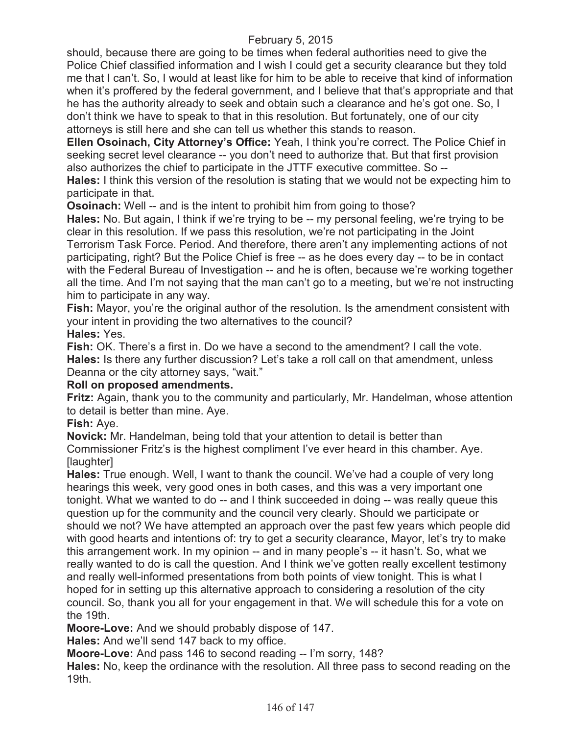# February 5, 2015

should, because there are going to be times when federal authorities need to give the Police Chief classified information and I wish I could get a security clearance but they told me that I can't. So, I would at least like for him to be able to receive that kind of information when it's proffered by the federal government, and I believe that that's appropriate and that he has the authority already to seek and obtain such a clearance and he's got one. So, I don't think we have to speak to that in this resolution. But fortunately, one of our city attorneys is still here and she can tell us whether this stands to reason.

**Ellen Osoinach, City Attorney's Office:** Yeah, I think you're correct. The Police Chief in seeking secret level clearance -- you don't need to authorize that. But that first provision also authorizes the chief to participate in the JTTF executive committee. So --

**Hales:** I think this version of the resolution is stating that we would not be expecting him to participate in that.

**Osoinach:** Well -- and is the intent to prohibit him from going to those?

**Hales:** No. But again, I think if we're trying to be -- my personal feeling, we're trying to be clear in this resolution. If we pass this resolution, we're not participating in the Joint Terrorism Task Force. Period. And therefore, there aren't any implementing actions of not participating, right? But the Police Chief is free -- as he does every day -- to be in contact with the Federal Bureau of Investigation -- and he is often, because we're working together all the time. And I'm not saying that the man can't go to a meeting, but we're not instructing him to participate in any way.

**Fish:** Mayor, you're the original author of the resolution. Is the amendment consistent with your intent in providing the two alternatives to the council? **Hales:** Yes.

**Fish:** OK. There's a first in. Do we have a second to the amendment? I call the vote. **Hales:** Is there any further discussion? Let's take a roll call on that amendment, unless Deanna or the city attorney says, "wait."

### **Roll on proposed amendments.**

**Fritz:** Again, thank you to the community and particularly, Mr. Handelman, whose attention to detail is better than mine. Aye.

### **Fish:** Aye.

**Novick:** Mr. Handelman, being told that your attention to detail is better than Commissioner Fritz's is the highest compliment I've ever heard in this chamber. Aye. [laughter]

**Hales:** True enough. Well, I want to thank the council. We've had a couple of very long hearings this week, very good ones in both cases, and this was a very important one tonight. What we wanted to do -- and I think succeeded in doing -- was really queue this question up for the community and the council very clearly. Should we participate or should we not? We have attempted an approach over the past few years which people did with good hearts and intentions of: try to get a security clearance, Mayor, let's try to make this arrangement work. In my opinion -- and in many people's -- it hasn't. So, what we really wanted to do is call the question. And I think we've gotten really excellent testimony and really well-informed presentations from both points of view tonight. This is what I hoped for in setting up this alternative approach to considering a resolution of the city council. So, thank you all for your engagement in that. We will schedule this for a vote on the 19th.

**Moore-Love:** And we should probably dispose of 147.

**Hales:** And we'll send 147 back to my office.

**Moore-Love:** And pass 146 to second reading -- I'm sorry, 148?

**Hales:** No, keep the ordinance with the resolution. All three pass to second reading on the 19th.